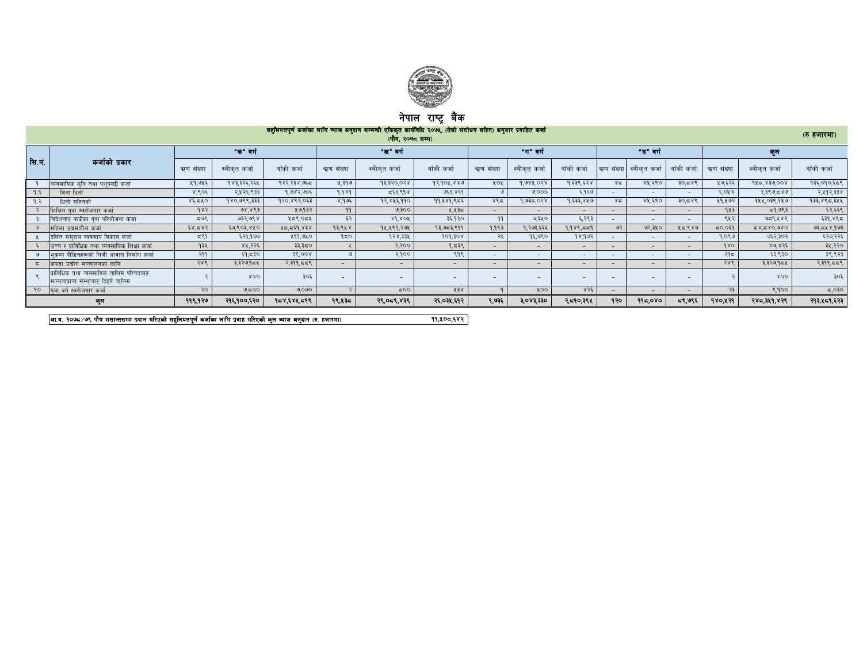

## नपाल राष्ट्र बक

|                | सहूलियतपूर्ण कर्जाका लागि व्याज अनुदान सम्बन्धी एकिकृत कार्यविधि २०७५, (तेस्रो संशोधन सहित) अनुसार प्रवाहित कर्जा<br>(रु हजारमा)<br>(पौष, २०७८ सम्म)                                         |           |              |                 |           |                          |             |           |              |             |           |                          |                          |           |               |             |
|----------------|----------------------------------------------------------------------------------------------------------------------------------------------------------------------------------------------|-----------|--------------|-----------------|-----------|--------------------------|-------------|-----------|--------------|-------------|-----------|--------------------------|--------------------------|-----------|---------------|-------------|
|                |                                                                                                                                                                                              |           | "क" वर्ग     |                 |           | "ख"वर्ग                  |             |           | "ग"वर्ग      |             |           | "घ" वर्ग                 |                          |           | কুল           |             |
| सि.नं.         | कर्जाको प्रकार                                                                                                                                                                               | ऋण संख्या | स्वीकत कर्जा | बाँकी कर्जा     | ऋण संख्या | स्वीकत कर्जा             | बाँकी कर्जा | ऋण संख्या | स्वीकत कर्जा | बाँकी कर्जा | ऋण संख्या | स्वीकत कर्जा             | बाँकी कर्जा              | ऋण संख्या | स्वीकृत कर्जा | बाँकी कर्जा |
|                | व्यवसायिक कषि तथा पशपन्छी कर्जा                                                                                                                                                              | ५१,७५६    | १४३,३२६,२६५  | १२२,२३४,७६८     | ५,३१७     | 93,320,028               | 92,904,880  | ५०५       | 9.088.098    | १.६३९.६२४   | ४द्र      | ४५,६९०                   | 30.588                   | ५७,६२६    | 945,830,008   | १३६,०१०,६८९ |
| 9.9            | बिना धितो                                                                                                                                                                                    | ४,९०६     | २,५२६,९३३    | १,७४२,७०६       | 9.989     | द६३,९१४                  | ७६३,४६१     |           | 0.000        | ६,१६७       |           | $\sim$                   | $\overline{\phantom{a}}$ | 6.088     | ३,३९७,८४७     | २,५१२,३३४   |
| 9. $\tilde{z}$ | धितो सहितको                                                                                                                                                                                  | 85,580    | १४०,७९९,३३३  | १२०,४९२,०६३     | 8.995     | १२,४५६,११०               | 99.389.855  | ४९८       | १,७३८,०२४    | १,६३३,४५७   | ४द्र      | ४४,६९०                   | 30.588                   | ५१,५७२    | १५५,०३९,१५७   | १३३,४९८,३५५ |
|                | शिक्षित यवा स्वरोजगार कर्जा                                                                                                                                                                  | 985       | 98,863       | ५७,१३२          | 99        | ७,३००                    | ५,५३८       |           |              | $-$         |           | $\sim$                   |                          | १५३       | 59.977        | ६२,६६९      |
|                | विदेशवाट फर्केका यवा परियोजना कर्जा                                                                                                                                                          | 597       | ७३२,७९४      | ५८९,०८५         | ६२        | $8d$ $80f$               | ३६,१२०      | 99        | ৩,३५०        | ६,२९३       |           | $\overline{\phantom{0}}$ | $\overline{\phantom{a}}$ | ९५२       | 959,888       | ६३१,४९८     |
|                | महिला उद्यमशील कर्जा                                                                                                                                                                         | ६४,८४२    | ६७,९०३,४५०   | 858, 935, 78    | 93.848    | १५,५९१,२७५               | 93.953.899  | 9.983     | १,२७३,६६६    | 9.988.559   | 92        | ७२,३५०                   | ५८,९४७                   | 50,059    | 080,087,787   | ७३,८५४,१७३  |
|                | दलित समदाय व्यवसाय विकास कर्जा                                                                                                                                                               | 597       | ६२१,१७७      | ५११,७५०         | 950       | 9.58,8.98                | 909,308     | ર૬        | १६,७९०       | 98,992      |           | $\sim$                   | $\sim$                   | १,०९७     | ७६२,३०२       | ६२७,२२६     |
|                | उच्च र प्राविधिक तथा व्यवसायिक शिक्षा कर्जा                                                                                                                                                  | १३५       | ४५,२२६       | ३३,३८०          |           | २.२००                    | 9.539       |           |              | $-$         |           | $-$                      | $\overline{\phantom{0}}$ | 980       | 8.0856        | ३५,२२०      |
|                | भकम्प पीडितहरूको निजी आवास निर्माण कर्जा                                                                                                                                                     | २११       | ६१,८३०       | 38,008          |           | २,१००                    | ९१९         |           | $\sim$       | $\sim$      |           | $\sim$                   | $\overline{\phantom{a}}$ | २१८       | ६३,९३०        | ३९,९२३      |
|                | कपडा उद्योग सञ्चालनका लागि                                                                                                                                                                   | २४९       | ३,३२७,१८५    | २,३११,८८९       |           | $\sim$ .                 | $-$         |           | $-$          | $\sim$      |           | $-$                      | $\overline{\phantom{a}}$ | २४९       | ३,३२७,१८५     | २,३११,८८९   |
|                | पाविधिक तथा व्यवसायिक तालिम परिषदबाट<br>मान्यताप्राप्त संस्थाबाट दिइने तालिम                                                                                                                 |           | XOO          | 30 <sup>2</sup> |           | $\overline{\phantom{a}}$ | -           |           |              |             |           | $\overline{\phantom{0}}$ | $\overline{\phantom{a}}$ |           | XOO           | ३०६         |
|                | <u> १०   यवा वर्ग स्वरोजगार कर्जा</u>                                                                                                                                                        | २०        | 9,500        | ७,०७०           |           | 500                      | ५३४         |           | ५००          | 856         |           | $\sim$                   | $\overline{\phantom{a}}$ | $-35$     | 8.900         | 5,030       |
|                | 9,0X3,330<br>१४०,५२१<br>११९,१२७<br>१९,५३८<br>२९,०८९,४३९<br>२६,०३४,६१२<br>9.935<br>२,व्ह१०,३९४<br>१२०<br>द९,७९६<br>२४८,३५१,४२९<br>२१३,५८१,६२३<br>२१६,१००,६२०<br>95x,68x,598<br>995,080<br>কুল |           |              |                 |           |                          |             |           |              |             |           |                          |                          |           |               |             |

वा.व. २०७८/७९ पौष मसान्तसम्म प्रदान गरिएको सहुलियतपूर्ण कर्जाका लागि प्रवाह गरिएको कुल ब्याज अनुदान (रु. हजारमा)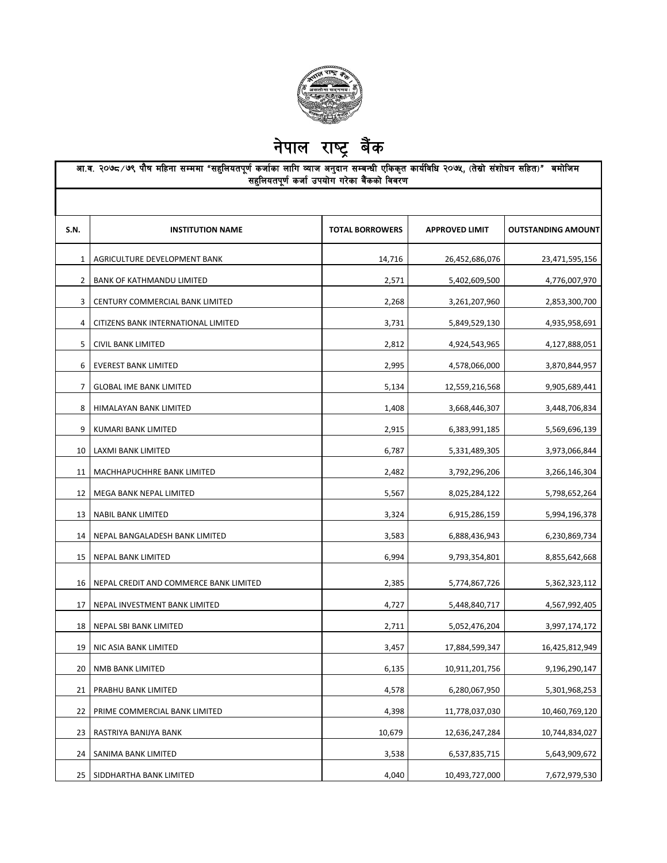

नेपाल राष्ट्र बैंक

| आ.व. २०७८ ∕७९ पौष महिना सम्ममा "सहुलियतपूर्ण कर्जाका लागि व्याज अनुदान सम्बन्धी एकिकृत कार्यविधि २०७५, (तेस्रो संशोधन सहित)" बमोजिम<br>सहुलियतपूर्ण कर्जा उपयोग गरेका बैंकको विवरण |                                        |                        |                       |                           |  |  |  |
|------------------------------------------------------------------------------------------------------------------------------------------------------------------------------------|----------------------------------------|------------------------|-----------------------|---------------------------|--|--|--|
|                                                                                                                                                                                    |                                        |                        |                       |                           |  |  |  |
| S.N.                                                                                                                                                                               | <b>INSTITUTION NAME</b>                | <b>TOTAL BORROWERS</b> | <b>APPROVED LIMIT</b> | <b>OUTSTANDING AMOUNT</b> |  |  |  |
| $\mathbf{1}$                                                                                                                                                                       | AGRICULTURE DEVELOPMENT BANK           | 14,716                 | 26,452,686,076        | 23,471,595,156            |  |  |  |
| $2^{\circ}$                                                                                                                                                                        | BANK OF KATHMANDU LIMITED              | 2,571                  | 5,402,609,500         | 4,776,007,970             |  |  |  |
| 3                                                                                                                                                                                  | CENTURY COMMERCIAL BANK LIMITED        | 2,268                  | 3,261,207,960         | 2,853,300,700             |  |  |  |
| 4                                                                                                                                                                                  | CITIZENS BANK INTERNATIONAL LIMITED    | 3,731                  | 5,849,529,130         | 4,935,958,691             |  |  |  |
| 5                                                                                                                                                                                  | CIVIL BANK LIMITED                     | 2,812                  | 4,924,543,965         | 4,127,888,051             |  |  |  |
| 6                                                                                                                                                                                  | <b>EVEREST BANK LIMITED</b>            | 2,995                  | 4,578,066,000         | 3,870,844,957             |  |  |  |
| 7                                                                                                                                                                                  | <b>GLOBAL IME BANK LIMITED</b>         | 5,134                  | 12,559,216,568        | 9,905,689,441             |  |  |  |
| 8                                                                                                                                                                                  | HIMALAYAN BANK LIMITED                 | 1,408                  | 3,668,446,307         | 3,448,706,834             |  |  |  |
| 9                                                                                                                                                                                  | KUMARI BANK LIMITED                    | 2,915                  | 6,383,991,185         | 5,569,696,139             |  |  |  |
| 10                                                                                                                                                                                 | LAXMI BANK LIMITED                     | 6,787                  | 5,331,489,305         | 3,973,066,844             |  |  |  |
| 11                                                                                                                                                                                 | MACHHAPUCHHRE BANK LIMITED             | 2,482                  | 3,792,296,206         | 3,266,146,304             |  |  |  |
| 12                                                                                                                                                                                 | MEGA BANK NEPAL LIMITED                | 5,567                  | 8,025,284,122         | 5,798,652,264             |  |  |  |
| 13                                                                                                                                                                                 | NABIL BANK LIMITED                     | 3,324                  | 6,915,286,159         | 5,994,196,378             |  |  |  |
| 14                                                                                                                                                                                 | NEPAL BANGALADESH BANK LIMITED         | 3,583                  | 6,888,436,943         | 6,230,869,734             |  |  |  |
| 15                                                                                                                                                                                 | NEPAL BANK LIMITED                     | 6,994                  | 9,793,354,801         | 8,855,642,668             |  |  |  |
| 16                                                                                                                                                                                 | NEPAL CREDIT AND COMMERCE BANK LIMITED | 2,385                  | 5,774,867,726         | 5,362,323,112             |  |  |  |
| 17                                                                                                                                                                                 | NEPAL INVESTMENT BANK LIMITED          | 4,727                  | 5,448,840,717         | 4,567,992,405             |  |  |  |
| 18                                                                                                                                                                                 | NEPAL SBI BANK LIMITED                 | 2,711                  | 5,052,476,204         | 3,997,174,172             |  |  |  |
|                                                                                                                                                                                    | 19   NIC ASIA BANK LIMITED             | 3,457                  | 17,884,599,347        | 16,425,812,949            |  |  |  |
| 20                                                                                                                                                                                 | NMB BANK LIMITED                       | 6,135                  | 10,911,201,756        | 9,196,290,147             |  |  |  |
| 21                                                                                                                                                                                 | PRABHU BANK LIMITED                    | 4,578                  | 6,280,067,950         | 5,301,968,253             |  |  |  |
| 22                                                                                                                                                                                 | PRIME COMMERCIAL BANK LIMITED          | 4,398                  | 11,778,037,030        | 10,460,769,120            |  |  |  |
| 23                                                                                                                                                                                 | RASTRIYA BANIJYA BANK                  | 10,679                 | 12,636,247,284        | 10,744,834,027            |  |  |  |
| 24                                                                                                                                                                                 | SANIMA BANK LIMITED                    | 3,538                  | 6,537,835,715         | 5,643,909,672             |  |  |  |
| 25                                                                                                                                                                                 | SIDDHARTHA BANK LIMITED                | 4,040                  | 10,493,727,000        | 7,672,979,530             |  |  |  |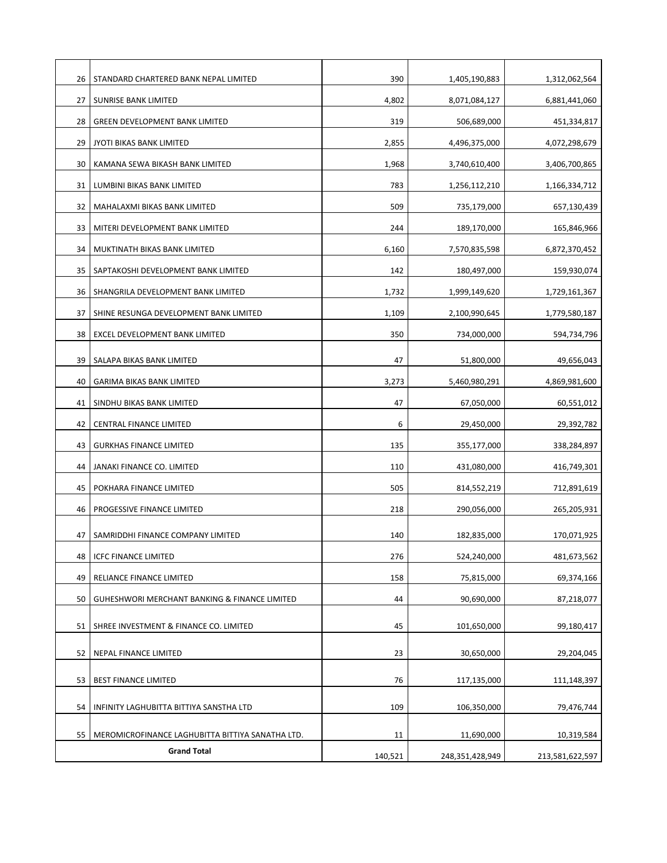| 26 | STANDARD CHARTERED BANK NEPAL LIMITED                                  | 390     | 1,405,190,883   | 1,312,062,564   |
|----|------------------------------------------------------------------------|---------|-----------------|-----------------|
| 27 | SUNRISE BANK LIMITED                                                   | 4,802   | 8,071,084,127   | 6,881,441,060   |
| 28 | <b>GREEN DEVELOPMENT BANK LIMITED</b>                                  | 319     | 506,689,000     | 451,334,817     |
| 29 | JYOTI BIKAS BANK LIMITED                                               | 2,855   | 4,496,375,000   | 4,072,298,679   |
| 30 | KAMANA SEWA BIKASH BANK LIMITED                                        | 1,968   | 3,740,610,400   | 3,406,700,865   |
| 31 | LUMBINI BIKAS BANK LIMITED                                             | 783     | 1,256,112,210   | 1,166,334,712   |
| 32 | MAHALAXMI BIKAS BANK LIMITED                                           | 509     | 735,179,000     | 657,130,439     |
| 33 | MITERI DEVELOPMENT BANK LIMITED                                        | 244     | 189,170,000     | 165,846,966     |
| 34 | MUKTINATH BIKAS BANK LIMITED                                           | 6,160   | 7,570,835,598   | 6,872,370,452   |
| 35 | SAPTAKOSHI DEVELOPMENT BANK LIMITED                                    | 142     | 180,497,000     | 159,930,074     |
| 36 | SHANGRILA DEVELOPMENT BANK LIMITED                                     | 1,732   | 1,999,149,620   | 1,729,161,367   |
| 37 | SHINE RESUNGA DEVELOPMENT BANK LIMITED                                 | 1,109   | 2,100,990,645   | 1,779,580,187   |
| 38 | EXCEL DEVELOPMENT BANK LIMITED                                         | 350     | 734,000,000     | 594,734,796     |
|    |                                                                        |         |                 |                 |
| 39 | SALAPA BIKAS BANK LIMITED                                              | 47      | 51,800,000      | 49,656,043      |
| 40 | GARIMA BIKAS BANK LIMITED                                              | 3,273   | 5,460,980,291   | 4,869,981,600   |
| 41 | SINDHU BIKAS BANK LIMITED                                              | 47      | 67,050,000      | 60,551,012      |
| 42 | CENTRAL FINANCE LIMITED                                                | 6       | 29,450,000      | 29,392,782      |
| 43 | <b>GURKHAS FINANCE LIMITED</b>                                         | 135     | 355,177,000     | 338,284,897     |
| 44 | JANAKI FINANCE CO. LIMITED                                             | 110     | 431,080,000     | 416,749,301     |
| 45 | POKHARA FINANCE LIMITED                                                | 505     | 814,552,219     | 712,891,619     |
| 46 | PROGESSIVE FINANCE LIMITED                                             | 218     | 290,056,000     | 265,205,931     |
| 47 | SAMRIDDHI FINANCE COMPANY LIMITED                                      | 140     | 182,835,000     | 170,071,925     |
| 48 | <b>ICFC FINANCE LIMITED</b>                                            | 276     | 524,240,000     | 481,673,562     |
| 49 | RELIANCE FINANCE LIMITED                                               | 158     | 75,815,000      | 69,374,166      |
| 50 | GUHESHWORI MERCHANT BANKING & FINANCE LIMITED                          | 44      | 90,690,000      | 87,218,077      |
|    |                                                                        |         |                 |                 |
| 51 | SHREE INVESTMENT & FINANCE CO. LIMITED                                 | 45      | 101,650,000     | 99,180,417      |
| 52 | NEPAL FINANCE LIMITED                                                  | 23      | 30,650,000      | 29,204,045      |
| 53 | <b>BEST FINANCE LIMITED</b>                                            | 76      | 117,135,000     | 111,148,397     |
| 54 | INFINITY LAGHUBITTA BITTIYA SANSTHA LTD                                | 109     | 106,350,000     | 79,476,744      |
|    |                                                                        |         |                 |                 |
| 55 | MEROMICROFINANCE LAGHUBITTA BITTIYA SANATHA LTD.<br><b>Grand Total</b> | 11      | 11,690,000      | 10,319,584      |
|    |                                                                        | 140,521 | 248,351,428,949 | 213,581,622,597 |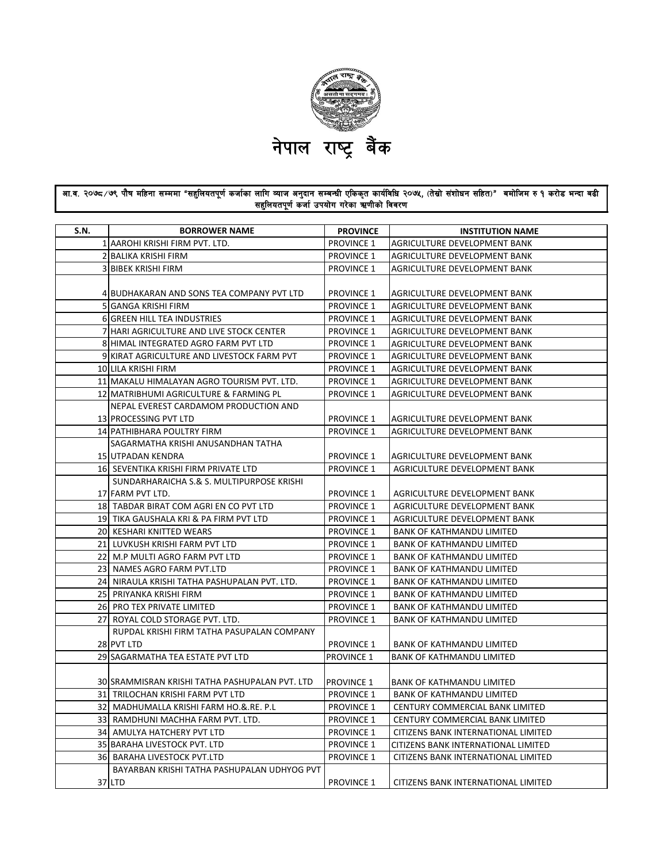

## आ.व. २०७८⁄७९ पौष महिना सम्ममा "सहुलियतपूर्ण कर्जाका लागि व्याज अनुदान सम्बन्धी एकिकृत कार्यविधि २०७४, (तेस्रो संशोधन सहित)" बमोजिम रु १ करोड भन्दा बढी सहुलियतपूर्ण कर्जा उपयोग गरेका ऋणीको विवरण

| <b>S.N.</b> | <b>BORROWER NAME</b>                           | <b>PROVINCE</b>   | <b>INSTITUTION NAME</b>                    |
|-------------|------------------------------------------------|-------------------|--------------------------------------------|
|             | 1 AAROHI KRISHI FIRM PVT. LTD.                 | <b>PROVINCE 1</b> | AGRICULTURE DEVELOPMENT BANK               |
|             | 2 BALIKA KRISHI FIRM                           | <b>PROVINCE 1</b> | AGRICULTURE DEVELOPMENT BANK               |
|             | <b>3 BIBEK KRISHI FIRM</b>                     | <b>PROVINCE 1</b> | AGRICULTURE DEVELOPMENT BANK               |
|             |                                                |                   |                                            |
|             | 4 BUDHAKARAN AND SONS TEA COMPANY PVT LTD      | <b>PROVINCE 1</b> | AGRICULTURE DEVELOPMENT BANK               |
|             | 5 GANGA KRISHI FIRM                            | <b>PROVINCE 1</b> | AGRICULTURE DEVELOPMENT BANK               |
|             | 6 GREEN HILL TEA INDUSTRIES                    | <b>PROVINCE 1</b> | AGRICULTURE DEVELOPMENT BANK               |
|             | 7 HARI AGRICULTURE AND LIVE STOCK CENTER       | <b>PROVINCE 1</b> | AGRICULTURE DEVELOPMENT BANK               |
|             | 8 HIMAL INTEGRATED AGRO FARM PVT LTD           | <b>PROVINCE 1</b> | AGRICULTURE DEVELOPMENT BANK               |
|             | 9 KIRAT AGRICULTURE AND LIVESTOCK FARM PVT     | <b>PROVINCE 1</b> | AGRICULTURE DEVELOPMENT BANK               |
|             | 10 LILA KRISHI FIRM                            | <b>PROVINCE 1</b> | AGRICULTURE DEVELOPMENT BANK               |
|             | 11 MAKALU HIMALAYAN AGRO TOURISM PVT. LTD.     | <b>PROVINCE 1</b> | AGRICULTURE DEVELOPMENT BANK               |
|             | 12 MATRIBHUMI AGRICULTURE & FARMING PL         | <b>PROVINCE 1</b> | AGRICULTURE DEVELOPMENT BANK               |
|             | NEPAL EVEREST CARDAMOM PRODUCTION AND          |                   |                                            |
|             | 13 PROCESSING PVT LTD                          | <b>PROVINCE 1</b> | AGRICULTURE DEVELOPMENT BANK               |
|             | 14 PATHIBHARA POULTRY FIRM                     | <b>PROVINCE 1</b> | AGRICULTURE DEVELOPMENT BANK               |
|             | SAGARMATHA KRISHI ANUSANDHAN TATHA             |                   |                                            |
|             | 15 UTPADAN KENDRA                              | <b>PROVINCE 1</b> | AGRICULTURE DEVELOPMENT BANK               |
|             | 16 SEVENTIKA KRISHI FIRM PRIVATE LTD           | <b>PROVINCE 1</b> | AGRICULTURE DEVELOPMENT BANK               |
|             | SUNDARHARAICHA S.& S. MULTIPURPOSE KRISHI      |                   |                                            |
|             | 17 FARM PVT LTD.                               | <b>PROVINCE 1</b> | AGRICULTURE DEVELOPMENT BANK               |
|             | 18 TABDAR BIRAT COM AGRI EN CO PVT LTD         | <b>PROVINCE 1</b> | AGRICULTURE DEVELOPMENT BANK               |
|             | 19 TIKA GAUSHALA KRI & PA FIRM PVT LTD         | <b>PROVINCE 1</b> | AGRICULTURE DEVELOPMENT BANK               |
|             | 20 KESHARI KNITTED WEARS                       | <b>PROVINCE 1</b> | <b>BANK OF KATHMANDU LIMITED</b>           |
|             | 21 LUVKUSH KRISHI FARM PVT LTD                 | <b>PROVINCE 1</b> | <b>BANK OF KATHMANDU LIMITED</b>           |
|             | 22 M.P MULTI AGRO FARM PVT LTD                 | <b>PROVINCE 1</b> | <b>BANK OF KATHMANDU LIMITED</b>           |
|             | 23 NAMES AGRO FARM PVT.LTD                     | <b>PROVINCE 1</b> | <b>BANK OF KATHMANDU LIMITED</b>           |
|             | 24 NIRAULA KRISHI TATHA PASHUPALAN PVT. LTD.   | <b>PROVINCE 1</b> | <b>BANK OF KATHMANDU LIMITED</b>           |
|             | 25 PRIYANKA KRISHI FIRM                        | <b>PROVINCE 1</b> | <b>BANK OF KATHMANDU LIMITED</b>           |
|             | 26 PRO TEX PRIVATE LIMITED                     | <b>PROVINCE 1</b> | <b>BANK OF KATHMANDU LIMITED</b>           |
|             | 27 ROYAL COLD STORAGE PVT. LTD.                | <b>PROVINCE 1</b> | <b>BANK OF KATHMANDU LIMITED</b>           |
|             | RUPDAL KRISHI FIRM TATHA PASUPALAN COMPANY     |                   |                                            |
|             | 28 PVT LTD                                     | <b>PROVINCE 1</b> | <b>BANK OF KATHMANDU LIMITED</b>           |
|             | 29 SAGARMATHA TEA ESTATE PVT LTD               | <b>PROVINCE 1</b> | <b>BANK OF KATHMANDU LIMITED</b>           |
|             |                                                |                   |                                            |
|             | 30 SRAMMISRAN KRISHI TATHA PASHUPALAN PVT. LTD | <b>PROVINCE 1</b> | <b>BANK OF KATHMANDU LIMITED</b>           |
|             | 31 TRILOCHAN KRISHI FARM PVT LTD               | <b>PROVINCE 1</b> | <b>BANK OF KATHMANDU LIMITED</b>           |
|             | 32 MADHUMALLA KRISHI FARM HO.&.RE. P.L         | <b>PROVINCE 1</b> | CENTURY COMMERCIAL BANK LIMITED            |
|             | 33 RAMDHUNI MACHHA FARM PVT. LTD.              | <b>PROVINCE 1</b> | CENTURY COMMERCIAL BANK LIMITED            |
|             | 34 AMULYA HATCHERY PVT LTD                     | <b>PROVINCE 1</b> | CITIZENS BANK INTERNATIONAL LIMITED        |
|             | 35 BARAHA LIVESTOCK PVT. LTD                   | <b>PROVINCE 1</b> | CITIZENS BANK INTERNATIONAL LIMITED        |
|             | 36 BARAHA LIVESTOCK PVT.LTD                    | <b>PROVINCE 1</b> | <b>CITIZENS BANK INTERNATIONAL LIMITED</b> |
|             | BAYARBAN KRISHI TATHA PASHUPALAN UDHYOG PVT    |                   |                                            |
|             | 37 LTD                                         | <b>PROVINCE 1</b> | CITIZENS BANK INTERNATIONAL LIMITED        |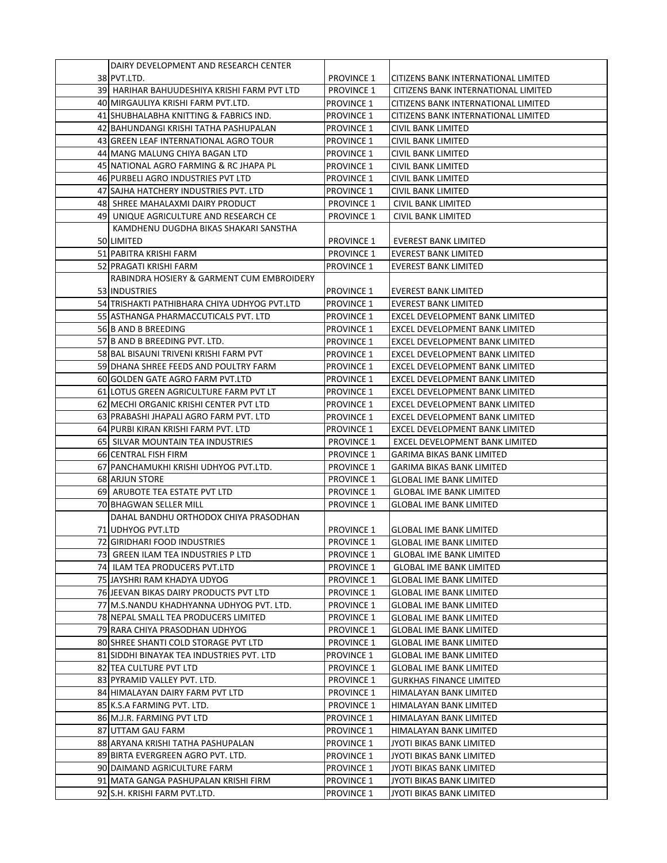| DAIRY DEVELOPMENT AND RESEARCH CENTER        |                   |                                     |
|----------------------------------------------|-------------------|-------------------------------------|
| 38 PVT.LTD.                                  | <b>PROVINCE 1</b> | CITIZENS BANK INTERNATIONAL LIMITED |
| 39 HARIHAR BAHUUDESHIYA KRISHI FARM PVT LTD  | <b>PROVINCE 1</b> | CITIZENS BANK INTERNATIONAL LIMITED |
| 40 MIRGAULIYA KRISHI FARM PVT.LTD.           | <b>PROVINCE 1</b> | CITIZENS BANK INTERNATIONAL LIMITED |
| 41 SHUBHALABHA KNITTING & FABRICS IND.       | <b>PROVINCE 1</b> | CITIZENS BANK INTERNATIONAL LIMITED |
| 42 BAHUNDANGI KRISHI TATHA PASHUPALAN        | <b>PROVINCE 1</b> | CIVIL BANK LIMITED                  |
| 43 GREEN LEAF INTERNATIONAL AGRO TOUR        | <b>PROVINCE 1</b> | <b>CIVIL BANK LIMITED</b>           |
| 44 MANG MALUNG CHIYA BAGAN LTD               | <b>PROVINCE 1</b> | CIVIL BANK LIMITED                  |
| 45 NATIONAL AGRO FARMING & RC JHAPA PL       | <b>PROVINCE 1</b> | CIVIL BANK LIMITED                  |
| 46 PURBELI AGRO INDUSTRIES PVT LTD           | <b>PROVINCE 1</b> | CIVIL BANK LIMITED                  |
| 47 SAJHA HATCHERY INDUSTRIES PVT. LTD        | <b>PROVINCE 1</b> | <b>CIVIL BANK LIMITED</b>           |
| 48 SHREE MAHALAXMI DAIRY PRODUCT             | <b>PROVINCE 1</b> | CIVIL BANK LIMITED                  |
| 49 UNIQUE AGRICULTURE AND RESEARCH CE        | <b>PROVINCE 1</b> | CIVIL BANK LIMITED                  |
| KAMDHENU DUGDHA BIKAS SHAKARI SANSTHA        |                   |                                     |
| 50 LIMITED                                   | <b>PROVINCE 1</b> | EVEREST BANK LIMITED                |
| 51 PABITRA KRISHI FARM                       | <b>PROVINCE 1</b> | <b>EVEREST BANK LIMITED</b>         |
| 52 PRAGATI KRISHI FARM                       | <b>PROVINCE 1</b> | <b>EVEREST BANK LIMITED</b>         |
| RABINDRA HOSIERY & GARMENT CUM EMBROIDERY    |                   |                                     |
| 53 INDUSTRIES                                | <b>PROVINCE 1</b> | <b>EVEREST BANK LIMITED</b>         |
| 54 TRISHAKTI PATHIBHARA CHIYA UDHYOG PVT.LTD | <b>PROVINCE 1</b> | <b>EVEREST BANK LIMITED</b>         |
| 55 ASTHANGA PHARMACCUTICALS PVT. LTD         | <b>PROVINCE 1</b> | EXCEL DEVELOPMENT BANK LIMITED      |
| 56 B AND B BREEDING                          | <b>PROVINCE 1</b> | EXCEL DEVELOPMENT BANK LIMITED      |
| 57 B AND B BREEDING PVT. LTD.                | <b>PROVINCE 1</b> | EXCEL DEVELOPMENT BANK LIMITED      |
| 58 BAL BISAUNI TRIVENI KRISHI FARM PVT       | <b>PROVINCE 1</b> | EXCEL DEVELOPMENT BANK LIMITED      |
| 59 DHANA SHREE FEEDS AND POULTRY FARM        | <b>PROVINCE 1</b> | EXCEL DEVELOPMENT BANK LIMITED      |
| 60 GOLDEN GATE AGRO FARM PVT.LTD             | <b>PROVINCE 1</b> | EXCEL DEVELOPMENT BANK LIMITED      |
| 61 LOTUS GREEN AGRICULTURE FARM PVT LT       | <b>PROVINCE 1</b> | EXCEL DEVELOPMENT BANK LIMITED      |
| 62 MECHI ORGANIC KRISHI CENTER PVT LTD       | <b>PROVINCE 1</b> | EXCEL DEVELOPMENT BANK LIMITED      |
| 63 PRABASHI JHAPALI AGRO FARM PVT. LTD       | <b>PROVINCE 1</b> | EXCEL DEVELOPMENT BANK LIMITED      |
| 64 PURBI KIRAN KRISHI FARM PVT. LTD          | <b>PROVINCE 1</b> | EXCEL DEVELOPMENT BANK LIMITED      |
| 65 SILVAR MOUNTAIN TEA INDUSTRIES            | <b>PROVINCE 1</b> | EXCEL DEVELOPMENT BANK LIMITED      |
| 66 CENTRAL FISH FIRM                         | <b>PROVINCE 1</b> | <b>GARIMA BIKAS BANK LIMITED</b>    |
| 67 PANCHAMUKHI KRISHI UDHYOG PVT.LTD.        | <b>PROVINCE 1</b> | <b>GARIMA BIKAS BANK LIMITED</b>    |
| 68 ARJUN STORE                               | <b>PROVINCE 1</b> | <b>GLOBAL IME BANK LIMITED</b>      |
| 69 ARUBOTE TEA ESTATE PVT LTD                | <b>PROVINCE 1</b> | <b>GLOBAL IME BANK LIMITED</b>      |
| 70 BHAGWAN SELLER MILL                       | <b>PROVINCE 1</b> | GLOBAL IME BANK LIMITED             |
| DAHAL BANDHU ORTHODOX CHIYA PRASODHAN        |                   |                                     |
| 71 UDHYOG PVT.LTD                            | <b>PROVINCE 1</b> | <b>GLOBAL IME BANK LIMITED</b>      |
| 72 GIRIDHARI FOOD INDUSTRIES                 | <b>PROVINCE 1</b> | <b>GLOBAL IME BANK LIMITED</b>      |
| 73 GREEN ILAM TEA INDUSTRIES P LTD           | <b>PROVINCE 1</b> | <b>GLOBAL IME BANK LIMITED</b>      |
| 74 ILAM TEA PRODUCERS PVT.LTD                | <b>PROVINCE 1</b> | <b>GLOBAL IME BANK LIMITED</b>      |
| 75 JAYSHRI RAM KHADYA UDYOG                  | <b>PROVINCE 1</b> | <b>GLOBAL IME BANK LIMITED</b>      |
| 76 JEEVAN BIKAS DAIRY PRODUCTS PVT LTD       | <b>PROVINCE 1</b> | <b>GLOBAL IME BANK LIMITED</b>      |
| 77 M.S.NANDU KHADHYANNA UDHYOG PVT. LTD.     | <b>PROVINCE 1</b> | <b>GLOBAL IME BANK LIMITED</b>      |
| 78 NEPAL SMALL TEA PRODUCERS LIMITED         | <b>PROVINCE 1</b> | <b>GLOBAL IME BANK LIMITED</b>      |
| 79 RARA CHIYA PRASODHAN UDHYOG               | <b>PROVINCE 1</b> | <b>GLOBAL IME BANK LIMITED</b>      |
| 80 SHREE SHANTI COLD STORAGE PVT LTD         | <b>PROVINCE 1</b> | <b>GLOBAL IME BANK LIMITED</b>      |
| 81 SIDDHI BINAYAK TEA INDUSTRIES PVT. LTD    | PROVINCE 1        | GLOBAL IME BANK LIMITED             |
| 82 TEA CULTURE PVT LTD                       | <b>PROVINCE 1</b> | <b>GLOBAL IME BANK LIMITED</b>      |
| 83 PYRAMID VALLEY PVT. LTD.                  | <b>PROVINCE 1</b> | <b>GURKHAS FINANCE LIMITED</b>      |
| 84 HIMALAYAN DAIRY FARM PVT LTD              | <b>PROVINCE 1</b> | HIMALAYAN BANK LIMITED              |
| 85 K.S.A FARMING PVT. LTD.                   | <b>PROVINCE 1</b> | HIMALAYAN BANK LIMITED              |
| 86 M.J.R. FARMING PVT LTD                    | <b>PROVINCE 1</b> | HIMALAYAN BANK LIMITED              |
| 87 UTTAM GAU FARM                            | <b>PROVINCE 1</b> | HIMALAYAN BANK LIMITED              |
| 88 ARYANA KRISHI TATHA PASHUPALAN            | <b>PROVINCE 1</b> | JYOTI BIKAS BANK LIMITED            |
| 89 BIRTA EVERGREEN AGRO PVT. LTD.            | <b>PROVINCE 1</b> | JYOTI BIKAS BANK LIMITED            |
| 90 DAIMAND AGRICULTURE FARM                  | <b>PROVINCE 1</b> | JYOTI BIKAS BANK LIMITED            |
| 91 MATA GANGA PASHUPALAN KRISHI FIRM         | <b>PROVINCE 1</b> | JYOTI BIKAS BANK LIMITED            |
| 92 S.H. KRISHI FARM PVT.LTD.                 | <b>PROVINCE 1</b> | JYOTI BIKAS BANK LIMITED            |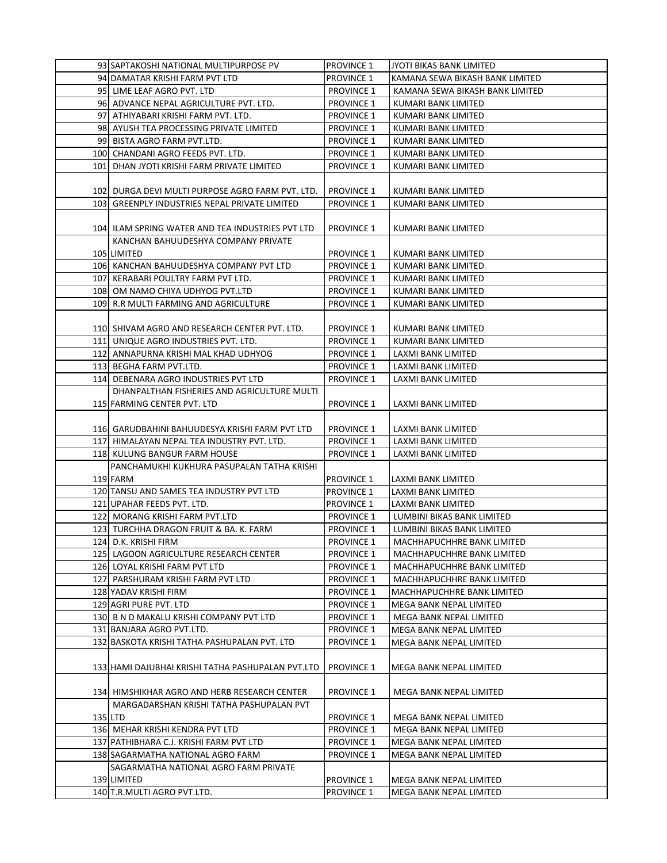| 93 SAPTAKOSHI NATIONAL MULTIPURPOSE PV                                                    | <b>PROVINCE 1</b>               | JYOTI BIKAS BANK LIMITED                           |
|-------------------------------------------------------------------------------------------|---------------------------------|----------------------------------------------------|
| 94 DAMATAR KRISHI FARM PVT LTD                                                            | <b>PROVINCE 1</b>               | KAMANA SEWA BIKASH BANK LIMITED                    |
| 95 LIME LEAF AGRO PVT. LTD                                                                | <b>PROVINCE 1</b>               | KAMANA SEWA BIKASH BANK LIMITED                    |
| 96 ADVANCE NEPAL AGRICULTURE PVT. LTD.                                                    | <b>PROVINCE 1</b>               | KUMARI BANK LIMITED                                |
| 97 ATHIYABARI KRISHI FARM PVT. LTD.                                                       | <b>PROVINCE 1</b>               | KUMARI BANK LIMITED                                |
| 98 AYUSH TEA PROCESSING PRIVATE LIMITED                                                   | <b>PROVINCE 1</b>               | KUMARI BANK LIMITED                                |
| 99 BISTA AGRO FARM PVT.LTD.                                                               | <b>PROVINCE 1</b>               | KUMARI BANK LIMITED                                |
| 100 CHANDANI AGRO FEEDS PVT. LTD.                                                         | <b>PROVINCE 1</b>               | KUMARI BANK LIMITED                                |
| 101  DHAN JYOTI KRISHI FARM PRIVATE LIMITED                                               | <b>PROVINCE 1</b>               | KUMARI BANK LIMITED                                |
|                                                                                           |                                 |                                                    |
| 102 DURGA DEVI MULTI PURPOSE AGRO FARM PVT. LTD.                                          | <b>PROVINCE 1</b>               | KUMARI BANK LIMITED                                |
| 103 GREENPLY INDUSTRIES NEPAL PRIVATE LIMITED                                             | <b>PROVINCE 1</b>               | KUMARI BANK LIMITED                                |
|                                                                                           |                                 |                                                    |
| 104 ILAM SPRING WATER AND TEA INDUSTRIES PVT LTD                                          | <b>PROVINCE 1</b>               | KUMARI BANK LIMITED                                |
| KANCHAN BAHUUDESHYA COMPANY PRIVATE                                                       |                                 |                                                    |
| 105 LIMITED                                                                               | <b>PROVINCE 1</b>               | KUMARI BANK LIMITED                                |
| 106 KANCHAN BAHUUDESHYA COMPANY PVT LTD                                                   | <b>PROVINCE 1</b>               | KUMARI BANK LIMITED                                |
| 107 KERABARI POULTRY FARM PVT LTD.                                                        | <b>PROVINCE 1</b>               | KUMARI BANK LIMITED                                |
| 108 OM NAMO CHIYA UDHYOG PVT.LTD                                                          | <b>PROVINCE 1</b>               | KUMARI BANK LIMITED                                |
|                                                                                           |                                 |                                                    |
| 109 R.R MULTI FARMING AND AGRICULTURE                                                     | <b>PROVINCE 1</b>               | KUMARI BANK LIMITED                                |
| 110 SHIVAM AGRO AND RESEARCH CENTER PVT. LTD.                                             | <b>PROVINCE 1</b>               | KUMARI BANK LIMITED                                |
| 111 UNIQUE AGRO INDUSTRIES PVT. LTD.                                                      | <b>PROVINCE 1</b>               | KUMARI BANK LIMITED                                |
|                                                                                           |                                 |                                                    |
| 112  ANNAPURNA KRISHI MAL KHAD UDHYOG                                                     | <b>PROVINCE 1</b>               | LAXMI BANK LIMITED                                 |
| 113 BEGHA FARM PVT.LTD.                                                                   | <b>PROVINCE 1</b>               | LAXMI BANK LIMITED                                 |
| 114 DEBENARA AGRO INDUSTRIES PVT LTD                                                      | <b>PROVINCE 1</b>               | LAXMI BANK LIMITED                                 |
| DHANPALTHAN FISHERIES AND AGRICULTURE MULTI                                               |                                 |                                                    |
| 115 FARMING CENTER PVT. LTD                                                               | <b>PROVINCE 1</b>               | LAXMI BANK LIMITED                                 |
| 116  GARUDBAHINI BAHUUDESYA KRISHI FARM PVT LTD                                           | <b>PROVINCE 1</b>               | LAXMI BANK LIMITED                                 |
| 117 HIMALAYAN NEPAL TEA INDUSTRY PVT. LTD.                                                | <b>PROVINCE 1</b>               | LAXMI BANK LIMITED                                 |
| 118 KULUNG BANGUR FARM HOUSE                                                              | <b>PROVINCE 1</b>               | LAXMI BANK LIMITED                                 |
| PANCHAMUKHI KUKHURA PASUPALAN TATHA KRISHI                                                |                                 |                                                    |
| 119 FARM                                                                                  | <b>PROVINCE 1</b>               | LAXMI BANK LIMITED                                 |
| 120 TANSU AND SAMES TEA INDUSTRY PVT LTD                                                  | <b>PROVINCE 1</b>               | LAXMI BANK LIMITED                                 |
| 121 UPAHAR FEEDS PVT. LTD.                                                                | <b>PROVINCE 1</b>               | LAXMI BANK LIMITED                                 |
| 122 MORANG KRISHI FARM PVT.LTD                                                            | <b>PROVINCE 1</b>               | LUMBINI BIKAS BANK LIMITED                         |
| 123  TURCHHA DRAGON FRUIT & BA. K. FARM                                                   | <b>PROVINCE 1</b>               | LUMBINI BIKAS BANK LIMITED                         |
| 124 D.K. KRISHI FIRM                                                                      | <b>PROVINCE 1</b>               | MACHHAPUCHHRE BANK LIMITED                         |
| 125 LAGOON AGRICULTURE RESEARCH CENTER                                                    | <b>PROVINCE 1</b>               | MACHHAPUCHHRE BANK LIMITED                         |
|                                                                                           | <b>PROVINCE 1</b>               |                                                    |
| 126 LOYAL KRISHI FARM PVT LTD<br>127 PARSHURAM KRISHI FARM PVT LTD                        |                                 | MACHHAPUCHHRE BANK LIMITED                         |
|                                                                                           | <b>PROVINCE 1</b><br>PROVINCE 1 | MACHHAPUCHHRE BANK LIMITED                         |
| 128 YADAV KRISHI FIRM                                                                     |                                 | MACHHAPUCHHRE BANK LIMITED                         |
| 129 AGRI PURE PVT. LTD                                                                    | <b>PROVINCE 1</b>               | MEGA BANK NEPAL LIMITED                            |
| 130 B N D MAKALU KRISHI COMPANY PVT LTD                                                   | <b>PROVINCE 1</b>               | MEGA BANK NEPAL LIMITED                            |
| 131 BANJARA AGRO PVT.LTD.                                                                 | <b>PROVINCE 1</b>               | MEGA BANK NEPAL LIMITED                            |
| 132 BASKOTA KRISHI TATHA PASHUPALAN PVT. LTD                                              | <b>PROVINCE 1</b>               | MEGA BANK NEPAL LIMITED                            |
|                                                                                           |                                 |                                                    |
| 133 HAMI DAJUBHAI KRISHI TATHA PASHUPALAN PVT.LTD                                         | <b>PROVINCE 1</b>               | MEGA BANK NEPAL LIMITED                            |
|                                                                                           |                                 |                                                    |
| 134  HIMSHIKHAR AGRO AND HERB RESEARCH CENTER<br>MARGADARSHAN KRISHI TATHA PASHUPALAN PVT | <b>PROVINCE 1</b>               | MEGA BANK NEPAL LIMITED                            |
| 135 LTD                                                                                   | <b>PROVINCE 1</b>               | MEGA BANK NEPAL LIMITED                            |
| 136 MEHAR KRISHI KENDRA PVT LTD                                                           | <b>PROVINCE 1</b>               | MEGA BANK NEPAL LIMITED                            |
| 137 PATHIBHARA C.J. KRISHI FARM PVT LTD                                                   | <b>PROVINCE 1</b>               |                                                    |
| 138 SAGARMATHA NATIONAL AGRO FARM                                                         | <b>PROVINCE 1</b>               | MEGA BANK NEPAL LIMITED<br>MEGA BANK NEPAL LIMITED |
| SAGARMATHA NATIONAL AGRO FARM PRIVATE                                                     |                                 |                                                    |
| 139 LIMITED                                                                               | <b>PROVINCE 1</b>               | MEGA BANK NEPAL LIMITED                            |
| 140 T.R.MULTI AGRO PVT.LTD.                                                               | <b>PROVINCE 1</b>               | MEGA BANK NEPAL LIMITED                            |
|                                                                                           |                                 |                                                    |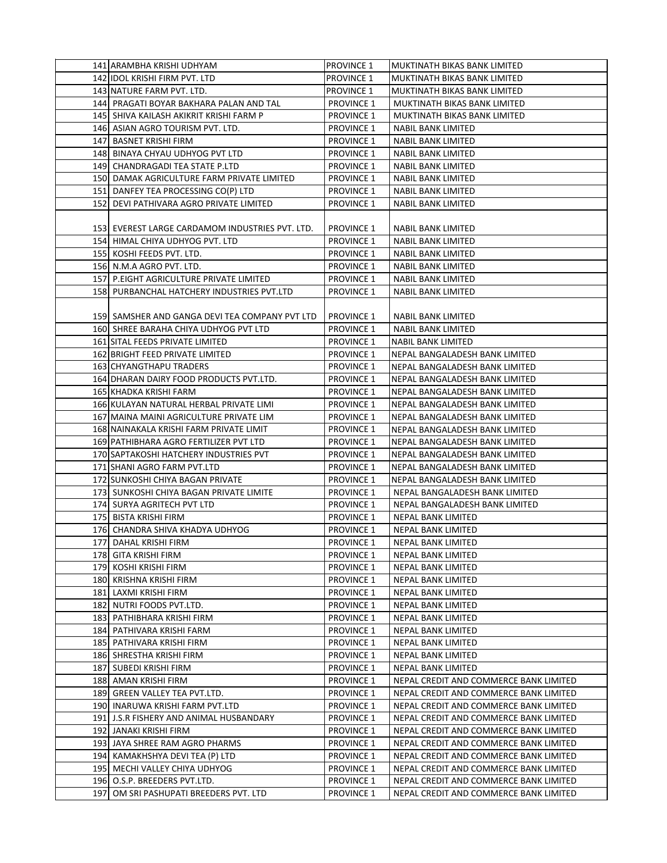| 141 ARAMBHA KRISHI UDHYAM                       | PROVINCE 1        | MUKTINATH BIKAS BANK LIMITED           |
|-------------------------------------------------|-------------------|----------------------------------------|
| 142 IDOL KRISHI FIRM PVT. LTD                   | <b>PROVINCE 1</b> | MUKTINATH BIKAS BANK LIMITED           |
| 143 NATURE FARM PVT. LTD.                       | <b>PROVINCE 1</b> | MUKTINATH BIKAS BANK LIMITED           |
| 144  PRAGATI BOYAR BAKHARA PALAN AND TAL        | <b>PROVINCE 1</b> | MUKTINATH BIKAS BANK LIMITED           |
| 145 SHIVA KAILASH AKIKRIT KRISHI FARM P         | <b>PROVINCE 1</b> | MUKTINATH BIKAS BANK LIMITED           |
| 146 ASIAN AGRO TOURISM PVT. LTD.                | <b>PROVINCE 1</b> | <b>NABIL BANK LIMITED</b>              |
| 147 BASNET KRISHI FIRM                          | <b>PROVINCE 1</b> | <b>NABIL BANK LIMITED</b>              |
| 148 BINAYA CHYAU UDHYOG PVT LTD                 | <b>PROVINCE 1</b> | <b>NABIL BANK LIMITED</b>              |
| 149 CHANDRAGADI TEA STATE P.LTD                 | <b>PROVINCE 1</b> | NABIL BANK LIMITED                     |
| 150 DAMAK AGRICULTURE FARM PRIVATE LIMITED      | <b>PROVINCE 1</b> | <b>NABIL BANK LIMITED</b>              |
| 151 DANFEY TEA PROCESSING CO(P) LTD             | <b>PROVINCE 1</b> | <b>NABIL BANK LIMITED</b>              |
| 152  DEVI PATHIVARA AGRO PRIVATE LIMITED        | <b>PROVINCE 1</b> | NABIL BANK LIMITED                     |
|                                                 |                   |                                        |
| 153 EVEREST LARGE CARDAMOM INDUSTRIES PVT. LTD. | <b>PROVINCE 1</b> | NABIL BANK LIMITED                     |
| 154 HIMAL CHIYA UDHYOG PVT. LTD                 | <b>PROVINCE 1</b> | NABIL BANK LIMITED                     |
| 155 KOSHI FEEDS PVT. LTD.                       |                   |                                        |
|                                                 | <b>PROVINCE 1</b> | NABIL BANK LIMITED                     |
| 156 N.M.A AGRO PVT. LTD.                        | <b>PROVINCE 1</b> | <b>NABIL BANK LIMITED</b>              |
| 157 P.EIGHT AGRICULTURE PRIVATE LIMITED         | <b>PROVINCE 1</b> | NABIL BANK LIMITED                     |
| 158 PURBANCHAL HATCHERY INDUSTRIES PVT.LTD      | <b>PROVINCE 1</b> | <b>NABIL BANK LIMITED</b>              |
|                                                 |                   |                                        |
| 159 SAMSHER AND GANGA DEVI TEA COMPANY PVT LTD  | <b>PROVINCE 1</b> | NABIL BANK LIMITED                     |
| 160 SHREE BARAHA CHIYA UDHYOG PVT LTD           | <b>PROVINCE 1</b> | <b>NABIL BANK LIMITED</b>              |
| 161 SITAL FEEDS PRIVATE LIMITED                 | <b>PROVINCE 1</b> | NABIL BANK LIMITED                     |
| 162 BRIGHT FEED PRIVATE LIMITED                 | <b>PROVINCE 1</b> | NEPAL BANGALADESH BANK LIMITED         |
| 163 CHYANGTHAPU TRADERS                         | <b>PROVINCE 1</b> | NEPAL BANGALADESH BANK LIMITED         |
| 164 DHARAN DAIRY FOOD PRODUCTS PVT.LTD.         | <b>PROVINCE 1</b> | NEPAL BANGALADESH BANK LIMITED         |
| 165 KHADKA KRISHI FARM                          | <b>PROVINCE 1</b> | NEPAL BANGALADESH BANK LIMITED         |
| 166 KULAYAN NATURAL HERBAL PRIVATE LIMI         | <b>PROVINCE 1</b> | NEPAL BANGALADESH BANK LIMITED         |
| 167 MAINA MAINI AGRICULTURE PRIVATE LIM         | <b>PROVINCE 1</b> | NEPAL BANGALADESH BANK LIMITED         |
| 168 NAINAKALA KRISHI FARM PRIVATE LIMIT         | <b>PROVINCE 1</b> | NEPAL BANGALADESH BANK LIMITED         |
| 169 PATHIBHARA AGRO FERTILIZER PVT LTD          | <b>PROVINCE 1</b> | NEPAL BANGALADESH BANK LIMITED         |
| 170 SAPTAKOSHI HATCHERY INDUSTRIES PVT          | <b>PROVINCE 1</b> | NEPAL BANGALADESH BANK LIMITED         |
| 171 SHANI AGRO FARM PVT.LTD                     | <b>PROVINCE 1</b> | NEPAL BANGALADESH BANK LIMITED         |
| 172 SUNKOSHI CHIYA BAGAN PRIVATE                | <b>PROVINCE 1</b> | NEPAL BANGALADESH BANK LIMITED         |
| 173 SUNKOSHI CHIYA BAGAN PRIVATE LIMITE         | <b>PROVINCE 1</b> | NEPAL BANGALADESH BANK LIMITED         |
| 174 SURYA AGRITECH PVT LTD                      | <b>PROVINCE 1</b> | NEPAL BANGALADESH BANK LIMITED         |
| 175 BISTA KRISHI FIRM                           | <b>PROVINCE 1</b> | NEPAL BANK LIMITED                     |
| 176 CHANDRA SHIVA KHADYA UDHYOG                 | <b>PROVINCE 1</b> | NEPAL BANK LIMITED                     |
| 177 DAHAL KRISHI FIRM                           | <b>PROVINCE 1</b> | <b>NEPAL BANK LIMITED</b>              |
| 178 GITA KRISHI FIRM                            | <b>PROVINCE 1</b> | NEPAL BANK LIMITED                     |
| 179  KOSHI KRISHI FIRM                          | <b>PROVINCE 1</b> | NEPAL BANK LIMITED                     |
| 180 KRISHNA KRISHI FIRM                         | <b>PROVINCE 1</b> | NEPAL BANK LIMITED                     |
| 181 LAXMI KRISHI FIRM                           | <b>PROVINCE 1</b> | NEPAL BANK LIMITED                     |
| 182 NUTRI FOODS PVT.LTD.                        | <b>PROVINCE 1</b> | NEPAL BANK LIMITED                     |
| 183  PATHIBHARA KRISHI FIRM                     | <b>PROVINCE 1</b> | NEPAL BANK LIMITED                     |
| 184  PATHIVARA KRISHI FARM                      | <b>PROVINCE 1</b> | NEPAL BANK LIMITED                     |
| 185  PATHIVARA KRISHI FIRM                      | <b>PROVINCE 1</b> | NEPAL BANK LIMITED                     |
| 186  SHRESTHA KRISHI FIRM                       | <b>PROVINCE 1</b> | NEPAL BANK LIMITED                     |
| 187 SUBEDI KRISHI FIRM                          | <b>PROVINCE 1</b> | NEPAL BANK LIMITED                     |
| 188   AMAN KRISHI FIRM                          | <b>PROVINCE 1</b> | NEPAL CREDIT AND COMMERCE BANK LIMITED |
| 189 GREEN VALLEY TEA PVT.LTD.                   | <b>PROVINCE 1</b> | NEPAL CREDIT AND COMMERCE BANK LIMITED |
| 190 INARUWA KRISHI FARM PVT.LTD                 | <b>PROVINCE 1</b> | NEPAL CREDIT AND COMMERCE BANK LIMITED |
| 191  J.S.R FISHERY AND ANIMAL HUSBANDARY        | <b>PROVINCE 1</b> | NEPAL CREDIT AND COMMERCE BANK LIMITED |
| 192  JANAKI KRISHI FIRM                         | <b>PROVINCE 1</b> | NEPAL CREDIT AND COMMERCE BANK LIMITED |
| 193 JAYA SHREE RAM AGRO PHARMS                  | <b>PROVINCE 1</b> | NEPAL CREDIT AND COMMERCE BANK LIMITED |
| 194 KAMAKHSHYA DEVI TEA (P) LTD                 | <b>PROVINCE 1</b> | NEPAL CREDIT AND COMMERCE BANK LIMITED |
| 195 MECHI VALLEY CHIYA UDHYOG                   | <b>PROVINCE 1</b> | NEPAL CREDIT AND COMMERCE BANK LIMITED |
| 196 O.S.P. BREEDERS PVT.LTD.                    | <b>PROVINCE 1</b> | NEPAL CREDIT AND COMMERCE BANK LIMITED |
| 197  OM SRI PASHUPATI BREEDERS PVT. LTD         | <b>PROVINCE 1</b> | NEPAL CREDIT AND COMMERCE BANK LIMITED |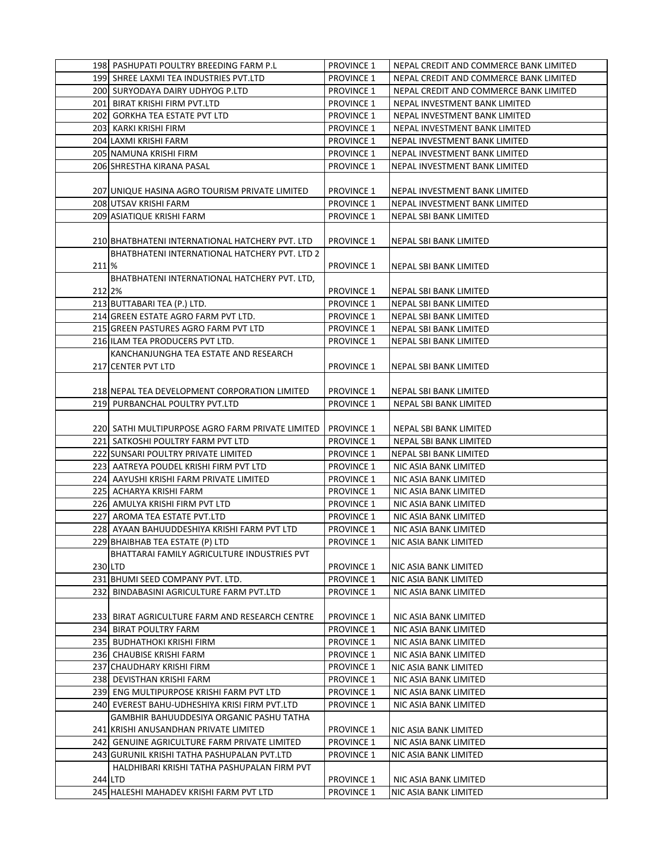|         | 198 PASHUPATI POULTRY BREEDING FARM P.L          | <b>PROVINCE 1</b> | NEPAL CREDIT AND COMMERCE BANK LIMITED |
|---------|--------------------------------------------------|-------------------|----------------------------------------|
|         | 199 SHREE LAXMI TEA INDUSTRIES PVT.LTD           | <b>PROVINCE 1</b> | NEPAL CREDIT AND COMMERCE BANK LIMITED |
|         | 200 SURYODAYA DAIRY UDHYOG P.LTD                 | <b>PROVINCE 1</b> | NEPAL CREDIT AND COMMERCE BANK LIMITED |
|         | 201 BIRAT KRISHI FIRM PVT.LTD                    | <b>PROVINCE 1</b> | NEPAL INVESTMENT BANK LIMITED          |
|         | 202 GORKHA TEA ESTATE PVT LTD                    | <b>PROVINCE 1</b> | NEPAL INVESTMENT BANK LIMITED          |
|         | 203 KARKI KRISHI FIRM                            | <b>PROVINCE 1</b> | NEPAL INVESTMENT BANK LIMITED          |
|         | 204 LAXMI KRISHI FARM                            | <b>PROVINCE 1</b> | NEPAL INVESTMENT BANK LIMITED          |
|         | 205 NAMUNA KRISHI FIRM                           | <b>PROVINCE 1</b> | NEPAL INVESTMENT BANK LIMITED          |
|         | 206 SHRESTHA KIRANA PASAL                        | <b>PROVINCE 1</b> | NEPAL INVESTMENT BANK LIMITED          |
|         |                                                  |                   |                                        |
|         |                                                  |                   |                                        |
|         | 207 JUNIQUE HASINA AGRO TOURISM PRIVATE LIMITED  | <b>PROVINCE 1</b> | NEPAL INVESTMENT BANK LIMITED          |
|         | 208 UTSAV KRISHI FARM                            | <b>PROVINCE 1</b> | NEPAL INVESTMENT BANK LIMITED          |
|         | 209 ASIATIQUE KRISHI FARM                        | <b>PROVINCE 1</b> | NEPAL SBI BANK LIMITED                 |
|         |                                                  |                   |                                        |
|         | 210 BHATBHATENI INTERNATIONAL HATCHERY PVT. LTD  | <b>PROVINCE 1</b> | NEPAL SBI BANK LIMITED                 |
|         | BHATBHATENI INTERNATIONAL HATCHERY PVT. LTD 2    |                   |                                        |
| 211 %   |                                                  | <b>PROVINCE 1</b> | NEPAL SBI BANK LIMITED                 |
|         | BHATBHATENI INTERNATIONAL HATCHERY PVT. LTD,     |                   |                                        |
| 212 2%  |                                                  | <b>PROVINCE 1</b> | NEPAL SBI BANK LIMITED                 |
|         | 213 BUTTABARI TEA (P.) LTD.                      | <b>PROVINCE 1</b> | NEPAL SBI BANK LIMITED                 |
|         | 214 GREEN ESTATE AGRO FARM PVT LTD.              | <b>PROVINCE 1</b> | NEPAL SBI BANK LIMITED                 |
|         | 215 GREEN PASTURES AGRO FARM PVT LTD             | <b>PROVINCE 1</b> | <b>NEPAL SBI BANK LIMITED</b>          |
|         | 216 ILAM TEA PRODUCERS PVT LTD.                  | <b>PROVINCE 1</b> | NEPAL SBI BANK LIMITED                 |
|         | KANCHANJUNGHA TEA ESTATE AND RESEARCH            |                   |                                        |
|         | 217 CENTER PVT LTD                               | <b>PROVINCE 1</b> | NEPAL SBI BANK LIMITED                 |
|         |                                                  |                   |                                        |
|         | 218 NEPAL TEA DEVELOPMENT CORPORATION LIMITED    | <b>PROVINCE 1</b> | NEPAL SBI BANK LIMITED                 |
|         | 219 PURBANCHAL POULTRY PVT.LTD                   | <b>PROVINCE 1</b> | NEPAL SBI BANK LIMITED                 |
|         |                                                  |                   |                                        |
|         | 220 SATHI MULTIPURPOSE AGRO FARM PRIVATE LIMITED | <b>PROVINCE 1</b> | NEPAL SBI BANK LIMITED                 |
|         | 221 SATKOSHI POULTRY FARM PVT LTD                | <b>PROVINCE 1</b> | NEPAL SBI BANK LIMITED                 |
|         | 222 SUNSARI POULTRY PRIVATE LIMITED              | <b>PROVINCE 1</b> | NEPAL SBI BANK LIMITED                 |
|         | 223 AATREYA POUDEL KRISHI FIRM PVT LTD           | <b>PROVINCE 1</b> | NIC ASIA BANK LIMITED                  |
|         | 224 AAYUSHI KRISHI FARM PRIVATE LIMITED          | <b>PROVINCE 1</b> | NIC ASIA BANK LIMITED                  |
|         | 225 ACHARYA KRISHI FARM                          | <b>PROVINCE 1</b> | NIC ASIA BANK LIMITED                  |
|         | 226 AMULYA KRISHI FIRM PVT LTD                   | <b>PROVINCE 1</b> | NIC ASIA BANK LIMITED                  |
|         | 227 AROMA TEA ESTATE PVT.LTD                     | <b>PROVINCE 1</b> | NIC ASIA BANK LIMITED                  |
|         | 228 AYAAN BAHUUDDESHIYA KRISHI FARM PVT LTD      | <b>PROVINCE 1</b> | NIC ASIA BANK LIMITED                  |
|         | 229 BHAIBHAB TEA ESTATE (P) LTD                  | <b>PROVINCE 1</b> | NIC ASIA BANK LIMITED                  |
|         | BHATTARAI FAMILY AGRICULTURE INDUSTRIES PVT      |                   |                                        |
| 230 LTD |                                                  | <b>PROVINCE 1</b> | NIC ASIA BANK LIMITED                  |
|         | 231 BHUMI SEED COMPANY PVT. LTD.                 | <b>PROVINCE 1</b> | NIC ASIA BANK LIMITED                  |
| 232     | BINDABASINI AGRICULTURE FARM PVT.LTD             | <b>PROVINCE 1</b> | NIC ASIA BANK LIMITED                  |
|         |                                                  |                   |                                        |
|         | 233  BIRAT AGRICULTURE FARM AND RESEARCH CENTRE  | <b>PROVINCE 1</b> | NIC ASIA BANK LIMITED                  |
|         | 234 BIRAT POULTRY FARM                           | <b>PROVINCE 1</b> | NIC ASIA BANK LIMITED                  |
|         | 235  BUDHATHOKI KRISHI FIRM                      | <b>PROVINCE 1</b> | NIC ASIA BANK LIMITED                  |
|         | 236 CHAUBISE KRISHI FARM                         | <b>PROVINCE 1</b> | NIC ASIA BANK LIMITED                  |
|         | 237 CHAUDHARY KRISHI FIRM                        | <b>PROVINCE 1</b> | NIC ASIA BANK LIMITED                  |
|         | 238 DEVISTHAN KRISHI FARM                        | <b>PROVINCE 1</b> | NIC ASIA BANK LIMITED                  |
|         | 239  ENG MULTIPURPOSE KRISHI FARM PVT LTD        | <b>PROVINCE 1</b> | NIC ASIA BANK LIMITED                  |
|         | 240 EVEREST BAHU-UDHESHIYA KRISI FIRM PVT.LTD    | <b>PROVINCE 1</b> | NIC ASIA BANK LIMITED                  |
|         | GAMBHIR BAHUUDDESIYA ORGANIC PASHU TATHA         |                   |                                        |
|         | 241 KRISHI ANUSANDHAN PRIVATE LIMITED            | <b>PROVINCE 1</b> | NIC ASIA BANK LIMITED                  |
|         | 242 GENUINE AGRICULTURE FARM PRIVATE LIMITED     | <b>PROVINCE 1</b> | NIC ASIA BANK LIMITED                  |
|         | 243 GURUNIL KRISHI TATHA PASHUPALAN PVT.LTD      | <b>PROVINCE 1</b> | NIC ASIA BANK LIMITED                  |
|         | HALDHIBARI KRISHI TATHA PASHUPALAN FIRM PVT      |                   |                                        |
| 244 LTD |                                                  | <b>PROVINCE 1</b> | NIC ASIA BANK LIMITED                  |
|         | 245 HALESHI MAHADEV KRISHI FARM PVT LTD          | <b>PROVINCE 1</b> | NIC ASIA BANK LIMITED                  |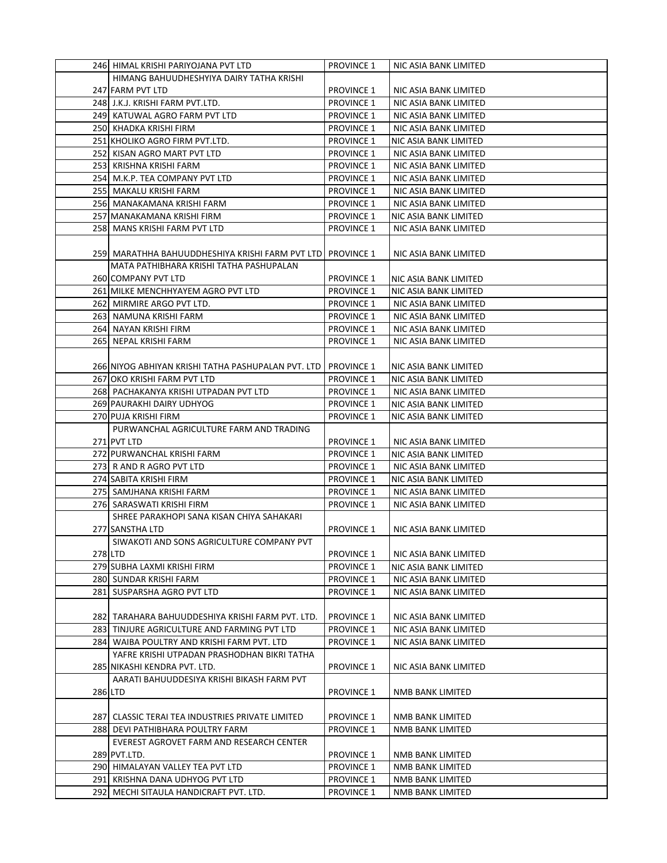|         | 246  HIMAL KRISHI PARIYOJANA PVT LTD               | <b>PROVINCE 1</b> | NIC ASIA BANK LIMITED |
|---------|----------------------------------------------------|-------------------|-----------------------|
|         | HIMANG BAHUUDHESHYIYA DAIRY TATHA KRISHI           |                   |                       |
|         | 247 FARM PVT LTD                                   | <b>PROVINCE 1</b> | NIC ASIA BANK LIMITED |
|         | 248 J.K.J. KRISHI FARM PVT.LTD.                    | <b>PROVINCE 1</b> | NIC ASIA BANK LIMITED |
|         | 249 KATUWAL AGRO FARM PVT LTD                      | <b>PROVINCE 1</b> | NIC ASIA BANK LIMITED |
|         | 250 KHADKA KRISHI FIRM                             | <b>PROVINCE 1</b> | NIC ASIA BANK LIMITED |
|         | 251 KHOLIKO AGRO FIRM PVT.LTD.                     | <b>PROVINCE 1</b> | NIC ASIA BANK LIMITED |
|         | 252 KISAN AGRO MART PVT LTD                        | <b>PROVINCE 1</b> | NIC ASIA BANK LIMITED |
|         | 253 KRISHNA KRISHI FARM                            | <b>PROVINCE 1</b> | NIC ASIA BANK LIMITED |
|         | 254 M.K.P. TEA COMPANY PVT LTD                     | <b>PROVINCE 1</b> | NIC ASIA BANK LIMITED |
|         | 255 MAKALU KRISHI FARM                             | <b>PROVINCE 1</b> | NIC ASIA BANK LIMITED |
|         | 256 MANAKAMANA KRISHI FARM                         | <b>PROVINCE 1</b> | NIC ASIA BANK LIMITED |
|         | 257 MANAKAMANA KRISHI FIRM                         | <b>PROVINCE 1</b> | NIC ASIA BANK LIMITED |
|         | 258 MANS KRISHI FARM PVT LTD                       | <b>PROVINCE 1</b> | NIC ASIA BANK LIMITED |
|         |                                                    |                   |                       |
|         | 259] MARATHHA BAHUUDDHESHIYA KRISHI FARM PVT LTD   | <b>PROVINCE 1</b> | NIC ASIA BANK LIMITED |
|         | MATA PATHIBHARA KRISHI TATHA PASHUPALAN            |                   |                       |
|         | 260 COMPANY PVT LTD                                | <b>PROVINCE 1</b> | NIC ASIA BANK LIMITED |
|         | 261 MILKE MENCHHYAYEM AGRO PVT LTD                 | <b>PROVINCE 1</b> | NIC ASIA BANK LIMITED |
|         | 262 MIRMIRE ARGO PVT LTD.                          | <b>PROVINCE 1</b> | NIC ASIA BANK LIMITED |
|         | 263 NAMUNA KRISHI FARM                             | <b>PROVINCE 1</b> | NIC ASIA BANK LIMITED |
|         | 264 NAYAN KRISHI FIRM                              | <b>PROVINCE 1</b> | NIC ASIA BANK LIMITED |
|         | 265 NEPAL KRISHI FARM                              | <b>PROVINCE 1</b> | NIC ASIA BANK LIMITED |
|         |                                                    |                   |                       |
|         | 266 NIYOG ABHIYAN KRISHI TATHA PASHUPALAN PVT. LTD | <b>PROVINCE 1</b> | NIC ASIA BANK LIMITED |
|         | 267 OKO KRISHI FARM PVT LTD                        | <b>PROVINCE 1</b> | NIC ASIA BANK LIMITED |
|         | 268 PACHAKANYA KRISHI UTPADAN PVT LTD              | <b>PROVINCE 1</b> | NIC ASIA BANK LIMITED |
|         | 269 PAURAKHI DAIRY UDHYOG                          | <b>PROVINCE 1</b> | NIC ASIA BANK LIMITED |
|         | 270 PUJA KRISHI FIRM                               | <b>PROVINCE 1</b> |                       |
|         | PURWANCHAL AGRICULTURE FARM AND TRADING            |                   | NIC ASIA BANK LIMITED |
|         | 271 PVT LTD                                        | PROVINCE 1        | NIC ASIA BANK LIMITED |
|         | 272 PURWANCHAL KRISHI FARM                         | <b>PROVINCE 1</b> | NIC ASIA BANK LIMITED |
|         | 273 R AND R AGRO PVT LTD                           | <b>PROVINCE 1</b> | NIC ASIA BANK LIMITED |
|         | 274 SABITA KRISHI FIRM                             | <b>PROVINCE 1</b> | NIC ASIA BANK LIMITED |
|         | 275  SAMJHANA KRISHI FARM                          | <b>PROVINCE 1</b> | NIC ASIA BANK LIMITED |
|         | 276 SARASWATI KRISHI FIRM                          | <b>PROVINCE 1</b> | NIC ASIA BANK LIMITED |
|         | SHREE PARAKHOPI SANA KISAN CHIYA SAHAKARI          |                   |                       |
|         | 277 SANSTHA LTD                                    | <b>PROVINCE 1</b> | NIC ASIA BANK LIMITED |
|         | SIWAKOTI AND SONS AGRICULTURE COMPANY PVT          |                   |                       |
| 278 LTD |                                                    | PROVINCE 1        | NIC ASIA BANK LIMITED |
|         | 279 SUBHA LAXMI KRISHI FIRM                        | <b>PROVINCE 1</b> | NIC ASIA BANK LIMITED |
|         | 280 SUNDAR KRISHI FARM                             | <b>PROVINCE 1</b> | NIC ASIA BANK LIMITED |
|         | 281 SUSPARSHA AGRO PVT LTD                         | <b>PROVINCE 1</b> | NIC ASIA BANK LIMITED |
|         |                                                    |                   |                       |
|         | 282 TARAHARA BAHUUDDESHIYA KRISHI FARM PVT. LTD.   | <b>PROVINCE 1</b> | NIC ASIA BANK LIMITED |
|         | 283 TINJURE AGRICULTURE AND FARMING PVT LTD        | <b>PROVINCE 1</b> | NIC ASIA BANK LIMITED |
|         | 284 WAIBA POULTRY AND KRISHI FARM PVT. LTD         | <b>PROVINCE 1</b> | NIC ASIA BANK LIMITED |
|         | YAFRE KRISHI UTPADAN PRASHODHAN BIKRI TATHA        |                   |                       |
|         | 285 NIKASHI KENDRA PVT. LTD.                       | <b>PROVINCE 1</b> | NIC ASIA BANK LIMITED |
|         | AARATI BAHUUDDESIYA KRISHI BIKASH FARM PVT         |                   |                       |
|         | 286 LTD                                            | <b>PROVINCE 1</b> | NMB BANK LIMITED      |
|         |                                                    |                   |                       |
|         | 287 CLASSIC TERAI TEA INDUSTRIES PRIVATE LIMITED   | <b>PROVINCE 1</b> | NMB BANK LIMITED      |
|         | 288 DEVI PATHIBHARA POULTRY FARM                   | <b>PROVINCE 1</b> | NMB BANK LIMITED      |
|         | EVEREST AGROVET FARM AND RESEARCH CENTER           |                   |                       |
|         | 289 PVT.LTD.                                       | <b>PROVINCE 1</b> | NMB BANK LIMITED      |
|         | 290 HIMALAYAN VALLEY TEA PVT LTD                   | <b>PROVINCE 1</b> | NMB BANK LIMITED      |
|         | 291 KRISHNA DANA UDHYOG PVT LTD                    | <b>PROVINCE 1</b> | NMB BANK LIMITED      |
|         | 292 MECHI SITAULA HANDICRAFT PVT. LTD.             | <b>PROVINCE 1</b> | NMB BANK LIMITED      |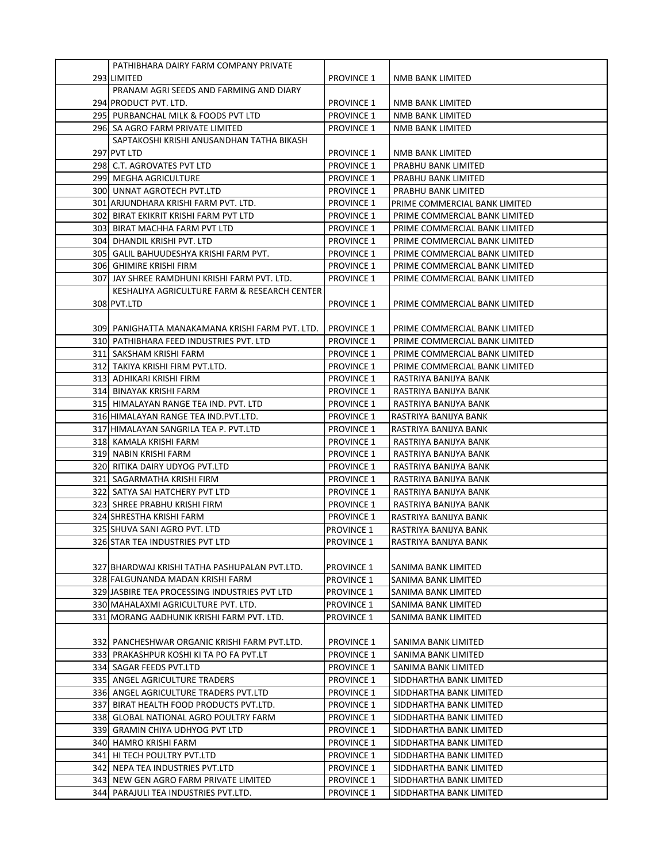| PATHIBHARA DAIRY FARM COMPANY PRIVATE            |                   |                               |
|--------------------------------------------------|-------------------|-------------------------------|
| 293 LIMITED                                      | <b>PROVINCE 1</b> | NMB BANK LIMITED              |
|                                                  |                   |                               |
| PRANAM AGRI SEEDS AND FARMING AND DIARY          |                   |                               |
| 294 PRODUCT PVT. LTD.                            | <b>PROVINCE 1</b> | NMB BANK LIMITED              |
| 295 PURBANCHAL MILK & FOODS PVT LTD              | <b>PROVINCE 1</b> | NMB BANK LIMITED              |
| 296 SA AGRO FARM PRIVATE LIMITED                 | <b>PROVINCE 1</b> | NMB BANK LIMITED              |
| SAPTAKOSHI KRISHI ANUSANDHAN TATHA BIKASH        |                   |                               |
| 297 PVT LTD                                      | <b>PROVINCE 1</b> | NMB BANK LIMITED              |
| 298 C.T. AGROVATES PVT LTD                       | <b>PROVINCE 1</b> | PRABHU BANK LIMITED           |
| 299 MEGHA AGRICULTURE                            | <b>PROVINCE 1</b> | PRABHU BANK LIMITED           |
| 300 UNNAT AGROTECH PVT.LTD                       | <b>PROVINCE 1</b> | PRABHU BANK LIMITED           |
| 301 ARJUNDHARA KRISHI FARM PVT. LTD.             | <b>PROVINCE 1</b> | PRIME COMMERCIAL BANK LIMITED |
| 302 BIRAT EKIKRIT KRISHI FARM PVT LTD            | <b>PROVINCE 1</b> | PRIME COMMERCIAL BANK LIMITED |
| 303  BIRAT MACHHA FARM PVT LTD                   | <b>PROVINCE 1</b> | PRIME COMMERCIAL BANK LIMITED |
| 304 DHANDIL KRISHI PVT. LTD                      | <b>PROVINCE 1</b> | PRIME COMMERCIAL BANK LIMITED |
| 305   GALIL BAHUUDESHYA KRISHI FARM PVT.         | <b>PROVINCE 1</b> | PRIME COMMERCIAL BANK LIMITED |
| 306 GHIMIRE KRISHI FIRM                          | <b>PROVINCE 1</b> | PRIME COMMERCIAL BANK LIMITED |
| 307 JAY SHREE RAMDHUNI KRISHI FARM PVT. LTD.     | <b>PROVINCE 1</b> | PRIME COMMERCIAL BANK LIMITED |
| KESHALIYA AGRICULTURE FARM & RESEARCH CENTER     |                   |                               |
| 308 PVT.LTD                                      | <b>PROVINCE 1</b> | PRIME COMMERCIAL BANK LIMITED |
|                                                  |                   |                               |
| 309  PANIGHATTA MANAKAMANA KRISHI FARM PVT. LTD. | <b>PROVINCE 1</b> | PRIME COMMERCIAL BANK LIMITED |
| 310 PATHIBHARA FEED INDUSTRIES PVT. LTD          | <b>PROVINCE 1</b> | PRIME COMMERCIAL BANK LIMITED |
| 311  SAKSHAM KRISHI FARM                         | <b>PROVINCE 1</b> | PRIME COMMERCIAL BANK LIMITED |
| 312  TAKIYA KRISHI FIRM PVT.LTD.                 | <b>PROVINCE 1</b> | PRIME COMMERCIAL BANK LIMITED |
| 313  ADHIKARI KRISHI FIRM                        | <b>PROVINCE 1</b> | RASTRIYA BANIJYA BANK         |
| 314 BINAYAK KRISHI FARM                          | <b>PROVINCE 1</b> | RASTRIYA BANIJYA BANK         |
| 315 HIMALAYAN RANGE TEA IND. PVT. LTD            | <b>PROVINCE 1</b> | RASTRIYA BANIJYA BANK         |
| 316 HIMALAYAN RANGE TEA IND.PVT.LTD.             | <b>PROVINCE 1</b> | RASTRIYA BANIJYA BANK         |
| 317 HIMALAYAN SANGRILA TEA P. PVT.LTD            | <b>PROVINCE 1</b> | RASTRIYA BANIJYA BANK         |
| 318 KAMALA KRISHI FARM                           | <b>PROVINCE 1</b> | RASTRIYA BANIJYA BANK         |
| 319 NABIN KRISHI FARM                            | <b>PROVINCE 1</b> | RASTRIYA BANIJYA BANK         |
| 320 RITIKA DAIRY UDYOG PVT.LTD                   | <b>PROVINCE 1</b> | RASTRIYA BANIJYA BANK         |
| 321 SAGARMATHA KRISHI FIRM                       | <b>PROVINCE 1</b> | RASTRIYA BANIJYA BANK         |
| 322  SATYA SAI HATCHERY PVT LTD                  | <b>PROVINCE 1</b> | RASTRIYA BANIJYA BANK         |
| 323 SHREE PRABHU KRISHI FIRM                     | <b>PROVINCE 1</b> | RASTRIYA BANIJYA BANK         |
| 324 SHRESTHA KRISHI FARM                         | <b>PROVINCE 1</b> | RASTRIYA BANIJYA BANK         |
| 325 SHUVA SANI AGRO PVT. LTD                     | <b>PROVINCE 1</b> | RASTRIYA BANIJYA BANK         |
| 326 STAR TEA INDUSTRIES PVT LTD                  | <b>PROVINCE 1</b> | RASTRIYA BANIJYA BANK         |
|                                                  |                   |                               |
| 327 BHARDWAJ KRISHI TATHA PASHUPALAN PVT.LTD.    | <b>PROVINCE 1</b> | SANIMA BANK LIMITED           |
| 328 FALGUNANDA MADAN KRISHI FARM                 | <b>PROVINCE 1</b> | SANIMA BANK LIMITED           |
| 329 JASBIRE TEA PROCESSING INDUSTRIES PVT LTD    | <b>PROVINCE 1</b> | SANIMA BANK LIMITED           |
| 330 MAHALAXMI AGRICULTURE PVT. LTD.              | <b>PROVINCE 1</b> | SANIMA BANK LIMITED           |
| 331 MORANG AADHUNIK KRISHI FARM PVT. LTD.        | <b>PROVINCE 1</b> | SANIMA BANK LIMITED           |
|                                                  |                   |                               |
| 332  PANCHESHWAR ORGANIC KRISHI FARM PVT.LTD.    | <b>PROVINCE 1</b> | SANIMA BANK LIMITED           |
| 333 PRAKASHPUR KOSHI KI TA PO FA PVT.LT          | <b>PROVINCE 1</b> | SANIMA BANK LIMITED           |
| 334 SAGAR FEEDS PVT.LTD                          | <b>PROVINCE 1</b> | SANIMA BANK LIMITED           |
| 335 ANGEL AGRICULTURE TRADERS                    | <b>PROVINCE 1</b> | SIDDHARTHA BANK LIMITED       |
| 336 ANGEL AGRICULTURE TRADERS PVT.LTD            | <b>PROVINCE 1</b> | SIDDHARTHA BANK LIMITED       |
| 337 BIRAT HEALTH FOOD PRODUCTS PVT.LTD.          | <b>PROVINCE 1</b> | SIDDHARTHA BANK LIMITED       |
| 338 GLOBAL NATIONAL AGRO POULTRY FARM            | <b>PROVINCE 1</b> | SIDDHARTHA BANK LIMITED       |
| 339 GRAMIN CHIYA UDHYOG PVT LTD                  | <b>PROVINCE 1</b> | SIDDHARTHA BANK LIMITED       |
| 340 HAMRO KRISHI FARM                            | <b>PROVINCE 1</b> | SIDDHARTHA BANK LIMITED       |
| 341 HI TECH POULTRY PVT.LTD                      | <b>PROVINCE 1</b> | SIDDHARTHA BANK LIMITED       |
| 342 NEPA TEA INDUSTRIES PVT.LTD                  | <b>PROVINCE 1</b> | SIDDHARTHA BANK LIMITED       |
| 343 NEW GEN AGRO FARM PRIVATE LIMITED            | <b>PROVINCE 1</b> | SIDDHARTHA BANK LIMITED       |
| 344 PARAJULI TEA INDUSTRIES PVT.LTD.             | <b>PROVINCE 1</b> | SIDDHARTHA BANK LIMITED       |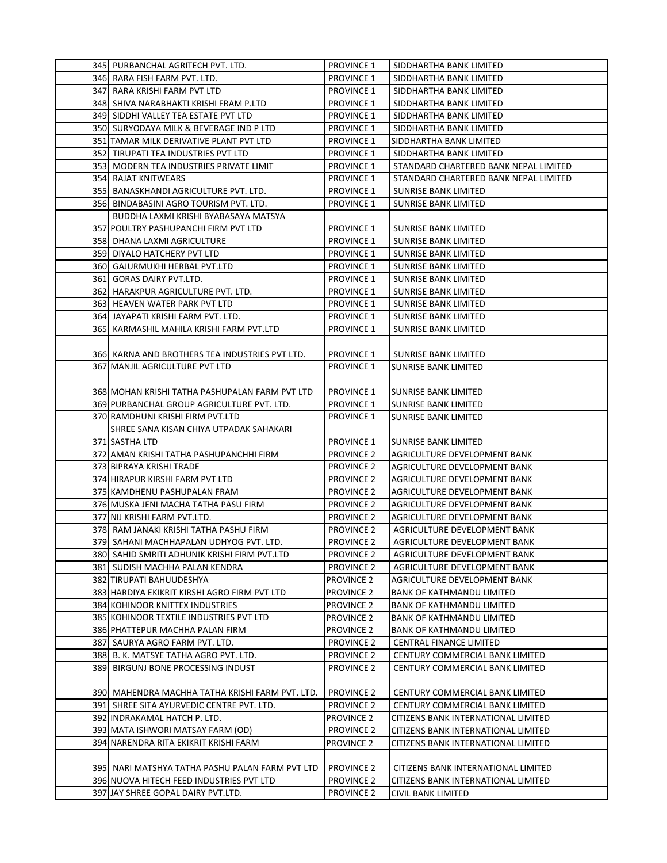|     | 345 PURBANCHAL AGRITECH PVT. LTD.                | <b>PROVINCE 1</b>                      | SIDDHARTHA BANK LIMITED               |
|-----|--------------------------------------------------|----------------------------------------|---------------------------------------|
|     | 346  RARA FISH FARM PVT. LTD.                    | <b>PROVINCE 1</b>                      | SIDDHARTHA BANK LIMITED               |
|     | 347 RARA KRISHI FARM PVT LTD                     | <b>PROVINCE 1</b>                      | SIDDHARTHA BANK LIMITED               |
|     | 348 SHIVA NARABHAKTI KRISHI FRAM P.LTD           | <b>PROVINCE 1</b>                      | SIDDHARTHA BANK LIMITED               |
|     | 349 SIDDHI VALLEY TEA ESTATE PVT LTD             | <b>PROVINCE 1</b>                      | SIDDHARTHA BANK LIMITED               |
|     | 350 SURYODAYA MILK & BEVERAGE IND P LTD          | <b>PROVINCE 1</b>                      | SIDDHARTHA BANK LIMITED               |
|     | 351 TAMAR MILK DERIVATIVE PLANT PVT LTD          | <b>PROVINCE 1</b>                      | SIDDHARTHA BANK LIMITED               |
|     | 352 TIRUPATI TEA INDUSTRIES PVT LTD              | <b>PROVINCE 1</b>                      | SIDDHARTHA BANK LIMITED               |
|     | 353 MODERN TEA INDUSTRIES PRIVATE LIMIT          | <b>PROVINCE 1</b>                      | STANDARD CHARTERED BANK NEPAL LIMITED |
|     |                                                  |                                        |                                       |
|     | 354 RAJAT KNITWEARS                              | <b>PROVINCE 1</b>                      | STANDARD CHARTERED BANK NEPAL LIMITED |
|     | 355 BANASKHANDI AGRICULTURE PVT. LTD.            | <b>PROVINCE 1</b>                      | SUNRISE BANK LIMITED                  |
|     | 356 BINDABASINI AGRO TOURISM PVT. LTD.           | <b>PROVINCE 1</b>                      | SUNRISE BANK LIMITED                  |
|     | BUDDHA LAXMI KRISHI BYABASAYA MATSYA             |                                        |                                       |
|     | 357 POULTRY PASHUPANCHI FIRM PVT LTD             | <b>PROVINCE 1</b>                      | SUNRISE BANK LIMITED                  |
|     | 358 DHANA LAXMI AGRICULTURE                      | <b>PROVINCE 1</b>                      | <b>SUNRISE BANK LIMITED</b>           |
|     | 359 DIYALO HATCHERY PVT LTD                      | <b>PROVINCE 1</b>                      | <b>SUNRISE BANK LIMITED</b>           |
|     | 360 GAJURMUKHI HERBAL PVT.LTD                    | <b>PROVINCE 1</b>                      | <b>SUNRISE BANK LIMITED</b>           |
|     | 361 GORAS DAIRY PVT.LTD.                         | <b>PROVINCE 1</b>                      | SUNRISE BANK LIMITED                  |
|     | 362 HARAKPUR AGRICULTURE PVT. LTD.               | <b>PROVINCE 1</b>                      | <b>SUNRISE BANK LIMITED</b>           |
|     | 363  HEAVEN WATER PARK PVT LTD                   | <b>PROVINCE 1</b>                      | <b>SUNRISE BANK LIMITED</b>           |
|     | 364 JAYAPATI KRISHI FARM PVT. LTD.               | <b>PROVINCE 1</b>                      | <b>SUNRISE BANK LIMITED</b>           |
|     | 365 KARMASHIL MAHILA KRISHI FARM PVT.LTD         | <b>PROVINCE 1</b>                      | <b>SUNRISE BANK LIMITED</b>           |
|     |                                                  |                                        |                                       |
|     | 366  KARNA AND BROTHERS TEA INDUSTRIES PVT LTD.  | <b>PROVINCE 1</b>                      | <b>SUNRISE BANK LIMITED</b>           |
|     | 367 MANJIL AGRICULTURE PVT LTD                   | <b>PROVINCE 1</b>                      | <b>SUNRISE BANK LIMITED</b>           |
|     |                                                  |                                        |                                       |
|     | 368 MOHAN KRISHI TATHA PASHUPALAN FARM PVT LTD   | <b>PROVINCE 1</b>                      | SUNRISE BANK LIMITED                  |
|     | 369 PURBANCHAL GROUP AGRICULTURE PVT. LTD.       | <b>PROVINCE 1</b>                      | <b>SUNRISE BANK LIMITED</b>           |
|     | 370 RAMDHUNI KRISHI FIRM PVT.LTD                 | <b>PROVINCE 1</b>                      | <b>SUNRISE BANK LIMITED</b>           |
|     | SHREE SANA KISAN CHIYA UTPADAK SAHAKARI          |                                        |                                       |
|     | 371 SASTHA LTD                                   | <b>PROVINCE 1</b>                      | <b>SUNRISE BANK LIMITED</b>           |
|     | 372 AMAN KRISHI TATHA PASHUPANCHHI FIRM          | <b>PROVINCE 2</b>                      | AGRICULTURE DEVELOPMENT BANK          |
|     | 373 BIPRAYA KRISHI TRADE                         | <b>PROVINCE 2</b>                      | AGRICULTURE DEVELOPMENT BANK          |
|     | 374 HIRAPUR KIRSHI FARM PVT LTD                  | <b>PROVINCE 2</b>                      | AGRICULTURE DEVELOPMENT BANK          |
|     |                                                  |                                        |                                       |
|     | 375 KAMDHENU PASHUPALAN FRAM                     | <b>PROVINCE 2</b><br><b>PROVINCE 2</b> | AGRICULTURE DEVELOPMENT BANK          |
|     | 376 MUSKA JENI MACHA TATHA PASU FIRM             |                                        | AGRICULTURE DEVELOPMENT BANK          |
|     | 377 NIJ KRISHI FARM PVT.LTD.                     | <b>PROVINCE 2</b>                      | AGRICULTURE DEVELOPMENT BANK          |
|     | 378  RAM JANAKI KRISHI TATHA PASHU FIRM          | <b>PROVINCE 2</b>                      | AGRICULTURE DEVELOPMENT BANK          |
|     | 379  SAHANI MACHHAPALAN UDHYOG PVT. LTD.         | <b>PROVINCE 2</b>                      | AGRICULTURE DEVELOPMENT BANK          |
|     | 380 SAHID SMRITI ADHUNIK KRISHI FIRM PVT.LTD     | <b>PROVINCE 2</b>                      | AGRICULTURE DEVELOPMENT BANK          |
|     | 381  SUDISH MACHHA PALAN KENDRA                  | <b>PROVINCE 2</b>                      | AGRICULTURE DEVELOPMENT BANK          |
|     | 382 TIRUPATI BAHUUDESHYA                         | <b>PROVINCE 2</b>                      | AGRICULTURE DEVELOPMENT BANK          |
|     | 383 HARDIYA EKIKRIT KIRSHI AGRO FIRM PVT LTD     | <b>PROVINCE 2</b>                      | <b>BANK OF KATHMANDU LIMITED</b>      |
|     | 384 KOHINOOR KNITTEX INDUSTRIES                  | <b>PROVINCE 2</b>                      | BANK OF KATHMANDU LIMITED             |
|     | 385 KOHINOOR TEXTILE INDUSTRIES PVT LTD          | <b>PROVINCE 2</b>                      | BANK OF KATHMANDU LIMITED             |
|     | 386 PHATTEPUR MACHHA PALAN FIRM                  | <b>PROVINCE 2</b>                      | <b>BANK OF KATHMANDU LIMITED</b>      |
|     | 387 SAURYA AGRO FARM PVT. LTD.                   | <b>PROVINCE 2</b>                      | CENTRAL FINANCE LIMITED               |
|     | 388 B. K. MATSYE TATHA AGRO PVT. LTD.            | <b>PROVINCE 2</b>                      | CENTURY COMMERCIAL BANK LIMITED       |
| 389 | BIRGUNJ BONE PROCESSING INDUST                   | <b>PROVINCE 2</b>                      | CENTURY COMMERCIAL BANK LIMITED       |
|     |                                                  |                                        |                                       |
|     | 390  MAHENDRA MACHHA TATHA KRISHI FARM PVT. LTD. | <b>PROVINCE 2</b>                      | CENTURY COMMERCIAL BANK LIMITED       |
|     | 391  SHREE SITA AYURVEDIC CENTRE PVT. LTD.       | <b>PROVINCE 2</b>                      | CENTURY COMMERCIAL BANK LIMITED       |
|     | 392 INDRAKAMAL HATCH P. LTD.                     | <b>PROVINCE 2</b>                      | CITIZENS BANK INTERNATIONAL LIMITED   |
|     | 393 MATA ISHWORI MATSAY FARM (OD)                | <b>PROVINCE 2</b>                      | CITIZENS BANK INTERNATIONAL LIMITED   |
|     | 394 NARENDRA RITA EKIKRIT KRISHI FARM            | <b>PROVINCE 2</b>                      | CITIZENS BANK INTERNATIONAL LIMITED   |
|     |                                                  |                                        |                                       |
|     | 395  NARI MATSHYA TATHA PASHU PALAN FARM PVT LTD | <b>PROVINCE 2</b>                      | CITIZENS BANK INTERNATIONAL LIMITED   |
|     |                                                  |                                        |                                       |
|     | 396 NUOVA HITECH FEED INDUSTRIES PVT LTD         | <b>PROVINCE 2</b>                      | CITIZENS BANK INTERNATIONAL LIMITED   |
|     | 397 JAY SHREE GOPAL DAIRY PVT.LTD.               | <b>PROVINCE 2</b>                      | CIVIL BANK LIMITED                    |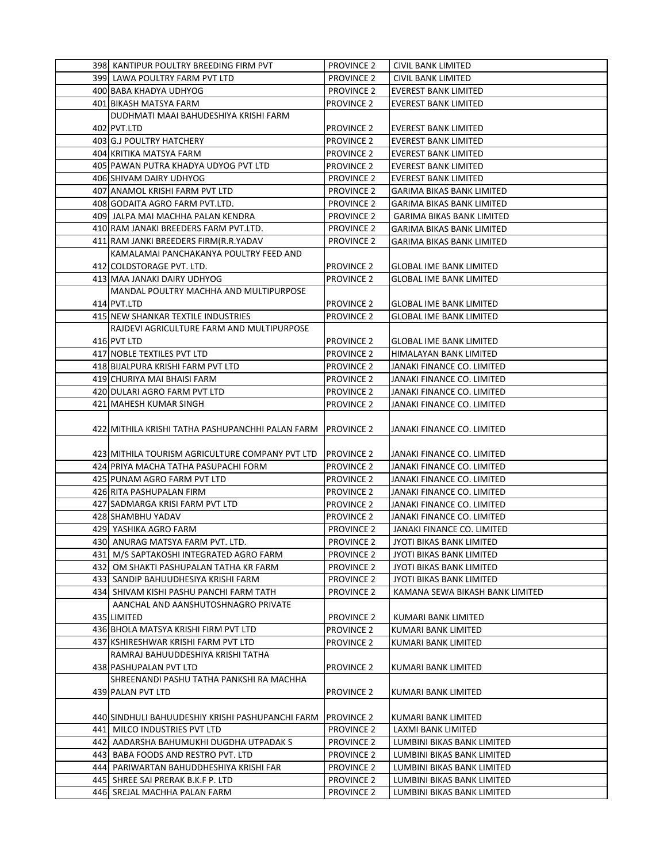|  | 398 KANTIPUR POULTRY BREEDING FIRM PVT                                          | <b>PROVINCE 2</b>                      | <b>CIVIL BANK LIMITED</b>                                   |
|--|---------------------------------------------------------------------------------|----------------------------------------|-------------------------------------------------------------|
|  | 399 LAWA POULTRY FARM PVT LTD                                                   | <b>PROVINCE 2</b>                      | CIVIL BANK LIMITED                                          |
|  | 400 BABA KHADYA UDHYOG                                                          | <b>PROVINCE 2</b>                      | <b>EVEREST BANK LIMITED</b>                                 |
|  | 401 BIKASH MATSYA FARM                                                          | <b>PROVINCE 2</b>                      | <b>EVEREST BANK LIMITED</b>                                 |
|  | DUDHMATI MAAI BAHUDESHIYA KRISHI FARM                                           |                                        |                                                             |
|  | 402 PVT.LTD                                                                     | <b>PROVINCE 2</b>                      | <b>EVEREST BANK LIMITED</b>                                 |
|  | 403 G.J POULTRY HATCHERY                                                        | <b>PROVINCE 2</b>                      | <b>EVEREST BANK LIMITED</b>                                 |
|  | 404 KRITIKA MATSYA FARM                                                         | <b>PROVINCE 2</b>                      | <b>EVEREST BANK LIMITED</b>                                 |
|  | 405 PAWAN PUTRA KHADYA UDYOG PVT LTD                                            | <b>PROVINCE 2</b>                      | <b>EVEREST BANK LIMITED</b>                                 |
|  | 406 SHIVAM DAIRY UDHYOG                                                         | <b>PROVINCE 2</b>                      | <b>EVEREST BANK LIMITED</b>                                 |
|  | 407 ANAMOL KRISHI FARM PVT LTD                                                  | <b>PROVINCE 2</b>                      | <b>GARIMA BIKAS BANK LIMITED</b>                            |
|  | 408 GODAITA AGRO FARM PVT.LTD.                                                  | <b>PROVINCE 2</b>                      | GARIMA BIKAS BANK LIMITED                                   |
|  | 409 JALPA MAI MACHHA PALAN KENDRA                                               | <b>PROVINCE 2</b>                      | <b>GARIMA BIKAS BANK LIMITED</b>                            |
|  | 410 RAM JANAKI BREEDERS FARM PVT.LTD.                                           | <b>PROVINCE 2</b>                      | <b>GARIMA BIKAS BANK LIMITED</b>                            |
|  | 411 RAM JANKI BREEDERS FIRM (R.R.YADAV                                          | <b>PROVINCE 2</b>                      | GARIMA BIKAS BANK LIMITED                                   |
|  | KAMALAMAI PANCHAKANYA POULTRY FEED AND                                          |                                        |                                                             |
|  | 412 COLDSTORAGE PVT. LTD.                                                       | <b>PROVINCE 2</b>                      | <b>GLOBAL IME BANK LIMITED</b>                              |
|  | 413 MAA JANAKI DAIRY UDHYOG                                                     | <b>PROVINCE 2</b>                      | <b>GLOBAL IME BANK LIMITED</b>                              |
|  | MANDAL POULTRY MACHHA AND MULTIPURPOSE                                          |                                        |                                                             |
|  | 414 PVT.LTD                                                                     | <b>PROVINCE 2</b>                      | <b>GLOBAL IME BANK LIMITED</b>                              |
|  | 415 NEW SHANKAR TEXTILE INDUSTRIES                                              | <b>PROVINCE 2</b>                      | <b>GLOBAL IME BANK LIMITED</b>                              |
|  | RAJDEVI AGRICULTURE FARM AND MULTIPURPOSE                                       |                                        |                                                             |
|  | 416 PVT LTD                                                                     | <b>PROVINCE 2</b>                      | <b>GLOBAL IME BANK LIMITED</b>                              |
|  | 417 NOBLE TEXTILES PVT LTD                                                      | <b>PROVINCE 2</b>                      | HIMALAYAN BANK LIMITED                                      |
|  | 418 BIJALPURA KRISHI FARM PVT LTD                                               | <b>PROVINCE 2</b>                      | JANAKI FINANCE CO. LIMITED                                  |
|  | 419 CHURIYA MAI BHAISI FARM                                                     | <b>PROVINCE 2</b>                      | JANAKI FINANCE CO. LIMITED                                  |
|  | 420 DULARI AGRO FARM PVT LTD                                                    | <b>PROVINCE 2</b>                      | JANAKI FINANCE CO. LIMITED                                  |
|  | 421 MAHESH KUMAR SINGH                                                          | <b>PROVINCE 2</b>                      | JANAKI FINANCE CO. LIMITED                                  |
|  |                                                                                 |                                        |                                                             |
|  | 422 MITHILA KRISHI TATHA PASHUPANCHHI PALAN FARM                                | <b>PROVINCE 2</b>                      | JANAKI FINANCE CO. LIMITED                                  |
|  |                                                                                 |                                        |                                                             |
|  | 423 MITHILA TOURISM AGRICULTURE COMPANY PVT LTD                                 | <b>PROVINCE 2</b>                      | JANAKI FINANCE CO. LIMITED                                  |
|  | 424 PRIYA MACHA TATHA PASUPACHI FORM                                            | <b>PROVINCE 2</b>                      | JANAKI FINANCE CO. LIMITED                                  |
|  | 425 PUNAM AGRO FARM PVT LTD                                                     | <b>PROVINCE 2</b>                      | JANAKI FINANCE CO. LIMITED                                  |
|  | 426 RITA PASHUPALAN FIRM                                                        | <b>PROVINCE 2</b>                      | JANAKI FINANCE CO. LIMITED                                  |
|  | 427 SADMARGA KRISI FARM PVT LTD                                                 | <b>PROVINCE 2</b>                      | JANAKI FINANCE CO. LIMITED                                  |
|  | 428 SHAMBHU YADAV                                                               | <b>PROVINCE 2</b>                      | JANAKI FINANCE CO. LIMITED                                  |
|  | 429 YASHIKA AGRO FARM                                                           | <b>PROVINCE 2</b>                      | JANAKI FINANCE CO. LIMITED                                  |
|  | 430 ANURAG MATSYA FARM PVT. LTD.                                                | <b>PROVINCE 2</b><br><b>PROVINCE 2</b> | <b>JYOTI BIKAS BANK LIMITED</b>                             |
|  | 431  M/S SAPTAKOSHI INTEGRATED AGRO FARM                                        |                                        | JYOTI BIKAS BANK LIMITED                                    |
|  | 432 OM SHAKTI PASHUPALAN TATHA KR FARM                                          | <b>PROVINCE 2</b>                      | JYOTI BIKAS BANK LIMITED                                    |
|  | 433  SANDIP BAHUUDHESIYA KRISHI FARM<br>434 SHIVAM KISHI PASHU PANCHI FARM TATH | <b>PROVINCE 2</b><br><b>PROVINCE 2</b> | JYOTI BIKAS BANK LIMITED<br>KAMANA SEWA BIKASH BANK LIMITED |
|  | AANCHAL AND AANSHUTOSHNAGRO PRIVATE                                             |                                        |                                                             |
|  | 435 LIMITED                                                                     |                                        | KUMARI BANK LIMITED                                         |
|  | 436 BHOLA MATSYA KRISHI FIRM PVT LTD                                            | <b>PROVINCE 2</b><br><b>PROVINCE 2</b> | KUMARI BANK LIMITED                                         |
|  | 437 KSHIRESHWAR KRISHI FARM PVT LTD                                             | <b>PROVINCE 2</b>                      | KUMARI BANK LIMITED                                         |
|  | RAMRAJ BAHUUDDESHIYA KRISHI TATHA                                               |                                        |                                                             |
|  | 438 PASHUPALAN PVT LTD                                                          | <b>PROVINCE 2</b>                      | KUMARI BANK LIMITED                                         |
|  | SHREENANDI PASHU TATHA PANKSHI RA MACHHA                                        |                                        |                                                             |
|  | 439 PALAN PVT LTD                                                               | <b>PROVINCE 2</b>                      | KUMARI BANK LIMITED                                         |
|  |                                                                                 |                                        |                                                             |
|  | 440 SINDHULI BAHUUDESHIY KRISHI PASHUPANCHI FARM                                | <b>PROVINCE 2</b>                      | KUMARI BANK LIMITED                                         |
|  | 441 MILCO INDUSTRIES PVT LTD                                                    | <b>PROVINCE 2</b>                      | LAXMI BANK LIMITED                                          |
|  | 442  AADARSHA BAHUMUKHI DUGDHA UTPADAK S                                        | <b>PROVINCE 2</b>                      | LUMBINI BIKAS BANK LIMITED                                  |
|  | 443 BABA FOODS AND RESTRO PVT. LTD                                              | <b>PROVINCE 2</b>                      | LUMBINI BIKAS BANK LIMITED                                  |
|  | 444  PARIWARTAN BAHUDDHESHIYA KRISHI FAR                                        | <b>PROVINCE 2</b>                      | LUMBINI BIKAS BANK LIMITED                                  |
|  | 445  SHREE SAI PRERAK B.K.F P. LTD                                              | <b>PROVINCE 2</b>                      | LUMBINI BIKAS BANK LIMITED                                  |
|  | 446  SREJAL MACHHA PALAN FARM                                                   | <b>PROVINCE 2</b>                      | LUMBINI BIKAS BANK LIMITED                                  |
|  |                                                                                 |                                        |                                                             |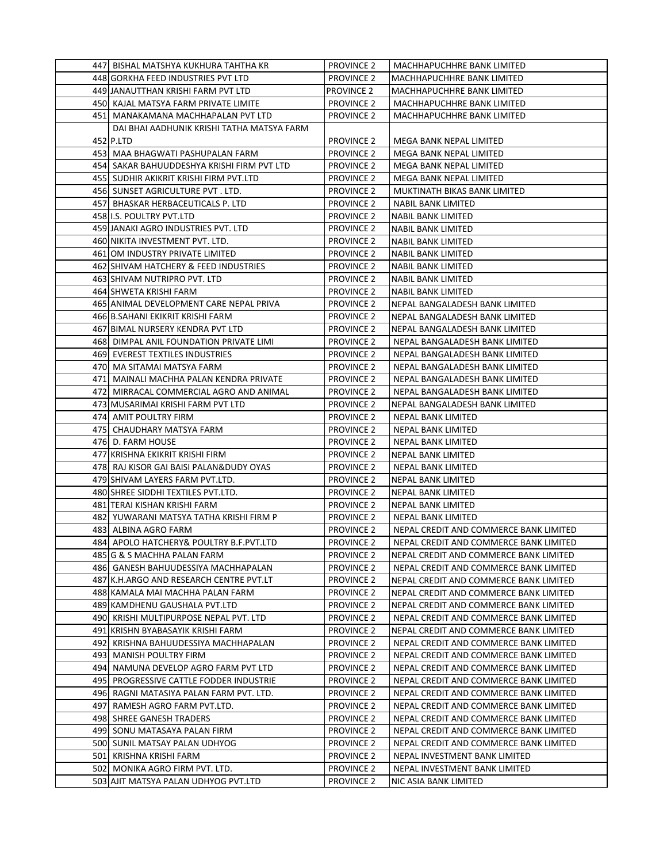| 447 BISHAL MATSHYA KUKHURA TAHTHA KR       | <b>PROVINCE 2</b> | MACHHAPUCHHRE BANK LIMITED             |
|--------------------------------------------|-------------------|----------------------------------------|
| 448 GORKHA FEED INDUSTRIES PVT LTD         | <b>PROVINCE 2</b> | MACHHAPUCHHRE BANK LIMITED             |
| 449 JANAUTTHAN KRISHI FARM PVT LTD         | <b>PROVINCE 2</b> | MACHHAPUCHHRE BANK LIMITED             |
| 450 KAJAL MATSYA FARM PRIVATE LIMITE       | <b>PROVINCE 2</b> | MACHHAPUCHHRE BANK LIMITED             |
| 451 MANAKAMANA MACHHAPALAN PVT LTD         | <b>PROVINCE 2</b> | MACHHAPUCHHRE BANK LIMITED             |
| DAI BHAI AADHUNIK KRISHI TATHA MATSYA FARM |                   |                                        |
| 452 P.LTD                                  | <b>PROVINCE 2</b> | MEGA BANK NEPAL LIMITED                |
| 453   MAA BHAGWATI PASHUPALAN FARM         | <b>PROVINCE 2</b> | MEGA BANK NEPAL LIMITED                |
| 454 SAKAR BAHUUDDESHYA KRISHI FIRM PVT LTD | <b>PROVINCE 2</b> | MEGA BANK NEPAL LIMITED                |
| 455 SUDHIR AKIKRIT KRISHI FIRM PVT.LTD     | <b>PROVINCE 2</b> | MEGA BANK NEPAL LIMITED                |
| 456 SUNSET AGRICULTURE PVT. LTD.           | <b>PROVINCE 2</b> | MUKTINATH BIKAS BANK LIMITED           |
| 457 BHASKAR HERBACEUTICALS P. LTD          | <b>PROVINCE 2</b> | NABIL BANK LIMITED                     |
| 458 I.S. POULTRY PVT.LTD                   | <b>PROVINCE 2</b> | NABIL BANK LIMITED                     |
| 459 JANAKI AGRO INDUSTRIES PVT. LTD        | <b>PROVINCE 2</b> | NABIL BANK LIMITED                     |
| 460 NIKITA INVESTMENT PVT. LTD.            | <b>PROVINCE 2</b> | <b>NABIL BANK LIMITED</b>              |
| 461 OM INDUSTRY PRIVATE LIMITED            | <b>PROVINCE 2</b> | <b>NABIL BANK LIMITED</b>              |
| 462 SHIVAM HATCHERY & FEED INDUSTRIES      | <b>PROVINCE 2</b> | <b>NABIL BANK LIMITED</b>              |
| 463 SHIVAM NUTRIPRO PVT. LTD               | <b>PROVINCE 2</b> | <b>NABIL BANK LIMITED</b>              |
| 464 SHWETA KRISHI FARM                     | <b>PROVINCE 2</b> | NABIL BANK LIMITED                     |
| 465 ANIMAL DEVELOPMENT CARE NEPAL PRIVA    | <b>PROVINCE 2</b> | NEPAL BANGALADESH BANK LIMITED         |
| 466 B.SAHANI EKIKRIT KRISHI FARM           | <b>PROVINCE 2</b> | NEPAL BANGALADESH BANK LIMITED         |
| 467 BIMAL NURSERY KENDRA PVT LTD           | <b>PROVINCE 2</b> | NEPAL BANGALADESH BANK LIMITED         |
| 468  DIMPAL ANIL FOUNDATION PRIVATE LIMI   | <b>PROVINCE 2</b> | NEPAL BANGALADESH BANK LIMITED         |
| 469 EVEREST TEXTILES INDUSTRIES            | <b>PROVINCE 2</b> | NEPAL BANGALADESH BANK LIMITED         |
| 470 MA SITAMAI MATSYA FARM                 | <b>PROVINCE 2</b> | NEPAL BANGALADESH BANK LIMITED         |
| 471  MAINALI MACHHA PALAN KENDRA PRIVATE   | <b>PROVINCE 2</b> | NEPAL BANGALADESH BANK LIMITED         |
| 472   MIRRACAL COMMERCIAL AGRO AND ANIMAL  | <b>PROVINCE 2</b> | NEPAL BANGALADESH BANK LIMITED         |
| 473 MUSARIMAI KRISHI FARM PVT LTD          | <b>PROVINCE 2</b> | NEPAL BANGALADESH BANK LIMITED         |
| 474 AMIT POULTRY FIRM                      | <b>PROVINCE 2</b> | NEPAL BANK LIMITED                     |
|                                            |                   |                                        |
| 475 CHAUDHARY MATSYA FARM                  | <b>PROVINCE 2</b> | NEPAL BANK LIMITED                     |
| 476 D. FARM HOUSE                          | <b>PROVINCE 2</b> | NEPAL BANK LIMITED                     |
| 477 KRISHNA EKIKRIT KRISHI FIRM            | <b>PROVINCE 2</b> | NEPAL BANK LIMITED                     |
| 478 RAJ KISOR GAI BAISI PALAN&DUDY OYAS    | <b>PROVINCE 2</b> | NEPAL BANK LIMITED                     |
| 479 SHIVAM LAYERS FARM PVT.LTD.            | <b>PROVINCE 2</b> | NEPAL BANK LIMITED                     |
| 480 SHREE SIDDHI TEXTILES PVT.LTD.         | <b>PROVINCE 2</b> | NEPAL BANK LIMITED                     |
| 481 TERAI KISHAN KRISHI FARM               | <b>PROVINCE 2</b> | NEPAL BANK LIMITED                     |
| 482 YUWARANI MATSYA TATHA KRISHI FIRM P    | <b>PROVINCE 2</b> | <b>NEPAL BANK LIMITED</b>              |
| 483 ALBINA AGRO FARM                       | <b>PROVINCE 2</b> | NEPAL CREDIT AND COMMERCE BANK LIMITED |
| 484 APOLO HATCHERY& POULTRY B.F.PVT.LTD    | <b>PROVINCE 2</b> | NEPAL CREDIT AND COMMERCE BANK LIMITED |
| 485 G & S MACHHA PALAN FARM                | <b>PROVINCE 2</b> | NEPAL CREDIT AND COMMERCE BANK LIMITED |
| 486 GANESH BAHUUDESSIYA MACHHAPALAN        | <b>PROVINCE 2</b> | NEPAL CREDIT AND COMMERCE BANK LIMITED |
| 487 K.H.ARGO AND RESEARCH CENTRE PVT.LT    | <b>PROVINCE 2</b> | NEPAL CREDIT AND COMMERCE BANK LIMITED |
| 488 KAMALA MAI MACHHA PALAN FARM           | <b>PROVINCE 2</b> | NEPAL CREDIT AND COMMERCE BANK LIMITED |
| 489 KAMDHENU GAUSHALA PVT.LTD              | <b>PROVINCE 2</b> | NEPAL CREDIT AND COMMERCE BANK LIMITED |
| 490 KRISHI MULTIPURPOSE NEPAL PVT. LTD     | <b>PROVINCE 2</b> | NEPAL CREDIT AND COMMERCE BANK LIMITED |
| 491 KRISHN BYABASAYIK KRISHI FARM          | <b>PROVINCE 2</b> | NEPAL CREDIT AND COMMERCE BANK LIMITED |
| 492 KRISHNA BAHUUDESSIYA MACHHAPALAN       | <b>PROVINCE 2</b> | NEPAL CREDIT AND COMMERCE BANK LIMITED |
| 493  MANISH POULTRY FIRM                   | <b>PROVINCE 2</b> | NEPAL CREDIT AND COMMERCE BANK LIMITED |
| 494 NAMUNA DEVELOP AGRO FARM PVT LTD       | <b>PROVINCE 2</b> | NEPAL CREDIT AND COMMERCE BANK LIMITED |
| 495  PROGRESSIVE CATTLE FODDER INDUSTRIE   | <b>PROVINCE 2</b> | NEPAL CREDIT AND COMMERCE BANK LIMITED |
| 496  RAGNI MATASIYA PALAN FARM PVT. LTD.   | <b>PROVINCE 2</b> | NEPAL CREDIT AND COMMERCE BANK LIMITED |
| 497  RAMESH AGRO FARM PVT.LTD.             | <b>PROVINCE 2</b> | NEPAL CREDIT AND COMMERCE BANK LIMITED |
| 498 SHREE GANESH TRADERS                   | <b>PROVINCE 2</b> | NEPAL CREDIT AND COMMERCE BANK LIMITED |
| 499  SONU MATASAYA PALAN FIRM              | <b>PROVINCE 2</b> | NEPAL CREDIT AND COMMERCE BANK LIMITED |
| 500 SUNIL MATSAY PALAN UDHYOG              | <b>PROVINCE 2</b> | NEPAL CREDIT AND COMMERCE BANK LIMITED |
| 501 KRISHNA KRISHI FARM                    | <b>PROVINCE 2</b> | NEPAL INVESTMENT BANK LIMITED          |
| 502 MONIKA AGRO FIRM PVT. LTD.             | <b>PROVINCE 2</b> | NEPAL INVESTMENT BANK LIMITED          |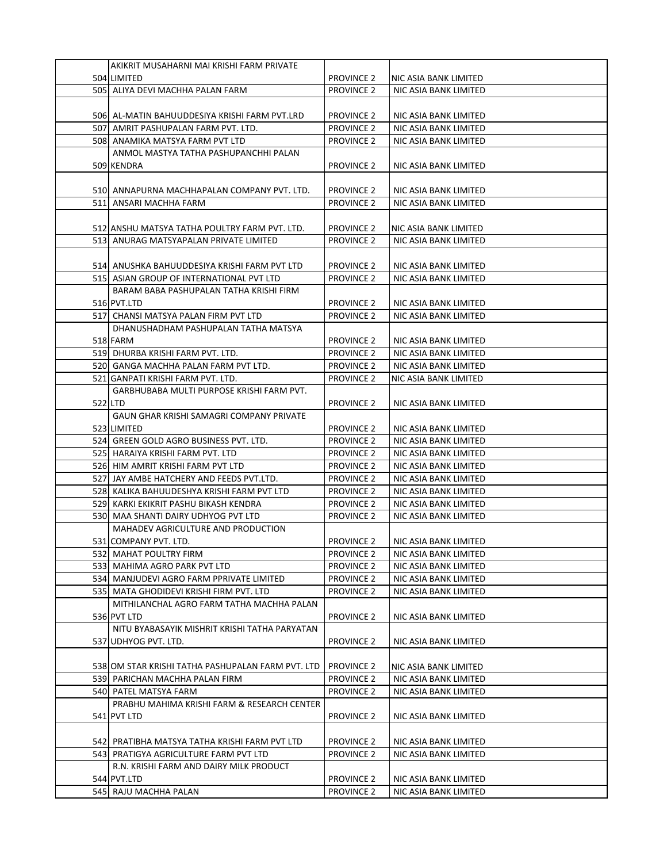| AKIKRIT MUSAHARNI MAI KRISHI FARM PRIVATE                                  |                                        |                                                |
|----------------------------------------------------------------------------|----------------------------------------|------------------------------------------------|
| 504 LIMITED                                                                | <b>PROVINCE 2</b>                      | NIC ASIA BANK LIMITED                          |
| 505 ALIYA DEVI MACHHA PALAN FARM                                           | <b>PROVINCE 2</b>                      | NIC ASIA BANK LIMITED                          |
|                                                                            |                                        |                                                |
| 506  AL-MATIN BAHUUDDESIYA KRISHI FARM PVT.LRD                             | <b>PROVINCE 2</b>                      | NIC ASIA BANK LIMITED                          |
| 507 AMRIT PASHUPALAN FARM PVT. LTD.                                        | <b>PROVINCE 2</b>                      | NIC ASIA BANK LIMITED                          |
| 508 ANAMIKA MATSYA FARM PVT LTD                                            | <b>PROVINCE 2</b>                      | NIC ASIA BANK LIMITED                          |
| ANMOL MASTYA TATHA PASHUPANCHHI PALAN                                      |                                        |                                                |
| 509 KENDRA                                                                 | <b>PROVINCE 2</b>                      | NIC ASIA BANK LIMITED                          |
|                                                                            |                                        |                                                |
| 510  ANNAPURNA MACHHAPALAN COMPANY PVT. LTD.                               | <b>PROVINCE 2</b>                      | NIC ASIA BANK LIMITED                          |
| 511 ANSARI MACHHA FARM                                                     | <b>PROVINCE 2</b>                      | NIC ASIA BANK LIMITED                          |
|                                                                            |                                        |                                                |
| 512 ANSHU MATSYA TATHA POULTRY FARM PVT. LTD.                              | <b>PROVINCE 2</b>                      | NIC ASIA BANK LIMITED                          |
| 513 ANURAG MATSYAPALAN PRIVATE LIMITED                                     | <b>PROVINCE 2</b>                      | NIC ASIA BANK LIMITED                          |
|                                                                            |                                        |                                                |
| 514  ANUSHKA BAHUUDDESIYA KRISHI FARM PVT LTD                              | <b>PROVINCE 2</b>                      | NIC ASIA BANK LIMITED                          |
| 515 ASIAN GROUP OF INTERNATIONAL PVT LTD                                   | <b>PROVINCE 2</b>                      | NIC ASIA BANK LIMITED                          |
| BARAM BABA PASHUPALAN TATHA KRISHI FIRM                                    |                                        |                                                |
| 516 PVT.LTD                                                                | <b>PROVINCE 2</b>                      | NIC ASIA BANK LIMITED                          |
| 517 CHANSI MATSYA PALAN FIRM PVT LTD                                       | <b>PROVINCE 2</b>                      | NIC ASIA BANK LIMITED                          |
| DHANUSHADHAM PASHUPALAN TATHA MATSYA                                       |                                        |                                                |
| 518 FARM                                                                   | <b>PROVINCE 2</b>                      | NIC ASIA BANK LIMITED                          |
| 519 DHURBA KRISHI FARM PVT. LTD.                                           | <b>PROVINCE 2</b>                      | NIC ASIA BANK LIMITED                          |
| 520 GANGA MACHHA PALAN FARM PVT LTD.                                       | <b>PROVINCE 2</b>                      | NIC ASIA BANK LIMITED                          |
| 521 GANPATI KRISHI FARM PVT. LTD.                                          | <b>PROVINCE 2</b>                      | NIC ASIA BANK LIMITED                          |
| GARBHUBABA MULTI PURPOSE KRISHI FARM PVT.                                  |                                        |                                                |
| 522 LTD                                                                    | <b>PROVINCE 2</b>                      | NIC ASIA BANK LIMITED                          |
| GAUN GHAR KRISHI SAMAGRI COMPANY PRIVATE                                   |                                        |                                                |
| 523 LIMITED                                                                | <b>PROVINCE 2</b>                      | NIC ASIA BANK LIMITED                          |
| 524 GREEN GOLD AGRO BUSINESS PVT. LTD.<br>525 HARAIYA KRISHI FARM PVT. LTD | <b>PROVINCE 2</b><br><b>PROVINCE 2</b> | NIC ASIA BANK LIMITED<br>NIC ASIA BANK LIMITED |
| 526 HIM AMRIT KRISHI FARM PVT LTD                                          | <b>PROVINCE 2</b>                      | NIC ASIA BANK LIMITED                          |
| 527 JAY AMBE HATCHERY AND FEEDS PVT.LTD.                                   | <b>PROVINCE 2</b>                      | NIC ASIA BANK LIMITED                          |
| 528 KALIKA BAHUUDESHYA KRISHI FARM PVT LTD                                 | <b>PROVINCE 2</b>                      | NIC ASIA BANK LIMITED                          |
| 529 KARKI EKIKRIT PASHU BIKASH KENDRA                                      | <b>PROVINCE 2</b>                      | NIC ASIA BANK LIMITED                          |
| 530 MAA SHANTI DAIRY UDHYOG PVT LTD                                        | <b>PROVINCE 2</b>                      | NIC ASIA BANK LIMITED                          |
| MAHADEV AGRICULTURE AND PRODUCTION                                         |                                        |                                                |
| 531 COMPANY PVT. LTD.                                                      | <b>PROVINCE 2</b>                      | NIC ASIA BANK LIMITED                          |
| 532 MAHAT POULTRY FIRM                                                     | <b>PROVINCE 2</b>                      | NIC ASIA BANK LIMITED                          |
| 533 MAHIMA AGRO PARK PVT LTD                                               | <b>PROVINCE 2</b>                      | NIC ASIA BANK LIMITED                          |
| 534 MANJUDEVI AGRO FARM PPRIVATE LIMITED                                   | <b>PROVINCE 2</b>                      | NIC ASIA BANK LIMITED                          |
| 535 MATA GHODIDEVI KRISHI FIRM PVT. LTD                                    | <b>PROVINCE 2</b>                      | NIC ASIA BANK LIMITED                          |
| MITHILANCHAL AGRO FARM TATHA MACHHA PALAN                                  |                                        |                                                |
| 536 PVT LTD                                                                | <b>PROVINCE 2</b>                      | NIC ASIA BANK LIMITED                          |
| NITU BYABASAYIK MISHRIT KRISHI TATHA PARYATAN                              |                                        |                                                |
| 537 UDHYOG PVT. LTD.                                                       | <b>PROVINCE 2</b>                      | NIC ASIA BANK LIMITED                          |
|                                                                            |                                        |                                                |
| 538 OM STAR KRISHI TATHA PASHUPALAN FARM PVT. LTD                          | <b>PROVINCE 2</b>                      | NIC ASIA BANK LIMITED                          |
| 539 PARICHAN MACHHA PALAN FIRM                                             | <b>PROVINCE 2</b>                      | NIC ASIA BANK LIMITED                          |
| 540 PATEL MATSYA FARM                                                      | <b>PROVINCE 2</b>                      | NIC ASIA BANK LIMITED                          |
| PRABHU MAHIMA KRISHI FARM & RESEARCH CENTER                                |                                        |                                                |
| 541 PVT LTD                                                                | <b>PROVINCE 2</b>                      | NIC ASIA BANK LIMITED                          |
|                                                                            |                                        |                                                |
| 542] PRATIBHA MATSYA TATHA KRISHI FARM PVT LTD                             | <b>PROVINCE 2</b>                      | NIC ASIA BANK LIMITED                          |
| 543 PRATIGYA AGRICULTURE FARM PVT LTD                                      | <b>PROVINCE 2</b>                      | NIC ASIA BANK LIMITED                          |
| R.N. KRISHI FARM AND DAIRY MILK PRODUCT                                    |                                        |                                                |
| 544 PVT.LTD                                                                | <b>PROVINCE 2</b>                      | NIC ASIA BANK LIMITED                          |
| 545 RAJU MACHHA PALAN                                                      | <b>PROVINCE 2</b>                      | NIC ASIA BANK LIMITED                          |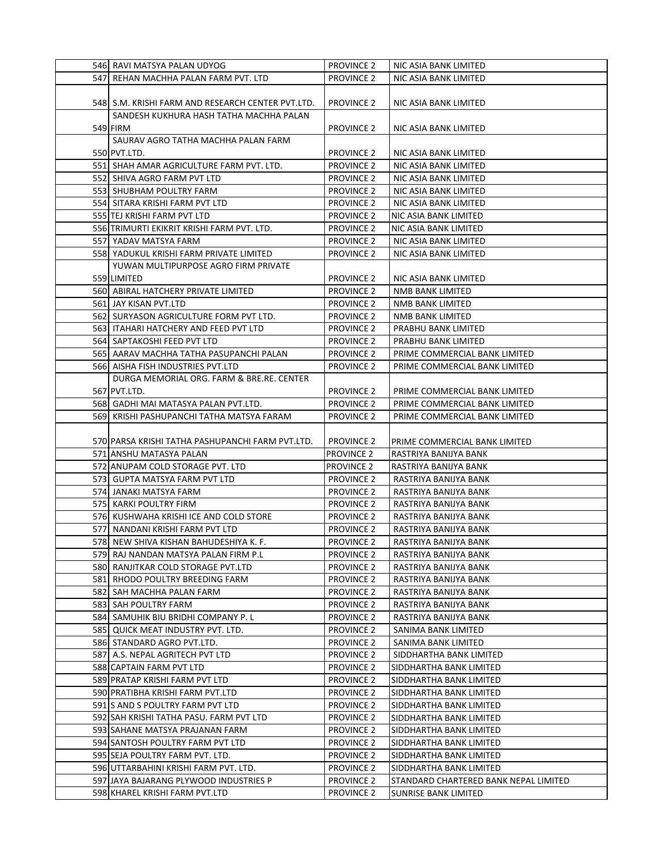| 546  RAVI MATSYA PALAN UDYOG                                             | <b>PROVINCE 2</b>                      | NIC ASIA BANK LIMITED                                         |
|--------------------------------------------------------------------------|----------------------------------------|---------------------------------------------------------------|
| 547 REHAN MACHHA PALAN FARM PVT. LTD                                     | <b>PROVINCE 2</b>                      | NIC ASIA BANK LIMITED                                         |
|                                                                          |                                        |                                                               |
| 548  S.M. KRISHI FARM AND RESEARCH CENTER PVT.LTD.                       | <b>PROVINCE 2</b>                      | NIC ASIA BANK LIMITED                                         |
| SANDESH KUKHURA HASH TATHA MACHHA PALAN                                  |                                        |                                                               |
| 549 FIRM                                                                 | <b>PROVINCE 2</b>                      | NIC ASIA BANK LIMITED                                         |
| SAURAV AGRO TATHA MACHHA PALAN FARM                                      |                                        |                                                               |
| 550 PVT.LTD.                                                             | <b>PROVINCE 2</b>                      | NIC ASIA BANK LIMITED                                         |
| 551 SHAH AMAR AGRICULTURE FARM PVT. LTD.                                 | <b>PROVINCE 2</b>                      | NIC ASIA BANK LIMITED                                         |
| 552 SHIVA AGRO FARM PVT LTD                                              | <b>PROVINCE 2</b>                      | NIC ASIA BANK LIMITED                                         |
| 553 SHUBHAM POULTRY FARM                                                 | <b>PROVINCE 2</b>                      | NIC ASIA BANK LIMITED                                         |
| 554 SITARA KRISHI FARM PVT LTD                                           | <b>PROVINCE 2</b>                      | NIC ASIA BANK LIMITED                                         |
| 555 TEJ KRISHI FARM PVT LTD                                              | <b>PROVINCE 2</b>                      | NIC ASIA BANK LIMITED                                         |
| 556 TRIMURTI EKIKRIT KRISHI FARM PVT. LTD.                               | <b>PROVINCE 2</b>                      | NIC ASIA BANK LIMITED                                         |
| 557 YADAV MATSYA FARM                                                    | <b>PROVINCE 2</b>                      | NIC ASIA BANK LIMITED                                         |
| 558 YADUKUL KRISHI FARM PRIVATE LIMITED                                  | <b>PROVINCE 2</b>                      | NIC ASIA BANK LIMITED                                         |
| YUWAN MULTIPURPOSE AGRO FIRM PRIVATE                                     |                                        |                                                               |
| 559 LIMITED                                                              | <b>PROVINCE 2</b>                      | NIC ASIA BANK LIMITED                                         |
| 560 ABIRAL HATCHERY PRIVATE LIMITED                                      | <b>PROVINCE 2</b>                      | NMB BANK LIMITED                                              |
| 561 JAY KISAN PVT.LTD<br>562 SURYASON AGRICULTURE FORM PVT LTD.          | <b>PROVINCE 2</b><br><b>PROVINCE 2</b> | NMB BANK LIMITED<br>NMB BANK LIMITED                          |
| 563   ITAHARI HATCHERY AND FEED PVT LTD                                  | <b>PROVINCE 2</b>                      | PRABHU BANK LIMITED                                           |
| 564 SAPTAKOSHI FEED PVT LTD                                              | <b>PROVINCE 2</b>                      | PRABHU BANK LIMITED                                           |
| 565  AARAV MACHHA TATHA PASUPANCHI PALAN                                 | <b>PROVINCE 2</b>                      | PRIME COMMERCIAL BANK LIMITED                                 |
| 566 AISHA FISH INDUSTRIES PVT.LTD                                        | <b>PROVINCE 2</b>                      | PRIME COMMERCIAL BANK LIMITED                                 |
| DURGA MEMORIAL ORG. FARM & BRE.RE. CENTER                                |                                        |                                                               |
| 567 PVT.LTD.                                                             | <b>PROVINCE 2</b>                      | PRIME COMMERCIAL BANK LIMITED                                 |
| 568   GADHI MAI MATASYA PALAN PVT.LTD.                                   | <b>PROVINCE 2</b>                      | PRIME COMMERCIAL BANK LIMITED                                 |
| 569 KRISHI PASHUPANCHI TATHA MATSYA FARAM                                | <b>PROVINCE 2</b>                      | PRIME COMMERCIAL BANK LIMITED                                 |
|                                                                          |                                        |                                                               |
|                                                                          |                                        |                                                               |
| 570 PARSA KRISHI TATHA PASHUPANCHI FARM PVT.LTD.                         | <b>PROVINCE 2</b>                      | PRIME COMMERCIAL BANK LIMITED                                 |
| 571 ANSHU MATASYA PALAN                                                  | <b>PROVINCE 2</b>                      | RASTRIYA BANIJYA BANK                                         |
| 572 ANUPAM COLD STORAGE PVT. LTD                                         | <b>PROVINCE 2</b>                      | RASTRIYA BANIJYA BANK                                         |
| 573 GUPTA MATSYA FARM PVT LTD                                            | <b>PROVINCE 2</b>                      | RASTRIYA BANIJYA BANK                                         |
| 574 JANAKI MATSYA FARM                                                   | <b>PROVINCE 2</b>                      | RASTRIYA BANIJYA BANK                                         |
| 575 KARKI POULTRY FIRM                                                   | <b>PROVINCE 2</b>                      | RASTRIYA BANIJYA BANK                                         |
| 576 KUSHWAHA KRISHI ICE AND COLD STORE                                   | <b>PROVINCE 2</b>                      | RASTRIYA BANIJYA BANK                                         |
| 577 NANDANI KRISHI FARM PVT LTD                                          | <b>PROVINCE 2</b>                      | RASTRIYA BANIJYA BANK                                         |
| 578 NEW SHIVA KISHAN BAHUDESHIYA K. F.                                   | <b>PROVINCE 2</b>                      | RASTRIYA BANIJYA BANK                                         |
| 579 RAJ NANDAN MATSYA PALAN FIRM P.L                                     | <b>PROVINCE 2</b>                      | RASTRIYA BANIJYA BANK                                         |
| 580 RANJITKAR COLD STORAGE PVT.LTD                                       | <b>PROVINCE 2</b>                      | RASTRIYA BANIJYA BANK                                         |
| 581 RHODO POULTRY BREEDING FARM                                          | <b>PROVINCE 2</b>                      | RASTRIYA BANIJYA BANK                                         |
| 582 SAH MACHHA PALAN FARM                                                | <b>PROVINCE 2</b>                      | RASTRIYA BANIJYA BANK                                         |
| 583 SAH POULTRY FARM                                                     | <b>PROVINCE 2</b>                      | RASTRIYA BANIJYA BANK                                         |
| 584 SAMUHIK BIU BRIDHI COMPANY P.L                                       | <b>PROVINCE 2</b>                      | RASTRIYA BANIJYA BANK                                         |
| 585 QUICK MEAT INDUSTRY PVT. LTD.                                        | <b>PROVINCE 2</b>                      | SANIMA BANK LIMITED                                           |
| 586 STANDARD AGRO PVT.LTD.                                               | <b>PROVINCE 2</b>                      | SANIMA BANK LIMITED                                           |
| 587 A.S. NEPAL AGRITECH PVT LTD                                          | <b>PROVINCE 2</b>                      | SIDDHARTHA BANK LIMITED                                       |
| 588 CAPTAIN FARM PVT LTD                                                 | <b>PROVINCE 2</b>                      | SIDDHARTHA BANK LIMITED                                       |
| 589 PRATAP KRISHI FARM PVT LTD                                           | <b>PROVINCE 2</b>                      | SIDDHARTHA BANK LIMITED                                       |
| 590 PRATIBHA KRISHI FARM PVT.LTD                                         | <b>PROVINCE 2</b>                      | SIDDHARTHA BANK LIMITED                                       |
| 591 S AND S POULTRY FARM PVT LTD                                         | <b>PROVINCE 2</b>                      | SIDDHARTHA BANK LIMITED                                       |
| 592 SAH KRISHI TATHA PASU. FARM PVT LTD                                  | <b>PROVINCE 2</b>                      | SIDDHARTHA BANK LIMITED                                       |
| 593 SAHANE MATSYA PRAJANAN FARM                                          | <b>PROVINCE 2</b>                      | SIDDHARTHA BANK LIMITED                                       |
| 594 SANTOSH POULTRY FARM PVT LTD                                         | <b>PROVINCE 2</b>                      | SIDDHARTHA BANK LIMITED                                       |
| 595 SEJA POULTRY FARM PVT. LTD.                                          | <b>PROVINCE 2</b>                      | SIDDHARTHA BANK LIMITED                                       |
| 596 UTTARBAHINI KRISHI FARM PVT. LTD.                                    | <b>PROVINCE 2</b>                      | SIDDHARTHA BANK LIMITED                                       |
| 597 JAYA BAJARANG PLYWOOD INDUSTRIES P<br>598 KHAREL KRISHI FARM PVT.LTD | <b>PROVINCE 2</b><br><b>PROVINCE 2</b> | STANDARD CHARTERED BANK NEPAL LIMITED<br>SUNRISE BANK LIMITED |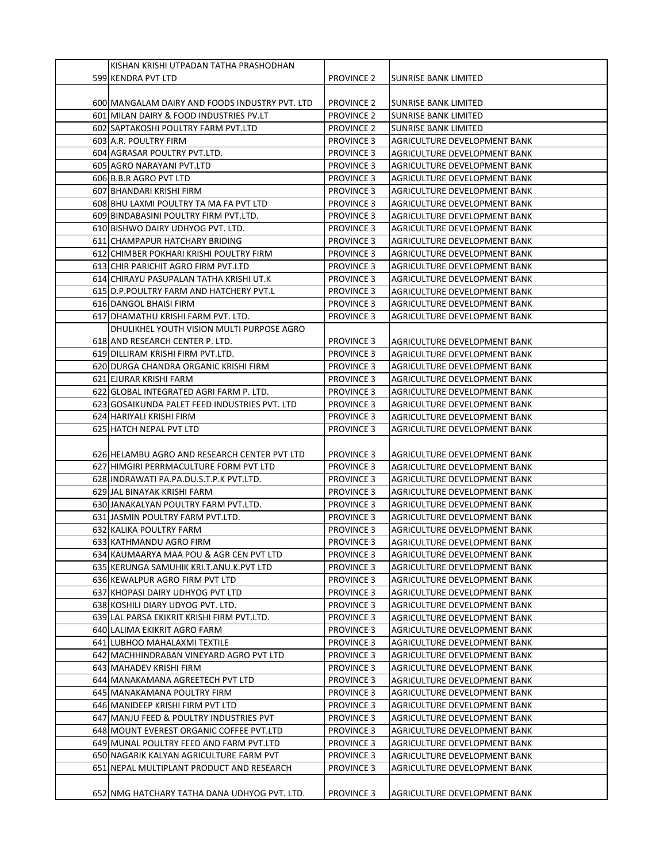| KISHAN KRISHI UTPADAN TATHA PRASHODHAN         |                   |                              |
|------------------------------------------------|-------------------|------------------------------|
| 599 KENDRA PVT LTD                             | <b>PROVINCE 2</b> | SUNRISE BANK LIMITED         |
|                                                |                   |                              |
| 600 MANGALAM DAIRY AND FOODS INDUSTRY PVT. LTD | <b>PROVINCE 2</b> | ISUNRISE BANK LIMITED        |
| 601 MILAN DAIRY & FOOD INDUSTRIES PV.LT        | <b>PROVINCE 2</b> | <b>SUNRISE BANK LIMITED</b>  |
| 602 SAPTAKOSHI POULTRY FARM PVT.LTD            | <b>PROVINCE 2</b> | <b>SUNRISE BANK LIMITED</b>  |
| 603 A.R. POULTRY FIRM                          | <b>PROVINCE 3</b> | AGRICULTURE DEVELOPMENT BANK |
| 604 AGRASAR POULTRY PVT.LTD.                   | <b>PROVINCE 3</b> | AGRICULTURE DEVELOPMENT BANK |
| 605 AGRO NARAYANI PVT.LTD                      | <b>PROVINCE 3</b> | AGRICULTURE DEVELOPMENT BANK |
| 606 B.B.R AGRO PVT LTD                         | <b>PROVINCE 3</b> | AGRICULTURE DEVELOPMENT BANK |
| 607 BHANDARI KRISHI FIRM                       | <b>PROVINCE 3</b> | AGRICULTURE DEVELOPMENT BANK |
| 608 BHU LAXMI POULTRY TA MA FA PVT LTD         | <b>PROVINCE 3</b> | AGRICULTURE DEVELOPMENT BANK |
| 609 BINDABASINI POULTRY FIRM PVT.LTD.          | <b>PROVINCE 3</b> | AGRICULTURE DEVELOPMENT BANK |
| 610 BISHWO DAIRY UDHYOG PVT. LTD.              | <b>PROVINCE 3</b> | AGRICULTURE DEVELOPMENT BANK |
| 611 CHAMPAPUR HATCHARY BRIDING                 | <b>PROVINCE 3</b> | AGRICULTURE DEVELOPMENT BANK |
| 612 CHIMBER POKHARI KRISHI POULTRY FIRM        | <b>PROVINCE 3</b> | AGRICULTURE DEVELOPMENT BANK |
| 613 CHIR PARICHIT AGRO FIRM PVT.LTD            |                   |                              |
|                                                | <b>PROVINCE 3</b> | AGRICULTURE DEVELOPMENT BANK |
| 614 CHIRAYU PASUPALAN TATHA KRISHI UT.K        | <b>PROVINCE 3</b> | AGRICULTURE DEVELOPMENT BANK |
| 615 D.P. POULTRY FARM AND HATCHERY PVT.L       | <b>PROVINCE 3</b> | AGRICULTURE DEVELOPMENT BANK |
| 616 DANGOL BHAISI FIRM                         | <b>PROVINCE 3</b> | AGRICULTURE DEVELOPMENT BANK |
| 617 DHAMATHU KRISHI FARM PVT. LTD.             | <b>PROVINCE 3</b> | AGRICULTURE DEVELOPMENT BANK |
| DHULIKHEL YOUTH VISION MULTI PURPOSE AGRO      |                   |                              |
| 618 AND RESEARCH CENTER P. LTD.                | <b>PROVINCE 3</b> | AGRICULTURE DEVELOPMENT BANK |
| 619 DILLIRAM KRISHI FIRM PVT.LTD.              | <b>PROVINCE 3</b> | AGRICULTURE DEVELOPMENT BANK |
| 620 DURGA CHANDRA ORGANIC KRISHI FIRM          | <b>PROVINCE 3</b> | AGRICULTURE DEVELOPMENT BANK |
| 621 EJURAR KRISHI FARM                         | <b>PROVINCE 3</b> | AGRICULTURE DEVELOPMENT BANK |
| 622 GLOBAL INTEGRATED AGRI FARM P. LTD.        | <b>PROVINCE 3</b> | AGRICULTURE DEVELOPMENT BANK |
| 623 GOSAIKUNDA PALET FEED INDUSTRIES PVT. LTD  | <b>PROVINCE 3</b> | AGRICULTURE DEVELOPMENT BANK |
| 624 HARIYALI KRISHI FIRM                       | <b>PROVINCE 3</b> | AGRICULTURE DEVELOPMENT BANK |
| 625 HATCH NEPAL PVT LTD                        | <b>PROVINCE 3</b> | AGRICULTURE DEVELOPMENT BANK |
|                                                |                   |                              |
| 626 HELAMBU AGRO AND RESEARCH CENTER PVT LTD   | <b>PROVINCE 3</b> | AGRICULTURE DEVELOPMENT BANK |
| 627 HIMGIRI PERRMACULTURE FORM PVT LTD         | <b>PROVINCE 3</b> | AGRICULTURE DEVELOPMENT BANK |
| 628 INDRAWATI PA.PA.DU.S.T.P.K PVT.LTD.        | <b>PROVINCE 3</b> | AGRICULTURE DEVELOPMENT BANK |
| 629 JAL BINAYAK KRISHI FARM                    | <b>PROVINCE 3</b> | AGRICULTURE DEVELOPMENT BANK |
| 630 JANAKALYAN POULTRY FARM PVT.LTD.           | <b>PROVINCE 3</b> | AGRICULTURE DEVELOPMENT BANK |
| 631 JASMIN POULTRY FARM PVT.LTD.               | <b>PROVINCE 3</b> | AGRICULTURE DEVELOPMENT BANK |
| 632 KALIKA POULTRY FARM                        | <b>PROVINCE 3</b> | AGRICULTURE DEVELOPMENT BANK |
| 633 KATHMANDU AGRO FIRM                        | <b>PROVINCE 3</b> | AGRICULTURE DEVELOPMENT BANK |
| 634 KAUMAARYA MAA POU & AGR CEN PVT LTD        | PROVINCE 3        | AGRICULTURE DEVELOPMENT BANK |
| 635 KERUNGA SAMUHIK KRI.T.ANU.K.PVT LTD        | <b>PROVINCE 3</b> | AGRICULTURE DEVELOPMENT BANK |
| 636 KEWALPUR AGRO FIRM PVT LTD                 | <b>PROVINCE 3</b> | AGRICULTURE DEVELOPMENT BANK |
| 637 KHOPASI DAIRY UDHYOG PVT LTD               | <b>PROVINCE 3</b> | AGRICULTURE DEVELOPMENT BANK |
| 638 KOSHILI DIARY UDYOG PVT. LTD.              | <b>PROVINCE 3</b> | AGRICULTURE DEVELOPMENT BANK |
| 639 LAL PARSA EKIKRIT KRISHI FIRM PVT.LTD.     | PROVINCE 3        | AGRICULTURE DEVELOPMENT BANK |
| 640 LALIMA EKIKRIT AGRO FARM                   | PROVINCE 3        | AGRICULTURE DEVELOPMENT BANK |
| 641 LUBHOO MAHALAXMI TEXTILE                   | <b>PROVINCE 3</b> | AGRICULTURE DEVELOPMENT BANK |
| 642 MACHHINDRABAN VINEYARD AGRO PVT LTD        | <b>PROVINCE 3</b> | AGRICULTURE DEVELOPMENT BANK |
| 643 MAHADEV KRISHI FIRM                        | <b>PROVINCE 3</b> | AGRICULTURE DEVELOPMENT BANK |
| 644 MANAKAMANA AGREETECH PVT LTD               | <b>PROVINCE 3</b> | AGRICULTURE DEVELOPMENT BANK |
| 645 MANAKAMANA POULTRY FIRM                    | <b>PROVINCE 3</b> | AGRICULTURE DEVELOPMENT BANK |
| 646 MANIDEEP KRISHI FIRM PVT LTD               | <b>PROVINCE 3</b> | AGRICULTURE DEVELOPMENT BANK |
| 647 MANJU FEED & POULTRY INDUSTRIES PVT        | <b>PROVINCE 3</b> | AGRICULTURE DEVELOPMENT BANK |
| 648 MOUNT EVEREST ORGANIC COFFEE PVT.LTD       | <b>PROVINCE 3</b> | AGRICULTURE DEVELOPMENT BANK |
| 649 MUNAL POULTRY FEED AND FARM PVT.LTD        | <b>PROVINCE 3</b> | AGRICULTURE DEVELOPMENT BANK |
| 650 NAGARIK KALYAN AGRICULTURE FARM PVT        | <b>PROVINCE 3</b> | AGRICULTURE DEVELOPMENT BANK |
| 651 NEPAL MULTIPLANT PRODUCT AND RESEARCH      | <b>PROVINCE 3</b> | AGRICULTURE DEVELOPMENT BANK |
|                                                |                   |                              |
| 652 NMG HATCHARY TATHA DANA UDHYOG PVT. LTD.   | <b>PROVINCE 3</b> | AGRICULTURE DEVELOPMENT BANK |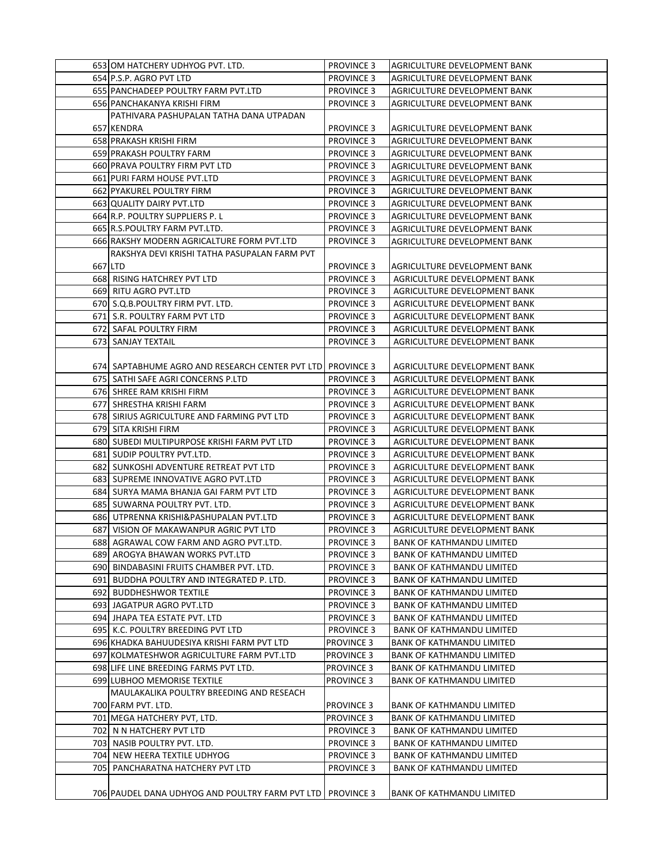| 653 OM HATCHERY UDHYOG PVT. LTD.                           | <b>PROVINCE 3</b> | AGRICULTURE DEVELOPMENT BANK     |
|------------------------------------------------------------|-------------------|----------------------------------|
| 654 P.S.P. AGRO PVT LTD                                    | <b>PROVINCE 3</b> | AGRICULTURE DEVELOPMENT BANK     |
| 655 PANCHADEEP POULTRY FARM PVT.LTD                        | <b>PROVINCE 3</b> | AGRICULTURE DEVELOPMENT BANK     |
| 656 PANCHAKANYA KRISHI FIRM                                | <b>PROVINCE 3</b> | AGRICULTURE DEVELOPMENT BANK     |
| PATHIVARA PASHUPALAN TATHA DANA UTPADAN                    |                   |                                  |
| 657 KENDRA                                                 | <b>PROVINCE 3</b> | AGRICULTURE DEVELOPMENT BANK     |
| 658 PRAKASH KRISHI FIRM                                    | <b>PROVINCE 3</b> | AGRICULTURE DEVELOPMENT BANK     |
| 659 PRAKASH POULTRY FARM                                   | <b>PROVINCE 3</b> | AGRICULTURE DEVELOPMENT BANK     |
| 660 PRAVA POULTRY FIRM PVT LTD                             | <b>PROVINCE 3</b> | AGRICULTURE DEVELOPMENT BANK     |
| 661 PURI FARM HOUSE PVT.LTD                                | <b>PROVINCE 3</b> | AGRICULTURE DEVELOPMENT BANK     |
| 662 PYAKUREL POULTRY FIRM                                  | <b>PROVINCE 3</b> | AGRICULTURE DEVELOPMENT BANK     |
| 663 QUALITY DAIRY PVT.LTD                                  | <b>PROVINCE 3</b> | AGRICULTURE DEVELOPMENT BANK     |
| 664 R.P. POULTRY SUPPLIERS P.L                             | <b>PROVINCE 3</b> | AGRICULTURE DEVELOPMENT BANK     |
| 665 R.S.POULTRY FARM PVT.LTD.                              | <b>PROVINCE 3</b> | AGRICULTURE DEVELOPMENT BANK     |
| 666 RAKSHY MODERN AGRICALTURE FORM PVT.LTD                 | <b>PROVINCE 3</b> | AGRICULTURE DEVELOPMENT BANK     |
| RAKSHYA DEVI KRISHI TATHA PASUPALAN FARM PVT               |                   |                                  |
| 667 LTD                                                    | <b>PROVINCE 3</b> | AGRICULTURE DEVELOPMENT BANK     |
| <b>668 RISING HATCHREY PVT LTD</b>                         | <b>PROVINCE 3</b> | AGRICULTURE DEVELOPMENT BANK     |
| 669 RITU AGRO PVT.LTD                                      | <b>PROVINCE 3</b> | AGRICULTURE DEVELOPMENT BANK     |
| 670 S.Q.B.POULTRY FIRM PVT. LTD.                           | <b>PROVINCE 3</b> | AGRICULTURE DEVELOPMENT BANK     |
| 671 S.R. POULTRY FARM PVT LTD                              | <b>PROVINCE 3</b> | AGRICULTURE DEVELOPMENT BANK     |
| 672 SAFAL POULTRY FIRM                                     | <b>PROVINCE 3</b> | AGRICULTURE DEVELOPMENT BANK     |
| 673 SANJAY TEXTAIL                                         | <b>PROVINCE 3</b> | AGRICULTURE DEVELOPMENT BANK     |
|                                                            |                   |                                  |
| 674 SAPTABHUME AGRO AND RESEARCH CENTER PVT LTD PROVINCE 3 |                   | AGRICULTURE DEVELOPMENT BANK     |
| 675 SATHI SAFE AGRI CONCERNS P.LTD                         | <b>PROVINCE 3</b> | AGRICULTURE DEVELOPMENT BANK     |
| 676 SHREE RAM KRISHI FIRM                                  | <b>PROVINCE 3</b> | AGRICULTURE DEVELOPMENT BANK     |
| 677 SHRESTHA KRISHI FARM                                   | <b>PROVINCE 3</b> | AGRICULTURE DEVELOPMENT BANK     |
| 678 SIRIUS AGRICULTURE AND FARMING PVT LTD                 | <b>PROVINCE 3</b> | AGRICULTURE DEVELOPMENT BANK     |
| 679 SITA KRISHI FIRM                                       | <b>PROVINCE 3</b> | AGRICULTURE DEVELOPMENT BANK     |
| 680 SUBEDI MULTIPURPOSE KRISHI FARM PVT LTD                | <b>PROVINCE 3</b> | AGRICULTURE DEVELOPMENT BANK     |
| 681 SUDIP POULTRY PVT.LTD.                                 | <b>PROVINCE 3</b> | AGRICULTURE DEVELOPMENT BANK     |
| 682 SUNKOSHI ADVENTURE RETREAT PVT LTD                     | <b>PROVINCE 3</b> | AGRICULTURE DEVELOPMENT BANK     |
| 683 SUPREME INNOVATIVE AGRO PVT.LTD                        | <b>PROVINCE 3</b> | AGRICULTURE DEVELOPMENT BANK     |
| 684 SURYA MAMA BHANJA GAI FARM PVT LTD                     | <b>PROVINCE 3</b> | AGRICULTURE DEVELOPMENT BANK     |
| 685 SUWARNA POULTRY PVT. LTD.                              | <b>PROVINCE 3</b> | AGRICULTURE DEVELOPMENT BANK     |
| 686 UTPRENNA KRISHI&PASHUPALAN PVT.LTD                     | <b>PROVINCE 3</b> | AGRICULTURE DEVELOPMENT BANK     |
| 687 VISION OF MAKAWANPUR AGRIC PVT LTD                     | <b>PROVINCE 3</b> | AGRICULTURE DEVELOPMENT BANK     |
| 688 AGRAWAL COW FARM AND AGRO PVT.LTD.                     | <b>PROVINCE 3</b> | <b>BANK OF KATHMANDU LIMITED</b> |
| 689 AROGYA BHAWAN WORKS PVT.LTD                            | <b>PROVINCE 3</b> | <b>BANK OF KATHMANDU LIMITED</b> |
| 690 BINDABASINI FRUITS CHAMBER PVT. LTD.                   | <b>PROVINCE 3</b> | <b>BANK OF KATHMANDU LIMITED</b> |
| 691 BUDDHA POULTRY AND INTEGRATED P. LTD.                  | <b>PROVINCE 3</b> | <b>BANK OF KATHMANDU LIMITED</b> |
| 692 BUDDHESHWOR TEXTILE                                    | <b>PROVINCE 3</b> | <b>BANK OF KATHMANDU LIMITED</b> |
| 693 JAGATPUR AGRO PVT.LTD                                  | <b>PROVINCE 3</b> | <b>BANK OF KATHMANDU LIMITED</b> |
| 694 JHAPA TEA ESTATE PVT. LTD                              | <b>PROVINCE 3</b> | <b>BANK OF KATHMANDU LIMITED</b> |
| 695 K.C. POULTRY BREEDING PVT LTD                          | <b>PROVINCE 3</b> | BANK OF KATHMANDU LIMITED        |
| 696 KHADKA BAHUUDESIYA KRISHI FARM PVT LTD                 | <b>PROVINCE 3</b> | <b>BANK OF KATHMANDU LIMITED</b> |
| 697 KOLMATESHWOR AGRICULTURE FARM PVT.LTD                  | <b>PROVINCE 3</b> | BANK OF KATHMANDU LIMITED        |
| 698 LIFE LINE BREEDING FARMS PVT LTD.                      | <b>PROVINCE 3</b> | <b>BANK OF KATHMANDU LIMITED</b> |
| 699 LUBHOO MEMORISE TEXTILE                                | <b>PROVINCE 3</b> | <b>BANK OF KATHMANDU LIMITED</b> |
| MAULAKALIKA POULTRY BREEDING AND RESEACH                   |                   |                                  |
| 700 FARM PVT. LTD.                                         | <b>PROVINCE 3</b> | <b>BANK OF KATHMANDU LIMITED</b> |
| 701 MEGA HATCHERY PVT, LTD.                                | <b>PROVINCE 3</b> | <b>BANK OF KATHMANDU LIMITED</b> |
| 702 N N HATCHERY PVT LTD                                   | <b>PROVINCE 3</b> | <b>BANK OF KATHMANDU LIMITED</b> |
| 703 NASIB POULTRY PVT. LTD.                                | <b>PROVINCE 3</b> | BANK OF KATHMANDU LIMITED        |
| 704 NEW HEERA TEXTILE UDHYOG                               | <b>PROVINCE 3</b> | BANK OF KATHMANDU LIMITED        |
| 705 PANCHARATNA HATCHERY PVT LTD                           | <b>PROVINCE 3</b> | BANK OF KATHMANDU LIMITED        |
|                                                            |                   |                                  |
| 706 PAUDEL DANA UDHYOG AND POULTRY FARM PVT LTD            | <b>PROVINCE 3</b> | <b>BANK OF KATHMANDU LIMITED</b> |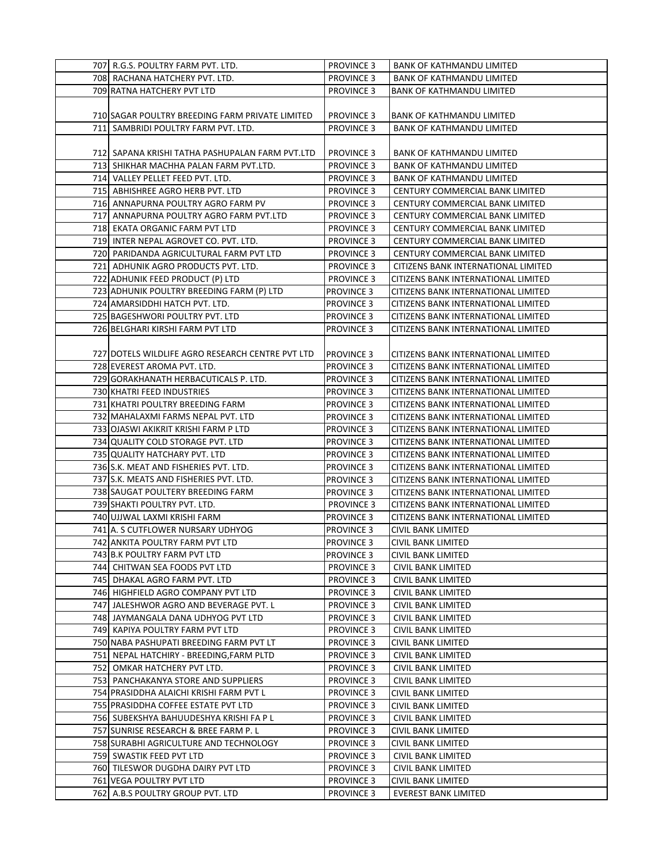| 707 R.G.S. POULTRY FARM PVT. LTD.                | <b>PROVINCE 3</b> | <b>BANK OF KATHMANDU LIMITED</b>    |
|--------------------------------------------------|-------------------|-------------------------------------|
| 708 RACHANA HATCHERY PVT. LTD.                   | <b>PROVINCE 3</b> | <b>BANK OF KATHMANDU LIMITED</b>    |
| 709 RATNA HATCHERY PVT LTD                       | <b>PROVINCE 3</b> | <b>BANK OF KATHMANDU LIMITED</b>    |
|                                                  |                   |                                     |
| 710 SAGAR POULTRY BREEDING FARM PRIVATE LIMITED  | <b>PROVINCE 3</b> | <b>BANK OF KATHMANDU LIMITED</b>    |
| 711 SAMBRIDI POULTRY FARM PVT. LTD.              | <b>PROVINCE 3</b> | <b>BANK OF KATHMANDU LIMITED</b>    |
|                                                  |                   |                                     |
| 712 SAPANA KRISHI TATHA PASHUPALAN FARM PVT.LTD  | <b>PROVINCE 3</b> | <b>BANK OF KATHMANDU LIMITED</b>    |
| 713  SHIKHAR MACHHA PALAN FARM PVT.LTD.          | <b>PROVINCE 3</b> | <b>BANK OF KATHMANDU LIMITED</b>    |
| 714 VALLEY PELLET FEED PVT. LTD.                 | <b>PROVINCE 3</b> | <b>BANK OF KATHMANDU LIMITED</b>    |
| 715 ABHISHREE AGRO HERB PVT. LTD                 |                   |                                     |
|                                                  | <b>PROVINCE 3</b> | CENTURY COMMERCIAL BANK LIMITED     |
| 716 ANNAPURNA POULTRY AGRO FARM PV               | <b>PROVINCE 3</b> | CENTURY COMMERCIAL BANK LIMITED     |
| 717 ANNAPURNA POULTRY AGRO FARM PVT.LTD          | <b>PROVINCE 3</b> | CENTURY COMMERCIAL BANK LIMITED     |
| 718 EKATA ORGANIC FARM PVT LTD                   | <b>PROVINCE 3</b> | CENTURY COMMERCIAL BANK LIMITED     |
| 719 INTER NEPAL AGROVET CO. PVT. LTD.            | <b>PROVINCE 3</b> | CENTURY COMMERCIAL BANK LIMITED     |
| 720  PARIDANDA AGRICULTURAL FARM PVT LTD         | <b>PROVINCE 3</b> | CENTURY COMMERCIAL BANK LIMITED     |
| 721 ADHUNIK AGRO PRODUCTS PVT. LTD.              | <b>PROVINCE 3</b> | CITIZENS BANK INTERNATIONAL LIMITED |
| 722 ADHUNIK FEED PRODUCT (P) LTD                 | <b>PROVINCE 3</b> | CITIZENS BANK INTERNATIONAL LIMITED |
| 723 ADHUNIK POULTRY BREEDING FARM (P) LTD        | <b>PROVINCE 3</b> | CITIZENS BANK INTERNATIONAL LIMITED |
| 724 AMARSIDDHI HATCH PVT. LTD.                   | <b>PROVINCE 3</b> | CITIZENS BANK INTERNATIONAL LIMITED |
| 725 BAGESHWORI POULTRY PVT. LTD                  | <b>PROVINCE 3</b> | CITIZENS BANK INTERNATIONAL LIMITED |
| 726 BELGHARI KIRSHI FARM PVT LTD                 | <b>PROVINCE 3</b> | CITIZENS BANK INTERNATIONAL LIMITED |
|                                                  |                   |                                     |
| 727 DOTELS WILDLIFE AGRO RESEARCH CENTRE PVT LTD | <b>PROVINCE 3</b> | CITIZENS BANK INTERNATIONAL LIMITED |
| 728 EVEREST AROMA PVT. LTD.                      | <b>PROVINCE 3</b> | CITIZENS BANK INTERNATIONAL LIMITED |
| 729 GORAKHANATH HERBACUTICALS P. LTD.            | <b>PROVINCE 3</b> | CITIZENS BANK INTERNATIONAL LIMITED |
| 730 KHATRI FEED INDUSTRIES                       | <b>PROVINCE 3</b> | CITIZENS BANK INTERNATIONAL LIMITED |
| 731 KHATRI POULTRY BREEDING FARM                 | <b>PROVINCE 3</b> | CITIZENS BANK INTERNATIONAL LIMITED |
| 732 MAHALAXMI FARMS NEPAL PVT. LTD               | <b>PROVINCE 3</b> | CITIZENS BANK INTERNATIONAL LIMITED |
| 733 OJASWI AKIKRIT KRISHI FARM P LTD             | <b>PROVINCE 3</b> | CITIZENS BANK INTERNATIONAL LIMITED |
| 734 QUALITY COLD STORAGE PVT. LTD                | <b>PROVINCE 3</b> | CITIZENS BANK INTERNATIONAL LIMITED |
| 735 QUALITY HATCHARY PVT. LTD                    | <b>PROVINCE 3</b> | CITIZENS BANK INTERNATIONAL LIMITED |
| 736 S.K. MEAT AND FISHERIES PVT. LTD.            | <b>PROVINCE 3</b> | CITIZENS BANK INTERNATIONAL LIMITED |
| 737 S.K. MEATS AND FISHERIES PVT. LTD.           | <b>PROVINCE 3</b> | CITIZENS BANK INTERNATIONAL LIMITED |
| 738 SAUGAT POULTERY BREEDING FARM                | <b>PROVINCE 3</b> | CITIZENS BANK INTERNATIONAL LIMITED |
| 739 SHAKTI POULTRY PVT. LTD.                     | <b>PROVINCE 3</b> | CITIZENS BANK INTERNATIONAL LIMITED |
| 740 UJJWAL LAXMI KRISHI FARM                     | <b>PROVINCE 3</b> | CITIZENS BANK INTERNATIONAL LIMITED |
| 741 A. S CUTFLOWER NURSARY UDHYOG                | <b>PROVINCE 3</b> | CIVIL BANK LIMITED                  |
| 742 ANKITA POULTRY FARM PVT LTD                  | <b>PROVINCE 3</b> | CIVIL BANK LIMITED                  |
| 743 B.K POULTRY FARM PVT LTD                     | <b>PROVINCE 3</b> | CIVIL BANK LIMITED                  |
| 744 CHITWAN SEA FOODS PVT LTD                    | <b>PROVINCE 3</b> | CIVIL BANK LIMITED                  |
| 745 DHAKAL AGRO FARM PVT. LTD                    | <b>PROVINCE 3</b> | CIVIL BANK LIMITED                  |
| 746 HIGHFIELD AGRO COMPANY PVT LTD               | <b>PROVINCE 3</b> | CIVIL BANK LIMITED                  |
| 747 JALESHWOR AGRO AND BEVERAGE PVT. L           | <b>PROVINCE 3</b> | CIVIL BANK LIMITED                  |
| 748 JAYMANGALA DANA UDHYOG PVT LTD               | <b>PROVINCE 3</b> | CIVIL BANK LIMITED                  |
| 749 KAPIYA POULTRY FARM PVT LTD                  | <b>PROVINCE 3</b> | CIVIL BANK LIMITED                  |
| 750 NABA PASHUPATI BREEDING FARM PVT LT          | <b>PROVINCE 3</b> | CIVIL BANK LIMITED                  |
| 751  NEPAL HATCHIRY - BREEDING,FARM PLTD         | <b>PROVINCE 3</b> | CIVIL BANK LIMITED                  |
| 752 OMKAR HATCHERY PVT LTD.                      | <b>PROVINCE 3</b> | CIVIL BANK LIMITED                  |
| 753 PANCHAKANYA STORE AND SUPPLIERS              | <b>PROVINCE 3</b> | CIVIL BANK LIMITED                  |
| 754 PRASIDDHA ALAICHI KRISHI FARM PVT L          | <b>PROVINCE 3</b> | CIVIL BANK LIMITED                  |
| 755 PRASIDDHA COFFEE ESTATE PVT LTD              | <b>PROVINCE 3</b> | CIVIL BANK LIMITED                  |
| 756  SUBEKSHYA BAHUUDESHYA KRISHI FA P L         | <b>PROVINCE 3</b> | CIVIL BANK LIMITED                  |
| 757 SUNRISE RESEARCH & BREE FARM P. L            | <b>PROVINCE 3</b> | CIVIL BANK LIMITED                  |
| 758 SURABHI AGRICULTURE AND TECHNOLOGY           | <b>PROVINCE 3</b> | CIVIL BANK LIMITED                  |
| 759 SWASTIK FEED PVT LTD                         | <b>PROVINCE 3</b> | CIVIL BANK LIMITED                  |
| 760 TILESWOR DUGDHA DAIRY PVT LTD                | <b>PROVINCE 3</b> | CIVIL BANK LIMITED                  |
| 761 VEGA POULTRY PVT LTD                         | <b>PROVINCE 3</b> | CIVIL BANK LIMITED                  |
| 762 A.B.S POULTRY GROUP PVT. LTD                 | <b>PROVINCE 3</b> | <b>EVEREST BANK LIMITED</b>         |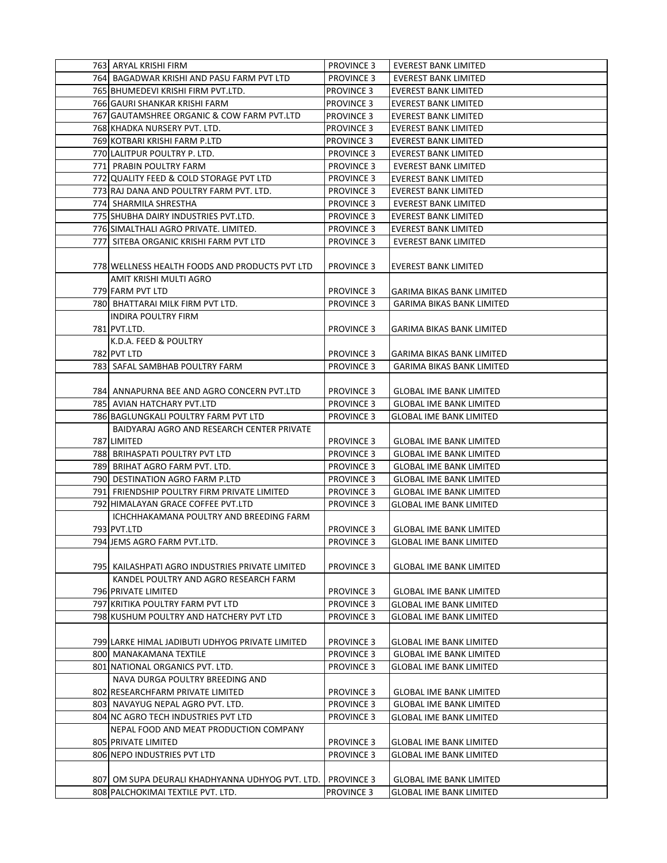| 763 ARYAL KRISHI FIRM                            | <b>PROVINCE 3</b> | EVEREST BANK LIMITED             |
|--------------------------------------------------|-------------------|----------------------------------|
| 764  BAGADWAR KRISHI AND PASU FARM PVT LTD       | <b>PROVINCE 3</b> | EVEREST BANK LIMITED             |
| 765 BHUMEDEVI KRISHI FIRM PVT.LTD.               | <b>PROVINCE 3</b> | <b>EVEREST BANK LIMITED</b>      |
| 766 GAURI SHANKAR KRISHI FARM                    | <b>PROVINCE 3</b> | <b>EVEREST BANK LIMITED</b>      |
| 767 GAUTAMSHREE ORGANIC & COW FARM PVT.LTD       | <b>PROVINCE 3</b> | <b>EVEREST BANK LIMITED</b>      |
| 768 KHADKA NURSERY PVT. LTD.                     | <b>PROVINCE 3</b> | <b>EVEREST BANK LIMITED</b>      |
| 769 KOTBARI KRISHI FARM P.LTD                    | <b>PROVINCE 3</b> | <b>EVEREST BANK LIMITED</b>      |
| 770 LALITPUR POULTRY P. LTD.                     | <b>PROVINCE 3</b> | <b>EVEREST BANK LIMITED</b>      |
| 771 PRABIN POULTRY FARM                          | <b>PROVINCE 3</b> | <b>EVEREST BANK LIMITED</b>      |
| 772 QUALITY FEED & COLD STORAGE PVT LTD          | <b>PROVINCE 3</b> | <b>EVEREST BANK LIMITED</b>      |
| 773 RAJ DANA AND POULTRY FARM PVT. LTD.          | <b>PROVINCE 3</b> | <b>EVEREST BANK LIMITED</b>      |
| 774 SHARMILA SHRESTHA                            | <b>PROVINCE 3</b> | EVEREST BANK LIMITED             |
| 775 SHUBHA DAIRY INDUSTRIES PVT.LTD.             | <b>PROVINCE 3</b> | <b>EVEREST BANK LIMITED</b>      |
| 776 SIMALTHALI AGRO PRIVATE. LIMITED.            | <b>PROVINCE 3</b> | <b>EVEREST BANK LIMITED</b>      |
|                                                  | <b>PROVINCE 3</b> |                                  |
| 777 SITEBA ORGANIC KRISHI FARM PVT LTD           |                   | <b>EVEREST BANK LIMITED</b>      |
|                                                  |                   |                                  |
| 778 WELLNESS HEALTH FOODS AND PRODUCTS PVT LTD   | <b>PROVINCE 3</b> | <b>EVEREST BANK LIMITED</b>      |
| AMIT KRISHI MULTI AGRO                           |                   |                                  |
| 779 FARM PVT LTD                                 | <b>PROVINCE 3</b> | <b>GARIMA BIKAS BANK LIMITED</b> |
| 780 BHATTARAI MILK FIRM PVT LTD.                 | <b>PROVINCE 3</b> | GARIMA BIKAS BANK LIMITED        |
| <b>INDIRA POULTRY FIRM</b>                       |                   |                                  |
| 781 PVT.LTD.                                     | <b>PROVINCE 3</b> | <b>GARIMA BIKAS BANK LIMITED</b> |
| K.D.A. FEED & POULTRY                            |                   |                                  |
| 782 PVT LTD                                      | <b>PROVINCE 3</b> | <b>GARIMA BIKAS BANK LIMITED</b> |
| 783 SAFAL SAMBHAB POULTRY FARM                   | <b>PROVINCE 3</b> | <b>GARIMA BIKAS BANK LIMITED</b> |
|                                                  |                   |                                  |
| 784  ANNAPURNA BEE AND AGRO CONCERN PVT.LTD      | <b>PROVINCE 3</b> | <b>GLOBAL IME BANK LIMITED</b>   |
| 785 AVIAN HATCHARY PVT.LTD                       | <b>PROVINCE 3</b> | <b>GLOBAL IME BANK LIMITED</b>   |
| 786 BAGLUNGKALI POULTRY FARM PVT LTD             | <b>PROVINCE 3</b> | <b>GLOBAL IME BANK LIMITED</b>   |
| BAIDYARAJ AGRO AND RESEARCH CENTER PRIVATE       |                   |                                  |
| 787 LIMITED                                      | <b>PROVINCE 3</b> | <b>GLOBAL IME BANK LIMITED</b>   |
| 788 BRIHASPATI POULTRY PVT LTD                   | <b>PROVINCE 3</b> | <b>GLOBAL IME BANK LIMITED</b>   |
| 789 BRIHAT AGRO FARM PVT. LTD.                   | <b>PROVINCE 3</b> | <b>GLOBAL IME BANK LIMITED</b>   |
| 790 DESTINATION AGRO FARM P.LTD                  | <b>PROVINCE 3</b> | <b>GLOBAL IME BANK LIMITED</b>   |
| 791 FRIENDSHIP POULTRY FIRM PRIVATE LIMITED      | <b>PROVINCE 3</b> | <b>GLOBAL IME BANK LIMITED</b>   |
| 792 HIMALAYAN GRACE COFFEE PVT.LTD               | <b>PROVINCE 3</b> | <b>GLOBAL IME BANK LIMITED</b>   |
| ICHCHHAKAMANA POULTRY AND BREEDING FARM          |                   |                                  |
| 793 PVT.LTD                                      | <b>PROVINCE 3</b> | <b>GLOBAL IME BANK LIMITED</b>   |
| 794 JEMS AGRO FARM PVT.LTD.                      | <b>PROVINCE 3</b> | <b>GLOBAL IME BANK LIMITED</b>   |
|                                                  |                   |                                  |
| 795  KAILASHPATI AGRO INDUSTRIES PRIVATE LIMITED | <b>PROVINCE 3</b> | <b>GLOBAL IME BANK LIMITED</b>   |
| KANDEL POULTRY AND AGRO RESEARCH FARM            |                   |                                  |
| 796 PRIVATE LIMITED                              | <b>PROVINCE 3</b> | <b>GLOBAL IME BANK LIMITED</b>   |
| 797 KRITIKA POULTRY FARM PVT LTD                 | <b>PROVINCE 3</b> | <b>GLOBAL IME BANK LIMITED</b>   |
| 798 KUSHUM POULTRY AND HATCHERY PVT LTD          | <b>PROVINCE 3</b> | <b>GLOBAL IME BANK LIMITED</b>   |
|                                                  |                   |                                  |
| 799 LARKE HIMAL JADIBUTI UDHYOG PRIVATE LIMITED  | <b>PROVINCE 3</b> | GLOBAL IME BANK LIMITED          |
| 800 MANAKAMANA TEXTILE                           | <b>PROVINCE 3</b> | <b>GLOBAL IME BANK LIMITED</b>   |
| 801 NATIONAL ORGANICS PVT. LTD.                  | <b>PROVINCE 3</b> | <b>GLOBAL IME BANK LIMITED</b>   |
| NAVA DURGA POULTRY BREEDING AND                  |                   |                                  |
| 802 RESEARCHFARM PRIVATE LIMITED                 | <b>PROVINCE 3</b> | <b>GLOBAL IME BANK LIMITED</b>   |
| 803 NAVAYUG NEPAL AGRO PVT. LTD.                 | <b>PROVINCE 3</b> | <b>GLOBAL IME BANK LIMITED</b>   |
| 804 NC AGRO TECH INDUSTRIES PVT LTD              | <b>PROVINCE 3</b> | GLOBAL IME BANK LIMITED          |
| NEPAL FOOD AND MEAT PRODUCTION COMPANY           |                   |                                  |
| 805 PRIVATE LIMITED                              | <b>PROVINCE 3</b> | GLOBAL IME BANK LIMITED          |
| 806 NEPO INDUSTRIES PVT LTD                      | <b>PROVINCE 3</b> | <b>GLOBAL IME BANK LIMITED</b>   |
|                                                  |                   |                                  |
| 807] OM SUPA DEURALI KHADHYANNA UDHYOG PVT. LTD. | <b>PROVINCE 3</b> | <b>GLOBAL IME BANK LIMITED</b>   |
| 808 PALCHOKIMAI TEXTILE PVT. LTD.                | <b>PROVINCE 3</b> | GLOBAL IME BANK LIMITED          |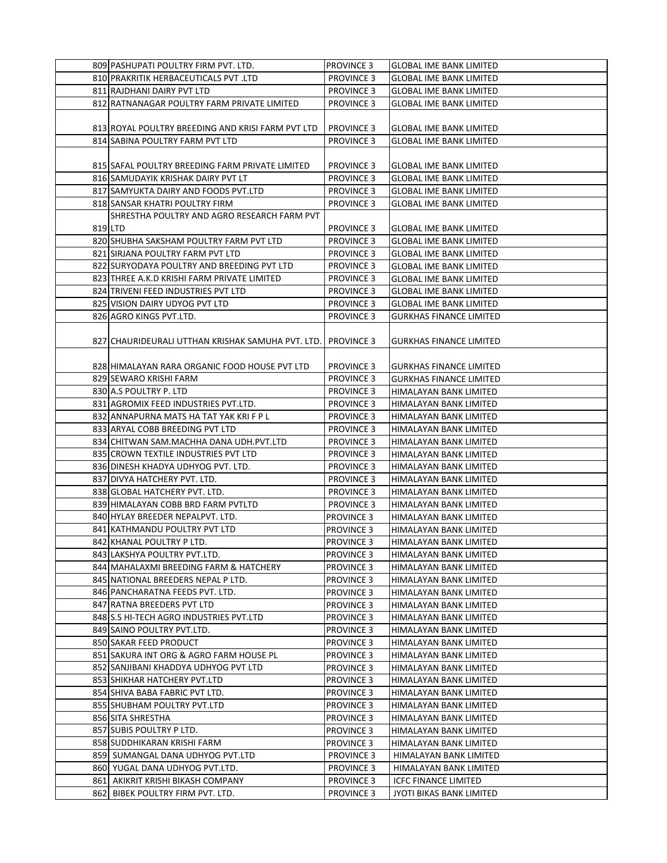| 809 PASHUPATI POULTRY FIRM PVT. LTD.                | <b>PROVINCE 3</b> | <b>GLOBAL IME BANK LIMITED</b> |
|-----------------------------------------------------|-------------------|--------------------------------|
| 810 PRAKRITIK HERBACEUTICALS PVT .LTD               | <b>PROVINCE 3</b> | GLOBAL IME BANK LIMITED        |
| 811 RAJDHANI DAIRY PVT LTD                          | <b>PROVINCE 3</b> | <b>GLOBAL IME BANK LIMITED</b> |
| 812 RATNANAGAR POULTRY FARM PRIVATE LIMITED         | <b>PROVINCE 3</b> | <b>GLOBAL IME BANK LIMITED</b> |
|                                                     |                   |                                |
| 813 ROYAL POULTRY BREEDING AND KRISI FARM PVT LTD   | <b>PROVINCE 3</b> | <b>GLOBAL IME BANK LIMITED</b> |
| 814 SABINA POULTRY FARM PVT LTD                     | <b>PROVINCE 3</b> | <b>GLOBAL IME BANK LIMITED</b> |
|                                                     |                   |                                |
| 815 SAFAL POULTRY BREEDING FARM PRIVATE LIMITED     | <b>PROVINCE 3</b> | <b>GLOBAL IME BANK LIMITED</b> |
| 816 SAMUDAYIK KRISHAK DAIRY PVT LT                  | <b>PROVINCE 3</b> | <b>GLOBAL IME BANK LIMITED</b> |
| 817 SAMYUKTA DAIRY AND FOODS PVT.LTD                | <b>PROVINCE 3</b> | <b>GLOBAL IME BANK LIMITED</b> |
| 818 SANSAR KHATRI POULTRY FIRM                      | <b>PROVINCE 3</b> | <b>GLOBAL IME BANK LIMITED</b> |
| SHRESTHA POULTRY AND AGRO RESEARCH FARM PVT         |                   |                                |
| 819 LTD                                             | <b>PROVINCE 3</b> | GLOBAL IME BANK LIMITED        |
| 820 SHUBHA SAKSHAM POULTRY FARM PVT LTD             | <b>PROVINCE 3</b> | <b>GLOBAL IME BANK LIMITED</b> |
| 821 SIRJANA POULTRY FARM PVT LTD                    | <b>PROVINCE 3</b> | <b>GLOBAL IME BANK LIMITED</b> |
| 822 SURYODAYA POULTRY AND BREEDING PVT LTD          | <b>PROVINCE 3</b> | <b>GLOBAL IME BANK LIMITED</b> |
| 823 THREE A.K.D KRISHI FARM PRIVATE LIMITED         | <b>PROVINCE 3</b> | <b>GLOBAL IME BANK LIMITED</b> |
| 824 TRIVENI FEED INDUSTRIES PVT LTD                 | PROVINCE 3        | <b>GLOBAL IME BANK LIMITED</b> |
| 825 VISION DAIRY UDYOG PVT LTD                      | <b>PROVINCE 3</b> | <b>GLOBAL IME BANK LIMITED</b> |
| 826 AGRO KINGS PVT.LTD.                             | <b>PROVINCE 3</b> | <b>GURKHAS FINANCE LIMITED</b> |
|                                                     |                   |                                |
| 827   CHAURIDEURALI UTTHAN KRISHAK SAMUHA PVT. LTD. | <b>PROVINCE 3</b> | GURKHAS FINANCE LIMITED        |
|                                                     |                   |                                |
| 828 HIMALAYAN RARA ORGANIC FOOD HOUSE PVT LTD       | <b>PROVINCE 3</b> | <b>GURKHAS FINANCE LIMITED</b> |
| 829 SEWARO KRISHI FARM                              | <b>PROVINCE 3</b> | <b>GURKHAS FINANCE LIMITED</b> |
| 830 A.S POULTRY P. LTD                              | <b>PROVINCE 3</b> | HIMALAYAN BANK LIMITED         |
| 831 AGROMIX FEED INDUSTRIES PVT.LTD.                | <b>PROVINCE 3</b> | HIMALAYAN BANK LIMITED         |
| 832 ANNAPURNA MATS HA TAT YAK KRI F P L             | <b>PROVINCE 3</b> | HIMALAYAN BANK LIMITED         |
| 833 ARYAL COBB BREEDING PVT LTD                     | <b>PROVINCE 3</b> | HIMALAYAN BANK LIMITED         |
| 834 CHITWAN SAM.MACHHA DANA UDH.PVT.LTD             | <b>PROVINCE 3</b> | HIMALAYAN BANK LIMITED         |
| 835 CROWN TEXTILE INDUSTRIES PVT LTD                | <b>PROVINCE 3</b> | HIMALAYAN BANK LIMITED         |
| 836 DINESH KHADYA UDHYOG PVT. LTD.                  | <b>PROVINCE 3</b> | HIMALAYAN BANK LIMITED         |
| 837 DIVYA HATCHERY PVT. LTD.                        | <b>PROVINCE 3</b> | HIMALAYAN BANK LIMITED         |
| 838 GLOBAL HATCHERY PVT. LTD.                       | <b>PROVINCE 3</b> | HIMALAYAN BANK LIMITED         |
| 839 HIMALAYAN COBB BRD FARM PVTLTD                  | <b>PROVINCE 3</b> | HIMALAYAN BANK LIMITED         |
| 840 HYLAY BREEDER NEPALPVT. LTD.                    | PROVINCE 3        | HIMALAYAN BANK LIMITED         |
| 841 KATHMANDU POULTRY PVT LTD                       | PROVINCE 3        | HIMALAYAN BANK LIMITED         |
| 842 KHANAL POULTRY P LTD.                           | <b>PROVINCE 3</b> | HIMALAYAN BANK LIMITED         |
| 843 LAKSHYA POULTRY PVT.LTD.                        | <b>PROVINCE 3</b> | HIMALAYAN BANK LIMITED         |
| 844 MAHALAXMI BREEDING FARM & HATCHERY              | PROVINCE 3        | HIMALAYAN BANK LIMITED         |
| 845 NATIONAL BREEDERS NEPAL PLTD.                   | PROVINCE 3        | HIMALAYAN BANK LIMITED         |
| 846 PANCHARATNA FEEDS PVT. LTD.                     | <b>PROVINCE 3</b> | HIMALAYAN BANK LIMITED         |
| 847 RATNA BREEDERS PVT LTD                          | <b>PROVINCE 3</b> | HIMALAYAN BANK LIMITED         |
| 848 S.S HI-TECH AGRO INDUSTRIES PVT.LTD             | <b>PROVINCE 3</b> | HIMALAYAN BANK LIMITED         |
| 849 SAINO POULTRY PVT.LTD.                          | <b>PROVINCE 3</b> | HIMALAYAN BANK LIMITED         |
| 850 SAKAR FEED PRODUCT                              | PROVINCE 3        | HIMALAYAN BANK LIMITED         |
| 851 SAKURA INT ORG & AGRO FARM HOUSE PL             | <b>PROVINCE 3</b> | HIMALAYAN BANK LIMITED         |
| 852 SANJIBANI KHADDYA UDHYOG PVT LTD                | PROVINCE 3        | HIMALAYAN BANK LIMITED         |
| 853 SHIKHAR HATCHERY PVT.LTD                        | PROVINCE 3        | HIMALAYAN BANK LIMITED         |
| 854 SHIVA BABA FABRIC PVT LTD.                      | PROVINCE 3        | HIMALAYAN BANK LIMITED         |
| 855 SHUBHAM POULTRY PVT.LTD                         | <b>PROVINCE 3</b> | HIMALAYAN BANK LIMITED         |
| 856 SITA SHRESTHA                                   | PROVINCE 3        | HIMALAYAN BANK LIMITED         |
| 857 SUBIS POULTRY P LTD.                            | PROVINCE 3        | HIMALAYAN BANK LIMITED         |
| 858 SUDDHIKARAN KRISHI FARM                         | PROVINCE 3        | HIMALAYAN BANK LIMITED         |
| 859 SUMANGAL DANA UDHYOG PVT.LTD                    | <b>PROVINCE 3</b> | HIMALAYAN BANK LIMITED         |
| 860 YUGAL DANA UDHYOG PVT.LTD.                      | <b>PROVINCE 3</b> | HIMALAYAN BANK LIMITED         |
| 861 AKIKRIT KRISHI BIKASH COMPANY                   | <b>PROVINCE 3</b> | <b>ICFC FINANCE LIMITED</b>    |
| 862 BIBEK POULTRY FIRM PVT. LTD.                    | <b>PROVINCE 3</b> | JYOTI BIKAS BANK LIMITED       |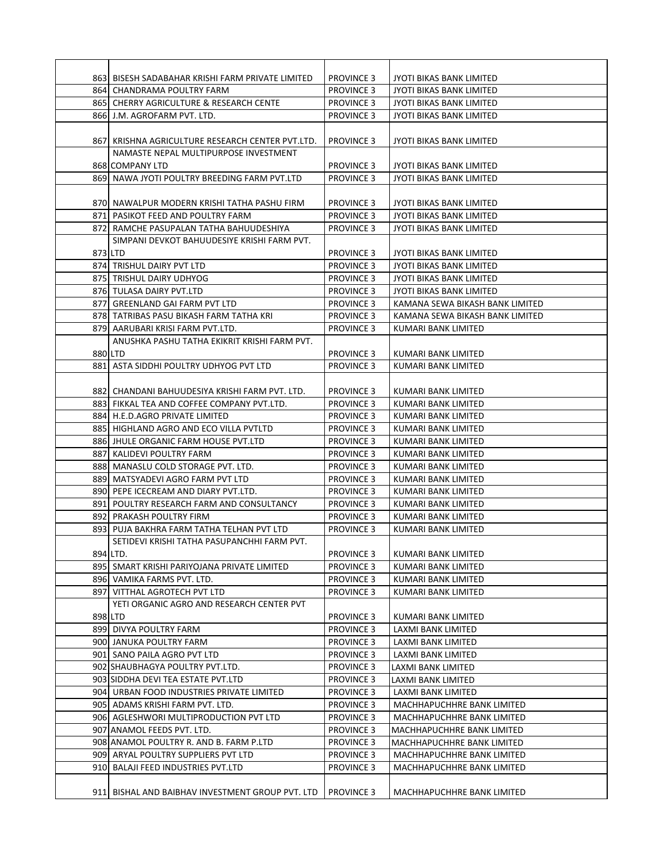|         | 865 CHERRY AGRICULTURE & RESEARCH CENTE                                 | <b>PROVINCE 3</b>                      | JYOTI BIKAS BANK LIMITED                   |
|---------|-------------------------------------------------------------------------|----------------------------------------|--------------------------------------------|
|         | 866 J.M. AGROFARM PVT. LTD.                                             | <b>PROVINCE 3</b>                      | <b>JYOTI BIKAS BANK LIMITED</b>            |
|         |                                                                         |                                        |                                            |
|         | 867  KRISHNA AGRICULTURE RESEARCH CENTER PVT.LTD.                       | <b>PROVINCE 3</b>                      | JYOTI BIKAS BANK LIMITED                   |
|         | NAMASTE NEPAL MULTIPURPOSE INVESTMENT                                   |                                        |                                            |
|         | 868 COMPANY LTD                                                         | <b>PROVINCE 3</b>                      | JYOTI BIKAS BANK LIMITED                   |
|         | 869 NAWA JYOTI POULTRY BREEDING FARM PVT.LTD                            | <b>PROVINCE 3</b>                      | JYOTI BIKAS BANK LIMITED                   |
|         |                                                                         |                                        |                                            |
|         | 870  NAWALPUR MODERN KRISHI TATHA PASHU FIRM                            | <b>PROVINCE 3</b>                      | JYOTI BIKAS BANK LIMITED                   |
|         | 871 PASIKOT FEED AND POULTRY FARM                                       | <b>PROVINCE 3</b>                      | JYOTI BIKAS BANK LIMITED                   |
|         | 872 RAMCHE PASUPALAN TATHA BAHUUDESHIYA                                 | <b>PROVINCE 3</b>                      | JYOTI BIKAS BANK LIMITED                   |
| 873 LTD | SIMPANI DEVKOT BAHUUDESIYE KRISHI FARM PVT.                             | <b>PROVINCE 3</b>                      | JYOTI BIKAS BANK LIMITED                   |
|         | 874 TRISHUL DAIRY PVT LTD                                               | <b>PROVINCE 3</b>                      | JYOTI BIKAS BANK LIMITED                   |
|         | 875 TRISHUL DAIRY UDHYOG                                                | <b>PROVINCE 3</b>                      | JYOTI BIKAS BANK LIMITED                   |
|         | 876 TULASA DAIRY PVT.LTD                                                | <b>PROVINCE 3</b>                      | JYOTI BIKAS BANK LIMITED                   |
|         | 877 GREENLAND GAI FARM PVT LTD                                          | <b>PROVINCE 3</b>                      | KAMANA SEWA BIKASH BANK LIMITED            |
|         | 878 TATRIBAS PASU BIKASH FARM TATHA KRI                                 | <b>PROVINCE 3</b>                      | KAMANA SEWA BIKASH BANK LIMITED            |
|         | 879 AARUBARI KRISI FARM PVT.LTD.                                        | <b>PROVINCE 3</b>                      | KUMARI BANK LIMITED                        |
|         | ANUSHKA PASHU TATHA EKIKRIT KRISHI FARM PVT.                            |                                        |                                            |
|         | 880 LTD                                                                 | <b>PROVINCE 3</b>                      | KUMARI BANK LIMITED                        |
|         | 881 ASTA SIDDHI POULTRY UDHYOG PVT LTD                                  | <b>PROVINCE 3</b>                      | KUMARI BANK LIMITED                        |
|         |                                                                         |                                        |                                            |
|         | 882 CHANDANI BAHUUDESIYA KRISHI FARM PVT. LTD.                          | <b>PROVINCE 3</b>                      | KUMARI BANK LIMITED                        |
|         | 883 FIKKAL TEA AND COFFEE COMPANY PVT.LTD.                              | <b>PROVINCE 3</b>                      | KUMARI BANK LIMITED                        |
|         | 884 H.E.D.AGRO PRIVATE LIMITED                                          | <b>PROVINCE 3</b>                      | KUMARI BANK LIMITED                        |
|         | 885 HIGHLAND AGRO AND ECO VILLA PVTLTD                                  | <b>PROVINCE 3</b>                      | KUMARI BANK LIMITED                        |
|         | 886 JHULE ORGANIC FARM HOUSE PVT.LTD                                    | <b>PROVINCE 3</b>                      | KUMARI BANK LIMITED                        |
|         | 887 KALIDEVI POULTRY FARM                                               | <b>PROVINCE 3</b>                      | KUMARI BANK LIMITED                        |
|         | 888  MANASLU COLD STORAGE PVT. LTD.<br>889 MATSYADEVI AGRO FARM PVT LTD | <b>PROVINCE 3</b><br><b>PROVINCE 3</b> | KUMARI BANK LIMITED<br>KUMARI BANK LIMITED |
|         | 890 PEPE ICECREAM AND DIARY PVT.LTD.                                    | <b>PROVINCE 3</b>                      | KUMARI BANK LIMITED                        |
|         | 891 POULTRY RESEARCH FARM AND CONSULTANCY                               | <b>PROVINCE 3</b>                      | KUMARI BANK LIMITED                        |
|         | 892 PRAKASH POULTRY FIRM                                                | <b>PROVINCE 3</b>                      | KUMARI BANK LIMITED                        |
|         | 893 PUJA BAKHRA FARM TATHA TELHAN PVT LTD                               | <b>PROVINCE 3</b>                      | KUMARI BANK LIMITED                        |
|         | SETIDEVI KRISHI TATHA PASUPANCHHI FARM PVT.                             |                                        |                                            |
|         | 894 LTD.                                                                | <b>PROVINCE 3</b>                      | KUMARI BANK LIMITED                        |
|         | 895  SMART KRISHI PARIYOJANA PRIVATE LIMITED                            | <b>PROVINCE 3</b>                      | KUMARI BANK LIMITED                        |
|         | 896 VAMIKA FARMS PVT. LTD.                                              | <b>PROVINCE 3</b>                      | KUMARI BANK LIMITED                        |
|         | 897 VITTHAL AGROTECH PVT LTD                                            | <b>PROVINCE 3</b>                      | KUMARI BANK LIMITED                        |
|         | YETI ORGANIC AGRO AND RESEARCH CENTER PVT                               |                                        |                                            |
|         | 898 LTD                                                                 | <b>PROVINCE 3</b>                      | KUMARI BANK LIMITED                        |
|         | 899 DIVYA POULTRY FARM                                                  | <b>PROVINCE 3</b>                      | LAXMI BANK LIMITED                         |
|         | 900 JANUKA POULTRY FARM                                                 | <b>PROVINCE 3</b>                      | LAXMI BANK LIMITED                         |
|         | 901 SANO PAILA AGRO PVT LTD<br>902 SHAUBHAGYA POULTRY PVT.LTD.          | <b>PROVINCE 3</b>                      | LAXMI BANK LIMITED                         |
|         | 903 SIDDHA DEVI TEA ESTATE PVT.LTD                                      | <b>PROVINCE 3</b><br><b>PROVINCE 3</b> | LAXMI BANK LIMITED<br>LAXMI BANK LIMITED   |
|         | 904 URBAN FOOD INDUSTRIES PRIVATE LIMITED                               | <b>PROVINCE 3</b>                      | LAXMI BANK LIMITED                         |
|         | 905 ADAMS KRISHI FARM PVT. LTD.                                         | <b>PROVINCE 3</b>                      | MACHHAPUCHHRE BANK LIMITED                 |
|         | 906 AGLESHWORI MULTIPRODUCTION PVT LTD                                  | <b>PROVINCE 3</b>                      | MACHHAPUCHHRE BANK LIMITED                 |
|         | 907 ANAMOL FEEDS PVT. LTD.                                              | <b>PROVINCE 3</b>                      | MACHHAPUCHHRE BANK LIMITED                 |
|         | 908 ANAMOL POULTRY R. AND B. FARM P.LTD                                 | <b>PROVINCE 3</b>                      | MACHHAPUCHHRE BANK LIMITED                 |
|         | 909 ARYAL POULTRY SUPPLIERS PVT LTD                                     | <b>PROVINCE 3</b>                      | MACHHAPUCHHRE BANK LIMITED                 |
|         | 910  BALAJI FEED INDUSTRIES PVT.LTD                                     | <b>PROVINCE 3</b>                      | MACHHAPUCHHRE BANK LIMITED                 |
|         |                                                                         |                                        |                                            |
|         | 911 BISHAL AND BAIBHAV INVESTMENT GROUP PVT. LTD                        | <b>PROVINCE 3</b>                      | MACHHAPUCHHRE BANK LIMITED                 |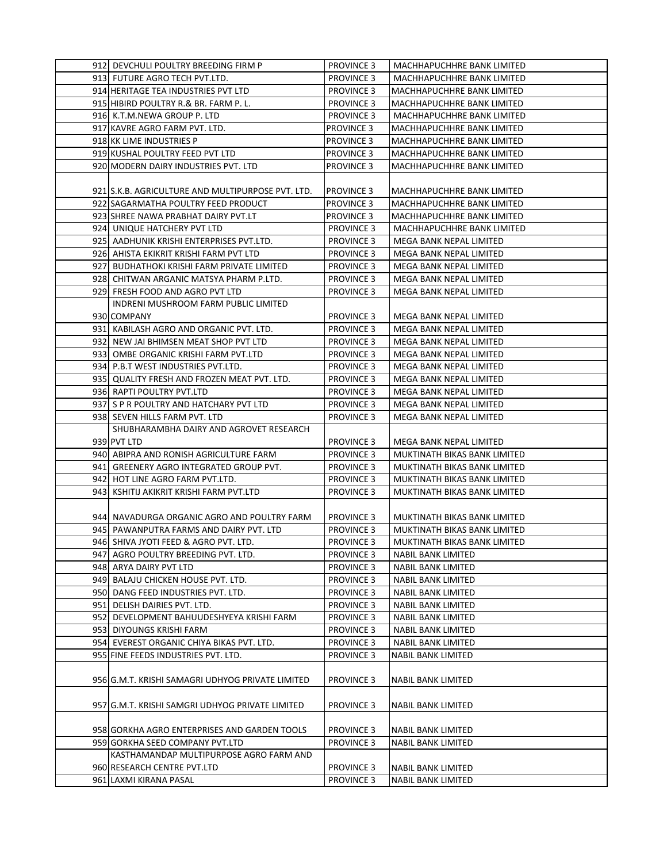| 912 DEVCHULI POULTRY BREEDING FIRM P                                              | <b>PROVINCE 3</b> | MACHHAPUCHHRE BANK LIMITED   |
|-----------------------------------------------------------------------------------|-------------------|------------------------------|
| 913  FUTURE AGRO TECH PVT.LTD.                                                    | <b>PROVINCE 3</b> | MACHHAPUCHHRE BANK LIMITED   |
| 914 HERITAGE TEA INDUSTRIES PVT LTD                                               | <b>PROVINCE 3</b> | MACHHAPUCHHRE BANK LIMITED   |
| 915 HIBIRD POULTRY R.& BR. FARM P. L.                                             | <b>PROVINCE 3</b> | MACHHAPUCHHRE BANK LIMITED   |
| 916 K.T.M.NEWA GROUP P. LTD                                                       | <b>PROVINCE 3</b> | MACHHAPUCHHRE BANK LIMITED   |
| 917 KAVRE AGRO FARM PVT. LTD.                                                     | <b>PROVINCE 3</b> | MACHHAPUCHHRE BANK LIMITED   |
| 918 KK LIME INDUSTRIES P                                                          | <b>PROVINCE 3</b> | MACHHAPUCHHRE BANK LIMITED   |
| 919 KUSHAL POULTRY FEED PVT LTD                                                   | <b>PROVINCE 3</b> | MACHHAPUCHHRE BANK LIMITED   |
| 920 MODERN DAIRY INDUSTRIES PVT. LTD                                              | <b>PROVINCE 3</b> | MACHHAPUCHHRE BANK LIMITED   |
|                                                                                   |                   |                              |
| 921 S.K.B. AGRICULTURE AND MULTIPURPOSE PVT. LTD.                                 | <b>PROVINCE 3</b> | MACHHAPUCHHRE BANK LIMITED   |
| 922 SAGARMATHA POULTRY FEED PRODUCT                                               | <b>PROVINCE 3</b> | MACHHAPUCHHRE BANK LIMITED   |
| 923 SHREE NAWA PRABHAT DAIRY PVT.LT                                               | <b>PROVINCE 3</b> | MACHHAPUCHHRE BANK LIMITED   |
| 924 UNIQUE HATCHERY PVT LTD                                                       | <b>PROVINCE 3</b> | MACHHAPUCHHRE BANK LIMITED   |
| 925  AADHUNIK KRISHI ENTERPRISES PVT.LTD.                                         | <b>PROVINCE 3</b> | MEGA BANK NEPAL LIMITED      |
| 926 AHISTA EKIKRIT KRISHI FARM PVT LTD                                            | <b>PROVINCE 3</b> | MEGA BANK NEPAL LIMITED      |
| 927 BUDHATHOKI KRISHI FARM PRIVATE LIMITED                                        | <b>PROVINCE 3</b> | MEGA BANK NEPAL LIMITED      |
| 928 CHITWAN ARGANIC MATSYA PHARM P.LTD.                                           | <b>PROVINCE 3</b> | MEGA BANK NEPAL LIMITED      |
| 929 FRESH FOOD AND AGRO PVT LTD                                                   | <b>PROVINCE 3</b> | MEGA BANK NEPAL LIMITED      |
| <b>INDRENI MUSHROOM FARM PUBLIC LIMITED</b>                                       |                   |                              |
| 930 COMPANY                                                                       | <b>PROVINCE 3</b> | MEGA BANK NEPAL LIMITED      |
| 931  KABILASH AGRO AND ORGANIC PVT. LTD.                                          | <b>PROVINCE 3</b> | MEGA BANK NEPAL LIMITED      |
| 932 NEW JAI BHIMSEN MEAT SHOP PVT LTD                                             | <b>PROVINCE 3</b> | MEGA BANK NEPAL LIMITED      |
| 933 OMBE ORGANIC KRISHI FARM PVT.LTD                                              | <b>PROVINCE 3</b> | MEGA BANK NEPAL LIMITED      |
| 934  P.B.T WEST INDUSTRIES PVT.LTD.                                               | <b>PROVINCE 3</b> | MEGA BANK NEPAL LIMITED      |
| 935 QUALITY FRESH AND FROZEN MEAT PVT. LTD.                                       | <b>PROVINCE 3</b> | MEGA BANK NEPAL LIMITED      |
|                                                                                   |                   |                              |
| 936 RAPTI POULTRY PVT.LTD                                                         | <b>PROVINCE 3</b> | MEGA BANK NEPAL LIMITED      |
| 937  S P R POULTRY AND HATCHARY PVT LTD                                           | <b>PROVINCE 3</b> | MEGA BANK NEPAL LIMITED      |
| 938 SEVEN HILLS FARM PVT. LTD                                                     | <b>PROVINCE 3</b> | MEGA BANK NEPAL LIMITED      |
| SHUBHARAMBHA DAIRY AND AGROVET RESEARCH                                           |                   |                              |
| 939 PVT LTD                                                                       | <b>PROVINCE 3</b> | MEGA BANK NEPAL LIMITED      |
| 940 ABIPRA AND RONISH AGRICULTURE FARM                                            | <b>PROVINCE 3</b> | MUKTINATH BIKAS BANK LIMITED |
| 941 GREENERY AGRO INTEGRATED GROUP PVT.                                           | <b>PROVINCE 3</b> | MUKTINATH BIKAS BANK LIMITED |
| 942 HOT LINE AGRO FARM PVT.LTD.                                                   | <b>PROVINCE 3</b> | MUKTINATH BIKAS BANK LIMITED |
| 943  KSHITIJ AKIKRIT KRISHI FARM PVT.LTD                                          | <b>PROVINCE 3</b> | MUKTINATH BIKAS BANK LIMITED |
| 944L NAVADURGA ORGANIC AGRO AND POULTRY FARM                                      |                   |                              |
|                                                                                   | <b>PROVINCE 3</b> | MUKTINATH BIKAS BANK LIMITED |
| 945  PAWANPUTRA FARMS AND DAIRY PVT. LTD<br>946 SHIVA JYOTI FEED & AGRO PVT. LTD. | <b>PROVINCE 3</b> | MUKTINATH BIKAS BANK LIMITED |
|                                                                                   | <b>PROVINCE 3</b> | MUKTINATH BIKAS BANK LIMITED |
| 947 AGRO POULTRY BREEDING PVT. LTD.                                               | <b>PROVINCE 3</b> | <b>NABIL BANK LIMITED</b>    |
| 948 ARYA DAIRY PVT LTD                                                            | <b>PROVINCE 3</b> | NABIL BANK LIMITED           |
| 949 BALAJU CHICKEN HOUSE PVT. LTD.                                                | <b>PROVINCE 3</b> | NABIL BANK LIMITED           |
| 950 DANG FEED INDUSTRIES PVT. LTD.                                                | <b>PROVINCE 3</b> | NABIL BANK LIMITED           |
| 951 DELISH DAIRIES PVT. LTD.                                                      | PROVINCE 3        | <b>NABIL BANK LIMITED</b>    |
| 952 DEVELOPMENT BAHUUDESHYEYA KRISHI FARM                                         | PROVINCE 3        | <b>NABIL BANK LIMITED</b>    |
| 953 DIYOUNGS KRISHI FARM                                                          | <b>PROVINCE 3</b> | <b>NABIL BANK LIMITED</b>    |
| 954 EVEREST ORGANIC CHIYA BIKAS PVT. LTD.                                         | PROVINCE 3        | NABIL BANK LIMITED           |
| 955 FINE FEEDS INDUSTRIES PVT. LTD.                                               | <b>PROVINCE 3</b> | NABIL BANK LIMITED           |
| 956 G.M.T. KRISHI SAMAGRI UDHYOG PRIVATE LIMITED                                  | <b>PROVINCE 3</b> | <b>NABIL BANK LIMITED</b>    |
| 957 G.M.T. KRISHI SAMGRI UDHYOG PRIVATE LIMITED                                   | <b>PROVINCE 3</b> | NABIL BANK LIMITED           |
| 958 GORKHA AGRO ENTERPRISES AND GARDEN TOOLS                                      | <b>PROVINCE 3</b> | NABIL BANK LIMITED           |
| 959 GORKHA SEED COMPANY PVT.LTD                                                   | <b>PROVINCE 3</b> | NABIL BANK LIMITED           |
| KASTHAMANDAP MULTIPURPOSE AGRO FARM AND                                           |                   |                              |
| 960 RESEARCH CENTRE PVT.LTD                                                       | <b>PROVINCE 3</b> | <b>NABIL BANK LIMITED</b>    |
| 961 LAXMI KIRANA PASAL                                                            | <b>PROVINCE 3</b> | NABIL BANK LIMITED           |
|                                                                                   |                   |                              |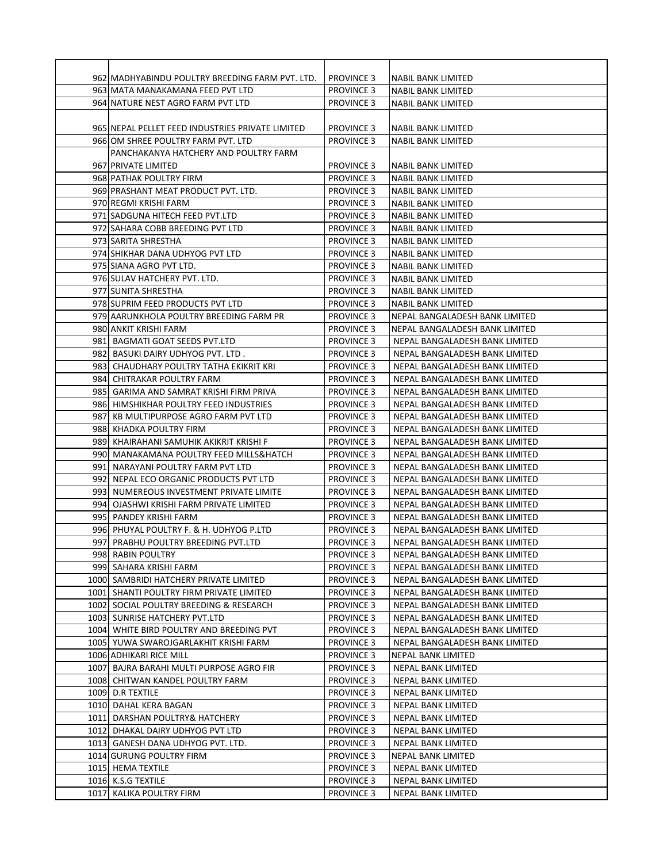| 962 MADHYABINDU POULTRY BREEDING FARM PVT. LTD.                    | <b>PROVINCE 3</b>                      | <b>NABIL BANK LIMITED</b>                                        |
|--------------------------------------------------------------------|----------------------------------------|------------------------------------------------------------------|
| 963 MATA MANAKAMANA FEED PVT LTD                                   | <b>PROVINCE 3</b>                      | NABIL BANK LIMITED                                               |
| 964 NATURE NEST AGRO FARM PVT LTD                                  | <b>PROVINCE 3</b>                      | NABIL BANK LIMITED                                               |
|                                                                    |                                        |                                                                  |
| 965 NEPAL PELLET FEED INDUSTRIES PRIVATE LIMITED                   | <b>PROVINCE 3</b>                      | NABIL BANK LIMITED                                               |
| 966 OM SHREE POULTRY FARM PVT. LTD                                 | <b>PROVINCE 3</b>                      | <b>NABIL BANK LIMITED</b>                                        |
| PANCHAKANYA HATCHERY AND POULTRY FARM                              |                                        |                                                                  |
| 967 PRIVATE LIMITED                                                | <b>PROVINCE 3</b>                      | <b>NABIL BANK LIMITED</b>                                        |
| 968 PATHAK POULTRY FIRM                                            | <b>PROVINCE 3</b>                      | <b>NABIL BANK LIMITED</b>                                        |
| 969 PRASHANT MEAT PRODUCT PVT. LTD.                                | <b>PROVINCE 3</b>                      | NABIL BANK LIMITED                                               |
| 970 REGMI KRISHI FARM                                              | <b>PROVINCE 3</b>                      | NABIL BANK LIMITED                                               |
| 971 SADGUNA HITECH FEED PVT.LTD                                    | <b>PROVINCE 3</b>                      | NABIL BANK LIMITED                                               |
| 972 SAHARA COBB BREEDING PVT LTD                                   | <b>PROVINCE 3</b>                      | NABIL BANK LIMITED                                               |
| 973 SARITA SHRESTHA                                                | <b>PROVINCE 3</b>                      | NABIL BANK LIMITED                                               |
| 974 SHIKHAR DANA UDHYOG PVT LTD                                    | <b>PROVINCE 3</b>                      | <b>NABIL BANK LIMITED</b>                                        |
| 975 SIANA AGRO PVT LTD.                                            | <b>PROVINCE 3</b>                      | NABIL BANK LIMITED                                               |
| 976 SULAV HATCHERY PVT. LTD.                                       | <b>PROVINCE 3</b>                      | <b>NABIL BANK LIMITED</b>                                        |
| 977 SUNITA SHRESTHA                                                | <b>PROVINCE 3</b>                      | NABIL BANK LIMITED                                               |
| 978 SUPRIM FEED PRODUCTS PVT LTD                                   | <b>PROVINCE 3</b>                      | NABIL BANK LIMITED                                               |
| 979 AARUNKHOLA POULTRY BREEDING FARM PR                            | <b>PROVINCE 3</b>                      | NEPAL BANGALADESH BANK LIMITED                                   |
| 980 ANKIT KRISHI FARM                                              | <b>PROVINCE 3</b>                      | NEPAL BANGALADESH BANK LIMITED                                   |
| 981 BAGMATI GOAT SEEDS PVT.LTD                                     | <b>PROVINCE 3</b>                      | NEPAL BANGALADESH BANK LIMITED                                   |
| 982 BASUKI DAIRY UDHYOG PVT. LTD.                                  | <b>PROVINCE 3</b>                      | NEPAL BANGALADESH BANK LIMITED                                   |
| 983 CHAUDHARY POULTRY TATHA EKIKRIT KRI                            | <b>PROVINCE 3</b>                      | NEPAL BANGALADESH BANK LIMITED                                   |
| 984 CHITRAKAR POULTRY FARM                                         | <b>PROVINCE 3</b>                      | NEPAL BANGALADESH BANK LIMITED                                   |
| 985   GARIMA AND SAMRAT KRISHI FIRM PRIVA                          | <b>PROVINCE 3</b>                      | NEPAL BANGALADESH BANK LIMITED                                   |
| 986 HIMSHIKHAR POULTRY FEED INDUSTRIES                             | <b>PROVINCE 3</b>                      | NEPAL BANGALADESH BANK LIMITED                                   |
| 987 KB MULTIPURPOSE AGRO FARM PVT LTD                              | <b>PROVINCE 3</b>                      | NEPAL BANGALADESH BANK LIMITED                                   |
| 988 KHADKA POULTRY FIRM<br>989 KHAIRAHANI SAMUHIK AKIKRIT KRISHI F | <b>PROVINCE 3</b><br><b>PROVINCE 3</b> | NEPAL BANGALADESH BANK LIMITED<br>NEPAL BANGALADESH BANK LIMITED |
| 990  MANAKAMANA POULTRY FEED MILLS&HATCH                           | <b>PROVINCE 3</b>                      | NEPAL BANGALADESH BANK LIMITED                                   |
| 991 NARAYANI POULTRY FARM PVT LTD                                  | <b>PROVINCE 3</b>                      | NEPAL BANGALADESH BANK LIMITED                                   |
| 992 NEPAL ECO ORGANIC PRODUCTS PVT LTD                             | <b>PROVINCE 3</b>                      | NEPAL BANGALADESH BANK LIMITED                                   |
| 993 NUMEREOUS INVESTMENT PRIVATE LIMITE                            | <b>PROVINCE 3</b>                      | NEPAL BANGALADESH BANK LIMITED                                   |
| 994 OJASHWI KRISHI FARM PRIVATE LIMITED                            | <b>PROVINCE 3</b>                      | NEPAL BANGALADESH BANK LIMITED                                   |
| 995 PANDEY KRISHI FARM                                             | <b>PROVINCE 3</b>                      | NEPAL BANGALADESH BANK LIMITED                                   |
| 996 PHUYAL POULTRY F. & H. UDHYOG P.LTD                            | <b>PROVINCE 3</b>                      | NEPAL BANGALADESH BANK LIMITED                                   |
| 997 PRABHU POULTRY BREEDING PVT.LTD                                | <b>PROVINCE 3</b>                      | NEPAL BANGALADESH BANK LIMITED                                   |
| 998 RABIN POULTRY                                                  | <b>PROVINCE 3</b>                      | NEPAL BANGALADESH BANK LIMITED                                   |
| 999 SAHARA KRISHI FARM                                             | <b>PROVINCE 3</b>                      | NEPAL BANGALADESH BANK LIMITED                                   |
| 1000 SAMBRIDI HATCHERY PRIVATE LIMITED                             | <b>PROVINCE 3</b>                      | NEPAL BANGALADESH BANK LIMITED                                   |
| 1001 SHANTI POULTRY FIRM PRIVATE LIMITED                           | <b>PROVINCE 3</b>                      | NEPAL BANGALADESH BANK LIMITED                                   |
| 1002 SOCIAL POULTRY BREEDING & RESEARCH                            | <b>PROVINCE 3</b>                      | NEPAL BANGALADESH BANK LIMITED                                   |
| 1003 SUNRISE HATCHERY PVT.LTD                                      | <b>PROVINCE 3</b>                      | NEPAL BANGALADESH BANK LIMITED                                   |
| 1004 WHITE BIRD POULTRY AND BREEDING PVT                           | <b>PROVINCE 3</b>                      | NEPAL BANGALADESH BANK LIMITED                                   |
| 1005 YUWA SWAROJGARLAKHIT KRISHI FARM                              | <b>PROVINCE 3</b>                      | NEPAL BANGALADESH BANK LIMITED                                   |
| 1006 ADHIKARI RICE MILL                                            | <b>PROVINCE 3</b>                      | NEPAL BANK LIMITED                                               |
| 1007 BAJRA BARAHI MULTI PURPOSE AGRO FIR                           | <b>PROVINCE 3</b>                      | NEPAL BANK LIMITED                                               |
| 1008 CHITWAN KANDEL POULTRY FARM                                   | <b>PROVINCE 3</b>                      | NEPAL BANK LIMITED                                               |
| 1009 D.R TEXTILE                                                   | <b>PROVINCE 3</b>                      | NEPAL BANK LIMITED                                               |
| 1010  DAHAL KERA BAGAN                                             | <b>PROVINCE 3</b>                      | NEPAL BANK LIMITED                                               |
| 1011 DARSHAN POULTRY& HATCHERY                                     | <b>PROVINCE 3</b>                      | NEPAL BANK LIMITED                                               |
| 1012 DHAKAL DAIRY UDHYOG PVT LTD                                   | <b>PROVINCE 3</b>                      | NEPAL BANK LIMITED                                               |
| 1013   GANESH DANA UDHYOG PVT. LTD.                                | <b>PROVINCE 3</b>                      | NEPAL BANK LIMITED                                               |
| 1014 GURUNG POULTRY FIRM                                           | <b>PROVINCE 3</b>                      | NEPAL BANK LIMITED                                               |
| 1015 HEMA TEXTILE                                                  | <b>PROVINCE 3</b>                      | NEPAL BANK LIMITED                                               |
| 1016 K.S.G TEXTILE                                                 | <b>PROVINCE 3</b>                      | NEPAL BANK LIMITED                                               |
| 1017 KALIKA POULTRY FIRM                                           | <b>PROVINCE 3</b>                      | NEPAL BANK LIMITED                                               |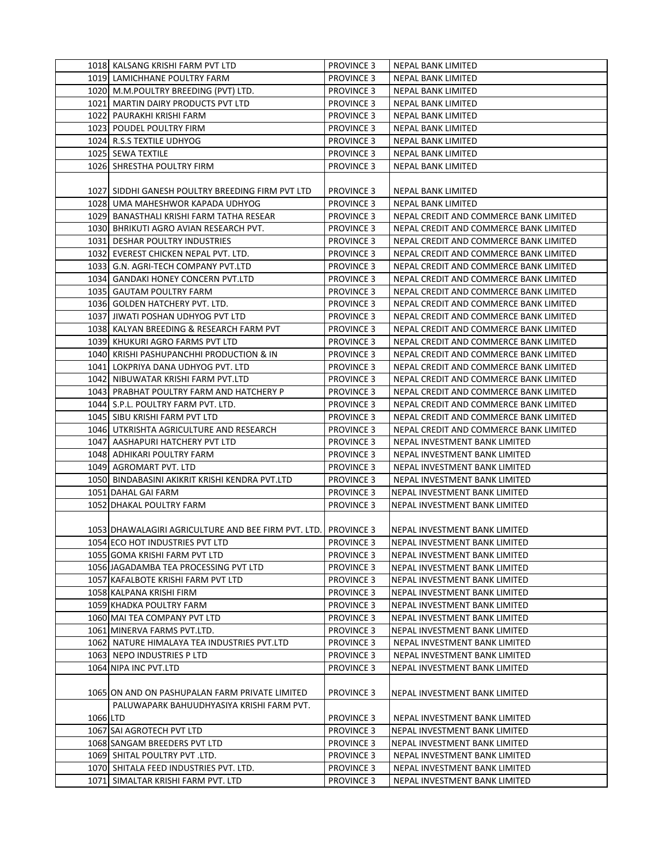|          | 1018 KALSANG KRISHI FARM PVT LTD                    | <b>PROVINCE 3</b> | NEPAL BANK LIMITED                     |
|----------|-----------------------------------------------------|-------------------|----------------------------------------|
|          | 1019 LAMICHHANE POULTRY FARM                        | <b>PROVINCE 3</b> | NEPAL BANK LIMITED                     |
|          | 1020 M.M.POULTRY BREEDING (PVT) LTD.                | <b>PROVINCE 3</b> | NEPAL BANK LIMITED                     |
|          | 1021 MARTIN DAIRY PRODUCTS PVT LTD                  | <b>PROVINCE 3</b> | NEPAL BANK LIMITED                     |
|          | 1022 PAURAKHI KRISHI FARM                           | <b>PROVINCE 3</b> | NEPAL BANK LIMITED                     |
|          | 1023 POUDEL POULTRY FIRM                            | <b>PROVINCE 3</b> | NEPAL BANK LIMITED                     |
|          | 1024 R.S.S TEXTILE UDHYOG                           | <b>PROVINCE 3</b> | NEPAL BANK LIMITED                     |
|          | 1025 SEWA TEXTILE                                   | <b>PROVINCE 3</b> | NEPAL BANK LIMITED                     |
|          | 1026 SHRESTHA POULTRY FIRM                          | <b>PROVINCE 3</b> | <b>NEPAL BANK LIMITED</b>              |
|          |                                                     |                   |                                        |
|          | 1027 SIDDHI GANESH POULTRY BREEDING FIRM PVT LTD    | <b>PROVINCE 3</b> | <b>NEPAL BANK LIMITED</b>              |
|          | 1028 UMA MAHESHWOR KAPADA UDHYOG                    | <b>PROVINCE 3</b> | NEPAL BANK LIMITED                     |
|          | 1029 BANASTHALI KRISHI FARM TATHA RESEAR            | <b>PROVINCE 3</b> | NEPAL CREDIT AND COMMERCE BANK LIMITED |
|          | 1030 BHRIKUTI AGRO AVIAN RESEARCH PVT.              | <b>PROVINCE 3</b> | NEPAL CREDIT AND COMMERCE BANK LIMITED |
|          | 1031 DESHAR POULTRY INDUSTRIES                      | <b>PROVINCE 3</b> | NEPAL CREDIT AND COMMERCE BANK LIMITED |
|          | 1032 EVEREST CHICKEN NEPAL PVT. LTD.                | <b>PROVINCE 3</b> | NEPAL CREDIT AND COMMERCE BANK LIMITED |
|          | 1033 G.N. AGRI-TECH COMPANY PVT.LTD                 | <b>PROVINCE 3</b> | NEPAL CREDIT AND COMMERCE BANK LIMITED |
|          | 1034 GANDAKI HONEY CONCERN PVT.LTD                  | <b>PROVINCE 3</b> | NEPAL CREDIT AND COMMERCE BANK LIMITED |
|          | 1035 GAUTAM POULTRY FARM                            | <b>PROVINCE 3</b> | NEPAL CREDIT AND COMMERCE BANK LIMITED |
|          | 1036 GOLDEN HATCHERY PVT. LTD.                      | <b>PROVINCE 3</b> | NEPAL CREDIT AND COMMERCE BANK LIMITED |
|          | 1037 JIWATI POSHAN UDHYOG PVT LTD                   | <b>PROVINCE 3</b> | NEPAL CREDIT AND COMMERCE BANK LIMITED |
|          | 1038 KALYAN BREEDING & RESEARCH FARM PVT            | <b>PROVINCE 3</b> | NEPAL CREDIT AND COMMERCE BANK LIMITED |
|          | 1039 KHUKURI AGRO FARMS PVT LTD                     | <b>PROVINCE 3</b> | NEPAL CREDIT AND COMMERCE BANK LIMITED |
|          | 1040 KRISHI PASHUPANCHHI PRODUCTION & IN            | <b>PROVINCE 3</b> | NEPAL CREDIT AND COMMERCE BANK LIMITED |
|          | 1041 LOKPRIYA DANA UDHYOG PVT. LTD                  | <b>PROVINCE 3</b> | NEPAL CREDIT AND COMMERCE BANK LIMITED |
|          | 1042 NIBUWATAR KRISHI FARM PVT.LTD                  | <b>PROVINCE 3</b> | NEPAL CREDIT AND COMMERCE BANK LIMITED |
|          | 1043 PRABHAT POULTRY FARM AND HATCHERY P            | <b>PROVINCE 3</b> | NEPAL CREDIT AND COMMERCE BANK LIMITED |
|          | 1044 S.P.L. POULTRY FARM PVT. LTD.                  | <b>PROVINCE 3</b> | NEPAL CREDIT AND COMMERCE BANK LIMITED |
|          | 1045 SIBU KRISHI FARM PVT LTD                       | <b>PROVINCE 3</b> | NEPAL CREDIT AND COMMERCE BANK LIMITED |
|          | 1046 UTKRISHTA AGRICULTURE AND RESEARCH             | <b>PROVINCE 3</b> | NEPAL CREDIT AND COMMERCE BANK LIMITED |
|          | 1047 AASHAPURI HATCHERY PVT LTD                     | <b>PROVINCE 3</b> | NEPAL INVESTMENT BANK LIMITED          |
|          | 1048 ADHIKARI POULTRY FARM                          | <b>PROVINCE 3</b> | NEPAL INVESTMENT BANK LIMITED          |
|          | 1049 AGROMART PVT. LTD                              | <b>PROVINCE 3</b> | NEPAL INVESTMENT BANK LIMITED          |
|          | 1050 BINDABASINI AKIKRIT KRISHI KENDRA PVT.LTD      | <b>PROVINCE 3</b> | NEPAL INVESTMENT BANK LIMITED          |
|          | 1051 DAHAL GAI FARM                                 | <b>PROVINCE 3</b> | NEPAL INVESTMENT BANK LIMITED          |
|          | 1052 DHAKAL POULTRY FARM                            | <b>PROVINCE 3</b> | NEPAL INVESTMENT BANK LIMITED          |
|          |                                                     |                   |                                        |
|          | 1053 DHAWALAGIRI AGRICULTURE AND BEE FIRM PVT. LTD. | <b>PROVINCE 3</b> | NEPAL INVESTMENT BANK LIMITED          |
|          | 1054 ECO HOT INDUSTRIES PVT LTD                     | <b>PROVINCE 3</b> | NEPAL INVESTMENT BANK LIMITED          |
|          | 1055 GOMA KRISHI FARM PVT LTD                       | <b>PROVINCE 3</b> | NEPAL INVESTMENT BANK LIMITED          |
|          | 1056 JAGADAMBA TEA PROCESSING PVT LTD               | <b>PROVINCE 3</b> | NEPAL INVESTMENT BANK LIMITED          |
|          | 1057 KAFALBOTE KRISHI FARM PVT LTD                  | <b>PROVINCE 3</b> | NEPAL INVESTMENT BANK LIMITED          |
|          | 1058 KALPANA KRISHI FIRM                            | <b>PROVINCE 3</b> | NEPAL INVESTMENT BANK LIMITED          |
|          | 1059 KHADKA POULTRY FARM                            | PROVINCE 3        | NEPAL INVESTMENT BANK LIMITED          |
|          | 1060 MAI TEA COMPANY PVT LTD                        | <b>PROVINCE 3</b> | NEPAL INVESTMENT BANK LIMITED          |
|          | 1061 MINERVA FARMS PVT.LTD.                         | <b>PROVINCE 3</b> | NEPAL INVESTMENT BANK LIMITED          |
|          | 1062 NATURE HIMALAYA TEA INDUSTRIES PVT.LTD         | <b>PROVINCE 3</b> | NEPAL INVESTMENT BANK LIMITED          |
|          | 1063 NEPO INDUSTRIES P LTD                          | <b>PROVINCE 3</b> | NEPAL INVESTMENT BANK LIMITED          |
|          | 1064 NIPA INC PVT.LTD                               | <b>PROVINCE 3</b> | NEPAL INVESTMENT BANK LIMITED          |
|          | 1065JON AND ON PASHUPALAN FARM PRIVATE LIMITED      | <b>PROVINCE 3</b> | NEPAL INVESTMENT BANK LIMITED          |
|          | PALUWAPARK BAHUUDHYASIYA KRISHI FARM PVT.           |                   |                                        |
| 1066 LTD |                                                     | <b>PROVINCE 3</b> | NEPAL INVESTMENT BANK LIMITED          |
|          | 1067 SAI AGROTECH PVT LTD                           | <b>PROVINCE 3</b> | NEPAL INVESTMENT BANK LIMITED          |
|          | 1068 SANGAM BREEDERS PVT LTD                        | <b>PROVINCE 3</b> | NEPAL INVESTMENT BANK LIMITED          |
|          | 1069 SHITAL POULTRY PVT .LTD.                       | <b>PROVINCE 3</b> | NEPAL INVESTMENT BANK LIMITED          |
|          | 1070 SHITALA FEED INDUSTRIES PVT. LTD.              | <b>PROVINCE 3</b> | NEPAL INVESTMENT BANK LIMITED          |
|          | 1071 SIMALTAR KRISHI FARM PVT. LTD                  | <b>PROVINCE 3</b> | NEPAL INVESTMENT BANK LIMITED          |
|          |                                                     |                   |                                        |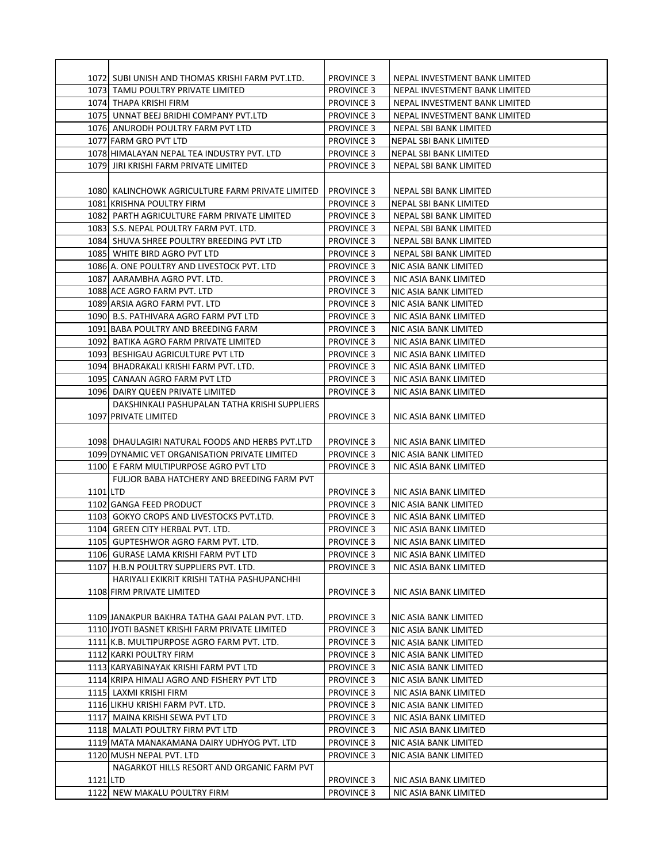|          | 1072 SUBI UNISH AND THOMAS KRISHI FARM PVT.LTD.   | <b>PROVINCE 3</b>                      | NEPAL INVESTMENT BANK LIMITED                  |
|----------|---------------------------------------------------|----------------------------------------|------------------------------------------------|
|          | 1073 TAMU POULTRY PRIVATE LIMITED                 | <b>PROVINCE 3</b>                      | NEPAL INVESTMENT BANK LIMITED                  |
|          | 1074 THAPA KRISHI FIRM                            | <b>PROVINCE 3</b>                      | NEPAL INVESTMENT BANK LIMITED                  |
|          | 1075 UNNAT BEEJ BRIDHI COMPANY PVT.LTD            | <b>PROVINCE 3</b>                      | NEPAL INVESTMENT BANK LIMITED                  |
|          | 1076 ANURODH POULTRY FARM PVT LTD                 | <b>PROVINCE 3</b>                      | <b>NEPAL SBI BANK LIMITED</b>                  |
|          | 1077 FARM GRO PVT LTD                             | <b>PROVINCE 3</b>                      | NEPAL SBI BANK LIMITED                         |
|          | 1078 HIMALAYAN NEPAL TEA INDUSTRY PVT. LTD        | <b>PROVINCE 3</b>                      | NEPAL SBI BANK LIMITED                         |
|          | 1079 JIRI KRISHI FARM PRIVATE LIMITED             | <b>PROVINCE 3</b>                      | NEPAL SBI BANK LIMITED                         |
|          |                                                   |                                        |                                                |
|          | 1080  KALINCHOWK AGRICULTURE FARM PRIVATE LIMITED | <b>PROVINCE 3</b>                      | NEPAL SBI BANK LIMITED                         |
|          | 1081 KRISHNA POULTRY FIRM                         | <b>PROVINCE 3</b>                      | NEPAL SBI BANK LIMITED                         |
|          | 1082 PARTH AGRICULTURE FARM PRIVATE LIMITED       | <b>PROVINCE 3</b>                      | NEPAL SBI BANK LIMITED                         |
|          | 1083 S.S. NEPAL POULTRY FARM PVT. LTD.            | <b>PROVINCE 3</b>                      | NEPAL SBI BANK LIMITED                         |
|          | 1084 SHUVA SHREE POULTRY BREEDING PVT LTD         | <b>PROVINCE 3</b>                      | NEPAL SBI BANK LIMITED                         |
|          | 1085 WHITE BIRD AGRO PVT LTD                      | <b>PROVINCE 3</b>                      | NEPAL SBI BANK LIMITED                         |
|          | 1086 A. ONE POULTRY AND LIVESTOCK PVT. LTD        | <b>PROVINCE 3</b>                      | NIC ASIA BANK LIMITED                          |
|          | 1087 AARAMBHA AGRO PVT. LTD.                      | <b>PROVINCE 3</b>                      | NIC ASIA BANK LIMITED                          |
|          | 1088 ACE AGRO FARM PVT. LTD                       | <b>PROVINCE 3</b>                      | NIC ASIA BANK LIMITED                          |
|          | 1089 ARSIA AGRO FARM PVT. LTD                     | <b>PROVINCE 3</b>                      | NIC ASIA BANK LIMITED                          |
|          | 1090  B.S. PATHIVARA AGRO FARM PVT LTD            | <b>PROVINCE 3</b>                      | NIC ASIA BANK LIMITED                          |
|          | 1091 BABA POULTRY AND BREEDING FARM               | <b>PROVINCE 3</b>                      | NIC ASIA BANK LIMITED                          |
|          | 1092 BATIKA AGRO FARM PRIVATE LIMITED             | <b>PROVINCE 3</b>                      | NIC ASIA BANK LIMITED                          |
|          | 1093 BESHIGAU AGRICULTURE PVT LTD                 | <b>PROVINCE 3</b>                      | NIC ASIA BANK LIMITED                          |
|          | 1094 BHADRAKALI KRISHI FARM PVT. LTD.             | <b>PROVINCE 3</b>                      | NIC ASIA BANK LIMITED                          |
|          | 1095 CANAAN AGRO FARM PVT LTD                     | <b>PROVINCE 3</b>                      | NIC ASIA BANK LIMITED                          |
|          | 1096 DAIRY QUEEN PRIVATE LIMITED                  | <b>PROVINCE 3</b>                      | NIC ASIA BANK LIMITED                          |
|          | DAKSHINKALI PASHUPALAN TATHA KRISHI SUPPLIERS     |                                        |                                                |
|          | 1097 PRIVATE LIMITED                              | <b>PROVINCE 3</b>                      | NIC ASIA BANK LIMITED                          |
|          |                                                   |                                        |                                                |
|          | 1098 DHAULAGIRI NATURAL FOODS AND HERBS PVT.LTD   | <b>PROVINCE 3</b>                      | NIC ASIA BANK LIMITED                          |
|          | 1099 DYNAMIC VET ORGANISATION PRIVATE LIMITED     | <b>PROVINCE 3</b>                      | NIC ASIA BANK LIMITED                          |
|          | 1100 E FARM MULTIPURPOSE AGRO PVT LTD             | <b>PROVINCE 3</b>                      | NIC ASIA BANK LIMITED                          |
|          | FULJOR BABA HATCHERY AND BREEDING FARM PVT        |                                        |                                                |
| 1101 LTD |                                                   | <b>PROVINCE 3</b>                      | NIC ASIA BANK LIMITED                          |
|          | 1102 GANGA FEED PRODUCT                           | <b>PROVINCE 3</b>                      | NIC ASIA BANK LIMITED                          |
|          | 1103 GOKYO CROPS AND LIVESTOCKS PVT.LTD.          | <b>PROVINCE 3</b>                      | NIC ASIA BANK LIMITED                          |
|          | 1104 GREEN CITY HERBAL PVT. LTD.                  |                                        |                                                |
|          | 1105 GUPTESHWOR AGRO FARM PVT. LTD.               | <b>PROVINCE 3</b><br><b>PROVINCE 3</b> | NIC ASIA BANK LIMITED<br>NIC ASIA BANK LIMITED |
|          |                                                   |                                        |                                                |
|          | 1106 GURASE LAMA KRISHI FARM PVT LTD              | <b>PROVINCE 3</b>                      | NIC ASIA BANK LIMITED                          |
|          | 1107 H.B.N POULTRY SUPPLIERS PVT. LTD.            | <b>PROVINCE 3</b>                      | NIC ASIA BANK LIMITED                          |
|          | HARIYALI EKIKRIT KRISHI TATHA PASHUPANCHHI        |                                        |                                                |
|          | 1108 FIRM PRIVATE LIMITED                         | <b>PROVINCE 3</b>                      | NIC ASIA BANK LIMITED                          |
|          |                                                   |                                        |                                                |
|          | 1109 JANAKPUR BAKHRA TATHA GAAI PALAN PVT. LTD.   | <b>PROVINCE 3</b>                      | NIC ASIA BANK LIMITED                          |
|          | 1110 JYOTI BASNET KRISHI FARM PRIVATE LIMITED     | <b>PROVINCE 3</b>                      | NIC ASIA BANK LIMITED                          |
|          | 1111 K.B. MULTIPURPOSE AGRO FARM PVT. LTD.        | <b>PROVINCE 3</b>                      | NIC ASIA BANK LIMITED                          |
|          | 1112 KARKI POULTRY FIRM                           | <b>PROVINCE 3</b>                      | NIC ASIA BANK LIMITED                          |
|          | 1113 KARYABINAYAK KRISHI FARM PVT LTD             | <b>PROVINCE 3</b>                      | NIC ASIA BANK LIMITED                          |
|          | 1114 KRIPA HIMALI AGRO AND FISHERY PVT LTD        | <b>PROVINCE 3</b>                      | NIC ASIA BANK LIMITED                          |
|          | 1115 LAXMI KRISHI FIRM                            | <b>PROVINCE 3</b>                      | NIC ASIA BANK LIMITED                          |
|          | 1116 LIKHU KRISHI FARM PVT. LTD.                  | <b>PROVINCE 3</b>                      | NIC ASIA BANK LIMITED                          |
|          | 1117 MAINA KRISHI SEWA PVT LTD                    | <b>PROVINCE 3</b>                      | NIC ASIA BANK LIMITED                          |
|          | 1118 MALATI POULTRY FIRM PVT LTD                  | <b>PROVINCE 3</b>                      | NIC ASIA BANK LIMITED                          |
|          | 1119 MATA MANAKAMANA DAIRY UDHYOG PVT. LTD        | <b>PROVINCE 3</b>                      | NIC ASIA BANK LIMITED                          |
|          | 1120 MUSH NEPAL PVT. LTD                          | <b>PROVINCE 3</b>                      | NIC ASIA BANK LIMITED                          |
|          | NAGARKOT HILLS RESORT AND ORGANIC FARM PVT        |                                        |                                                |
| 1121 LTD |                                                   | <b>PROVINCE 3</b>                      | NIC ASIA BANK LIMITED                          |
|          | 1122 NEW MAKALU POULTRY FIRM                      | <b>PROVINCE 3</b>                      | NIC ASIA BANK LIMITED                          |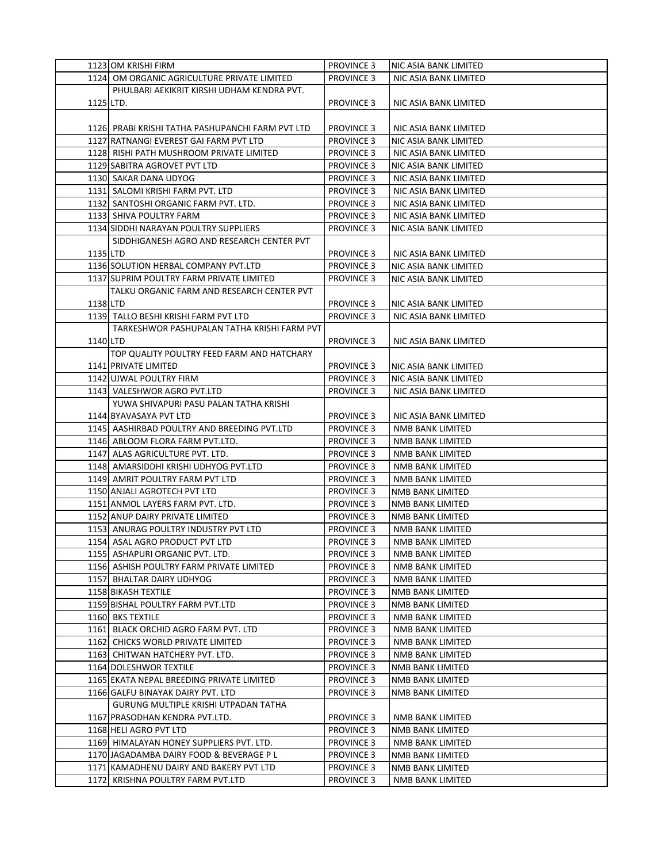|           | 1123 OM KRISHI FIRM                               | <b>PROVINCE 3</b> | NIC ASIA BANK LIMITED   |
|-----------|---------------------------------------------------|-------------------|-------------------------|
|           | 1124 OM ORGANIC AGRICULTURE PRIVATE LIMITED       | <b>PROVINCE 3</b> | NIC ASIA BANK LIMITED   |
|           | PHULBARI AEKIKRIT KIRSHI UDHAM KENDRA PVT.        |                   |                         |
| 1125 LTD. |                                                   | <b>PROVINCE 3</b> | NIC ASIA BANK LIMITED   |
|           |                                                   |                   |                         |
|           | 1126  PRABI KRISHI TATHA PASHUPANCHI FARM PVT LTD | <b>PROVINCE 3</b> | NIC ASIA BANK LIMITED   |
|           | 1127 RATNANGI EVEREST GAI FARM PVT LTD            | <b>PROVINCE 3</b> | NIC ASIA BANK LIMITED   |
|           | 1128 RISHI PATH MUSHROOM PRIVATE LIMITED          | <b>PROVINCE 3</b> | NIC ASIA BANK LIMITED   |
|           | 1129 SABITRA AGROVET PVT LTD                      | <b>PROVINCE 3</b> | NIC ASIA BANK LIMITED   |
|           | 1130 SAKAR DANA UDYOG                             | <b>PROVINCE 3</b> | NIC ASIA BANK LIMITED   |
|           |                                                   |                   |                         |
|           | 1131 SALOMI KRISHI FARM PVT. LTD                  | <b>PROVINCE 3</b> | NIC ASIA BANK LIMITED   |
|           | 1132 SANTOSHI ORGANIC FARM PVT. LTD.              | <b>PROVINCE 3</b> | NIC ASIA BANK LIMITED   |
|           | 1133 SHIVA POULTRY FARM                           | <b>PROVINCE 3</b> | NIC ASIA BANK LIMITED   |
|           | 1134 SIDDHI NARAYAN POULTRY SUPPLIERS             | <b>PROVINCE 3</b> | NIC ASIA BANK LIMITED   |
|           | SIDDHIGANESH AGRO AND RESEARCH CENTER PVT         |                   |                         |
| 1135 LTD  |                                                   | <b>PROVINCE 3</b> | NIC ASIA BANK LIMITED   |
|           | 1136 SOLUTION HERBAL COMPANY PVT.LTD              | <b>PROVINCE 3</b> | NIC ASIA BANK LIMITED   |
|           | 1137 SUPRIM POULTRY FARM PRIVATE LIMITED          | <b>PROVINCE 3</b> | NIC ASIA BANK LIMITED   |
|           | TALKU ORGANIC FARM AND RESEARCH CENTER PVT        |                   |                         |
| 1138 LTD  |                                                   | <b>PROVINCE 3</b> | NIC ASIA BANK LIMITED   |
|           | 1139 TALLO BESHI KRISHI FARM PVT LTD              | <b>PROVINCE 3</b> | NIC ASIA BANK LIMITED   |
|           | TARKESHWOR PASHUPALAN TATHA KRISHI FARM PVT       |                   |                         |
| 1140 LTD  |                                                   | <b>PROVINCE 3</b> | NIC ASIA BANK LIMITED   |
|           | TOP QUALITY POULTRY FEED FARM AND HATCHARY        |                   |                         |
|           | 1141 PRIVATE LIMITED                              | <b>PROVINCE 3</b> | NIC ASIA BANK LIMITED   |
|           | 1142 UJWAL POULTRY FIRM                           | <b>PROVINCE 3</b> | NIC ASIA BANK LIMITED   |
|           | 1143 VALESHWOR AGRO PVT.LTD                       | <b>PROVINCE 3</b> | NIC ASIA BANK LIMITED   |
|           | YUWA SHIVAPURI PASU PALAN TATHA KRISHI            |                   |                         |
|           | 1144 BYAVASAYA PVT LTD                            | <b>PROVINCE 3</b> | NIC ASIA BANK LIMITED   |
|           | 1145 AASHIRBAD POULTRY AND BREEDING PVT.LTD       | <b>PROVINCE 3</b> | NMB BANK LIMITED        |
|           | 1146 ABLOOM FLORA FARM PVT.LTD.                   | <b>PROVINCE 3</b> | NMB BANK LIMITED        |
|           | 1147 ALAS AGRICULTURE PVT. LTD.                   | <b>PROVINCE 3</b> | NMB BANK LIMITED        |
|           | 1148 AMARSIDDHI KRISHI UDHYOG PVT.LTD             | <b>PROVINCE 3</b> | NMB BANK LIMITED        |
|           | 1149 AMRIT POULTRY FARM PVT LTD                   | <b>PROVINCE 3</b> | NMB BANK LIMITED        |
|           | 1150 ANJALI AGROTECH PVT LTD                      | <b>PROVINCE 3</b> | NMB BANK LIMITED        |
|           | 1151 ANMOL LAYERS FARM PVT. LTD.                  | <b>PROVINCE 3</b> | NMB BANK LIMITED        |
|           | 1152 ANUP DAIRY PRIVATE LIMITED                   | <b>PROVINCE 3</b> | <b>NMB BANK LIMITED</b> |
|           | 1153 ANURAG POULTRY INDUSTRY PVT LTD              | <b>PROVINCE 3</b> | NMB BANK LIMITED        |
|           | 1154 ASAL AGRO PRODUCT PVT LTD                    | <b>PROVINCE 3</b> | NMB BANK LIMITED        |
|           | 1155 ASHAPURI ORGANIC PVT. LTD.                   | <b>PROVINCE 3</b> | NMB BANK LIMITED        |
|           | 1156 ASHISH POULTRY FARM PRIVATE LIMITED          | <b>PROVINCE 3</b> | <b>NMB BANK LIMITED</b> |
|           | 1157 BHALTAR DAIRY UDHYOG                         | <b>PROVINCE 3</b> | NMB BANK LIMITED        |
|           | 1158 BIKASH TEXTILE                               | <b>PROVINCE 3</b> | NMB BANK LIMITED        |
|           | 1159 BISHAL POULTRY FARM PVT.LTD                  | <b>PROVINCE 3</b> | NMB BANK LIMITED        |
|           | 1160 BKS TEXTILE                                  | <b>PROVINCE 3</b> | NMB BANK LIMITED        |
|           |                                                   |                   |                         |
|           | 1161 BLACK ORCHID AGRO FARM PVT. LTD              | <b>PROVINCE 3</b> | NMB BANK LIMITED        |
|           | 1162 CHICKS WORLD PRIVATE LIMITED                 | <b>PROVINCE 3</b> | NMB BANK LIMITED        |
|           | 1163 CHITWAN HATCHERY PVT. LTD.                   | <b>PROVINCE 3</b> | NMB BANK LIMITED        |
|           | 1164 DOLESHWOR TEXTILE                            | <b>PROVINCE 3</b> | NMB BANK LIMITED        |
|           | 1165 EKATA NEPAL BREEDING PRIVATE LIMITED         | <b>PROVINCE 3</b> | NMB BANK LIMITED        |
|           | 1166 GALFU BINAYAK DAIRY PVT. LTD                 | <b>PROVINCE 3</b> | NMB BANK LIMITED        |
|           | GURUNG MULTIPLE KRISHI UTPADAN TATHA              |                   |                         |
|           | 1167 PRASODHAN KENDRA PVT.LTD.                    | <b>PROVINCE 3</b> | NMB BANK LIMITED        |
|           | 1168 HELI AGRO PVT LTD                            | <b>PROVINCE 3</b> | NMB BANK LIMITED        |
|           | 1169 HIMALAYAN HONEY SUPPLIERS PVT. LTD.          | <b>PROVINCE 3</b> | NMB BANK LIMITED        |
|           | 1170 JAGADAMBA DAIRY FOOD & BEVERAGE P L          | <b>PROVINCE 3</b> | NMB BANK LIMITED        |
|           | 1171 KAMADHENU DAIRY AND BAKERY PVT LTD           | <b>PROVINCE 3</b> | NMB BANK LIMITED        |
|           | 1172 KRISHNA POULTRY FARM PVT.LTD                 | <b>PROVINCE 3</b> | NMB BANK LIMITED        |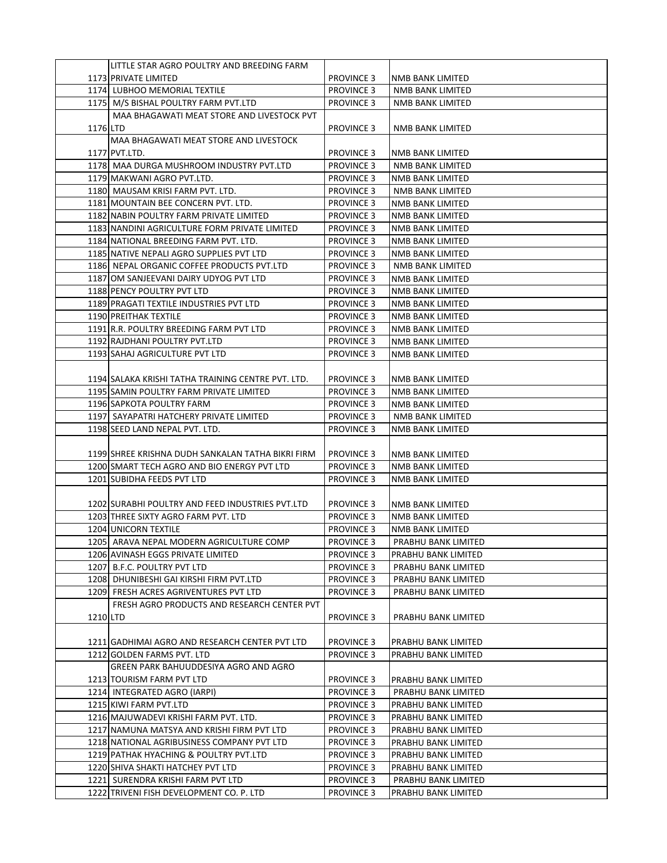|          | LITTLE STAR AGRO POULTRY AND BREEDING FARM         |                   |                         |
|----------|----------------------------------------------------|-------------------|-------------------------|
|          | 1173 PRIVATE LIMITED                               | <b>PROVINCE 3</b> | NMB BANK LIMITED        |
|          | 1174 LUBHOO MEMORIAL TEXTILE                       | <b>PROVINCE 3</b> | NMB BANK LIMITED        |
|          | 1175 M/S BISHAL POULTRY FARM PVT.LTD               | <b>PROVINCE 3</b> | NMB BANK LIMITED        |
|          | MAA BHAGAWATI MEAT STORE AND LIVESTOCK PVT         |                   |                         |
| 1176 LTD |                                                    | <b>PROVINCE 3</b> | NMB BANK LIMITED        |
|          | MAA BHAGAWATI MEAT STORE AND LIVESTOCK             |                   |                         |
|          | 1177 PVT.LTD.                                      | <b>PROVINCE 3</b> | NMB BANK LIMITED        |
|          | 1178 MAA DURGA MUSHROOM INDUSTRY PVT.LTD           | <b>PROVINCE 3</b> | NMB BANK LIMITED        |
|          | 1179 MAKWANI AGRO PVT.LTD.                         | <b>PROVINCE 3</b> | NMB BANK LIMITED        |
|          |                                                    |                   |                         |
|          | 1180 MAUSAM KRISI FARM PVT. LTD.                   | <b>PROVINCE 3</b> | NMB BANK LIMITED        |
|          | 1181 MOUNTAIN BEE CONCERN PVT. LTD.                | <b>PROVINCE 3</b> | NMB BANK LIMITED        |
|          | 1182 NABIN POULTRY FARM PRIVATE LIMITED            | <b>PROVINCE 3</b> | NMB BANK LIMITED        |
|          | 1183 NANDINI AGRICULTURE FORM PRIVATE LIMITED      | <b>PROVINCE 3</b> | NMB BANK LIMITED        |
|          | 1184 NATIONAL BREEDING FARM PVT. LTD.              | <b>PROVINCE 3</b> | NMB BANK LIMITED        |
|          | 1185 NATIVE NEPALI AGRO SUPPLIES PVT LTD           | <b>PROVINCE 3</b> | NMB BANK LIMITED        |
|          | 1186 NEPAL ORGANIC COFFEE PRODUCTS PVT.LTD         | <b>PROVINCE 3</b> | NMB BANK LIMITED        |
|          | 1187 OM SANJEEVANI DAIRY UDYOG PVT LTD             | <b>PROVINCE 3</b> | NMB BANK LIMITED        |
|          | 1188 PENCY POULTRY PVT LTD                         | <b>PROVINCE 3</b> | NMB BANK LIMITED        |
|          | 1189 PRAGATI TEXTILE INDUSTRIES PVT LTD            | <b>PROVINCE 3</b> | <b>NMB BANK LIMITED</b> |
|          | 1190 PREITHAK TEXTILE                              | <b>PROVINCE 3</b> | <b>NMB BANK LIMITED</b> |
|          | 1191 R.R. POULTRY BREEDING FARM PVT LTD            | <b>PROVINCE 3</b> | NMB BANK LIMITED        |
|          | 1192 RAJDHANI POULTRY PVT.LTD                      | <b>PROVINCE 3</b> | NMB BANK LIMITED        |
|          | 1193 SAHAJ AGRICULTURE PVT LTD                     | <b>PROVINCE 3</b> | NMB BANK LIMITED        |
|          |                                                    |                   |                         |
|          | 1194 SALAKA KRISHI TATHA TRAINING CENTRE PVT. LTD. | <b>PROVINCE 3</b> | NMB BANK LIMITED        |
|          | 1195 SAMIN POULTRY FARM PRIVATE LIMITED            | <b>PROVINCE 3</b> | NMB BANK LIMITED        |
|          | 1196 SAPKOTA POULTRY FARM                          | <b>PROVINCE 3</b> | NMB BANK LIMITED        |
|          | 1197 SAYAPATRI HATCHERY PRIVATE LIMITED            | <b>PROVINCE 3</b> | NMB BANK LIMITED        |
|          | 1198 SEED LAND NEPAL PVT. LTD.                     | <b>PROVINCE 3</b> | NMB BANK LIMITED        |
|          |                                                    |                   |                         |
|          | 1199 SHREE KRISHNA DUDH SANKALAN TATHA BIKRI FIRM  | <b>PROVINCE 3</b> | NMB BANK LIMITED        |
|          | 1200 SMART TECH AGRO AND BIO ENERGY PVT LTD        | <b>PROVINCE 3</b> | NMB BANK LIMITED        |
|          | 1201 SUBIDHA FEEDS PVT LTD                         | <b>PROVINCE 3</b> | NMB BANK LIMITED        |
|          |                                                    |                   |                         |
|          | 1202 SURABHI POULTRY AND FEED INDUSTRIES PVT.LTD   | <b>PROVINCE 3</b> | NMB BANK LIMITED        |
|          | 1203 THREE SIXTY AGRO FARM PVT. LTD                | <b>PROVINCE 3</b> | NMB BANK LIMITED        |
|          | 1204 UNICORN TEXTILE                               | <b>PROVINCE 3</b> | NMB BANK LIMITED        |
|          | 1205 ARAVA NEPAL MODERN AGRICULTURE COMP           | <b>PROVINCE 3</b> | PRABHU BANK LIMITED     |
|          | 1206 AVINASH EGGS PRIVATE LIMITED                  | <b>PROVINCE 3</b> | PRABHU BANK LIMITED     |
|          | 1207 B.F.C. POULTRY PVT LTD                        | <b>PROVINCE 3</b> | PRABHU BANK LIMITED     |
|          | 1208 DHUNIBESHI GAI KIRSHI FIRM PVT.LTD            | <b>PROVINCE 3</b> | PRABHU BANK LIMITED     |
|          | 1209 FRESH ACRES AGRIVENTURES PVT LTD              | <b>PROVINCE 3</b> | PRABHU BANK LIMITED     |
|          | FRESH AGRO PRODUCTS AND RESEARCH CENTER PVT        |                   |                         |
|          |                                                    | <b>PROVINCE 3</b> |                         |
| 1210 LTD |                                                    |                   | PRABHU BANK LIMITED     |
|          |                                                    |                   |                         |
|          | 1211 GADHIMAI AGRO AND RESEARCH CENTER PVT LTD     | <b>PROVINCE 3</b> | PRABHU BANK LIMITED     |
|          | 1212 GOLDEN FARMS PVT. LTD                         | <b>PROVINCE 3</b> | PRABHU BANK LIMITED     |
|          | GREEN PARK BAHUUDDESIYA AGRO AND AGRO              |                   |                         |
|          | 1213 TOURISM FARM PVT LTD                          | <b>PROVINCE 3</b> | PRABHU BANK LIMITED     |
|          | 1214 INTEGRATED AGRO (IARPI)                       | <b>PROVINCE 3</b> | PRABHU BANK LIMITED     |
|          | 1215 KIWI FARM PVT.LTD                             | <b>PROVINCE 3</b> | PRABHU BANK LIMITED     |
|          | 1216 MAJUWADEVI KRISHI FARM PVT. LTD.              | <b>PROVINCE 3</b> | PRABHU BANK LIMITED     |
|          | 1217 NAMUNA MATSYA AND KRISHI FIRM PVT LTD         | <b>PROVINCE 3</b> | PRABHU BANK LIMITED     |
|          | 1218 NATIONAL AGRIBUSINESS COMPANY PVT LTD         | <b>PROVINCE 3</b> | PRABHU BANK LIMITED     |
|          | 1219 PATHAK HYACHING & POULTRY PVT.LTD             | <b>PROVINCE 3</b> | PRABHU BANK LIMITED     |
|          | 1220 SHIVA SHAKTI HATCHEY PVT LTD                  | <b>PROVINCE 3</b> | PRABHU BANK LIMITED     |
|          | 1221 SURENDRA KRISHI FARM PVT LTD                  | <b>PROVINCE 3</b> | PRABHU BANK LIMITED     |
|          | 1222 TRIVENI FISH DEVELOPMENT CO. P. LTD           | <b>PROVINCE 3</b> | PRABHU BANK LIMITED     |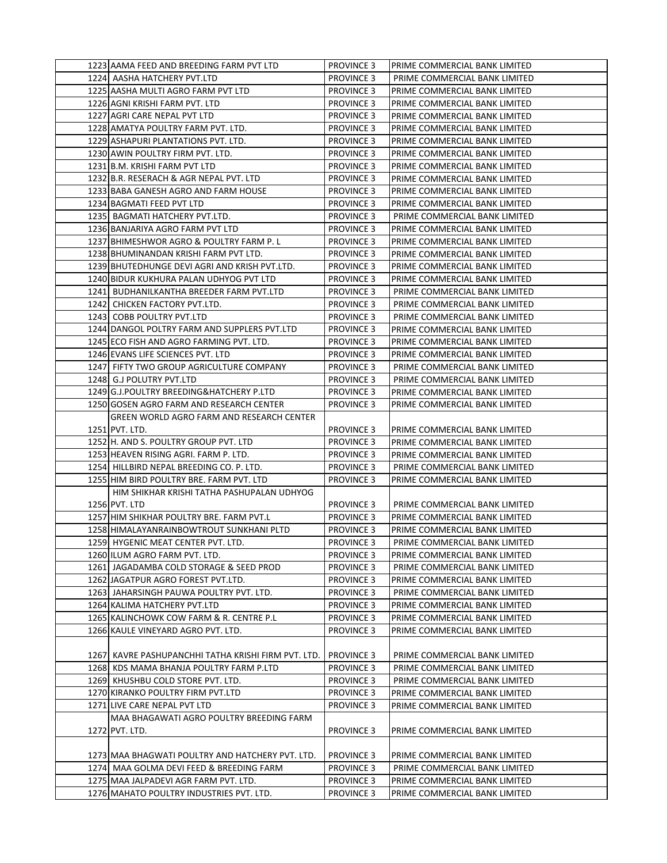| 1223 AAMA FEED AND BREEDING FARM PVT LTD             | <b>PROVINCE 3</b> | PRIME COMMERCIAL BANK LIMITED |
|------------------------------------------------------|-------------------|-------------------------------|
| 1224 AASHA HATCHERY PVT.LTD                          | <b>PROVINCE 3</b> | PRIME COMMERCIAL BANK LIMITED |
| 1225 AASHA MULTI AGRO FARM PVT LTD                   | <b>PROVINCE 3</b> | PRIME COMMERCIAL BANK LIMITED |
| 1226 AGNI KRISHI FARM PVT. LTD                       | <b>PROVINCE 3</b> | PRIME COMMERCIAL BANK LIMITED |
| 1227 AGRI CARE NEPAL PVT LTD                         | <b>PROVINCE 3</b> | PRIME COMMERCIAL BANK LIMITED |
| 1228 AMATYA POULTRY FARM PVT. LTD.                   | <b>PROVINCE 3</b> | PRIME COMMERCIAL BANK LIMITED |
| 1229 ASHAPURI PLANTATIONS PVT. LTD.                  | <b>PROVINCE 3</b> | PRIME COMMERCIAL BANK LIMITED |
| 1230 AWIN POULTRY FIRM PVT. LTD.                     | <b>PROVINCE 3</b> | PRIME COMMERCIAL BANK LIMITED |
| 1231 B.M. KRISHI FARM PVT LTD                        | <b>PROVINCE 3</b> | PRIME COMMERCIAL BANK LIMITED |
| 1232 B.R. RESERACH & AGR NEPAL PVT. LTD              | <b>PROVINCE 3</b> |                               |
|                                                      |                   | PRIME COMMERCIAL BANK LIMITED |
| 1233 BABA GANESH AGRO AND FARM HOUSE                 | <b>PROVINCE 3</b> | PRIME COMMERCIAL BANK LIMITED |
| 1234 BAGMATI FEED PVT LTD                            | <b>PROVINCE 3</b> | PRIME COMMERCIAL BANK LIMITED |
| 1235 BAGMATI HATCHERY PVT.LTD.                       | <b>PROVINCE 3</b> | PRIME COMMERCIAL BANK LIMITED |
| 1236 BANJARIYA AGRO FARM PVT LTD                     | <b>PROVINCE 3</b> | PRIME COMMERCIAL BANK LIMITED |
| 1237 BHIMESHWOR AGRO & POULTRY FARM P. L             | <b>PROVINCE 3</b> | PRIME COMMERCIAL BANK LIMITED |
| 1238 BHUMINANDAN KRISHI FARM PVT LTD.                | <b>PROVINCE 3</b> | PRIME COMMERCIAL BANK LIMITED |
| 1239 BHUTEDHUNGE DEVI AGRI AND KRISH PVT.LTD.        | <b>PROVINCE 3</b> | PRIME COMMERCIAL BANK LIMITED |
| 1240 BIDUR KUKHURA PALAN UDHYOG PVT LTD              | <b>PROVINCE 3</b> | PRIME COMMERCIAL BANK LIMITED |
| 1241 BUDHANILKANTHA BREEDER FARM PVT.LTD             | <b>PROVINCE 3</b> | PRIME COMMERCIAL BANK LIMITED |
| 1242 CHICKEN FACTORY PVT.LTD.                        | <b>PROVINCE 3</b> | PRIME COMMERCIAL BANK LIMITED |
| 1243 COBB POULTRY PVT.LTD                            | <b>PROVINCE 3</b> | PRIME COMMERCIAL BANK LIMITED |
| 1244 DANGOL POLTRY FARM AND SUPPLERS PVT.LTD         | <b>PROVINCE 3</b> | PRIME COMMERCIAL BANK LIMITED |
| 1245 ECO FISH AND AGRO FARMING PVT. LTD.             | <b>PROVINCE 3</b> | PRIME COMMERCIAL BANK LIMITED |
| 1246 EVANS LIFE SCIENCES PVT. LTD                    | <b>PROVINCE 3</b> | PRIME COMMERCIAL BANK LIMITED |
| 1247 FIFTY TWO GROUP AGRICULTURE COMPANY             | <b>PROVINCE 3</b> | PRIME COMMERCIAL BANK LIMITED |
| 1248 G.J POLUTRY PVT.LTD                             | <b>PROVINCE 3</b> | PRIME COMMERCIAL BANK LIMITED |
| 1249 G.J. POULTRY BREEDING&HATCHERY P.LTD            | <b>PROVINCE 3</b> | PRIME COMMERCIAL BANK LIMITED |
| 1250 GOSEN AGRO FARM AND RESEARCH CENTER             | <b>PROVINCE 3</b> | PRIME COMMERCIAL BANK LIMITED |
| GREEN WORLD AGRO FARM AND RESEARCH CENTER            |                   |                               |
| 1251 PVT. LTD.                                       | <b>PROVINCE 3</b> | PRIME COMMERCIAL BANK LIMITED |
| 1252 H. AND S. POULTRY GROUP PVT. LTD                | <b>PROVINCE 3</b> | PRIME COMMERCIAL BANK LIMITED |
| 1253 HEAVEN RISING AGRI. FARM P. LTD.                | <b>PROVINCE 3</b> | PRIME COMMERCIAL BANK LIMITED |
| 1254 HILLBIRD NEPAL BREEDING CO. P. LTD.             | <b>PROVINCE 3</b> | PRIME COMMERCIAL BANK LIMITED |
| 1255 HIM BIRD POULTRY BRE. FARM PVT. LTD             | <b>PROVINCE 3</b> | PRIME COMMERCIAL BANK LIMITED |
|                                                      |                   |                               |
| HIM SHIKHAR KRISHI TATHA PASHUPALAN UDHYOG           |                   |                               |
| 1256 PVT. LTD                                        | <b>PROVINCE 3</b> | PRIME COMMERCIAL BANK LIMITED |
| 1257 HIM SHIKHAR POULTRY BRE. FARM PVT.L             | <b>PROVINCE 3</b> | PRIME COMMERCIAL BANK LIMITED |
| 1258 HIMALAYANRAINBOWTROUT SUNKHANI PLTD             | <b>PROVINCE 3</b> | PRIME COMMERCIAL BANK LIMITED |
| 1259 HYGENIC MEAT CENTER PVT. LTD.                   | <b>PROVINCE 3</b> | PRIME COMMERCIAL BANK LIMITED |
| 1260 ILUM AGRO FARM PVT. LTD.                        | <b>PROVINCE 3</b> | PRIME COMMERCIAL BANK LIMITED |
| 1261 JAGADAMBA COLD STORAGE & SEED PROD              | <b>PROVINCE 3</b> | PRIME COMMERCIAL BANK LIMITED |
| 1262 JAGATPUR AGRO FOREST PVT.LTD.                   | <b>PROVINCE 3</b> | PRIME COMMERCIAL BANK LIMITED |
| 1263 JAHARSINGH PAUWA POULTRY PVT. LTD.              | PROVINCE 3        | PRIME COMMERCIAL BANK LIMITED |
| 1264 KALIMA HATCHERY PVT.LTD                         | <b>PROVINCE 3</b> | PRIME COMMERCIAL BANK LIMITED |
| 1265 KALINCHOWK COW FARM & R. CENTRE P.L             | <b>PROVINCE 3</b> | PRIME COMMERCIAL BANK LIMITED |
| 1266 KAULE VINEYARD AGRO PVT. LTD.                   | <b>PROVINCE 3</b> | PRIME COMMERCIAL BANK LIMITED |
|                                                      |                   |                               |
| 1267  KAVRE PASHUPANCHHI TATHA KRISHI FIRM PVT. LTD. | <b>PROVINCE 3</b> | PRIME COMMERCIAL BANK LIMITED |
| 1268 KDS MAMA BHANJA POULTRY FARM P.LTD              | <b>PROVINCE 3</b> | PRIME COMMERCIAL BANK LIMITED |
| 1269 KHUSHBU COLD STORE PVT. LTD.                    | <b>PROVINCE 3</b> | PRIME COMMERCIAL BANK LIMITED |
| 1270 KIRANKO POULTRY FIRM PVT.LTD                    | <b>PROVINCE 3</b> | PRIME COMMERCIAL BANK LIMITED |
| 1271 LIVE CARE NEPAL PVT LTD                         | <b>PROVINCE 3</b> | PRIME COMMERCIAL BANK LIMITED |
| MAA BHAGAWATI AGRO POULTRY BREEDING FARM             |                   |                               |
| 1272 PVT. LTD.                                       | PROVINCE 3        | PRIME COMMERCIAL BANK LIMITED |
|                                                      |                   |                               |
| 1273 MAA BHAGWATI POULTRY AND HATCHERY PVT. LTD.     | <b>PROVINCE 3</b> | PRIME COMMERCIAL BANK LIMITED |
| 1274 MAA GOLMA DEVI FEED & BREEDING FARM             | <b>PROVINCE 3</b> | PRIME COMMERCIAL BANK LIMITED |
| 1275 MAA JALPADEVI AGR FARM PVT. LTD.                | <b>PROVINCE 3</b> | PRIME COMMERCIAL BANK LIMITED |
|                                                      |                   |                               |
| 1276 MAHATO POULTRY INDUSTRIES PVT. LTD.             | <b>PROVINCE 3</b> | PRIME COMMERCIAL BANK LIMITED |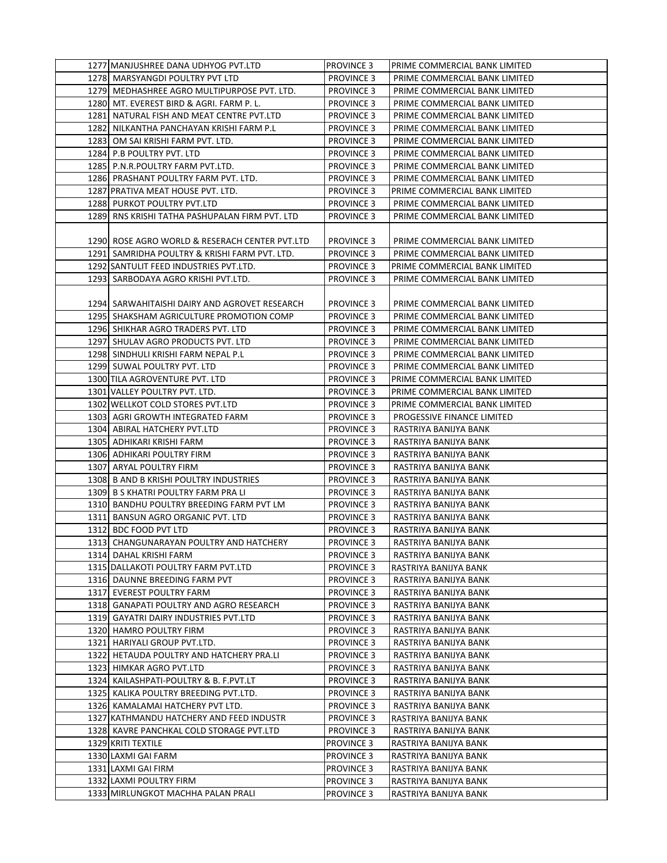| 1277 MANJUSHREE DANA UDHYOG PVT.LTD            | <b>PROVINCE 3</b> | PRIME COMMERCIAL BANK LIMITED |
|------------------------------------------------|-------------------|-------------------------------|
| 1278 MARSYANGDI POULTRY PVT LTD                | <b>PROVINCE 3</b> | PRIME COMMERCIAL BANK LIMITED |
| 1279 MEDHASHREE AGRO MULTIPURPOSE PVT. LTD.    | <b>PROVINCE 3</b> | PRIME COMMERCIAL BANK LIMITED |
| 1280 MT. EVEREST BIRD & AGRI. FARM P. L.       | <b>PROVINCE 3</b> | PRIME COMMERCIAL BANK LIMITED |
| 1281 NATURAL FISH AND MEAT CENTRE PVT.LTD      | <b>PROVINCE 3</b> | PRIME COMMERCIAL BANK LIMITED |
| 1282 NILKANTHA PANCHAYAN KRISHI FARM P.L       | <b>PROVINCE 3</b> | PRIME COMMERCIAL BANK LIMITED |
| 1283 OM SAI KRISHI FARM PVT. LTD.              | <b>PROVINCE 3</b> | PRIME COMMERCIAL BANK LIMITED |
| 1284 P.B POULTRY PVT. LTD                      | <b>PROVINCE 3</b> | PRIME COMMERCIAL BANK LIMITED |
| 1285 P.N.R.POULTRY FARM PVT.LTD.               | <b>PROVINCE 3</b> | PRIME COMMERCIAL BANK LIMITED |
| 1286 PRASHANT POULTRY FARM PVT. LTD.           | <b>PROVINCE 3</b> | PRIME COMMERCIAL BANK LIMITED |
| 1287 PRATIVA MEAT HOUSE PVT. LTD.              | <b>PROVINCE 3</b> | PRIME COMMERCIAL BANK LIMITED |
| 1288 PURKOT POULTRY PVT.LTD                    | <b>PROVINCE 3</b> | PRIME COMMERCIAL BANK LIMITED |
| 1289 RNS KRISHI TATHA PASHUPALAN FIRM PVT. LTD | <b>PROVINCE 3</b> | PRIME COMMERCIAL BANK LIMITED |
|                                                |                   |                               |
| 1290 ROSE AGRO WORLD & RESERACH CENTER PVT.LTD | <b>PROVINCE 3</b> | PRIME COMMERCIAL BANK LIMITED |
| 1291 SAMRIDHA POULTRY & KRISHI FARM PVT. LTD.  | <b>PROVINCE 3</b> | PRIME COMMERCIAL BANK LIMITED |
| 1292 SANTULIT FEED INDUSTRIES PVT.LTD.         | <b>PROVINCE 3</b> | PRIME COMMERCIAL BANK LIMITED |
| 1293 SARBODAYA AGRO KRISHI PVT.LTD.            | <b>PROVINCE 3</b> | PRIME COMMERCIAL BANK LIMITED |
|                                                |                   |                               |
| 1294  SARWAHITAISHI DAIRY AND AGROVET RESEARCH | <b>PROVINCE 3</b> | PRIME COMMERCIAL BANK LIMITED |
| 1295 SHAKSHAM AGRICULTURE PROMOTION COMP       | <b>PROVINCE 3</b> | PRIME COMMERCIAL BANK LIMITED |
| 1296 SHIKHAR AGRO TRADERS PVT. LTD             | <b>PROVINCE 3</b> | PRIME COMMERCIAL BANK LIMITED |
| 1297 SHULAV AGRO PRODUCTS PVT. LTD             | <b>PROVINCE 3</b> | PRIME COMMERCIAL BANK LIMITED |
| 1298 SINDHULI KRISHI FARM NEPAL P.L            | <b>PROVINCE 3</b> | PRIME COMMERCIAL BANK LIMITED |
| 1299 SUWAL POULTRY PVT. LTD                    | <b>PROVINCE 3</b> | PRIME COMMERCIAL BANK LIMITED |
| 1300 TILA AGROVENTURE PVT. LTD                 | <b>PROVINCE 3</b> | PRIME COMMERCIAL BANK LIMITED |
| 1301 VALLEY POULTRY PVT. LTD.                  | <b>PROVINCE 3</b> | PRIME COMMERCIAL BANK LIMITED |
| 1302 WELLKOT COLD STORES PVT.LTD               | <b>PROVINCE 3</b> | PRIME COMMERCIAL BANK LIMITED |
| 1303 AGRI GROWTH INTEGRATED FARM               | <b>PROVINCE 3</b> | PROGESSIVE FINANCE LIMITED    |
| 1304 ABIRAL HATCHERY PVT.LTD                   | <b>PROVINCE 3</b> | RASTRIYA BANIJYA BANK         |
| 1305 ADHIKARI KRISHI FARM                      | <b>PROVINCE 3</b> | RASTRIYA BANIJYA BANK         |
| 1306 ADHIKARI POULTRY FIRM                     | <b>PROVINCE 3</b> | RASTRIYA BANIJYA BANK         |
| 1307 ARYAL POULTRY FIRM                        | <b>PROVINCE 3</b> | RASTRIYA BANIJYA BANK         |
| 1308 B AND B KRISHI POULTRY INDUSTRIES         | <b>PROVINCE 3</b> | RASTRIYA BANIJYA BANK         |
| 1309 B S KHATRI POULTRY FARM PRA LI            | <b>PROVINCE 3</b> | RASTRIYA BANIJYA BANK         |
| 1310 BANDHU POULTRY BREEDING FARM PVT LM       | <b>PROVINCE 3</b> | RASTRIYA BANIJYA BANK         |
| 1311 BANSUN AGRO ORGANIC PVT. LTD              | <b>PROVINCE 3</b> | RASTRIYA BANIJYA BANK         |
| 1312 BDC FOOD PVT LTD                          | <b>PROVINCE 3</b> | RASTRIYA BANIJYA BANK         |
| 1313 CHANGUNARAYAN POULTRY AND HATCHERY        | <b>PROVINCE 3</b> | RASTRIYA BANIJYA BANK         |
| 1314 DAHAL KRISHI FARM                         | <b>PROVINCE 3</b> | RASTRIYA BANIJYA BANK         |
| 1315 DALLAKOTI POULTRY FARM PVT.LTD            | <b>PROVINCE 3</b> | RASTRIYA BANIJYA BANK         |
| 1316 DAUNNE BREEDING FARM PVT                  | <b>PROVINCE 3</b> | RASTRIYA BANIJYA BANK         |
| 1317 EVEREST POULTRY FARM                      | <b>PROVINCE 3</b> | RASTRIYA BANIJYA BANK         |
| 1318 GANAPATI POULTRY AND AGRO RESEARCH        | <b>PROVINCE 3</b> | RASTRIYA BANIJYA BANK         |
| 1319 GAYATRI DAIRY INDUSTRIES PVT.LTD          | <b>PROVINCE 3</b> | RASTRIYA BANIJYA BANK         |
| 1320 HAMRO POULTRY FIRM                        | <b>PROVINCE 3</b> | RASTRIYA BANIJYA BANK         |
| 1321 HARIYALI GROUP PVT.LTD.                   | <b>PROVINCE 3</b> | RASTRIYA BANIJYA BANK         |
| 1322 HETAUDA POULTRY AND HATCHERY PRA.LI       | <b>PROVINCE 3</b> | RASTRIYA BANIJYA BANK         |
| 1323 HIMKAR AGRO PVT.LTD                       | <b>PROVINCE 3</b> | RASTRIYA BANIJYA BANK         |
| 1324 KAILASHPATI-POULTRY & B. F.PVT.LT         | <b>PROVINCE 3</b> | RASTRIYA BANIJYA BANK         |
| 1325 KALIKA POULTRY BREEDING PVT.LTD.          | <b>PROVINCE 3</b> | RASTRIYA BANIJYA BANK         |
| 1326 KAMALAMAI HATCHERY PVT LTD.               | <b>PROVINCE 3</b> | RASTRIYA BANIJYA BANK         |
| 1327 KATHMANDU HATCHERY AND FEED INDUSTR       | <b>PROVINCE 3</b> | RASTRIYA BANIJYA BANK         |
| 1328 KAVRE PANCHKAL COLD STORAGE PVT.LTD       | <b>PROVINCE 3</b> | RASTRIYA BANIJYA BANK         |
| 1329 KRITI TEXTILE                             | <b>PROVINCE 3</b> | RASTRIYA BANIJYA BANK         |
| 1330 LAXMI GAI FARM                            | <b>PROVINCE 3</b> | RASTRIYA BANIJYA BANK         |
| 1331 LAXMI GAI FIRM                            | <b>PROVINCE 3</b> | RASTRIYA BANIJYA BANK         |
| 1332 LAXMI POULTRY FIRM                        | <b>PROVINCE 3</b> | RASTRIYA BANIJYA BANK         |
| 1333 MIRLUNGKOT MACHHA PALAN PRALI             | <b>PROVINCE 3</b> | RASTRIYA BANIJYA BANK         |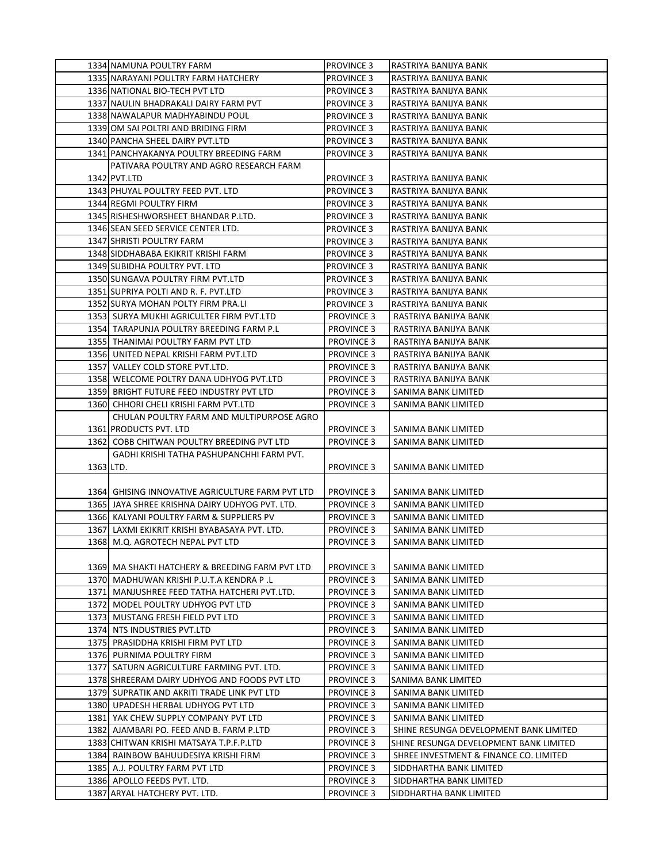|           | 1334 NAMUNA POULTRY FARM                         | PROVINCE 3        | RASTRIYA BANIJYA BANK                  |
|-----------|--------------------------------------------------|-------------------|----------------------------------------|
|           | 1335 NARAYANI POULTRY FARM HATCHERY              | <b>PROVINCE 3</b> | RASTRIYA BANIJYA BANK                  |
|           | 1336 NATIONAL BIO-TECH PVT LTD                   | <b>PROVINCE 3</b> | RASTRIYA BANIJYA BANK                  |
|           | 1337 NAULIN BHADRAKALI DAIRY FARM PVT            | <b>PROVINCE 3</b> | RASTRIYA BANIJYA BANK                  |
|           | 1338 NAWALAPUR MADHYABINDU POUL                  | <b>PROVINCE 3</b> | RASTRIYA BANIJYA BANK                  |
|           | 1339 OM SAI POLTRI AND BRIDING FIRM              | <b>PROVINCE 3</b> | RASTRIYA BANIJYA BANK                  |
|           | 1340 PANCHA SHEEL DAIRY PVT.LTD                  | PROVINCE 3        | RASTRIYA BANIJYA BANK                  |
|           | 1341 PANCHYAKANYA POULTRY BREEDING FARM          | PROVINCE 3        | RASTRIYA BANIJYA BANK                  |
|           | PATIVARA POULTRY AND AGRO RESEARCH FARM          |                   |                                        |
|           | 1342 PVT.LTD                                     | PROVINCE 3        | RASTRIYA BANIJYA BANK                  |
|           | 1343 PHUYAL POULTRY FEED PVT. LTD                | <b>PROVINCE 3</b> | RASTRIYA BANIJYA BANK                  |
|           | 1344 REGMI POULTRY FIRM                          | PROVINCE 3        | RASTRIYA BANIJYA BANK                  |
|           | 1345 RISHESHWORSHEET BHANDAR P.LTD.              | PROVINCE 3        | RASTRIYA BANIJYA BANK                  |
|           | 1346 SEAN SEED SERVICE CENTER LTD.               | <b>PROVINCE 3</b> | RASTRIYA BANIJYA BANK                  |
|           | 1347 SHRISTI POULTRY FARM                        | PROVINCE 3        | RASTRIYA BANIJYA BANK                  |
|           | 1348 SIDDHABABA EKIKRIT KRISHI FARM              | PROVINCE 3        | RASTRIYA BANIJYA BANK                  |
|           | 1349 SUBIDHA POULTRY PVT. LTD                    | <b>PROVINCE 3</b> | RASTRIYA BANIJYA BANK                  |
|           | 1350 SUNGAVA POULTRY FIRM PVT.LTD                | <b>PROVINCE 3</b> | RASTRIYA BANIJYA BANK                  |
|           | 1351 SUPRIYA POLTI AND R. F. PVT.LTD             | <b>PROVINCE 3</b> | RASTRIYA BANIJYA BANK                  |
|           | 1352 SURYA MOHAN POLTY FIRM PRA.LI               | <b>PROVINCE 3</b> | RASTRIYA BANIJYA BANK                  |
|           | 1353 SURYA MUKHI AGRICULTER FIRM PVT.LTD         | <b>PROVINCE 3</b> | RASTRIYA BANIJYA BANK                  |
|           | 1354 TARAPUNJA POULTRY BREEDING FARM P.L         | <b>PROVINCE 3</b> | RASTRIYA BANIJYA BANK                  |
|           | 1355 THANIMAI POULTRY FARM PVT LTD               | <b>PROVINCE 3</b> | RASTRIYA BANIJYA BANK                  |
|           | 1356 UNITED NEPAL KRISHI FARM PVT.LTD            | <b>PROVINCE 3</b> | RASTRIYA BANIJYA BANK                  |
|           | 1357 VALLEY COLD STORE PVT.LTD.                  | <b>PROVINCE 3</b> | RASTRIYA BANIJYA BANK                  |
|           | 1358 WELCOME POLTRY DANA UDHYOG PVT.LTD          | <b>PROVINCE 3</b> | RASTRIYA BANIJYA BANK                  |
|           | 1359 BRIGHT FUTURE FEED INDUSTRY PVT LTD         | <b>PROVINCE 3</b> | SANIMA BANK LIMITED                    |
|           | 1360 CHHORI CHELI KRISHI FARM PVT.LTD            | <b>PROVINCE 3</b> | SANIMA BANK LIMITED                    |
|           | CHULAN POULTRY FARM AND MULTIPURPOSE AGRO        |                   |                                        |
|           | 1361 PRODUCTS PVT. LTD                           | <b>PROVINCE 3</b> | SANIMA BANK LIMITED                    |
|           | 1362 COBB CHITWAN POULTRY BREEDING PVT LTD       | <b>PROVINCE 3</b> | SANIMA BANK LIMITED                    |
|           | GADHI KRISHI TATHA PASHUPANCHHI FARM PVT.        |                   |                                        |
| 1363 LTD. |                                                  | <b>PROVINCE 3</b> | SANIMA BANK LIMITED                    |
|           |                                                  |                   |                                        |
|           | 1364 GHISING INNOVATIVE AGRICULTURE FARM PVT LTD | <b>PROVINCE 3</b> | SANIMA BANK LIMITED                    |
|           | 1365 JAYA SHREE KRISHNA DAIRY UDHYOG PVT. LTD.   | <b>PROVINCE 3</b> | SANIMA BANK LIMITED                    |
|           | 1366  KALYANI POULTRY FARM & SUPPLIERS PV        | <b>PROVINCE 3</b> | SANIMA BANK LIMITED                    |
|           | 1367 LAXMI EKIKRIT KRISHI BYABASAYA PVT. LTD.    | <b>PROVINCE 3</b> | SANIMA BANK LIMITED                    |
|           | 1368 M.Q. AGROTECH NEPAL PVT LTD                 | <b>PROVINCE 3</b> | SANIMA BANK LIMITED                    |
|           |                                                  |                   |                                        |
|           | 1369 MA SHAKTI HATCHERY & BREEDING FARM PVT LTD  | <b>PROVINCE 3</b> | SANIMA BANK LIMITED                    |
|           | 1370  MADHUWAN KRISHI P.U.T.A KENDRA P .L        | <b>PROVINCE 3</b> | SANIMA BANK LIMITED                    |
|           | 1371 MANJUSHREE FEED TATHA HATCHERI PVT.LTD.     | <b>PROVINCE 3</b> | SANIMA BANK LIMITED                    |
|           | 1372 MODEL POULTRY UDHYOG PVT LTD                | <b>PROVINCE 3</b> | SANIMA BANK LIMITED                    |
|           | 1373 MUSTANG FRESH FIELD PVT LTD                 | <b>PROVINCE 3</b> | SANIMA BANK LIMITED                    |
|           | 1374 NTS INDUSTRIES PVT.LTD                      | <b>PROVINCE 3</b> | SANIMA BANK LIMITED                    |
|           | 1375 PRASIDDHA KRISHI FIRM PVT LTD               | <b>PROVINCE 3</b> | SANIMA BANK LIMITED                    |
|           | 1376 PURNIMA POULTRY FIRM                        | <b>PROVINCE 3</b> | SANIMA BANK LIMITED                    |
|           | 1377 SATURN AGRICULTURE FARMING PVT. LTD.        | <b>PROVINCE 3</b> | SANIMA BANK LIMITED                    |
|           | 1378 SHREERAM DAIRY UDHYOG AND FOODS PVT LTD     | <b>PROVINCE 3</b> | SANIMA BANK LIMITED                    |
|           | 1379 SUPRATIK AND AKRITI TRADE LINK PVT LTD      | <b>PROVINCE 3</b> | SANIMA BANK LIMITED                    |
|           | 1380 UPADESH HERBAL UDHYOG PVT LTD               | <b>PROVINCE 3</b> | SANIMA BANK LIMITED                    |
|           | 1381 YAK CHEW SUPPLY COMPANY PVT LTD             | <b>PROVINCE 3</b> | SANIMA BANK LIMITED                    |
|           | 1382 AJAMBARI PO. FEED AND B. FARM P.LTD         | <b>PROVINCE 3</b> | SHINE RESUNGA DEVELOPMENT BANK LIMITED |
|           | 1383 CHITWAN KRISHI MATSAYA T.P.F.P.LTD          | <b>PROVINCE 3</b> | SHINE RESUNGA DEVELOPMENT BANK LIMITED |
|           | 1384 RAINBOW BAHUUDESIYA KRISHI FIRM             | <b>PROVINCE 3</b> | SHREE INVESTMENT & FINANCE CO. LIMITED |
|           | 1385 A.J. POULTRY FARM PVT LTD                   | <b>PROVINCE 3</b> | SIDDHARTHA BANK LIMITED                |
|           | 1386 APOLLO FEEDS PVT. LTD.                      | <b>PROVINCE 3</b> | SIDDHARTHA BANK LIMITED                |
|           | 1387 ARYAL HATCHERY PVT. LTD.                    | <b>PROVINCE 3</b> | SIDDHARTHA BANK LIMITED                |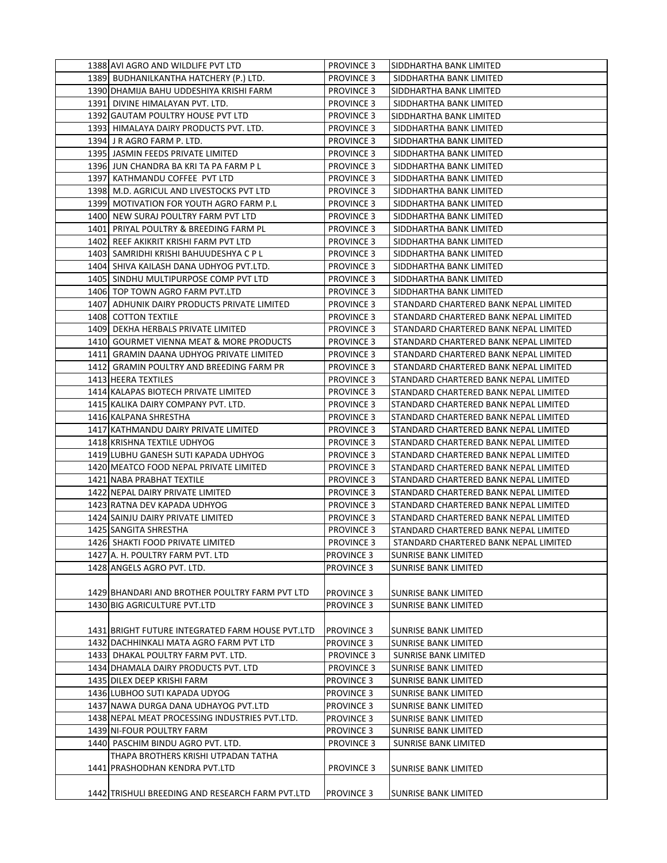| 1388 AVI AGRO AND WILDLIFE PVT LTD                                  | <b>PROVINCE 3</b> | ISIDDHARTHA BANK LIMITED              |
|---------------------------------------------------------------------|-------------------|---------------------------------------|
| 1389 BUDHANILKANTHA HATCHERY (P.) LTD.                              | <b>PROVINCE 3</b> | SIDDHARTHA BANK LIMITED               |
| 1390 DHAMIJA BAHU UDDESHIYA KRISHI FARM                             | <b>PROVINCE 3</b> | SIDDHARTHA BANK LIMITED               |
| 1391 DIVINE HIMALAYAN PVT. LTD.                                     | <b>PROVINCE 3</b> | SIDDHARTHA BANK LIMITED               |
| 1392 GAUTAM POULTRY HOUSE PVT LTD                                   | <b>PROVINCE 3</b> | SIDDHARTHA BANK LIMITED               |
| 1393 HIMALAYA DAIRY PRODUCTS PVT. LTD.                              | <b>PROVINCE 3</b> | SIDDHARTHA BANK LIMITED               |
| 1394 J R AGRO FARM P. LTD.                                          | <b>PROVINCE 3</b> | SIDDHARTHA BANK LIMITED               |
| 1395 JASMIN FEEDS PRIVATE LIMITED                                   | <b>PROVINCE 3</b> | SIDDHARTHA BANK LIMITED               |
| 1396 JUN CHANDRA BA KRI TA PA FARM P L                              | <b>PROVINCE 3</b> | SIDDHARTHA BANK LIMITED               |
| 1397 KATHMANDU COFFEE PVT LTD                                       | <b>PROVINCE 3</b> | SIDDHARTHA BANK LIMITED               |
| 1398 M.D. AGRICUL AND LIVESTOCKS PVT LTD                            | <b>PROVINCE 3</b> | SIDDHARTHA BANK LIMITED               |
| 1399 MOTIVATION FOR YOUTH AGRO FARM P.L                             | <b>PROVINCE 3</b> | SIDDHARTHA BANK LIMITED               |
| 1400 NEW SURAJ POULTRY FARM PVT LTD                                 | <b>PROVINCE 3</b> | SIDDHARTHA BANK LIMITED               |
| 1401 PRIYAL POULTRY & BREEDING FARM PL                              | <b>PROVINCE 3</b> | SIDDHARTHA BANK LIMITED               |
| 1402 REEF AKIKRIT KRISHI FARM PVT LTD                               | <b>PROVINCE 3</b> | SIDDHARTHA BANK LIMITED               |
| 1403   SAMRIDHI KRISHI BAHUUDESHYA C P L                            | <b>PROVINCE 3</b> | SIDDHARTHA BANK LIMITED               |
| 1404 SHIVA KAILASH DANA UDHYOG PVT.LTD.                             | <b>PROVINCE 3</b> | SIDDHARTHA BANK LIMITED               |
| 1405 SINDHU MULTIPURPOSE COMP PVT LTD                               | <b>PROVINCE 3</b> | SIDDHARTHA BANK LIMITED               |
| 1406 TOP TOWN AGRO FARM PVT.LTD                                     | <b>PROVINCE 3</b> | SIDDHARTHA BANK LIMITED               |
| 1407 ADHUNIK DAIRY PRODUCTS PRIVATE LIMITED                         | <b>PROVINCE 3</b> | STANDARD CHARTERED BANK NEPAL LIMITED |
| 1408 COTTON TEXTILE                                                 | <b>PROVINCE 3</b> | STANDARD CHARTERED BANK NEPAL LIMITED |
| 1409 DEKHA HERBALS PRIVATE LIMITED                                  | <b>PROVINCE 3</b> | STANDARD CHARTERED BANK NEPAL LIMITED |
| 1410 GOURMET VIENNA MEAT & MORE PRODUCTS                            | <b>PROVINCE 3</b> | STANDARD CHARTERED BANK NEPAL LIMITED |
| 1411 GRAMIN DAANA UDHYOG PRIVATE LIMITED                            | <b>PROVINCE 3</b> | STANDARD CHARTERED BANK NEPAL LIMITED |
| 1412 GRAMIN POULTRY AND BREEDING FARM PR                            | <b>PROVINCE 3</b> | STANDARD CHARTERED BANK NEPAL LIMITED |
| 1413 HEERA TEXTILES                                                 |                   |                                       |
| 1414 KALAPAS BIOTECH PRIVATE LIMITED                                | <b>PROVINCE 3</b> | STANDARD CHARTERED BANK NEPAL LIMITED |
|                                                                     | <b>PROVINCE 3</b> | STANDARD CHARTERED BANK NEPAL LIMITED |
| 1415 KALIKA DAIRY COMPANY PVT. LTD.                                 | <b>PROVINCE 3</b> | STANDARD CHARTERED BANK NEPAL LIMITED |
| 1416 KALPANA SHRESTHA                                               | <b>PROVINCE 3</b> | STANDARD CHARTERED BANK NEPAL LIMITED |
| 1417 KATHMANDU DAIRY PRIVATE LIMITED<br>1418 KRISHNA TEXTILE UDHYOG | <b>PROVINCE 3</b> | STANDARD CHARTERED BANK NEPAL LIMITED |
|                                                                     | <b>PROVINCE 3</b> | STANDARD CHARTERED BANK NEPAL LIMITED |
| 1419 LUBHU GANESH SUTI KAPADA UDHYOG                                | <b>PROVINCE 3</b> | STANDARD CHARTERED BANK NEPAL LIMITED |
| 1420 MEATCO FOOD NEPAL PRIVATE LIMITED                              | <b>PROVINCE 3</b> | STANDARD CHARTERED BANK NEPAL LIMITED |
| 1421 NABA PRABHAT TEXTILE                                           | <b>PROVINCE 3</b> | STANDARD CHARTERED BANK NEPAL LIMITED |
| 1422 NEPAL DAIRY PRIVATE LIMITED                                    | <b>PROVINCE 3</b> | STANDARD CHARTERED BANK NEPAL LIMITED |
| 1423 RATNA DEV KAPADA UDHYOG                                        | <b>PROVINCE 3</b> | STANDARD CHARTERED BANK NEPAL LIMITED |
| 1424 SAINJU DAIRY PRIVATE LIMITED                                   | <b>PROVINCE 3</b> | STANDARD CHARTERED BANK NEPAL LIMITED |
| 1425 SANGITA SHRESTHA                                               | <b>PROVINCE 3</b> | STANDARD CHARTERED BANK NEPAL LIMITED |
| 1426 SHAKTI FOOD PRIVATE LIMITED                                    | <b>PROVINCE 3</b> | STANDARD CHARTERED BANK NEPAL LIMITED |
| 1427 A. H. POULTRY FARM PVT. LTD                                    | <b>PROVINCE 3</b> | <b>SUNRISE BANK LIMITED</b>           |
| 1428 ANGELS AGRO PVT. LTD.                                          | <b>PROVINCE 3</b> | SUNRISE BANK LIMITED                  |
|                                                                     |                   |                                       |
| 1429 BHANDARI AND BROTHER POULTRY FARM PVT LTD                      | <b>PROVINCE 3</b> | <b>SUNRISE BANK LIMITED</b>           |
| 1430 BIG AGRICULTURE PVT.LTD                                        | <b>PROVINCE 3</b> | <b>SUNRISE BANK LIMITED</b>           |
|                                                                     |                   |                                       |
| 1431 BRIGHT FUTURE INTEGRATED FARM HOUSE PVT.LTD                    | <b>PROVINCE 3</b> | SUNRISE BANK LIMITED                  |
| 1432 DACHHINKALI MATA AGRO FARM PVT LTD                             | PROVINCE 3        | <b>SUNRISE BANK LIMITED</b>           |
| 1433 DHAKAL POULTRY FARM PVT. LTD.                                  | <b>PROVINCE 3</b> | SUNRISE BANK LIMITED                  |
| 1434 DHAMALA DAIRY PRODUCTS PVT. LTD                                | <b>PROVINCE 3</b> | <b>SUNRISE BANK LIMITED</b>           |
| 1435 DILEX DEEP KRISHI FARM                                         | <b>PROVINCE 3</b> | SUNRISE BANK LIMITED                  |
| 1436 LUBHOO SUTI KAPADA UDYOG                                       | <b>PROVINCE 3</b> | <b>SUNRISE BANK LIMITED</b>           |
| 1437 NAWA DURGA DANA UDHAYOG PVT.LTD                                | <b>PROVINCE 3</b> | <b>SUNRISE BANK LIMITED</b>           |
| 1438 NEPAL MEAT PROCESSING INDUSTRIES PVT.LTD.                      | <b>PROVINCE 3</b> | SUNRISE BANK LIMITED                  |
| 1439 NI-FOUR POULTRY FARM                                           | PROVINCE 3        | <b>SUNRISE BANK LIMITED</b>           |
| 1440 PASCHIM BINDU AGRO PVT. LTD.                                   | <b>PROVINCE 3</b> | SUNRISE BANK LIMITED                  |
| THAPA BROTHERS KRISHI UTPADAN TATHA                                 |                   |                                       |
| 1441 PRASHODHAN KENDRA PVT.LTD                                      | <b>PROVINCE 3</b> | SUNRISE BANK LIMITED                  |
|                                                                     |                   |                                       |
| 1442 TRISHULI BREEDING AND RESEARCH FARM PVT.LTD                    | <b>PROVINCE 3</b> | <b>SUNRISE BANK LIMITED</b>           |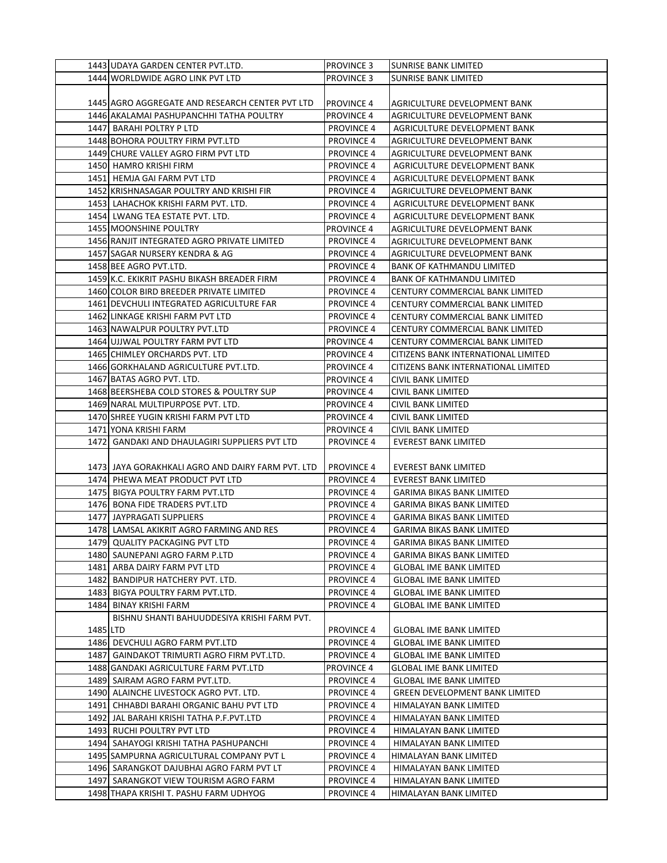|          | 1443 UDAYA GARDEN CENTER PVT.LTD.                  | <b>PROVINCE 3</b> | <b>SUNRISE BANK LIMITED</b>            |
|----------|----------------------------------------------------|-------------------|----------------------------------------|
|          | 1444 WORLDWIDE AGRO LINK PVT LTD                   | <b>PROVINCE 3</b> | <b>SUNRISE BANK LIMITED</b>            |
|          |                                                    |                   |                                        |
|          | 1445 AGRO AGGREGATE AND RESEARCH CENTER PVT LTD    | <b>PROVINCE 4</b> | AGRICULTURE DEVELOPMENT BANK           |
|          | 1446 AKALAMAI PASHUPANCHHI TATHA POULTRY           | <b>PROVINCE 4</b> | AGRICULTURE DEVELOPMENT BANK           |
|          | 1447 BARAHI POLTRY P LTD                           | <b>PROVINCE 4</b> | AGRICULTURE DEVELOPMENT BANK           |
|          | 1448 BOHORA POULTRY FIRM PVT.LTD                   | <b>PROVINCE 4</b> | AGRICULTURE DEVELOPMENT BANK           |
|          | 1449 CHURE VALLEY AGRO FIRM PVT LTD                | <b>PROVINCE 4</b> | AGRICULTURE DEVELOPMENT BANK           |
|          | 1450 HAMRO KRISHI FIRM                             | <b>PROVINCE 4</b> | AGRICULTURE DEVELOPMENT BANK           |
|          | 1451 HEMJA GAI FARM PVT LTD                        | <b>PROVINCE 4</b> | AGRICULTURE DEVELOPMENT BANK           |
|          | 1452 KRISHNASAGAR POULTRY AND KRISHI FIR           | <b>PROVINCE 4</b> | AGRICULTURE DEVELOPMENT BANK           |
|          | 1453  LAHACHOK KRISHI FARM PVT. LTD.               | <b>PROVINCE 4</b> | AGRICULTURE DEVELOPMENT BANK           |
|          | 1454 LWANG TEA ESTATE PVT. LTD.                    | <b>PROVINCE 4</b> | AGRICULTURE DEVELOPMENT BANK           |
|          | 1455 MOONSHINE POULTRY                             | <b>PROVINCE 4</b> | AGRICULTURE DEVELOPMENT BANK           |
|          | 1456 RANJIT INTEGRATED AGRO PRIVATE LIMITED        | <b>PROVINCE 4</b> | AGRICULTURE DEVELOPMENT BANK           |
|          | 1457 SAGAR NURSERY KENDRA & AG                     | <b>PROVINCE 4</b> | AGRICULTURE DEVELOPMENT BANK           |
|          | 1458 BEE AGRO PVT.LTD.                             | <b>PROVINCE 4</b> | <b>BANK OF KATHMANDU LIMITED</b>       |
|          | 1459 K.C. EKIKRIT PASHU BIKASH BREADER FIRM        | <b>PROVINCE 4</b> | <b>BANK OF KATHMANDU LIMITED</b>       |
|          | 1460 COLOR BIRD BREEDER PRIVATE LIMITED            | <b>PROVINCE 4</b> | <b>CENTURY COMMERCIAL BANK LIMITED</b> |
|          | 1461 DEVCHULI INTEGRATED AGRICULTURE FAR           | <b>PROVINCE 4</b> | CENTURY COMMERCIAL BANK LIMITED        |
|          | 1462 LINKAGE KRISHI FARM PVT LTD                   | <b>PROVINCE 4</b> | CENTURY COMMERCIAL BANK LIMITED        |
|          | 1463 NAWALPUR POULTRY PVT.LTD                      | <b>PROVINCE 4</b> | CENTURY COMMERCIAL BANK LIMITED        |
|          | 1464 UJJWAL POULTRY FARM PVT LTD                   | PROVINCE 4        | CENTURY COMMERCIAL BANK LIMITED        |
|          | 1465 CHIMLEY ORCHARDS PVT. LTD                     | <b>PROVINCE 4</b> | CITIZENS BANK INTERNATIONAL LIMITED    |
|          | 1466 GORKHALAND AGRICULTURE PVT.LTD.               | <b>PROVINCE 4</b> | CITIZENS BANK INTERNATIONAL LIMITED    |
|          | 1467 BATAS AGRO PVT. LTD.                          | <b>PROVINCE 4</b> | CIVIL BANK LIMITED                     |
|          | 1468 BEERSHEBA COLD STORES & POULTRY SUP           | <b>PROVINCE 4</b> | CIVIL BANK LIMITED                     |
|          | 1469 NARAL MULTIPURPOSE PVT. LTD.                  | <b>PROVINCE 4</b> | CIVIL BANK LIMITED                     |
|          | 1470 SHREE YUGIN KRISHI FARM PVT LTD               | <b>PROVINCE 4</b> | CIVIL BANK LIMITED                     |
|          | 1471 YONA KRISHI FARM                              | <b>PROVINCE 4</b> | CIVIL BANK LIMITED                     |
|          | 1472 GANDAKI AND DHAULAGIRI SUPPLIERS PVT LTD      | <b>PROVINCE 4</b> | <b>EVEREST BANK LIMITED</b>            |
|          |                                                    |                   |                                        |
|          | 1473  JAYA GORAKHKALI AGRO AND DAIRY FARM PVT. LTD | <b>PROVINCE 4</b> | EVEREST BANK LIMITED                   |
|          | 1474 PHEWA MEAT PRODUCT PVT LTD                    | <b>PROVINCE 4</b> | EVEREST BANK LIMITED                   |
|          | 1475 BIGYA POULTRY FARM PVT.LTD                    | <b>PROVINCE 4</b> | <b>GARIMA BIKAS BANK LIMITED</b>       |
|          | 1476 BONA FIDE TRADERS PVT.LTD                     | <b>PROVINCE 4</b> | GARIMA BIKAS BANK LIMITED              |
|          | 1477 JAYPRAGATI SUPPLIERS                          | <b>PROVINCE 4</b> | GARIMA BIKAS BANK LIMITED              |
|          | 1478 LAMSAL AKIKRIT AGRO FARMING AND RES           | <b>PROVINCE 4</b> | <b>GARIMA BIKAS BANK LIMITED</b>       |
|          | 1479 QUALITY PACKAGING PVT LTD                     | <b>PROVINCE 4</b> | <b>GARIMA BIKAS BANK LIMITED</b>       |
|          | 1480 SAUNEPANI AGRO FARM P.LTD                     | <b>PROVINCE 4</b> | GARIMA BIKAS BANK LIMITED              |
|          | 1481 ARBA DAIRY FARM PVT LTD                       | <b>PROVINCE 4</b> | <b>GLOBAL IME BANK LIMITED</b>         |
|          | 1482 BANDIPUR HATCHERY PVT. LTD.                   | <b>PROVINCE 4</b> | <b>GLOBAL IME BANK LIMITED</b>         |
|          | 1483 BIGYA POULTRY FARM PVT.LTD.                   | <b>PROVINCE 4</b> | <b>GLOBAL IME BANK LIMITED</b>         |
|          | 1484 BINAY KRISHI FARM                             | <b>PROVINCE 4</b> | <b>GLOBAL IME BANK LIMITED</b>         |
|          | BISHNU SHANTI BAHUUDDESIYA KRISHI FARM PVT.        |                   |                                        |
| 1485 LTD |                                                    | <b>PROVINCE 4</b> | <b>GLOBAL IME BANK LIMITED</b>         |
|          | 1486 DEVCHULI AGRO FARM PVT.LTD                    | <b>PROVINCE 4</b> | <b>GLOBAL IME BANK LIMITED</b>         |
|          | 1487   GAINDAKOT TRIMURTI AGRO FIRM PVT.LTD.       | <b>PROVINCE 4</b> | <b>GLOBAL IME BANK LIMITED</b>         |
|          | 1488 GANDAKI AGRICULTURE FARM PVT.LTD              | <b>PROVINCE 4</b> | GLOBAL IME BANK LIMITED                |
|          | 1489 SAIRAM AGRO FARM PVT.LTD.                     | <b>PROVINCE 4</b> | <b>GLOBAL IME BANK LIMITED</b>         |
|          | 1490 ALAINCHE LIVESTOCK AGRO PVT. LTD.             | <b>PROVINCE 4</b> | <b>GREEN DEVELOPMENT BANK LIMITED</b>  |
|          | 1491  CHHABDI BARAHI ORGANIC BAHU PVT LTD          | <b>PROVINCE 4</b> | HIMALAYAN BANK LIMITED                 |
|          | 1492 JAL BARAHI KRISHI TATHA P.F.PVT.LTD           | <b>PROVINCE 4</b> | HIMALAYAN BANK LIMITED                 |
|          | 1493 RUCHI POULTRY PVT LTD                         | <b>PROVINCE 4</b> | HIMALAYAN BANK LIMITED                 |
|          | 1494 SAHAYOGI KRISHI TATHA PASHUPANCHI             | <b>PROVINCE 4</b> | HIMALAYAN BANK LIMITED                 |
|          | 1495 SAMPURNA AGRICULTURAL COMPANY PVT L           | <b>PROVINCE 4</b> | HIMALAYAN BANK LIMITED                 |
|          | 1496 SARANGKOT DAJUBHAI AGRO FARM PVT LT           | <b>PROVINCE 4</b> | HIMALAYAN BANK LIMITED                 |
|          | 1497 SARANGKOT VIEW TOURISM AGRO FARM              | <b>PROVINCE 4</b> | HIMALAYAN BANK LIMITED                 |
|          | 1498 THAPA KRISHI T. PASHU FARM UDHYOG             | <b>PROVINCE 4</b> | HIMALAYAN BANK LIMITED                 |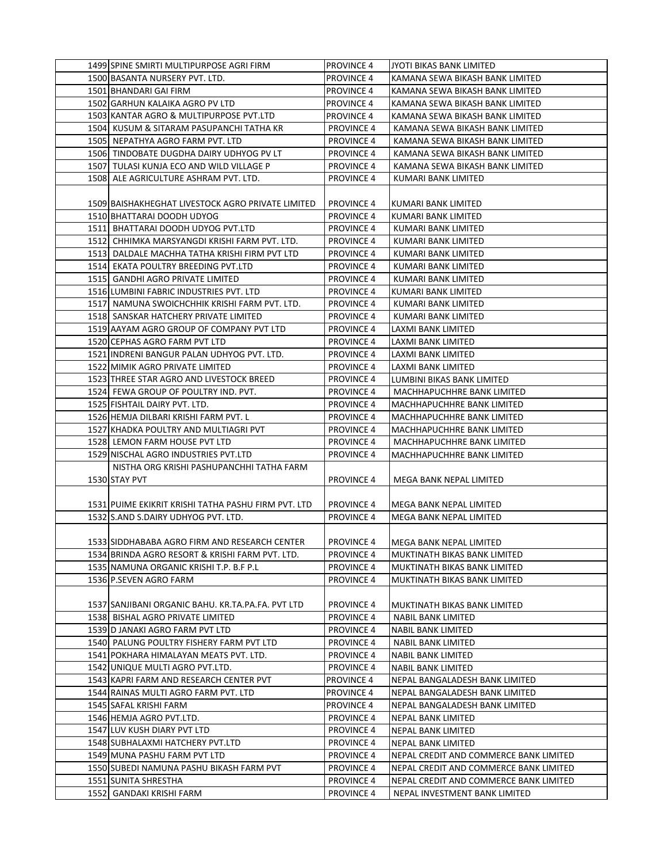| 1499 SPINE SMIRTI MULTIPURPOSE AGRI FIRM                                  | <b>PROVINCE 4</b>                      | JYOTI BIKAS BANK LIMITED                                 |
|---------------------------------------------------------------------------|----------------------------------------|----------------------------------------------------------|
| 1500 BASANTA NURSERY PVT. LTD.                                            | <b>PROVINCE 4</b>                      | KAMANA SEWA BIKASH BANK LIMITED                          |
| 1501 BHANDARI GAI FIRM                                                    | <b>PROVINCE 4</b>                      | KAMANA SEWA BIKASH BANK LIMITED                          |
| 1502 GARHUN KALAIKA AGRO PV LTD                                           | <b>PROVINCE 4</b>                      | KAMANA SEWA BIKASH BANK LIMITED                          |
| 1503 KANTAR AGRO & MULTIPURPOSE PVT.LTD                                   | <b>PROVINCE 4</b>                      | KAMANA SEWA BIKASH BANK LIMITED                          |
| 1504 KUSUM & SITARAM PASUPANCHI TATHA KR                                  | <b>PROVINCE 4</b>                      | KAMANA SEWA BIKASH BANK LIMITED                          |
| 1505 NEPATHYA AGRO FARM PVT. LTD                                          | <b>PROVINCE 4</b>                      | KAMANA SEWA BIKASH BANK LIMITED                          |
| 1506 TINDOBATE DUGDHA DAIRY UDHYOG PV LT                                  | <b>PROVINCE 4</b>                      | KAMANA SEWA BIKASH BANK LIMITED                          |
| 1507 TULASI KUNJA ECO AND WILD VILLAGE P                                  | <b>PROVINCE 4</b>                      | KAMANA SEWA BIKASH BANK LIMITED                          |
| 1508 ALE AGRICULTURE ASHRAM PVT. LTD.                                     | <b>PROVINCE 4</b>                      | KUMARI BANK LIMITED                                      |
|                                                                           |                                        |                                                          |
| 1509 BAISHAKHEGHAT LIVESTOCK AGRO PRIVATE LIMITED                         | <b>PROVINCE 4</b>                      | KUMARI BANK LIMITED                                      |
| 1510 BHATTARAI DOODH UDYOG                                                | <b>PROVINCE 4</b>                      | KUMARI BANK LIMITED                                      |
| 1511  BHATTARAI DOODH UDYOG PVT.LTD                                       | <b>PROVINCE 4</b>                      | KUMARI BANK LIMITED                                      |
| 1512 CHHIMKA MARSYANGDI KRISHI FARM PVT. LTD.                             | <b>PROVINCE 4</b>                      | KUMARI BANK LIMITED                                      |
| 1513 DALDALE MACHHA TATHA KRISHI FIRM PVT LTD                             | <b>PROVINCE 4</b>                      | KUMARI BANK LIMITED                                      |
| 1514 EKATA POULTRY BREEDING PVT.LTD                                       | <b>PROVINCE 4</b>                      | KUMARI BANK LIMITED                                      |
| 1515   GANDHI AGRO PRIVATE LIMITED                                        | <b>PROVINCE 4</b>                      | KUMARI BANK LIMITED                                      |
| 1516 LUMBINI FABRIC INDUSTRIES PVT. LTD                                   | <b>PROVINCE 4</b>                      | KUMARI BANK LIMITED                                      |
| 1517 NAMUNA SWOICHCHHIK KRISHI FARM PVT. LTD.                             | <b>PROVINCE 4</b>                      | KUMARI BANK LIMITED                                      |
| 1518 SANSKAR HATCHERY PRIVATE LIMITED                                     | <b>PROVINCE 4</b>                      | KUMARI BANK LIMITED                                      |
|                                                                           |                                        |                                                          |
| 1519 AAYAM AGRO GROUP OF COMPANY PVT LTD<br>1520 CEPHAS AGRO FARM PVT LTD | <b>PROVINCE 4</b>                      | LAXMI BANK LIMITED<br>LAXMI BANK LIMITED                 |
|                                                                           | <b>PROVINCE 4</b>                      |                                                          |
| 1521 INDRENI BANGUR PALAN UDHYOG PVT. LTD.                                | <b>PROVINCE 4</b>                      | LAXMI BANK LIMITED                                       |
| 1522 MIMIK AGRO PRIVATE LIMITED                                           | <b>PROVINCE 4</b>                      | LAXMI BANK LIMITED                                       |
| 1523 THREE STAR AGRO AND LIVESTOCK BREED                                  | <b>PROVINCE 4</b>                      | LUMBINI BIKAS BANK LIMITED                               |
| 1524 FEWA GROUP OF POULTRY IND. PVT.                                      | <b>PROVINCE 4</b>                      | MACHHAPUCHHRE BANK LIMITED                               |
| 1525 FISHTAIL DAIRY PVT. LTD.                                             | <b>PROVINCE 4</b>                      | MACHHAPUCHHRE BANK LIMITED                               |
| 1526 HEMJA DILBARI KRISHI FARM PVT. L                                     | <b>PROVINCE 4</b>                      | MACHHAPUCHHRE BANK LIMITED                               |
| 1527 KHADKA POULTRY AND MULTIAGRI PVT                                     | <b>PROVINCE 4</b><br><b>PROVINCE 4</b> | MACHHAPUCHHRE BANK LIMITED<br>MACHHAPUCHHRE BANK LIMITED |
| 1528 LEMON FARM HOUSE PVT LTD<br>1529 NISCHAL AGRO INDUSTRIES PVT.LTD     | <b>PROVINCE 4</b>                      | MACHHAPUCHHRE BANK LIMITED                               |
| NISTHA ORG KRISHI PASHUPANCHHI TATHA FARM                                 |                                        |                                                          |
| 1530 STAY PVT                                                             | <b>PROVINCE 4</b>                      | MEGA BANK NEPAL LIMITED                                  |
|                                                                           |                                        |                                                          |
| 1531 PUIME EKIKRIT KRISHI TATHA PASHU FIRM PVT. LTD                       | <b>PROVINCE 4</b>                      | MEGA BANK NEPAL LIMITED                                  |
| 1532 S.AND S.DAIRY UDHYOG PVT. LTD.                                       | <b>PROVINCE 4</b>                      | MEGA BANK NEPAL LIMITED                                  |
|                                                                           |                                        |                                                          |
| 1533 SIDDHABABA AGRO FIRM AND RESEARCH CENTER                             | <b>PROVINCE 4</b>                      | MEGA BANK NEPAL LIMITED                                  |
| 1534 BRINDA AGRO RESORT & KRISHI FARM PVT. LTD.                           | <b>PROVINCE 4</b>                      | MUKTINATH BIKAS BANK LIMITED                             |
| 1535 NAMUNA ORGANIC KRISHI T.P. B.F P.L                                   | <b>PROVINCE 4</b>                      | MUKTINATH BIKAS BANK LIMITED                             |
| 1536 P.SEVEN AGRO FARM                                                    | <b>PROVINCE 4</b>                      | MUKTINATH BIKAS BANK LIMITED                             |
|                                                                           |                                        |                                                          |
| 1537 SANJIBANI ORGANIC BAHU. KR.TA.PA.FA. PVT LTD                         | <b>PROVINCE 4</b>                      | MUKTINATH BIKAS BANK LIMITED                             |
| 1538 BISHAL AGRO PRIVATE LIMITED                                          | <b>PROVINCE 4</b>                      | NABIL BANK LIMITED                                       |
| 1539 D JANAKI AGRO FARM PVT LTD                                           | <b>PROVINCE 4</b>                      | NABIL BANK LIMITED                                       |
| 1540 PALUNG POULTRY FISHERY FARM PVT LTD                                  | <b>PROVINCE 4</b>                      | NABIL BANK LIMITED                                       |
| 1541 POKHARA HIMALAYAN MEATS PVT. LTD.                                    | <b>PROVINCE 4</b>                      | NABIL BANK LIMITED                                       |
| 1542 UNIQUE MULTI AGRO PVT.LTD.                                           | <b>PROVINCE 4</b>                      | NABIL BANK LIMITED                                       |
| 1543 KAPRI FARM AND RESEARCH CENTER PVT                                   | <b>PROVINCE 4</b>                      | NEPAL BANGALADESH BANK LIMITED                           |
| 1544 RAINAS MULTI AGRO FARM PVT. LTD                                      | <b>PROVINCE 4</b>                      | NEPAL BANGALADESH BANK LIMITED                           |
| 1545 SAFAL KRISHI FARM                                                    | <b>PROVINCE 4</b>                      | NEPAL BANGALADESH BANK LIMITED                           |
| 1546 HEMJA AGRO PVT.LTD.                                                  | <b>PROVINCE 4</b>                      | NEPAL BANK LIMITED                                       |
| 1547 LUV KUSH DIARY PVT LTD                                               | <b>PROVINCE 4</b>                      | NEPAL BANK LIMITED                                       |
| 1548 SUBHALAXMI HATCHERY PVT.LTD                                          | <b>PROVINCE 4</b>                      | NEPAL BANK LIMITED                                       |
| 1549 MUNA PASHU FARM PVT LTD                                              | <b>PROVINCE 4</b>                      | NEPAL CREDIT AND COMMERCE BANK LIMITED                   |
| 1550 SUBEDI NAMUNA PASHU BIKASH FARM PVT                                  | <b>PROVINCE 4</b>                      | NEPAL CREDIT AND COMMERCE BANK LIMITED                   |
| 1551 SUNITA SHRESTHA                                                      | <b>PROVINCE 4</b>                      | NEPAL CREDIT AND COMMERCE BANK LIMITED                   |
| 1552   GANDAKI KRISHI FARM                                                | <b>PROVINCE 4</b>                      | NEPAL INVESTMENT BANK LIMITED                            |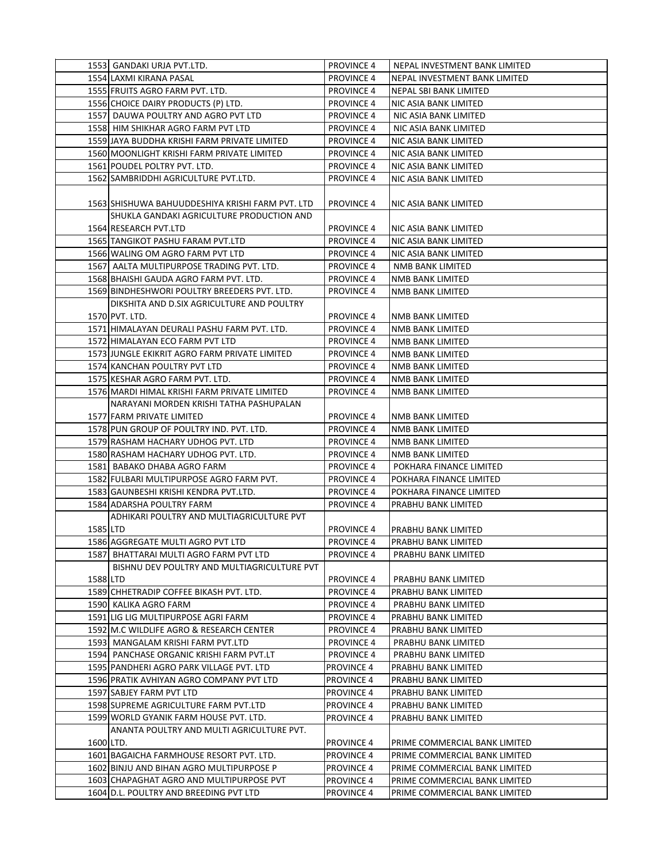|           | 1553   GANDAKI URJA PVT.LTD.                                           | <b>PROVINCE 4</b>                      | NEPAL INVESTMENT BANK LIMITED              |
|-----------|------------------------------------------------------------------------|----------------------------------------|--------------------------------------------|
|           | 1554 LAXMI KIRANA PASAL                                                | <b>PROVINCE 4</b>                      | NEPAL INVESTMENT BANK LIMITED              |
|           | 1555 FRUITS AGRO FARM PVT. LTD.                                        | <b>PROVINCE 4</b>                      | NEPAL SBI BANK LIMITED                     |
|           | 1556 CHOICE DAIRY PRODUCTS (P) LTD.                                    | <b>PROVINCE 4</b>                      | NIC ASIA BANK LIMITED                      |
|           | 1557 DAUWA POULTRY AND AGRO PVT LTD                                    | <b>PROVINCE 4</b>                      | NIC ASIA BANK LIMITED                      |
|           | 1558 HIM SHIKHAR AGRO FARM PVT LTD                                     | <b>PROVINCE 4</b>                      | NIC ASIA BANK LIMITED                      |
|           | 1559 JAYA BUDDHA KRISHI FARM PRIVATE LIMITED                           | <b>PROVINCE 4</b>                      | NIC ASIA BANK LIMITED                      |
|           | 1560 MOONLIGHT KRISHI FARM PRIVATE LIMITED                             | <b>PROVINCE 4</b>                      | NIC ASIA BANK LIMITED                      |
|           | 1561 POUDEL POLTRY PVT. LTD.                                           | <b>PROVINCE 4</b>                      | NIC ASIA BANK LIMITED                      |
|           | 1562 SAMBRIDDHI AGRICULTURE PVT.LTD.                                   | <b>PROVINCE 4</b>                      | NIC ASIA BANK LIMITED                      |
|           |                                                                        |                                        |                                            |
|           | 1563 SHISHUWA BAHUUDDESHIYA KRISHI FARM PVT. LTD                       | <b>PROVINCE 4</b>                      | NIC ASIA BANK LIMITED                      |
|           | SHUKLA GANDAKI AGRICULTURE PRODUCTION AND                              |                                        |                                            |
|           | 1564 RESEARCH PVT.LTD                                                  | <b>PROVINCE 4</b>                      | NIC ASIA BANK LIMITED                      |
|           | 1565 TANGIKOT PASHU FARAM PVT.LTD                                      | <b>PROVINCE 4</b>                      | NIC ASIA BANK LIMITED                      |
|           | 1566 WALING OM AGRO FARM PVT LTD                                       | <b>PROVINCE 4</b>                      | NIC ASIA BANK LIMITED                      |
|           | 1567 AALTA MULTIPURPOSE TRADING PVT. LTD.                              | <b>PROVINCE 4</b>                      | NMB BANK LIMITED                           |
|           | 1568 BHAISHI GAUDA AGRO FARM PVT. LTD.                                 | <b>PROVINCE 4</b>                      | NMB BANK LIMITED                           |
|           | 1569 BINDHESHWORI POULTRY BREEDERS PVT. LTD.                           | <b>PROVINCE 4</b>                      | NMB BANK LIMITED                           |
|           | DIKSHITA AND D.SIX AGRICULTURE AND POULTRY                             |                                        |                                            |
|           | 1570 PVT. LTD.                                                         | <b>PROVINCE 4</b>                      | NMB BANK LIMITED                           |
|           | 1571 HIMALAYAN DEURALI PASHU FARM PVT. LTD.                            | <b>PROVINCE 4</b>                      | NMB BANK LIMITED                           |
|           | 1572 HIMALAYAN ECO FARM PVT LTD                                        | <b>PROVINCE 4</b>                      | <b>NMB BANK LIMITED</b>                    |
|           | 1573 JUNGLE EKIKRIT AGRO FARM PRIVATE LIMITED                          | <b>PROVINCE 4</b>                      | NMB BANK LIMITED                           |
|           |                                                                        | <b>PROVINCE 4</b>                      | NMB BANK LIMITED                           |
|           | 1574 KANCHAN POULTRY PVT LTD<br>1575 KESHAR AGRO FARM PVT. LTD.        | <b>PROVINCE 4</b>                      |                                            |
|           |                                                                        |                                        | NMB BANK LIMITED                           |
|           | 1576 MARDI HIMAL KRISHI FARM PRIVATE LIMITED                           | <b>PROVINCE 4</b>                      | NMB BANK LIMITED                           |
|           | NARAYANI MORDEN KRISHI TATHA PASHUPALAN<br>1577 FARM PRIVATE LIMITED   |                                        |                                            |
|           |                                                                        | <b>PROVINCE 4</b>                      | NMB BANK LIMITED                           |
|           | 1578 PUN GROUP OF POULTRY IND. PVT. LTD.                               | <b>PROVINCE 4</b>                      | NMB BANK LIMITED                           |
|           | 1579 RASHAM HACHARY UDHOG PVT. LTD                                     | <b>PROVINCE 4</b>                      | NMB BANK LIMITED                           |
|           | 1580 RASHAM HACHARY UDHOG PVT. LTD.                                    | <b>PROVINCE 4</b>                      | NMB BANK LIMITED                           |
|           | 1581 BABAKO DHABA AGRO FARM                                            | <b>PROVINCE 4</b>                      | POKHARA FINANCE LIMITED                    |
|           | 1582 FULBARI MULTIPURPOSE AGRO FARM PVT.                               | <b>PROVINCE 4</b>                      | POKHARA FINANCE LIMITED                    |
|           | 1583 GAUNBESHI KRISHI KENDRA PVT.LTD.                                  | <b>PROVINCE 4</b>                      | POKHARA FINANCE LIMITED                    |
|           | 1584 ADARSHA POULTRY FARM<br>ADHIKARI POULTRY AND MULTIAGRICULTURE PVT | <b>PROVINCE 4</b>                      | PRABHU BANK LIMITED                        |
| 1585 LTD  |                                                                        | <b>PROVINCE 4</b>                      |                                            |
|           | 1586 AGGREGATE MULTI AGRO PVT LTD                                      | <b>PROVINCE 4</b>                      | PRABHU BANK LIMITED<br>PRABHU BANK LIMITED |
|           | 1587 BHATTARAI MULTI AGRO FARM PVT LTD                                 | <b>PROVINCE 4</b>                      | PRABHU BANK LIMITED                        |
|           | BISHNU DEV POULTRY AND MULTIAGRICULTURE PVT                            |                                        |                                            |
|           |                                                                        | <b>PROVINCE 4</b>                      |                                            |
| 1588 LTD  | 1589 CHHETRADIP COFFEE BIKASH PVT. LTD.                                | <b>PROVINCE 4</b>                      | PRABHU BANK LIMITED<br>PRABHU BANK LIMITED |
|           |                                                                        |                                        | PRABHU BANK LIMITED                        |
|           | 1590 KALIKA AGRO FARM<br>1591 LIG LIG MULTIPURPOSE AGRI FARM           | <b>PROVINCE 4</b><br>PROVINCE 4        |                                            |
|           | 1592 M.C WILDLIFE AGRO & RESEARCH CENTER                               |                                        | PRABHU BANK LIMITED                        |
|           | 1593 MANGALAM KRISHI FARM PVT.LTD                                      | <b>PROVINCE 4</b><br><b>PROVINCE 4</b> | PRABHU BANK LIMITED<br>PRABHU BANK LIMITED |
|           | 1594 PANCHASE ORGANIC KRISHI FARM PVT.LT                               | <b>PROVINCE 4</b>                      | PRABHU BANK LIMITED                        |
|           | 1595 PANDHERI AGRO PARK VILLAGE PVT. LTD                               | <b>PROVINCE 4</b>                      | PRABHU BANK LIMITED                        |
|           | 1596 PRATIK AVHIYAN AGRO COMPANY PVT LTD                               | <b>PROVINCE 4</b>                      | PRABHU BANK LIMITED                        |
|           | 1597 SABJEY FARM PVT LTD                                               | <b>PROVINCE 4</b>                      | PRABHU BANK LIMITED                        |
|           | 1598 SUPREME AGRICULTURE FARM PVT.LTD                                  |                                        |                                            |
|           | 1599 WORLD GYANIK FARM HOUSE PVT. LTD.                                 | <b>PROVINCE 4</b><br><b>PROVINCE 4</b> | PRABHU BANK LIMITED<br>PRABHU BANK LIMITED |
|           | ANANTA POULTRY AND MULTI AGRICULTURE PVT.                              |                                        |                                            |
| 1600 LTD. |                                                                        | <b>PROVINCE 4</b>                      | PRIME COMMERCIAL BANK LIMITED              |
|           | 1601 BAGAICHA FARMHOUSE RESORT PVT. LTD.                               | PROVINCE 4                             | PRIME COMMERCIAL BANK LIMITED              |
|           | 1602 BINJU AND BIHAN AGRO MULTIPURPOSE P                               | PROVINCE 4                             | PRIME COMMERCIAL BANK LIMITED              |
|           | 1603 CHAPAGHAT AGRO AND MULTIPURPOSE PVT                               | PROVINCE 4                             | PRIME COMMERCIAL BANK LIMITED              |
|           | 1604 D.L. POULTRY AND BREEDING PVT LTD                                 | <b>PROVINCE 4</b>                      | PRIME COMMERCIAL BANK LIMITED              |
|           |                                                                        |                                        |                                            |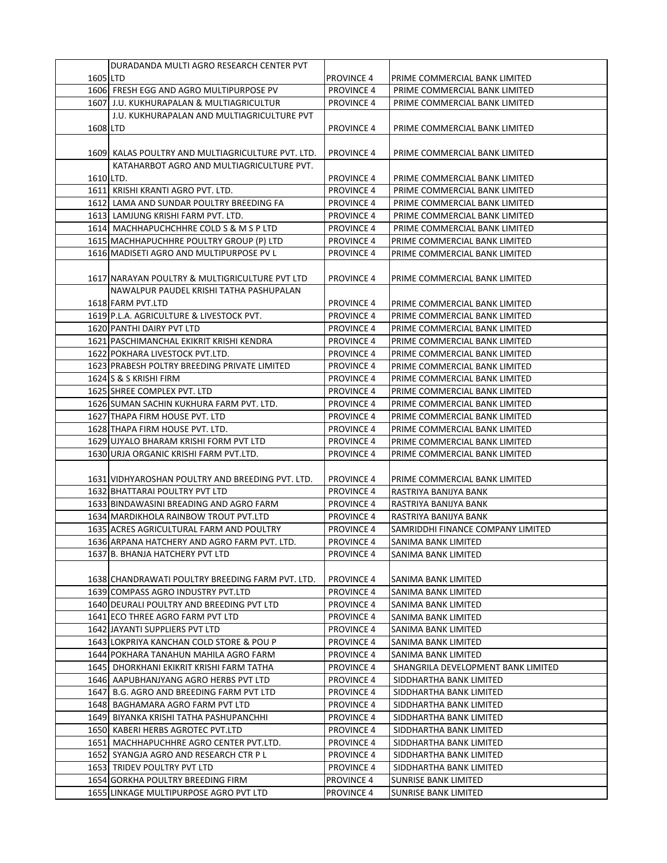|           | DURADANDA MULTI AGRO RESEARCH CENTER PVT          |                   |                                    |
|-----------|---------------------------------------------------|-------------------|------------------------------------|
| 1605 LTD  |                                                   | <b>PROVINCE 4</b> | PRIME COMMERCIAL BANK LIMITED      |
|           | 1606 FRESH EGG AND AGRO MULTIPURPOSE PV           | <b>PROVINCE 4</b> | PRIME COMMERCIAL BANK LIMITED      |
|           | 1607 J.U. KUKHURAPALAN & MULTIAGRICULTUR          | <b>PROVINCE 4</b> | PRIME COMMERCIAL BANK LIMITED      |
|           | J.U. KUKHURAPALAN AND MULTIAGRICULTURE PVT        |                   |                                    |
| 1608 LTD  |                                                   | <b>PROVINCE 4</b> | PRIME COMMERCIAL BANK LIMITED      |
|           |                                                   |                   |                                    |
|           | 1609 KALAS POULTRY AND MULTIAGRICULTURE PVT. LTD. | <b>PROVINCE 4</b> | PRIME COMMERCIAL BANK LIMITED      |
|           |                                                   |                   |                                    |
|           | KATAHARBOT AGRO AND MULTIAGRICULTURE PVT.         |                   |                                    |
| 1610 LTD. |                                                   | <b>PROVINCE 4</b> | PRIME COMMERCIAL BANK LIMITED      |
|           | 1611 KRISHI KRANTI AGRO PVT. LTD.                 | <b>PROVINCE 4</b> | PRIME COMMERCIAL BANK LIMITED      |
|           | 1612 LAMA AND SUNDAR POULTRY BREEDING FA          | <b>PROVINCE 4</b> | PRIME COMMERCIAL BANK LIMITED      |
|           | 1613 LAMJUNG KRISHI FARM PVT. LTD.                | <b>PROVINCE 4</b> | PRIME COMMERCIAL BANK LIMITED      |
|           | 1614 MACHHAPUCHCHHRE COLD S & M S P LTD           | <b>PROVINCE 4</b> | PRIME COMMERCIAL BANK LIMITED      |
|           | 1615 MACHHAPUCHHRE POULTRY GROUP (P) LTD          | <b>PROVINCE 4</b> | PRIME COMMERCIAL BANK LIMITED      |
|           | 1616 MADISETI AGRO AND MULTIPURPOSE PV L          | <b>PROVINCE 4</b> | PRIME COMMERCIAL BANK LIMITED      |
|           |                                                   |                   |                                    |
|           | 1617 NARAYAN POULTRY & MULTIGRICULTURE PVT LTD    | <b>PROVINCE 4</b> | PRIME COMMERCIAL BANK LIMITED      |
|           | NAWALPUR PAUDEL KRISHI TATHA PASHUPALAN           |                   |                                    |
|           | 1618 FARM PVT.LTD                                 | <b>PROVINCE 4</b> | PRIME COMMERCIAL BANK LIMITED      |
|           | 1619 P.L.A. AGRICULTURE & LIVESTOCK PVT.          | <b>PROVINCE 4</b> | PRIME COMMERCIAL BANK LIMITED      |
|           | 1620 PANTHI DAIRY PVT LTD                         | <b>PROVINCE 4</b> | PRIME COMMERCIAL BANK LIMITED      |
|           | 1621 PASCHIMANCHAL EKIKRIT KRISHI KENDRA          | <b>PROVINCE 4</b> | PRIME COMMERCIAL BANK LIMITED      |
|           | 1622 POKHARA LIVESTOCK PVT.LTD.                   | <b>PROVINCE 4</b> | PRIME COMMERCIAL BANK LIMITED      |
|           | 1623 PRABESH POLTRY BREEDING PRIVATE LIMITED      | <b>PROVINCE 4</b> | PRIME COMMERCIAL BANK LIMITED      |
|           | 1624 S & S KRISHI FIRM                            | <b>PROVINCE 4</b> | PRIME COMMERCIAL BANK LIMITED      |
|           | 1625 SHREE COMPLEX PVT. LTD                       | <b>PROVINCE 4</b> | PRIME COMMERCIAL BANK LIMITED      |
|           | 1626 SUMAN SACHIN KUKHURA FARM PVT. LTD.          | <b>PROVINCE 4</b> | PRIME COMMERCIAL BANK LIMITED      |
|           | 1627 THAPA FIRM HOUSE PVT. LTD                    | <b>PROVINCE 4</b> | PRIME COMMERCIAL BANK LIMITED      |
|           | 1628 THAPA FIRM HOUSE PVT. LTD.                   | <b>PROVINCE 4</b> | PRIME COMMERCIAL BANK LIMITED      |
|           | 1629 UJYALO BHARAM KRISHI FORM PVT LTD            | <b>PROVINCE 4</b> | PRIME COMMERCIAL BANK LIMITED      |
|           | 1630 URJA ORGANIC KRISHI FARM PVT.LTD.            | <b>PROVINCE 4</b> | PRIME COMMERCIAL BANK LIMITED      |
|           |                                                   |                   |                                    |
|           | 1631 VIDHYAROSHAN POULTRY AND BREEDING PVT. LTD.  | <b>PROVINCE 4</b> | PRIME COMMERCIAL BANK LIMITED      |
|           | 1632 BHATTARAI POULTRY PVT LTD                    | <b>PROVINCE 4</b> | RASTRIYA BANIJYA BANK              |
|           | 1633 BINDAWASINI BREADING AND AGRO FARM           | <b>PROVINCE 4</b> | RASTRIYA BANIJYA BANK              |
|           | 1634   MARDIKHOLA RAINBOW TROUT PVT.LTD           | <b>PROVINCE 4</b> | RASTRIYA BANIJYA BANK              |
|           | 1635 ACRES AGRICULTURAL FARM AND POULTRY          | <b>PROVINCE 4</b> | SAMRIDDHI FINANCE COMPANY LIMITED  |
|           | 1636 ARPANA HATCHERY AND AGRO FARM PVT. LTD.      | <b>PROVINCE 4</b> | SANIMA BANK LIMITED                |
|           | 1637 B. BHANJA HATCHERY PVT LTD                   | <b>PROVINCE 4</b> | SANIMA BANK LIMITED                |
|           |                                                   |                   |                                    |
|           | 1638 CHANDRAWATI POULTRY BREEDING FARM PVT. LTD.  | <b>PROVINCE 4</b> | SANIMA BANK LIMITED                |
|           | 1639 COMPASS AGRO INDUSTRY PVT.LTD                | <b>PROVINCE 4</b> | SANIMA BANK LIMITED                |
|           | 1640 DEURALI POULTRY AND BREEDING PVT LTD         | <b>PROVINCE 4</b> | SANIMA BANK LIMITED                |
|           | 1641 ECO THREE AGRO FARM PVT LTD                  | PROVINCE 4        | SANIMA BANK LIMITED                |
|           | 1642 JAYANTI SUPPLIERS PVT LTD                    | <b>PROVINCE 4</b> | SANIMA BANK LIMITED                |
|           | 1643 LOKPRIYA KANCHAN COLD STORE & POU P          | <b>PROVINCE 4</b> | SANIMA BANK LIMITED                |
|           | 1644 POKHARA TANAHUN MAHILA AGRO FARM             | <b>PROVINCE 4</b> | SANIMA BANK LIMITED                |
|           | 1645 DHORKHANI EKIKRIT KRISHI FARM TATHA          | <b>PROVINCE 4</b> | SHANGRILA DEVELOPMENT BANK LIMITED |
|           | 1646 AAPUBHANJYANG AGRO HERBS PVT LTD             | <b>PROVINCE 4</b> | SIDDHARTHA BANK LIMITED            |
|           | 1647 B.G. AGRO AND BREEDING FARM PVT LTD          | <b>PROVINCE 4</b> | SIDDHARTHA BANK LIMITED            |
|           | 1648 BAGHAMARA AGRO FARM PVT LTD                  | <b>PROVINCE 4</b> | SIDDHARTHA BANK LIMITED            |
|           | 1649 BIYANKA KRISHI TATHA PASHUPANCHHI            | <b>PROVINCE 4</b> | SIDDHARTHA BANK LIMITED            |
|           | 1650 KABERI HERBS AGROTEC PVT.LTD                 | <b>PROVINCE 4</b> | SIDDHARTHA BANK LIMITED            |
|           | 1651 MACHHAPUCHHRE AGRO CENTER PVT.LTD.           | <b>PROVINCE 4</b> | SIDDHARTHA BANK LIMITED            |
|           | 1652 SYANGJA AGRO AND RESEARCH CTR P L            | <b>PROVINCE 4</b> | SIDDHARTHA BANK LIMITED            |
|           | 1653 TRIDEV POULTRY PVT LTD                       | <b>PROVINCE 4</b> | SIDDHARTHA BANK LIMITED            |
|           | 1654 GORKHA POULTRY BREEDING FIRM                 | <b>PROVINCE 4</b> | SUNRISE BANK LIMITED               |
|           | 1655 LINKAGE MULTIPURPOSE AGRO PVT LTD            | PROVINCE 4        | SUNRISE BANK LIMITED               |
|           |                                                   |                   |                                    |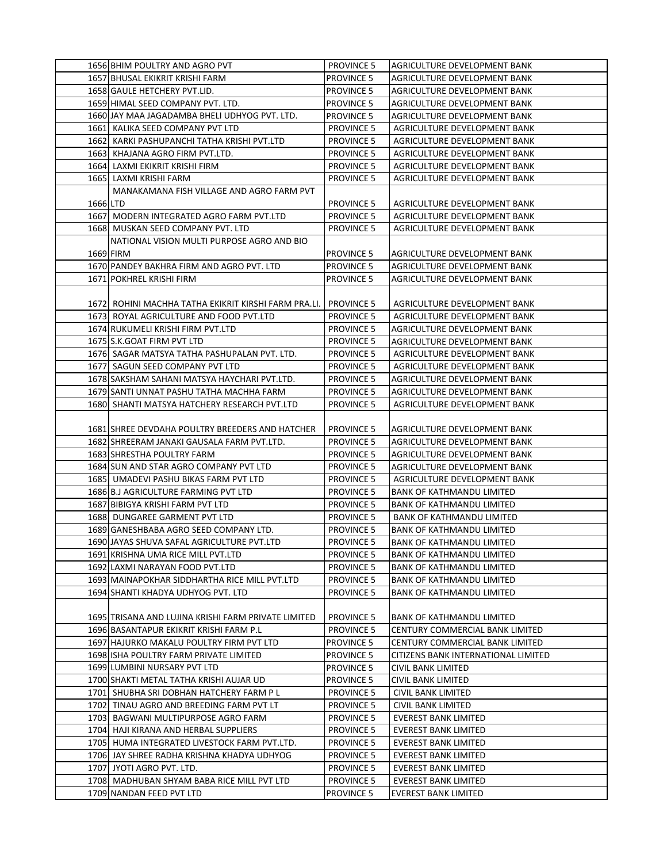|          | 1656 BHIM POULTRY AND AGRO PVT                        | <b>PROVINCE 5</b> | AGRICULTURE DEVELOPMENT BANK        |
|----------|-------------------------------------------------------|-------------------|-------------------------------------|
|          | 1657 BHUSAL EKIKRIT KRISHI FARM                       | <b>PROVINCE 5</b> | AGRICULTURE DEVELOPMENT BANK        |
|          | 1658 GAULE HETCHERY PVT.LID.                          | <b>PROVINCE 5</b> | AGRICULTURE DEVELOPMENT BANK        |
|          | 1659 HIMAL SEED COMPANY PVT. LTD.                     | <b>PROVINCE 5</b> | AGRICULTURE DEVELOPMENT BANK        |
|          | 1660 JAY MAA JAGADAMBA BHELI UDHYOG PVT. LTD.         | <b>PROVINCE 5</b> | AGRICULTURE DEVELOPMENT BANK        |
|          | 1661 KALIKA SEED COMPANY PVT LTD                      | <b>PROVINCE 5</b> | AGRICULTURE DEVELOPMENT BANK        |
|          | 1662 KARKI PASHUPANCHI TATHA KRISHI PVT.LTD           | <b>PROVINCE 5</b> | AGRICULTURE DEVELOPMENT BANK        |
|          | 1663 KHAJANA AGRO FIRM PVT.LTD.                       | <b>PROVINCE 5</b> | AGRICULTURE DEVELOPMENT BANK        |
|          | 1664 LAXMI EKIKRIT KRISHI FIRM                        | <b>PROVINCE 5</b> | AGRICULTURE DEVELOPMENT BANK        |
|          | 1665 LAXMI KRISHI FARM                                | <b>PROVINCE 5</b> | AGRICULTURE DEVELOPMENT BANK        |
|          | MANAKAMANA FISH VILLAGE AND AGRO FARM PVT             |                   |                                     |
| 1666 LTD |                                                       | <b>PROVINCE 5</b> | AGRICULTURE DEVELOPMENT BANK        |
|          | 1667 MODERN INTEGRATED AGRO FARM PVT.LTD              | <b>PROVINCE 5</b> | AGRICULTURE DEVELOPMENT BANK        |
|          | 1668 MUSKAN SEED COMPANY PVT. LTD                     | <b>PROVINCE 5</b> | AGRICULTURE DEVELOPMENT BANK        |
|          | NATIONAL VISION MULTI PURPOSE AGRO AND BIO            |                   |                                     |
|          | 1669 FIRM                                             | <b>PROVINCE 5</b> | AGRICULTURE DEVELOPMENT BANK        |
|          | 1670 PANDEY BAKHRA FIRM AND AGRO PVT. LTD             | <b>PROVINCE 5</b> | AGRICULTURE DEVELOPMENT BANK        |
|          | 1671 POKHREL KRISHI FIRM                              | <b>PROVINCE 5</b> | AGRICULTURE DEVELOPMENT BANK        |
|          |                                                       |                   |                                     |
|          | 1672  ROHINI MACHHA TATHA EKIKRIT KIRSHI FARM PRA.LI. | <b>PROVINCE 5</b> | AGRICULTURE DEVELOPMENT BANK        |
|          | 1673 ROYAL AGRICULTURE AND FOOD PVT.LTD               | <b>PROVINCE 5</b> | AGRICULTURE DEVELOPMENT BANK        |
|          | 1674 RUKUMELI KRISHI FIRM PVT.LTD                     | <b>PROVINCE 5</b> | AGRICULTURE DEVELOPMENT BANK        |
|          | 1675 S.K.GOAT FIRM PVT LTD                            | <b>PROVINCE 5</b> | AGRICULTURE DEVELOPMENT BANK        |
|          | 1676 SAGAR MATSYA TATHA PASHUPALAN PVT. LTD.          | <b>PROVINCE 5</b> | AGRICULTURE DEVELOPMENT BANK        |
|          | 1677 SAGUN SEED COMPANY PVT LTD                       | <b>PROVINCE 5</b> | AGRICULTURE DEVELOPMENT BANK        |
|          | 1678 SAKSHAM SAHANI MATSYA HAYCHARI PVT.LTD.          | <b>PROVINCE 5</b> | AGRICULTURE DEVELOPMENT BANK        |
|          | 1679 SANTI UNNAT PASHU TATHA MACHHA FARM              | <b>PROVINCE 5</b> | AGRICULTURE DEVELOPMENT BANK        |
|          | 1680 SHANTI MATSYA HATCHERY RESEARCH PVT.LTD          | <b>PROVINCE 5</b> | AGRICULTURE DEVELOPMENT BANK        |
|          |                                                       |                   |                                     |
|          | 1681 SHREE DEVDAHA POULTRY BREEDERS AND HATCHER       | <b>PROVINCE 5</b> | AGRICULTURE DEVELOPMENT BANK        |
|          | 1682 SHREERAM JANAKI GAUSALA FARM PVT.LTD.            | <b>PROVINCE 5</b> | AGRICULTURE DEVELOPMENT BANK        |
|          | 1683 SHRESTHA POULTRY FARM                            | <b>PROVINCE 5</b> | AGRICULTURE DEVELOPMENT BANK        |
|          | 1684 SUN AND STAR AGRO COMPANY PVT LTD                | <b>PROVINCE 5</b> | AGRICULTURE DEVELOPMENT BANK        |
|          | 1685 UMADEVI PASHU BIKAS FARM PVT LTD                 | <b>PROVINCE 5</b> | AGRICULTURE DEVELOPMENT BANK        |
|          | 1686 B.J AGRICULTURE FARMING PVT LTD                  | <b>PROVINCE 5</b> | <b>BANK OF KATHMANDU LIMITED</b>    |
|          | 1687 BIBIGYA KRISHI FARM PVT LTD                      | <b>PROVINCE 5</b> | <b>BANK OF KATHMANDU LIMITED</b>    |
|          | 1688 DUNGAREE GARMENT PVT LTD                         | <b>PROVINCE 5</b> | BANK OF KATHMANDU LIMITED           |
|          | 1689 GANESHBABA AGRO SEED COMPANY LTD.                | <b>PROVINCE 5</b> | <b>BANK OF KATHMANDU LIMITED</b>    |
|          | 1690 JAYAS SHUVA SAFAL AGRICULTURE PVT.LTD            | PROVINCE 5        | <b>BANK OF KATHMANDU LIMITED</b>    |
|          | 1691 KRISHNA UMA RICE MILL PVT.LTD                    | <b>PROVINCE 5</b> | <b>BANK OF KATHMANDU LIMITED</b>    |
|          | 1692 LAXMI NARAYAN FOOD PVT.LTD                       | <b>PROVINCE 5</b> | <b>BANK OF KATHMANDU LIMITED</b>    |
|          | 1693 MAINAPOKHAR SIDDHARTHA RICE MILL PVT.LTD         | <b>PROVINCE 5</b> | BANK OF KATHMANDU LIMITED           |
|          | 1694 SHANTI KHADYA UDHYOG PVT. LTD                    | <b>PROVINCE 5</b> | <b>BANK OF KATHMANDU LIMITED</b>    |
|          |                                                       |                   |                                     |
|          | 1695 TRISANA AND LUJINA KRISHI FARM PRIVATE LIMITED   | <b>PROVINCE 5</b> | BANK OF KATHMANDU LIMITED           |
|          | 1696 BASANTAPUR EKIKRIT KRISHI FARM P.L               | <b>PROVINCE 5</b> | CENTURY COMMERCIAL BANK LIMITED     |
|          | 1697 HAJURKO MAKALU POULTRY FIRM PVT LTD              | <b>PROVINCE 5</b> | CENTURY COMMERCIAL BANK LIMITED     |
|          | 1698 ISHA POULTRY FARM PRIVATE LIMITED                | <b>PROVINCE 5</b> | CITIZENS BANK INTERNATIONAL LIMITED |
|          | 1699 LUMBINI NURSARY PVT LTD                          | <b>PROVINCE 5</b> | CIVIL BANK LIMITED                  |
|          | 1700 SHAKTI METAL TATHA KRISHI AUJAR UD               | <b>PROVINCE 5</b> | CIVIL BANK LIMITED                  |
|          | 1701 SHUBHA SRI DOBHAN HATCHERY FARM P L              | <b>PROVINCE 5</b> | <b>CIVIL BANK LIMITED</b>           |
|          | 1702 TINAU AGRO AND BREEDING FARM PVT LT              | <b>PROVINCE 5</b> | CIVIL BANK LIMITED                  |
|          | 1703 BAGWANI MULTIPURPOSE AGRO FARM                   | <b>PROVINCE 5</b> | <b>EVEREST BANK LIMITED</b>         |
|          | 1704 HAJI KIRANA AND HERBAL SUPPLIERS                 | <b>PROVINCE 5</b> | <b>EVEREST BANK LIMITED</b>         |
|          | 1705 HUMA INTEGRATED LIVESTOCK FARM PVT.LTD.          | <b>PROVINCE 5</b> | <b>EVEREST BANK LIMITED</b>         |
|          | 1706 JAY SHREE RADHA KRISHNA KHADYA UDHYOG            | <b>PROVINCE 5</b> | <b>EVEREST BANK LIMITED</b>         |
|          | 1707 JYOTI AGRO PVT. LTD.                             | <b>PROVINCE 5</b> | EVEREST BANK LIMITED                |
|          | 1708 MADHUBAN SHYAM BABA RICE MILL PVT LTD            | <b>PROVINCE 5</b> | EVEREST BANK LIMITED                |
|          | 1709 NANDAN FEED PVT LTD                              | <b>PROVINCE 5</b> | EVEREST BANK LIMITED                |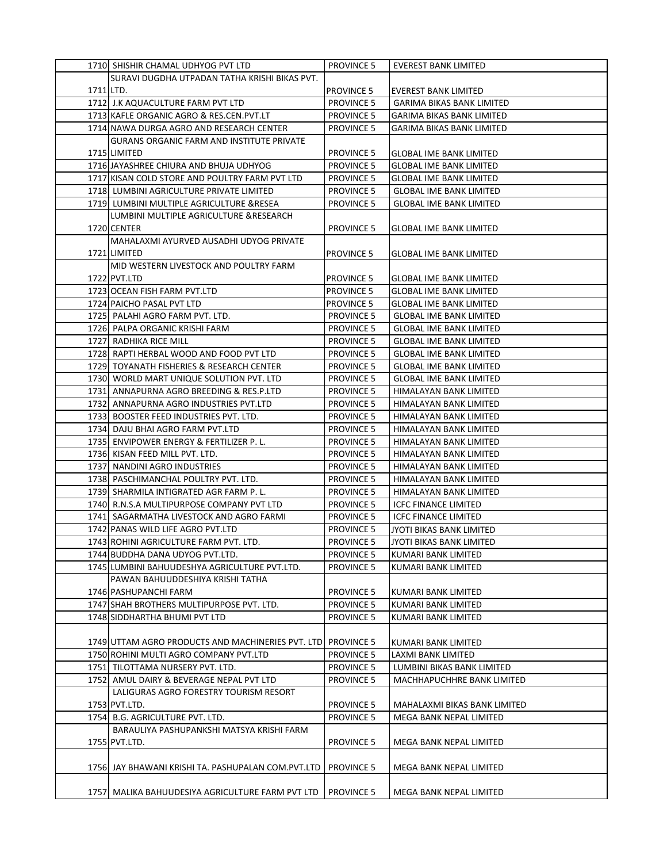|           | 1710 SHISHIR CHAMAL UDHYOG PVT LTD                                          | <b>PROVINCE 5</b>                      | <b>EVEREST BANK LIMITED</b>                      |
|-----------|-----------------------------------------------------------------------------|----------------------------------------|--------------------------------------------------|
|           | SURAVI DUGDHA UTPADAN TATHA KRISHI BIKAS PVT.                               |                                        |                                                  |
| 1711 LTD. |                                                                             | <b>PROVINCE 5</b>                      | <b>EVEREST BANK LIMITED</b>                      |
|           | 1712 J.K AQUACULTURE FARM PVT LTD                                           | <b>PROVINCE 5</b>                      | <b>GARIMA BIKAS BANK LIMITED</b>                 |
|           | 1713 KAFLE ORGANIC AGRO & RES.CEN.PVT.LT                                    | <b>PROVINCE 5</b>                      | GARIMA BIKAS BANK LIMITED                        |
|           | 1714 NAWA DURGA AGRO AND RESEARCH CENTER                                    | <b>PROVINCE 5</b>                      | <b>GARIMA BIKAS BANK LIMITED</b>                 |
|           | <b>GURANS ORGANIC FARM AND INSTITUTE PRIVATE</b>                            |                                        |                                                  |
|           | 1715 LIMITED                                                                | <b>PROVINCE 5</b>                      | <b>GLOBAL IME BANK LIMITED</b>                   |
|           | 1716 JAYASHREE CHIURA AND BHUJA UDHYOG                                      | <b>PROVINCE 5</b>                      | <b>GLOBAL IME BANK LIMITED</b>                   |
|           | 1717 KISAN COLD STORE AND POULTRY FARM PVT LTD                              | <b>PROVINCE 5</b>                      | <b>GLOBAL IME BANK LIMITED</b>                   |
|           | 1718 LUMBINI AGRICULTURE PRIVATE LIMITED                                    | <b>PROVINCE 5</b>                      | <b>GLOBAL IME BANK LIMITED</b>                   |
|           | 1719 LUMBINI MULTIPLE AGRICULTURE & RESEA                                   | <b>PROVINCE 5</b>                      | <b>GLOBAL IME BANK LIMITED</b>                   |
|           | LUMBINI MULTIPLE AGRICULTURE & RESEARCH                                     |                                        |                                                  |
|           | 1720 CENTER                                                                 | <b>PROVINCE 5</b>                      | GLOBAL IME BANK LIMITED                          |
|           | MAHALAXMI AYURVED AUSADHI UDYOG PRIVATE                                     |                                        |                                                  |
|           | 1721 LIMITED                                                                | <b>PROVINCE 5</b>                      | GLOBAL IME BANK LIMITED                          |
|           | MID WESTERN LIVESTOCK AND POULTRY FARM                                      |                                        |                                                  |
|           | 1722 PVT.LTD                                                                | <b>PROVINCE 5</b>                      | GLOBAL IME BANK LIMITED                          |
|           | 1723 OCEAN FISH FARM PVT.LTD                                                | <b>PROVINCE 5</b>                      | <b>GLOBAL IME BANK LIMITED</b>                   |
|           | 1724 PAICHO PASAL PVT LTD                                                   | <b>PROVINCE 5</b>                      | <b>GLOBAL IME BANK LIMITED</b>                   |
|           | 1725 PALAHI AGRO FARM PVT. LTD.                                             | <b>PROVINCE 5</b>                      | <b>GLOBAL IME BANK LIMITED</b>                   |
|           | 1726 PALPA ORGANIC KRISHI FARM                                              | <b>PROVINCE 5</b>                      | <b>GLOBAL IME BANK LIMITED</b>                   |
|           | 1727 RADHIKA RICE MILL                                                      | <b>PROVINCE 5</b>                      | <b>GLOBAL IME BANK LIMITED</b>                   |
|           | 1728 RAPTI HERBAL WOOD AND FOOD PVT LTD                                     | <b>PROVINCE 5</b>                      | <b>GLOBAL IME BANK LIMITED</b>                   |
|           | 1729 TOYANATH FISHERIES & RESEARCH CENTER                                   | <b>PROVINCE 5</b>                      | <b>GLOBAL IME BANK LIMITED</b>                   |
|           | 1730 WORLD MART UNIQUE SOLUTION PVT. LTD                                    | <b>PROVINCE 5</b>                      | <b>GLOBAL IME BANK LIMITED</b>                   |
|           | 1731 ANNAPURNA AGRO BREEDING & RES.P.LTD                                    | <b>PROVINCE 5</b>                      | HIMALAYAN BANK LIMITED                           |
|           | 1732 ANNAPURNA AGRO INDUSTRIES PVT.LTD                                      | <b>PROVINCE 5</b>                      | HIMALAYAN BANK LIMITED                           |
|           | 1733 BOOSTER FEED INDUSTRIES PVT. LTD.                                      |                                        |                                                  |
|           |                                                                             | <b>PROVINCE 5</b>                      | HIMALAYAN BANK LIMITED                           |
|           | 1734 DAJU BHAI AGRO FARM PVT.LTD<br>1735 ENVIPOWER ENERGY & FERTILIZER P.L. | <b>PROVINCE 5</b><br><b>PROVINCE 5</b> | HIMALAYAN BANK LIMITED<br>HIMALAYAN BANK LIMITED |
|           | 1736 KISAN FEED MILL PVT. LTD.                                              | <b>PROVINCE 5</b>                      | HIMALAYAN BANK LIMITED                           |
|           | 1737 NANDINI AGRO INDUSTRIES                                                | <b>PROVINCE 5</b>                      | HIMALAYAN BANK LIMITED                           |
|           | 1738 PASCHIMANCHAL POULTRY PVT. LTD.                                        | <b>PROVINCE 5</b>                      | HIMALAYAN BANK LIMITED                           |
|           | 1739 SHARMILA INTIGRATED AGR FARM P. L.                                     | <b>PROVINCE 5</b>                      | HIMALAYAN BANK LIMITED                           |
|           | 1740 R.N.S.A MULTIPURPOSE COMPANY PVT LTD                                   | <b>PROVINCE 5</b>                      | <b>ICFC FINANCE LIMITED</b>                      |
|           | 1741 SAGARMATHA LIVESTOCK AND AGRO FARMI                                    | <b>PROVINCE 5</b>                      | <b>ICFC FINANCE LIMITED</b>                      |
|           | 1742 PANAS WILD LIFE AGRO PVT.LTD                                           | <b>PROVINCE 5</b>                      | JYOTI BIKAS BANK LIMITED                         |
|           | 1743 ROHINI AGRICULTURE FARM PVT. LTD.                                      | <b>PROVINCE 5</b>                      | JYOTI BIKAS BANK LIMITED                         |
|           | 1744 BUDDHA DANA UDYOG PVT.LTD.                                             | <b>PROVINCE 5</b>                      | KUMARI BANK LIMITED                              |
|           | 1745 LUMBINI BAHUUDESHYA AGRICULTURE PVT.LTD.                               | <b>PROVINCE 5</b>                      | KUMARI BANK LIMITED                              |
|           | PAWAN BAHUUDDESHIYA KRISHI TATHA                                            |                                        |                                                  |
|           | 1746 PASHUPANCHI FARM                                                       | <b>PROVINCE 5</b>                      | KUMARI BANK LIMITED                              |
|           | 1747 SHAH BROTHERS MULTIPURPOSE PVT. LTD.                                   | <b>PROVINCE 5</b>                      | KUMARI BANK LIMITED                              |
|           | 1748 SIDDHARTHA BHUMI PVT LTD                                               | <b>PROVINCE 5</b>                      | KUMARI BANK LIMITED                              |
|           |                                                                             |                                        |                                                  |
|           | 1749 UTTAM AGRO PRODUCTS AND MACHINERIES PVT. LTD                           | <b>PROVINCE 5</b>                      | KUMARI BANK LIMITED                              |
|           | 1750 ROHINI MULTI AGRO COMPANY PVT.LTD                                      | <b>PROVINCE 5</b>                      | LAXMI BANK LIMITED                               |
|           | 1751 TILOTTAMA NURSERY PVT. LTD.                                            | <b>PROVINCE 5</b>                      | LUMBINI BIKAS BANK LIMITED                       |
|           | 1752 AMUL DAIRY & BEVERAGE NEPAL PVT LTD                                    | <b>PROVINCE 5</b>                      | MACHHAPUCHHRE BANK LIMITED                       |
|           | LALIGURAS AGRO FORESTRY TOURISM RESORT                                      |                                        |                                                  |
|           | 1753 PVT.LTD.                                                               | <b>PROVINCE 5</b>                      | MAHALAXMI BIKAS BANK LIMITED                     |
|           | 1754 B.G. AGRICULTURE PVT. LTD.                                             | <b>PROVINCE 5</b>                      | MEGA BANK NEPAL LIMITED                          |
|           | BARAULIYA PASHUPANKSHI MATSYA KRISHI FARM                                   |                                        |                                                  |
|           | 1755 PVT.LTD.                                                               | <b>PROVINCE 5</b>                      | MEGA BANK NEPAL LIMITED                          |
|           |                                                                             |                                        |                                                  |
|           | 1756  JAY BHAWANI KRISHI TA. PASHUPALAN COM.PVT.LTD                         | <b>PROVINCE 5</b>                      | MEGA BANK NEPAL LIMITED                          |
|           |                                                                             |                                        |                                                  |
|           | 1757 MALIKA BAHUUDESIYA AGRICULTURE FARM PVT LTD                            | <b>PROVINCE 5</b>                      | MEGA BANK NEPAL LIMITED                          |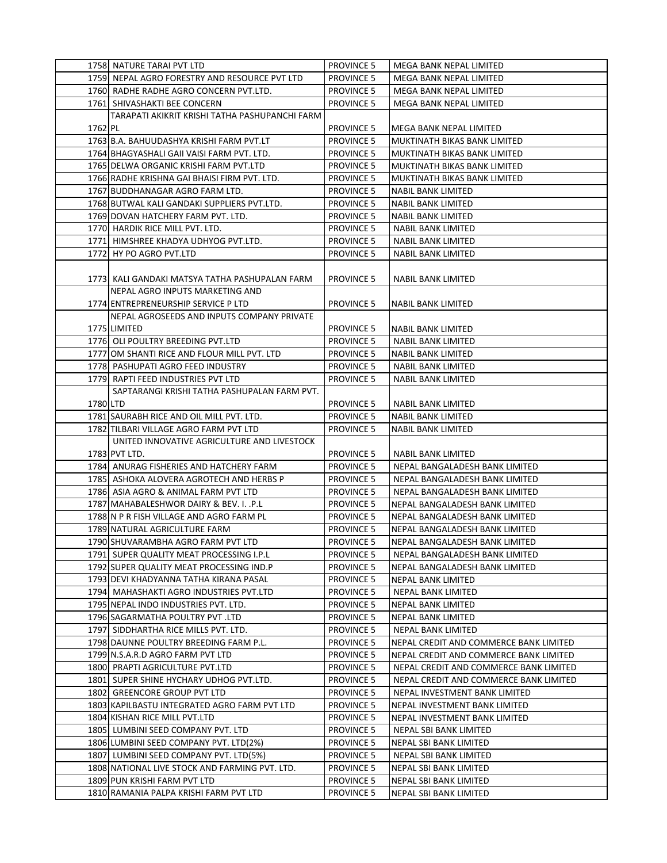|          | 1758 NATURE TARAI PVT LTD                       | <b>PROVINCE 5</b> | MEGA BANK NEPAL LIMITED                |
|----------|-------------------------------------------------|-------------------|----------------------------------------|
|          | 1759 NEPAL AGRO FORESTRY AND RESOURCE PVT LTD   | <b>PROVINCE 5</b> | MEGA BANK NEPAL LIMITED                |
|          | 1760 RADHE RADHE AGRO CONCERN PVT.LTD.          | <b>PROVINCE 5</b> | MEGA BANK NEPAL LIMITED                |
|          | 1761 SHIVASHAKTI BEE CONCERN                    | <b>PROVINCE 5</b> | MEGA BANK NEPAL LIMITED                |
|          | TARAPATI AKIKRIT KRISHI TATHA PASHUPANCHI FARM  |                   |                                        |
| 1762 PL  |                                                 | <b>PROVINCE 5</b> | MEGA BANK NEPAL LIMITED                |
|          | 1763 B.A. BAHUUDASHYA KRISHI FARM PVT.LT        | <b>PROVINCE 5</b> | MUKTINATH BIKAS BANK LIMITED           |
|          | 1764 BHAGYASHALI GAII VAISI FARM PVT. LTD.      | <b>PROVINCE 5</b> | MUKTINATH BIKAS BANK LIMITED           |
|          | 1765 DELWA ORGANIC KRISHI FARM PVT.LTD          | <b>PROVINCE 5</b> | MUKTINATH BIKAS BANK LIMITED           |
|          | 1766 RADHE KRISHNA GAI BHAISI FIRM PVT. LTD.    | <b>PROVINCE 5</b> | MUKTINATH BIKAS BANK LIMITED           |
|          | 1767 BUDDHANAGAR AGRO FARM LTD.                 | <b>PROVINCE 5</b> | <b>NABIL BANK LIMITED</b>              |
|          | 1768 BUTWAL KALI GANDAKI SUPPLIERS PVT.LTD.     | <b>PROVINCE 5</b> | NABIL BANK LIMITED                     |
|          | 1769 DOVAN HATCHERY FARM PVT. LTD.              | <b>PROVINCE 5</b> | NABIL BANK LIMITED                     |
|          | 1770 HARDIK RICE MILL PVT. LTD.                 | <b>PROVINCE 5</b> | NABIL BANK LIMITED                     |
|          | 1771 HIMSHREE KHADYA UDHYOG PVT.LTD.            | <b>PROVINCE 5</b> | NABIL BANK LIMITED                     |
|          | 1772 HY PO AGRO PVT.LTD                         | <b>PROVINCE 5</b> | NABIL BANK LIMITED                     |
|          |                                                 |                   |                                        |
|          | 1773  KALI GANDAKI MATSYA TATHA PASHUPALAN FARM | <b>PROVINCE 5</b> | NABIL BANK LIMITED                     |
|          | NEPAL AGRO INPUTS MARKETING AND                 |                   |                                        |
|          | 1774 ENTREPRENEURSHIP SERVICE P LTD             | <b>PROVINCE 5</b> | <b>NABIL BANK LIMITED</b>              |
|          | NEPAL AGROSEEDS AND INPUTS COMPANY PRIVATE      |                   |                                        |
|          | 1775 LIMITED                                    | <b>PROVINCE 5</b> | NABIL BANK LIMITED                     |
|          | 1776 OLI POULTRY BREEDING PVT.LTD               | <b>PROVINCE 5</b> | <b>NABIL BANK LIMITED</b>              |
|          |                                                 |                   | NABIL BANK LIMITED                     |
|          | 1777 OM SHANTI RICE AND FLOUR MILL PVT. LTD     | <b>PROVINCE 5</b> |                                        |
|          | 1778 PASHUPATI AGRO FEED INDUSTRY               | <b>PROVINCE 5</b> | NABIL BANK LIMITED                     |
|          | 1779 RAPTI FEED INDUSTRIES PVT LTD              | <b>PROVINCE 5</b> | NABIL BANK LIMITED                     |
| 1780 LTD | SAPTARANGI KRISHI TATHA PASHUPALAN FARM PVT.    |                   |                                        |
|          |                                                 | <b>PROVINCE 5</b> | NABIL BANK LIMITED                     |
|          | 1781 SAURABH RICE AND OIL MILL PVT. LTD.        | <b>PROVINCE 5</b> | NABIL BANK LIMITED                     |
|          | 1782 TILBARI VILLAGE AGRO FARM PVT LTD          | <b>PROVINCE 5</b> | <b>NABIL BANK LIMITED</b>              |
|          | UNITED INNOVATIVE AGRICULTURE AND LIVESTOCK     |                   |                                        |
|          | 1783 PVT LTD.                                   | <b>PROVINCE 5</b> | <b>NABIL BANK LIMITED</b>              |
|          | 1784 ANURAG FISHERIES AND HATCHERY FARM         | <b>PROVINCE 5</b> | NEPAL BANGALADESH BANK LIMITED         |
|          | 1785  ASHOKA ALOVERA AGROTECH AND HERBS P       | <b>PROVINCE 5</b> | NEPAL BANGALADESH BANK LIMITED         |
|          | 1786 ASIA AGRO & ANIMAL FARM PVT LTD            | <b>PROVINCE 5</b> | NEPAL BANGALADESH BANK LIMITED         |
|          | 1787 MAHABALESHWOR DAIRY & BEV. I. . P.L        | <b>PROVINCE 5</b> | NEPAL BANGALADESH BANK LIMITED         |
|          | 1788 N P R FISH VILLAGE AND AGRO FARM PL        | <b>PROVINCE 5</b> | NEPAL BANGALADESH BANK LIMITED         |
|          | 1789 NATURAL AGRICULTURE FARM                   | <b>PROVINCE 5</b> | NEPAL BANGALADESH BANK LIMITED         |
|          | 1790 SHUVARAMBHA AGRO FARM PVT LTD              | <b>PROVINCE 5</b> | NEPAL BANGALADESH BANK LIMITED         |
|          | 1791 SUPER QUALITY MEAT PROCESSING I.P.L        | <b>PROVINCE 5</b> | NEPAL BANGALADESH BANK LIMITED         |
|          | 1792 SUPER QUALITY MEAT PROCESSING IND.P        | <b>PROVINCE 5</b> | NEPAL BANGALADESH BANK LIMITED         |
|          | 1793 DEVI KHADYANNA TATHA KIRANA PASAL          | <b>PROVINCE 5</b> | NEPAL BANK LIMITED                     |
|          | 1794 MAHASHAKTI AGRO INDUSTRIES PVT.LTD         | <b>PROVINCE 5</b> | NEPAL BANK LIMITED                     |
|          | 1795 NEPAL INDO INDUSTRIES PVT. LTD.            | <b>PROVINCE 5</b> | NEPAL BANK LIMITED                     |
|          | 1796 SAGARMATHA POULTRY PVT .LTD                | <b>PROVINCE 5</b> | NEPAL BANK LIMITED                     |
|          | 1797 SIDDHARTHA RICE MILLS PVT. LTD.            | <b>PROVINCE 5</b> | NEPAL BANK LIMITED                     |
|          | 1798 DAUNNE POULTRY BREEDING FARM P.L.          | <b>PROVINCE 5</b> | NEPAL CREDIT AND COMMERCE BANK LIMITED |
|          | 1799 N.S.A.R.D AGRO FARM PVT LTD                | <b>PROVINCE 5</b> | NEPAL CREDIT AND COMMERCE BANK LIMITED |
|          | 1800 PRAPTI AGRICULTURE PVT.LTD                 | <b>PROVINCE 5</b> | NEPAL CREDIT AND COMMERCE BANK LIMITED |
|          | 1801 SUPER SHINE HYCHARY UDHOG PVT.LTD.         | <b>PROVINCE 5</b> | NEPAL CREDIT AND COMMERCE BANK LIMITED |
|          | 1802 GREENCORE GROUP PVT LTD                    | <b>PROVINCE 5</b> | NEPAL INVESTMENT BANK LIMITED          |
|          | 1803 KAPILBASTU INTEGRATED AGRO FARM PVT LTD    | <b>PROVINCE 5</b> | NEPAL INVESTMENT BANK LIMITED          |
|          | 1804 KISHAN RICE MILL PVT.LTD                   | <b>PROVINCE 5</b> | NEPAL INVESTMENT BANK LIMITED          |
|          | 1805 LUMBINI SEED COMPANY PVT. LTD              | <b>PROVINCE 5</b> | NEPAL SBI BANK LIMITED                 |
|          | 1806 LUMBINI SEED COMPANY PVT. LTD(2%)          | <b>PROVINCE 5</b> | NEPAL SBI BANK LIMITED                 |
|          | 1807 LUMBINI SEED COMPANY PVT. LTD(5%)          | <b>PROVINCE 5</b> | NEPAL SBI BANK LIMITED                 |
|          | 1808 NATIONAL LIVE STOCK AND FARMING PVT. LTD.  | <b>PROVINCE 5</b> | NEPAL SBI BANK LIMITED                 |
|          | 1809 PUN KRISHI FARM PVT LTD                    | <b>PROVINCE 5</b> | NEPAL SBI BANK LIMITED                 |
|          | 1810 RAMANIA PALPA KRISHI FARM PVT LTD          | <b>PROVINCE 5</b> | NEPAL SBI BANK LIMITED                 |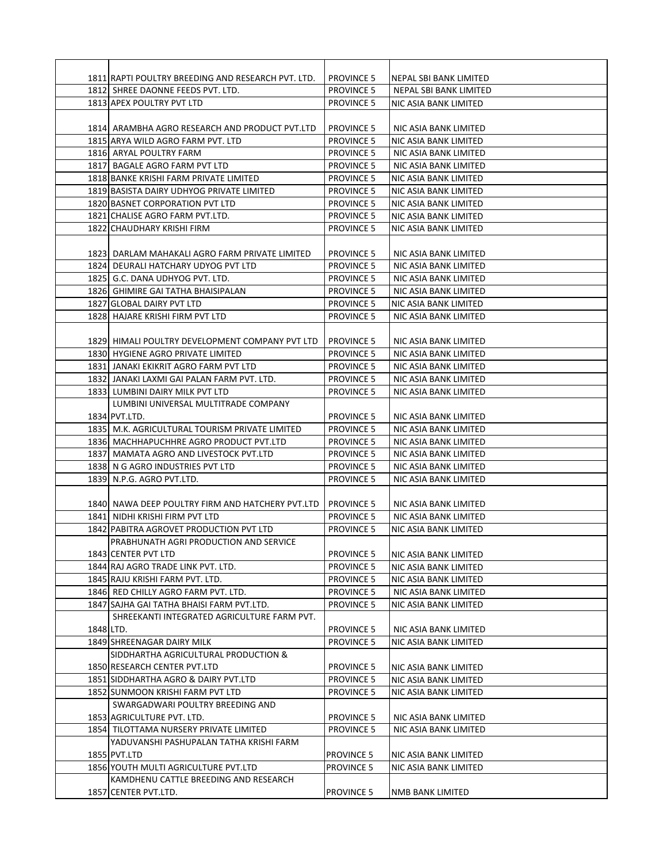|           | 1811 RAPTI POULTRY BREEDING AND RESEARCH PVT. LTD. | <b>PROVINCE 5</b> | NEPAL SBI BANK LIMITED |
|-----------|----------------------------------------------------|-------------------|------------------------|
|           | 1812 SHREE DAONNE FEEDS PVT. LTD.                  | <b>PROVINCE 5</b> | NEPAL SBI BANK LIMITED |
|           | 1813 APEX POULTRY PVT LTD                          | <b>PROVINCE 5</b> | NIC ASIA BANK LIMITED  |
|           |                                                    |                   |                        |
|           | 1814 ARAMBHA AGRO RESEARCH AND PRODUCT PVT.LTD     | <b>PROVINCE 5</b> | NIC ASIA BANK LIMITED  |
|           | 1815 ARYA WILD AGRO FARM PVT. LTD                  | <b>PROVINCE 5</b> | NIC ASIA BANK LIMITED  |
|           | 1816 ARYAL POULTRY FARM                            | <b>PROVINCE 5</b> | NIC ASIA BANK LIMITED  |
|           | 1817 BAGALE AGRO FARM PVT LTD                      | <b>PROVINCE 5</b> | NIC ASIA BANK LIMITED  |
|           | 1818 BANKE KRISHI FARM PRIVATE LIMITED             | <b>PROVINCE 5</b> | NIC ASIA BANK LIMITED  |
|           | 1819 BASISTA DAIRY UDHYOG PRIVATE LIMITED          | <b>PROVINCE 5</b> | NIC ASIA BANK LIMITED  |
|           | 1820 BASNET CORPORATION PVT LTD                    | <b>PROVINCE 5</b> | NIC ASIA BANK LIMITED  |
|           | 1821 CHALISE AGRO FARM PVT.LTD.                    | <b>PROVINCE 5</b> | NIC ASIA BANK LIMITED  |
|           | 1822 CHAUDHARY KRISHI FIRM                         | <b>PROVINCE 5</b> | NIC ASIA BANK LIMITED  |
|           |                                                    |                   |                        |
|           | 1823  DARLAM MAHAKALI AGRO FARM PRIVATE LIMITED    | <b>PROVINCE 5</b> | NIC ASIA BANK LIMITED  |
|           | 1824 DEURALI HATCHARY UDYOG PVT LTD                | <b>PROVINCE 5</b> | NIC ASIA BANK LIMITED  |
|           | 1825 G.C. DANA UDHYOG PVT. LTD.                    | <b>PROVINCE 5</b> | NIC ASIA BANK LIMITED  |
|           | 1826 GHIMIRE GAI TATHA BHAISIPALAN                 | <b>PROVINCE 5</b> | NIC ASIA BANK LIMITED  |
|           | 1827 GLOBAL DAIRY PVT LTD                          | <b>PROVINCE 5</b> | NIC ASIA BANK LIMITED  |
|           | 1828 HAJARE KRISHI FIRM PVT LTD                    | <b>PROVINCE 5</b> | NIC ASIA BANK LIMITED  |
|           |                                                    |                   |                        |
|           | 1829 HIMALI POULTRY DEVELOPMENT COMPANY PVT LTD    | <b>PROVINCE 5</b> | NIC ASIA BANK LIMITED  |
|           | 1830 HYGIENE AGRO PRIVATE LIMITED                  | <b>PROVINCE 5</b> | NIC ASIA BANK LIMITED  |
|           | 1831 JANAKI EKIKRIT AGRO FARM PVT LTD              | <b>PROVINCE 5</b> | NIC ASIA BANK LIMITED  |
|           | 1832 JANAKI LAXMI GAI PALAN FARM PVT. LTD.         | <b>PROVINCE 5</b> | NIC ASIA BANK LIMITED  |
|           | 1833 LUMBINI DAIRY MILK PVT LTD                    | <b>PROVINCE 5</b> | NIC ASIA BANK LIMITED  |
|           | LUMBINI UNIVERSAL MULTITRADE COMPANY               |                   |                        |
|           | 1834 PVT.LTD.                                      | <b>PROVINCE 5</b> | NIC ASIA BANK LIMITED  |
|           | 1835 M.K. AGRICULTURAL TOURISM PRIVATE LIMITED     | <b>PROVINCE 5</b> | NIC ASIA BANK LIMITED  |
|           | 1836 MACHHAPUCHHRE AGRO PRODUCT PVT.LTD            | <b>PROVINCE 5</b> | NIC ASIA BANK LIMITED  |
|           | 1837 MAMATA AGRO AND LIVESTOCK PVT.LTD             | <b>PROVINCE 5</b> | NIC ASIA BANK LIMITED  |
|           | 1838 N G AGRO INDUSTRIES PVT LTD                   | <b>PROVINCE 5</b> | NIC ASIA BANK LIMITED  |
|           | 1839 N.P.G. AGRO PVT.LTD.                          | <b>PROVINCE 5</b> | NIC ASIA BANK LIMITED  |
|           |                                                    |                   |                        |
|           | 1840 NAWA DEEP POULTRY FIRM AND HATCHERY PVT.LTD   | <b>PROVINCE 5</b> | NIC ASIA BANK LIMITED  |
|           | 1841 NIDHI KRISHI FIRM PVT LTD                     | <b>PROVINCE 5</b> | NIC ASIA BANK LIMITED  |
|           | 1842 PABITRA AGROVET PRODUCTION PVT LTD            | <b>PROVINCE 5</b> | NIC ASIA BANK LIMITED  |
|           | PRABHUNATH AGRI PRODUCTION AND SERVICE             |                   |                        |
|           | 1843 CENTER PVT LTD                                | <b>PROVINCE 5</b> | NIC ASIA BANK LIMITED  |
|           | 1844 RAJ AGRO TRADE LINK PVT. LTD.                 | <b>PROVINCE 5</b> | NIC ASIA BANK LIMITED  |
|           | 1845 RAJU KRISHI FARM PVT. LTD.                    | <b>PROVINCE 5</b> | NIC ASIA BANK LIMITED  |
|           | 1846 RED CHILLY AGRO FARM PVT. LTD.                | <b>PROVINCE 5</b> | NIC ASIA BANK LIMITED  |
|           | 1847 SAJHA GAI TATHA BHAISI FARM PVT.LTD.          | <b>PROVINCE 5</b> | NIC ASIA BANK LIMITED  |
|           | SHREEKANTI INTEGRATED AGRICULTURE FARM PVT.        |                   |                        |
| 1848 LTD. |                                                    | <b>PROVINCE 5</b> | NIC ASIA BANK LIMITED  |
|           | 1849 SHREENAGAR DAIRY MILK                         | <b>PROVINCE 5</b> | NIC ASIA BANK LIMITED  |
|           | SIDDHARTHA AGRICULTURAL PRODUCTION &               |                   |                        |
|           | 1850 RESEARCH CENTER PVT.LTD                       | <b>PROVINCE 5</b> | NIC ASIA BANK LIMITED  |
|           | 1851 SIDDHARTHA AGRO & DAIRY PVT.LTD               | <b>PROVINCE 5</b> | NIC ASIA BANK LIMITED  |
|           | 1852 SUNMOON KRISHI FARM PVT LTD                   | <b>PROVINCE 5</b> | NIC ASIA BANK LIMITED  |
|           | SWARGADWARI POULTRY BREEDING AND                   |                   |                        |
|           | 1853 AGRICULTURE PVT. LTD.                         | <b>PROVINCE 5</b> | NIC ASIA BANK LIMITED  |
|           | 1854 TILOTTAMA NURSERY PRIVATE LIMITED             | <b>PROVINCE 5</b> | NIC ASIA BANK LIMITED  |
|           | YADUVANSHI PASHUPALAN TATHA KRISHI FARM            |                   |                        |
|           | 1855 PVT.LTD                                       | <b>PROVINCE 5</b> | NIC ASIA BANK LIMITED  |
|           | 1856 YOUTH MULTI AGRICULTURE PVT.LTD               | <b>PROVINCE 5</b> | NIC ASIA BANK LIMITED  |
|           | KAMDHENU CATTLE BREEDING AND RESEARCH              |                   |                        |
|           | 1857 CENTER PVT.LTD.                               | <b>PROVINCE 5</b> | NMB BANK LIMITED       |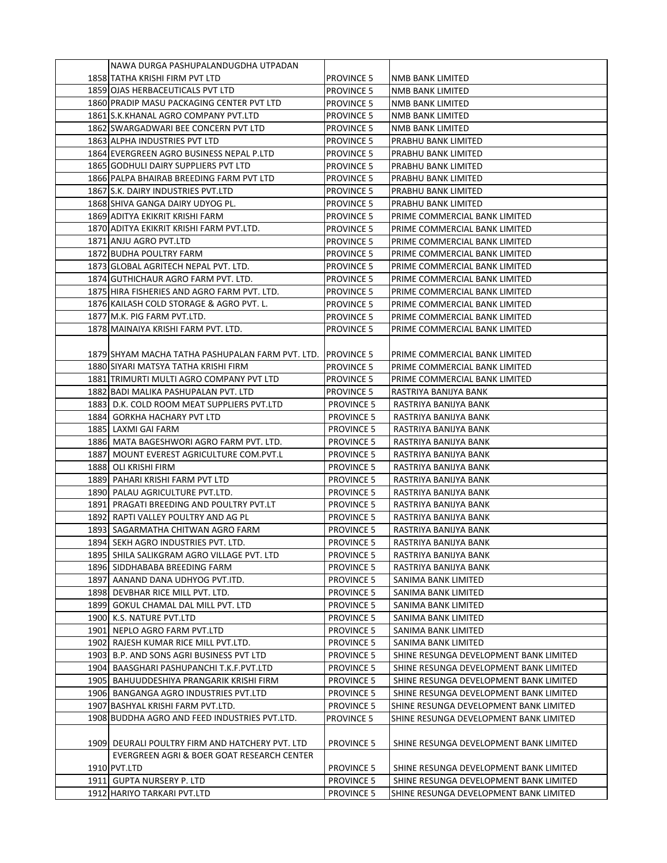| NAWA DURGA PASHUPALANDUGDHA UTPADAN              |                   |                                        |
|--------------------------------------------------|-------------------|----------------------------------------|
| 1858 TATHA KRISHI FIRM PVT LTD                   | <b>PROVINCE 5</b> | NMB BANK LIMITED                       |
| 1859 OJAS HERBACEUTICALS PVT LTD                 | <b>PROVINCE 5</b> | NMB BANK LIMITED                       |
| 1860 PRADIP MASU PACKAGING CENTER PVT LTD        | <b>PROVINCE 5</b> | NMB BANK LIMITED                       |
| 1861 S.K.KHANAL AGRO COMPANY PVT.LTD             | <b>PROVINCE 5</b> | NMB BANK LIMITED                       |
| 1862 SWARGADWARI BEE CONCERN PVT LTD             | <b>PROVINCE 5</b> | NMB BANK LIMITED                       |
| 1863 ALPHA INDUSTRIES PVT LTD                    | <b>PROVINCE 5</b> | PRABHU BANK LIMITED                    |
| 1864 EVERGREEN AGRO BUSINESS NEPAL P.LTD         | <b>PROVINCE 5</b> | PRABHU BANK LIMITED                    |
| 1865 GODHULI DAIRY SUPPLIERS PVT LTD             | <b>PROVINCE 5</b> | PRABHU BANK LIMITED                    |
| 1866 PALPA BHAIRAB BREEDING FARM PVT LTD         | <b>PROVINCE 5</b> | PRABHU BANK LIMITED                    |
| 1867 S.K. DAIRY INDUSTRIES PVT.LTD               | <b>PROVINCE 5</b> | PRABHU BANK LIMITED                    |
| 1868 SHIVA GANGA DAIRY UDYOG PL.                 | <b>PROVINCE 5</b> | PRABHU BANK LIMITED                    |
| 1869 ADITYA EKIKRIT KRISHI FARM                  | <b>PROVINCE 5</b> | PRIME COMMERCIAL BANK LIMITED          |
| 1870 ADITYA EKIKRIT KRISHI FARM PVT.LTD.         | <b>PROVINCE 5</b> | PRIME COMMERCIAL BANK LIMITED          |
| 1871 ANJU AGRO PVT.LTD                           | <b>PROVINCE 5</b> | PRIME COMMERCIAL BANK LIMITED          |
| 1872 BUDHA POULTRY FARM                          | <b>PROVINCE 5</b> | PRIME COMMERCIAL BANK LIMITED          |
| 1873 GLOBAL AGRITECH NEPAL PVT. LTD.             | <b>PROVINCE 5</b> | PRIME COMMERCIAL BANK LIMITED          |
| 1874 GUTHICHAUR AGRO FARM PVT. LTD.              | <b>PROVINCE 5</b> | PRIME COMMERCIAL BANK LIMITED          |
| 1875 HIRA FISHERIES AND AGRO FARM PVT. LTD.      | <b>PROVINCE 5</b> | PRIME COMMERCIAL BANK LIMITED          |
| 1876 KAILASH COLD STORAGE & AGRO PVT. L.         | <b>PROVINCE 5</b> | PRIME COMMERCIAL BANK LIMITED          |
| 1877 M.K. PIG FARM PVT.LTD.                      | <b>PROVINCE 5</b> | PRIME COMMERCIAL BANK LIMITED          |
| 1878 MAINAIYA KRISHI FARM PVT. LTD.              | <b>PROVINCE 5</b> | PRIME COMMERCIAL BANK LIMITED          |
|                                                  |                   |                                        |
| 1879 SHYAM MACHA TATHA PASHUPALAN FARM PVT. LTD. | PROVINCE 5        | PRIME COMMERCIAL BANK LIMITED          |
| 1880 SIYARI MATSYA TATHA KRISHI FIRM             | <b>PROVINCE 5</b> | PRIME COMMERCIAL BANK LIMITED          |
| 1881 TRIMURTI MULTI AGRO COMPANY PVT LTD         | <b>PROVINCE 5</b> | PRIME COMMERCIAL BANK LIMITED          |
| 1882 BADI MALIKA PASHUPALAN PVT. LTD             | <b>PROVINCE 5</b> | RASTRIYA BANIJYA BANK                  |
| 1883 D.K. COLD ROOM MEAT SUPPLIERS PVT.LTD       | <b>PROVINCE 5</b> | RASTRIYA BANIJYA BANK                  |
| 1884 GORKHA HACHARY PVT LTD                      | <b>PROVINCE 5</b> | RASTRIYA BANIJYA BANK                  |
| 1885 LAXMI GAI FARM                              | <b>PROVINCE 5</b> | RASTRIYA BANIJYA BANK                  |
| 1886 MATA BAGESHWORI AGRO FARM PVT. LTD.         | <b>PROVINCE 5</b> | RASTRIYA BANIJYA BANK                  |
| 1887 MOUNT EVEREST AGRICULTURE COM.PVT.L         | <b>PROVINCE 5</b> | RASTRIYA BANIJYA BANK                  |
| 1888 OLI KRISHI FIRM                             | <b>PROVINCE 5</b> | RASTRIYA BANIJYA BANK                  |
| 1889 PAHARI KRISHI FARM PVT LTD                  | <b>PROVINCE 5</b> | RASTRIYA BANIJYA BANK                  |
| 1890 PALAU AGRICULTURE PVT.LTD.                  | <b>PROVINCE 5</b> | RASTRIYA BANIJYA BANK                  |
| 1891  PRAGATI BREEDING AND POULTRY PVT.LT        | <b>PROVINCE 5</b> | RASTRIYA BANIJYA BANK                  |
| 1892 RAPTI VALLEY POULTRY AND AG PL              | <b>PROVINCE 5</b> | RASTRIYA BANIJYA BANK                  |
| 1893   SAGARMATHA CHITWAN AGRO FARM              | <b>PROVINCE 5</b> | RASTRIYA BANIJYA BANK                  |
| 1894 SEKH AGRO INDUSTRIES PVT. LTD.              | <b>PROVINCE 5</b> | RASTRIYA BANIJYA BANK                  |
| 1895 SHILA SALIKGRAM AGRO VILLAGE PVT. LTD       | <b>PROVINCE 5</b> | RASTRIYA BANIJYA BANK                  |
| 1896 SIDDHABABA BREEDING FARM                    | <b>PROVINCE 5</b> | RASTRIYA BANIJYA BANK                  |
| 1897 AANAND DANA UDHYOG PVT.ITD.                 | <b>PROVINCE 5</b> | SANIMA BANK LIMITED                    |
| 1898 DEVBHAR RICE MILL PVT. LTD.                 | <b>PROVINCE 5</b> | SANIMA BANK LIMITED                    |
| 1899 GOKUL CHAMAL DAL MILL PVT. LTD              | <b>PROVINCE 5</b> | SANIMA BANK LIMITED                    |
| 1900 K.S. NATURE PVT.LTD                         | <b>PROVINCE 5</b> | SANIMA BANK LIMITED                    |
| 1901 NEPLO AGRO FARM PVT.LTD                     | <b>PROVINCE 5</b> | SANIMA BANK LIMITED                    |
| 1902 RAJESH KUMAR RICE MILL PVT.LTD.             | <b>PROVINCE 5</b> | SANIMA BANK LIMITED                    |
| 1903 B.P. AND SONS AGRI BUSINESS PVT LTD         | <b>PROVINCE 5</b> | SHINE RESUNGA DEVELOPMENT BANK LIMITED |
| 1904 BAASGHARI PASHUPANCHI T.K.F.PVT.LTD         | <b>PROVINCE 5</b> | SHINE RESUNGA DEVELOPMENT BANK LIMITED |
| 1905 BAHUUDDESHIYA PRANGARIK KRISHI FIRM         | <b>PROVINCE 5</b> | SHINE RESUNGA DEVELOPMENT BANK LIMITED |
| 1906 BANGANGA AGRO INDUSTRIES PVT.LTD            | <b>PROVINCE 5</b> | SHINE RESUNGA DEVELOPMENT BANK LIMITED |
| 1907 BASHYAL KRISHI FARM PVT.LTD.                | <b>PROVINCE 5</b> | SHINE RESUNGA DEVELOPMENT BANK LIMITED |
| 1908 BUDDHA AGRO AND FEED INDUSTRIES PVT.LTD.    | <b>PROVINCE 5</b> | SHINE RESUNGA DEVELOPMENT BANK LIMITED |
|                                                  |                   |                                        |
| 1909 DEURALI POULTRY FIRM AND HATCHERY PVT. LTD  | <b>PROVINCE 5</b> | SHINE RESUNGA DEVELOPMENT BANK LIMITED |
| EVERGREEN AGRI & BOER GOAT RESEARCH CENTER       |                   |                                        |
| 1910 PVT.LTD                                     | <b>PROVINCE 5</b> | SHINE RESUNGA DEVELOPMENT BANK LIMITED |
| 1911 GUPTA NURSERY P. LTD                        | <b>PROVINCE 5</b> | SHINE RESUNGA DEVELOPMENT BANK LIMITED |
| 1912 HARIYO TARKARI PVT.LTD                      | <b>PROVINCE 5</b> | SHINE RESUNGA DEVELOPMENT BANK LIMITED |
|                                                  |                   |                                        |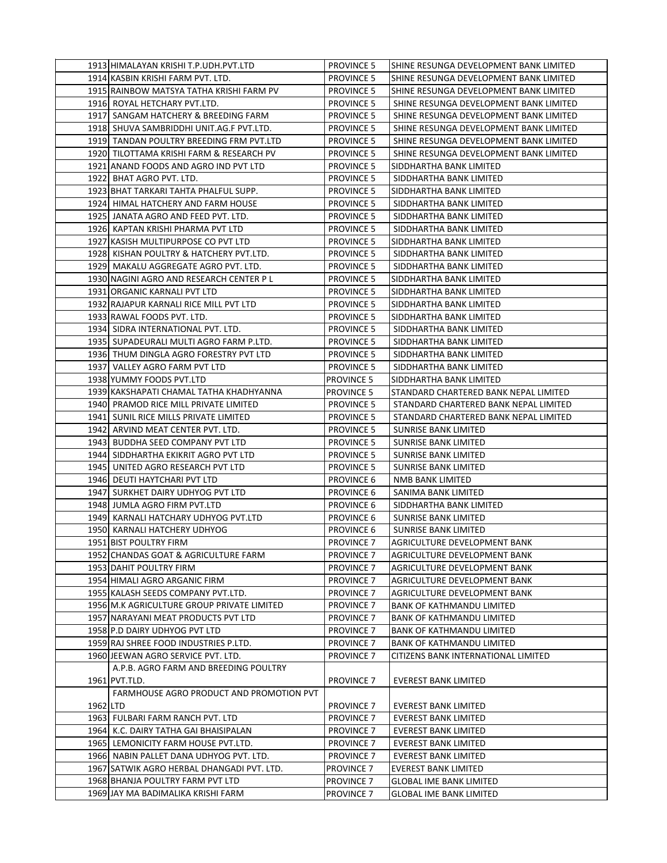|          | 1913 HIMALAYAN KRISHI T.P.UDH.PVT.LTD      | <b>PROVINCE 5</b> | ISHINE RESUNGA DEVELOPMENT BANK LIMITED |
|----------|--------------------------------------------|-------------------|-----------------------------------------|
|          | 1914 KASBIN KRISHI FARM PVT. LTD.          | <b>PROVINCE 5</b> | SHINE RESUNGA DEVELOPMENT BANK LIMITED  |
|          | 1915 RAINBOW MATSYA TATHA KRISHI FARM PV   | <b>PROVINCE 5</b> | SHINE RESUNGA DEVELOPMENT BANK LIMITED  |
|          | 1916 ROYAL HETCHARY PVT.LTD.               | <b>PROVINCE 5</b> | SHINE RESUNGA DEVELOPMENT BANK LIMITED  |
|          | 1917 SANGAM HATCHERY & BREEDING FARM       | <b>PROVINCE 5</b> | SHINE RESUNGA DEVELOPMENT BANK LIMITED  |
|          | 1918 SHUVA SAMBRIDDHI UNIT.AG.F PVT.LTD.   | <b>PROVINCE 5</b> | SHINE RESUNGA DEVELOPMENT BANK LIMITED  |
|          | 1919 TANDAN POULTRY BREEDING FRM PVT.LTD   | <b>PROVINCE 5</b> | SHINE RESUNGA DEVELOPMENT BANK LIMITED  |
|          | 1920 TILOTTAMA KRISHI FARM & RESEARCH PV   | <b>PROVINCE 5</b> | SHINE RESUNGA DEVELOPMENT BANK LIMITED  |
|          | 1921 ANAND FOODS AND AGRO IND PVT LTD      | <b>PROVINCE 5</b> | SIDDHARTHA BANK LIMITED                 |
|          | 1922 BHAT AGRO PVT. LTD.                   | <b>PROVINCE 5</b> | SIDDHARTHA BANK LIMITED                 |
|          | 1923 BHAT TARKARI TAHTA PHALFUL SUPP.      | <b>PROVINCE 5</b> | SIDDHARTHA BANK LIMITED                 |
|          | 1924 HIMAL HATCHERY AND FARM HOUSE         | <b>PROVINCE 5</b> | SIDDHARTHA BANK LIMITED                 |
|          | 1925 JANATA AGRO AND FEED PVT. LTD.        | <b>PROVINCE 5</b> | SIDDHARTHA BANK LIMITED                 |
|          | 1926 KAPTAN KRISHI PHARMA PVT LTD          | <b>PROVINCE 5</b> | SIDDHARTHA BANK LIMITED                 |
|          | 1927 KASISH MULTIPURPOSE CO PVT LTD        | <b>PROVINCE 5</b> | SIDDHARTHA BANK LIMITED                 |
|          | 1928 KISHAN POULTRY & HATCHERY PVT.LTD.    | <b>PROVINCE 5</b> | SIDDHARTHA BANK LIMITED                 |
|          | 1929 MAKALU AGGREGATE AGRO PVT. LTD.       | <b>PROVINCE 5</b> | SIDDHARTHA BANK LIMITED                 |
|          | 1930 NAGINI AGRO AND RESEARCH CENTER P L   | <b>PROVINCE 5</b> | SIDDHARTHA BANK LIMITED                 |
|          | 1931 ORGANIC KARNALI PVT LTD               | <b>PROVINCE 5</b> | SIDDHARTHA BANK LIMITED                 |
|          | 1932 RAJAPUR KARNALI RICE MILL PVT LTD     | <b>PROVINCE 5</b> | SIDDHARTHA BANK LIMITED                 |
|          | 1933 RAWAL FOODS PVT. LTD.                 | <b>PROVINCE 5</b> | SIDDHARTHA BANK LIMITED                 |
|          | 1934 SIDRA INTERNATIONAL PVT. LTD.         | <b>PROVINCE 5</b> | SIDDHARTHA BANK LIMITED                 |
|          | 1935 SUPADEURALI MULTI AGRO FARM P.LTD.    | <b>PROVINCE 5</b> | SIDDHARTHA BANK LIMITED                 |
|          | 1936 THUM DINGLA AGRO FORESTRY PVT LTD     | <b>PROVINCE 5</b> | SIDDHARTHA BANK LIMITED                 |
|          | 1937 VALLEY AGRO FARM PVT LTD              | <b>PROVINCE 5</b> | SIDDHARTHA BANK LIMITED                 |
|          | 1938 YUMMY FOODS PVT.LTD                   | <b>PROVINCE 5</b> | SIDDHARTHA BANK LIMITED                 |
|          | 1939 KAKSHAPATI CHAMAL TATHA KHADHYANNA    | <b>PROVINCE 5</b> | STANDARD CHARTERED BANK NEPAL LIMITED   |
|          | 1940 PRAMOD RICE MILL PRIVATE LIMITED      | <b>PROVINCE 5</b> | STANDARD CHARTERED BANK NEPAL LIMITED   |
|          | 1941 SUNIL RICE MILLS PRIVATE LIMITED      | <b>PROVINCE 5</b> | STANDARD CHARTERED BANK NEPAL LIMITED   |
|          | 1942 ARVIND MEAT CENTER PVT. LTD.          | <b>PROVINCE 5</b> | <b>SUNRISE BANK LIMITED</b>             |
|          | 1943 BUDDHA SEED COMPANY PVT LTD           | <b>PROVINCE 5</b> | SUNRISE BANK LIMITED                    |
|          | 1944 SIDDHARTHA EKIKRIT AGRO PVT LTD       | <b>PROVINCE 5</b> | <b>SUNRISE BANK LIMITED</b>             |
|          | 1945 UNITED AGRO RESEARCH PVT LTD          | <b>PROVINCE 5</b> | <b>SUNRISE BANK LIMITED</b>             |
|          | 1946 DEUTI HAYTCHARI PVT LTD               | PROVINCE 6        | NMB BANK LIMITED                        |
|          | 1947 SURKHET DAIRY UDHYOG PVT LTD          | <b>PROVINCE 6</b> | SANIMA BANK LIMITED                     |
|          | 1948 JUMLA AGRO FIRM PVT.LTD               | PROVINCE 6        | SIDDHARTHA BANK LIMITED                 |
|          | 1949 KARNALI HATCHARY UDHYOG PVT.LTD       | <b>PROVINCE 6</b> | SUNRISE BANK LIMITED                    |
|          | 1950 KARNALI HATCHERY UDHYOG               | <b>PROVINCE 6</b> | <b>SUNRISE BANK LIMITED</b>             |
|          | <b>1951 BIST POULTRY FIRM</b>              | <b>PROVINCE 7</b> | AGRICULTURE DEVELOPMENT BANK            |
|          | 1952 CHANDAS GOAT & AGRICULTURE FARM       | <b>PROVINCE 7</b> | AGRICULTURE DEVELOPMENT BANK            |
|          | 1953 DAHIT POULTRY FIRM                    | <b>PROVINCE 7</b> | AGRICULTURE DEVELOPMENT BANK            |
|          | 1954 HIMALI AGRO ARGANIC FIRM              | <b>PROVINCE 7</b> | AGRICULTURE DEVELOPMENT BANK            |
|          | 1955 KALASH SEEDS COMPANY PVT.LTD.         | <b>PROVINCE 7</b> | AGRICULTURE DEVELOPMENT BANK            |
|          | 1956 M.K AGRICULTURE GROUP PRIVATE LIMITED | <b>PROVINCE 7</b> | <b>BANK OF KATHMANDU LIMITED</b>        |
|          | 1957 NARAYANI MEAT PRODUCTS PVT LTD        | PROVINCE 7        | BANK OF KATHMANDU LIMITED               |
|          | 1958 P.D DAIRY UDHYOG PVT LTD              | <b>PROVINCE 7</b> | BANK OF KATHMANDU LIMITED               |
|          | 1959 RAJ SHREE FOOD INDUSTRIES P.LTD.      | <b>PROVINCE 7</b> | BANK OF KATHMANDU LIMITED               |
|          | 1960 JEEWAN AGRO SERVICE PVT. LTD.         | <b>PROVINCE 7</b> | CITIZENS BANK INTERNATIONAL LIMITED     |
|          | A.P.B. AGRO FARM AND BREEDING POULTRY      |                   |                                         |
|          | 1961 PVT.TLD.                              | <b>PROVINCE 7</b> | <b>EVEREST BANK LIMITED</b>             |
|          | FARMHOUSE AGRO PRODUCT AND PROMOTION PVT   |                   |                                         |
| 1962 LTD |                                            | <b>PROVINCE 7</b> | <b>EVEREST BANK LIMITED</b>             |
|          | 1963 FULBARI FARM RANCH PVT. LTD           | <b>PROVINCE 7</b> | <b>EVEREST BANK LIMITED</b>             |
|          | 1964 K.C. DAIRY TATHA GAI BHAISIPALAN      | <b>PROVINCE 7</b> | <b>EVEREST BANK LIMITED</b>             |
|          | 1965 LEMONICITY FARM HOUSE PVT.LTD.        | <b>PROVINCE 7</b> | <b>EVEREST BANK LIMITED</b>             |
|          | 1966 NABIN PALLET DANA UDHYOG PVT. LTD.    | <b>PROVINCE 7</b> | <b>EVEREST BANK LIMITED</b>             |
|          | 1967 SATWIK AGRO HERBAL DHANGADI PVT. LTD. | PROVINCE 7        | EVEREST BANK LIMITED                    |
|          | 1968 BHANJA POULTRY FARM PVT LTD           | <b>PROVINCE 7</b> | <b>GLOBAL IME BANK LIMITED</b>          |
|          | 1969 JAY MA BADIMALIKA KRISHI FARM         | PROVINCE 7        | GLOBAL IME BANK LIMITED                 |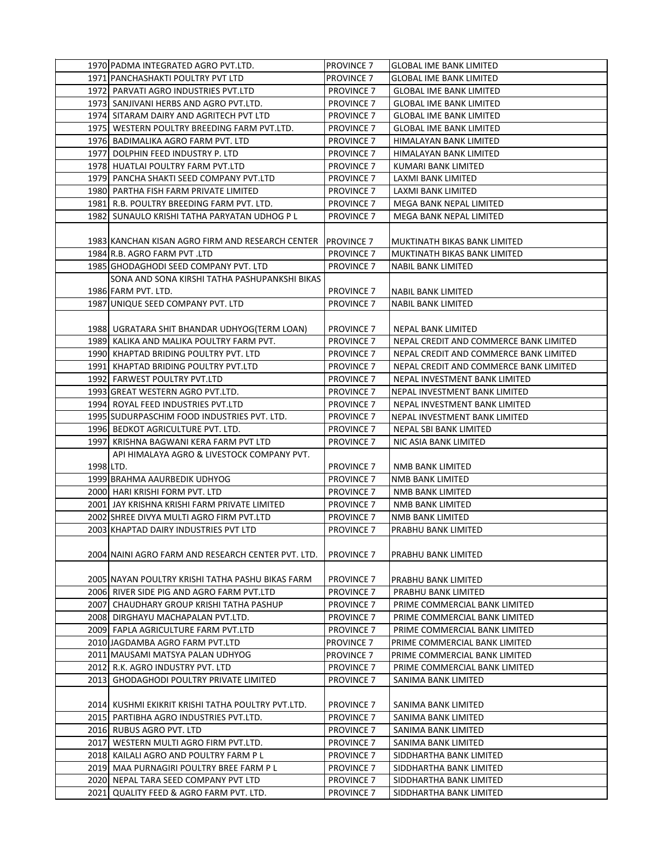|           | 1970 PADMA INTEGRATED AGRO PVT.LTD.                                  | PROVINCE <sub>7</sub>                  | <b>GLOBAL IME BANK LIMITED</b>                                          |
|-----------|----------------------------------------------------------------------|----------------------------------------|-------------------------------------------------------------------------|
|           | 1971 PANCHASHAKTI POULTRY PVT LTD                                    | <b>PROVINCE 7</b>                      | <b>GLOBAL IME BANK LIMITED</b>                                          |
|           | 1972 PARVATI AGRO INDUSTRIES PVT.LTD                                 | <b>PROVINCE 7</b>                      | <b>GLOBAL IME BANK LIMITED</b>                                          |
|           | 1973 SANJIVANI HERBS AND AGRO PVT.LTD.                               | <b>PROVINCE 7</b>                      | <b>GLOBAL IME BANK LIMITED</b>                                          |
|           | 1974 SITARAM DAIRY AND AGRITECH PVT LTD                              | <b>PROVINCE 7</b>                      | <b>GLOBAL IME BANK LIMITED</b>                                          |
|           | 1975 WESTERN POULTRY BREEDING FARM PVT.LTD.                          | <b>PROVINCE 7</b>                      | <b>GLOBAL IME BANK LIMITED</b>                                          |
|           | 1976 BADIMALIKA AGRO FARM PVT. LTD                                   | <b>PROVINCE 7</b>                      | HIMALAYAN BANK LIMITED                                                  |
|           | 1977 DOLPHIN FEED INDUSTRY P. LTD                                    | <b>PROVINCE 7</b>                      | HIMALAYAN BANK LIMITED                                                  |
|           | 1978 HUATLAI POULTRY FARM PVT.LTD                                    | <b>PROVINCE 7</b>                      | KUMARI BANK LIMITED                                                     |
|           | 1979 PANCHA SHAKTI SEED COMPANY PVT.LTD                              | <b>PROVINCE 7</b>                      | LAXMI BANK LIMITED                                                      |
|           | 1980 PARTHA FISH FARM PRIVATE LIMITED                                | <b>PROVINCE 7</b>                      | LAXMI BANK LIMITED                                                      |
|           | 1981 R.B. POULTRY BREEDING FARM PVT. LTD.                            | <b>PROVINCE 7</b>                      | MEGA BANK NEPAL LIMITED                                                 |
|           | 1982 SUNAULO KRISHI TATHA PARYATAN UDHOG P L                         | <b>PROVINCE 7</b>                      | MEGA BANK NEPAL LIMITED                                                 |
|           |                                                                      |                                        |                                                                         |
|           | 1983 KANCHAN KISAN AGRO FIRM AND RESEARCH CENTER                     | <b>PROVINCE 7</b>                      | MUKTINATH BIKAS BANK LIMITED                                            |
|           | 1984 R.B. AGRO FARM PVT .LTD                                         | <b>PROVINCE 7</b>                      | MUKTINATH BIKAS BANK LIMITED                                            |
|           | 1985 GHODAGHODI SEED COMPANY PVT. LTD                                | <b>PROVINCE 7</b>                      | <b>NABIL BANK LIMITED</b>                                               |
|           | SONA AND SONA KIRSHI TATHA PASHUPANKSHI BIKAS                        |                                        |                                                                         |
|           | 1986 FARM PVT. LTD.                                                  | PROVINCE 7                             | <b>NABIL BANK LIMITED</b>                                               |
|           | 1987 UNIQUE SEED COMPANY PVT. LTD                                    | <b>PROVINCE 7</b>                      | <b>NABIL BANK LIMITED</b>                                               |
|           |                                                                      |                                        |                                                                         |
|           | 1988   UGRATARA SHIT BHANDAR UDHYOG(TERM LOAN)                       | <b>PROVINCE 7</b>                      | NEPAL BANK LIMITED                                                      |
|           | 1989 KALIKA AND MALIKA POULTRY FARM PVT.                             | <b>PROVINCE 7</b>                      | NEPAL CREDIT AND COMMERCE BANK LIMITED                                  |
|           | 1990 KHAPTAD BRIDING POULTRY PVT. LTD                                | <b>PROVINCE 7</b>                      | NEPAL CREDIT AND COMMERCE BANK LIMITED                                  |
|           |                                                                      |                                        |                                                                         |
|           | 1991 KHAPTAD BRIDING POULTRY PVT.LTD<br>1992 FARWEST POULTRY PVT.LTD | <b>PROVINCE 7</b><br><b>PROVINCE 7</b> | NEPAL CREDIT AND COMMERCE BANK LIMITED<br>NEPAL INVESTMENT BANK LIMITED |
|           | 1993 GREAT WESTERN AGRO PVT.LTD.                                     |                                        |                                                                         |
|           |                                                                      | <b>PROVINCE 7</b>                      | NEPAL INVESTMENT BANK LIMITED                                           |
|           | 1994 ROYAL FEED INDUSTRIES PVT.LTD                                   | <b>PROVINCE 7</b>                      | NEPAL INVESTMENT BANK LIMITED                                           |
|           | 1995 SUDURPASCHIM FOOD INDUSTRIES PVT. LTD.                          | <b>PROVINCE 7</b>                      | NEPAL INVESTMENT BANK LIMITED                                           |
|           | 1996 BEDKOT AGRICULTURE PVT. LTD.                                    | <b>PROVINCE 7</b>                      | NEPAL SBI BANK LIMITED                                                  |
|           | 1997 KRISHNA BAGWANI KERA FARM PVT LTD                               | <b>PROVINCE 7</b>                      | NIC ASIA BANK LIMITED                                                   |
|           | API HIMALAYA AGRO & LIVESTOCK COMPANY PVT.                           |                                        |                                                                         |
| 1998 LTD. |                                                                      | <b>PROVINCE 7</b>                      | NMB BANK LIMITED                                                        |
|           | 1999 BRAHMA AAURBEDIK UDHYOG                                         | <b>PROVINCE 7</b>                      | NMB BANK LIMITED                                                        |
|           | 2000 HARI KRISHI FORM PVT. LTD                                       | <b>PROVINCE 7</b>                      | NMB BANK LIMITED                                                        |
|           | 2001 JAY KRISHNA KRISHI FARM PRIVATE LIMITED                         | <b>PROVINCE 7</b>                      | NMB BANK LIMITED                                                        |
|           | 2002 SHREE DIVYA MULTI AGRO FIRM PVT.LTD                             | <b>PROVINCE 7</b>                      | NMB BANK LIMITED                                                        |
|           | 2003 KHAPTAD DAIRY INDUSTRIES PVT LTD                                | <b>PROVINCE 7</b>                      | PRABHU BANK LIMITED                                                     |
|           |                                                                      |                                        |                                                                         |
|           | 2004 NAINI AGRO FARM AND RESEARCH CENTER PVT. LTD.                   | <b>PROVINCE 7</b>                      | PRABHU BANK LIMITED                                                     |
|           |                                                                      |                                        |                                                                         |
|           | 2005 NAYAN POULTRY KRISHI TATHA PASHU BIKAS FARM                     | <b>PROVINCE 7</b>                      | PRABHU BANK LIMITED                                                     |
|           | 2006 RIVER SIDE PIG AND AGRO FARM PVT.LTD                            | <b>PROVINCE 7</b>                      | PRABHU BANK LIMITED                                                     |
| 2007      | CHAUDHARY GROUP KRISHI TATHA PASHUP                                  | <b>PROVINCE 7</b>                      | PRIME COMMERCIAL BANK LIMITED                                           |
|           | 2008 DIRGHAYU MACHAPALAN PVT.LTD.                                    | <b>PROVINCE 7</b>                      | PRIME COMMERCIAL BANK LIMITED                                           |
|           | 2009 FAPLA AGRICULTURE FARM PVT.LTD                                  | <b>PROVINCE 7</b>                      | PRIME COMMERCIAL BANK LIMITED                                           |
|           | 2010 JAGDAMBA AGRO FARM PVT.LTD                                      | <b>PROVINCE 7</b>                      | PRIME COMMERCIAL BANK LIMITED                                           |
|           | 2011 MAUSAMI MATSYA PALAN UDHYOG                                     | <b>PROVINCE 7</b>                      | PRIME COMMERCIAL BANK LIMITED                                           |
|           | 2012 R.K. AGRO INDUSTRY PVT. LTD                                     | <b>PROVINCE 7</b>                      | PRIME COMMERCIAL BANK LIMITED                                           |
|           | 2013 GHODAGHODI POULTRY PRIVATE LIMITED                              | <b>PROVINCE 7</b>                      | SANIMA BANK LIMITED                                                     |
|           | 2014 KUSHMI EKIKRIT KRISHI TATHA POULTRY PVT.LTD.                    | <b>PROVINCE 7</b>                      | SANIMA BANK LIMITED                                                     |
|           | 2015 PARTIBHA AGRO INDUSTRIES PVT.LTD.                               | <b>PROVINCE 7</b>                      | SANIMA BANK LIMITED                                                     |
|           | 2016 RUBUS AGRO PVT. LTD                                             | <b>PROVINCE 7</b>                      | SANIMA BANK LIMITED                                                     |
| 2017      | WESTERN MULTI AGRO FIRM PVT.LTD.                                     | <b>PROVINCE 7</b>                      | SANIMA BANK LIMITED                                                     |
|           | 2018 KAILALI AGRO AND POULTRY FARM P L                               | <b>PROVINCE 7</b>                      | SIDDHARTHA BANK LIMITED                                                 |
|           | 2019 MAA PURNAGIRI POULTRY BREE FARM P L                             | <b>PROVINCE 7</b>                      | SIDDHARTHA BANK LIMITED                                                 |
|           | 2020 NEPAL TARA SEED COMPANY PVT LTD                                 | <b>PROVINCE 7</b>                      | SIDDHARTHA BANK LIMITED                                                 |
|           |                                                                      |                                        |                                                                         |
|           | 2021 QUALITY FEED & AGRO FARM PVT. LTD.                              | <b>PROVINCE 7</b>                      | SIDDHARTHA BANK LIMITED                                                 |